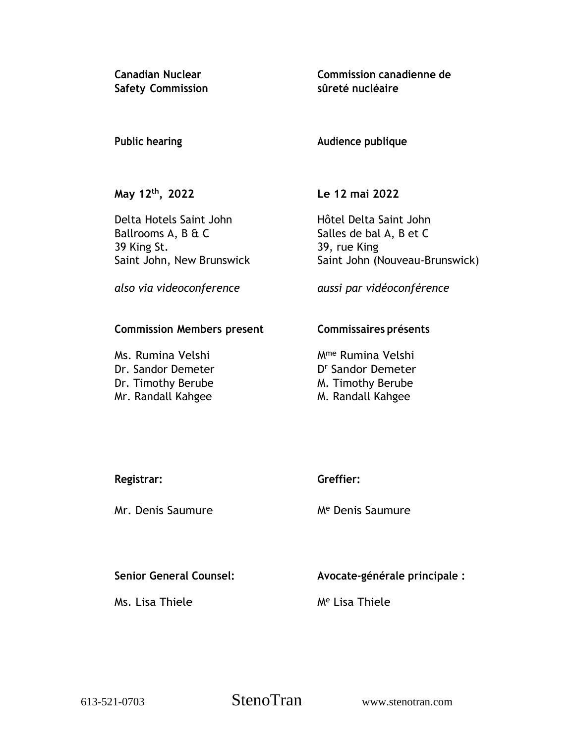**Canadian Nuclear Safety Commission** **Commission canadienne de sûreté nucléaire**

# **Public hearing**

**Audience publique**

**May 12 th , 2022**

Delta Hotels Saint John Ballrooms A, B & C 39 King St. Saint John, New Brunswick **Le 12 mai 2022**

Hôtel Delta Saint John Salles de bal A, B et C 39, rue King Saint John (Nouveau-Brunswick)

*also via videoconference*

*aussi par vidéoconférence*

### **Commission Members present**

Ms. Rumina Velshi Dr. Sandor Demeter Dr. Timothy Berube Mr. Randall Kahgee

## **Commissaires présents**

Mme Rumina Velshi D <sup>r</sup> Sandor Demeter M. Timothy Berube M. Randall Kahgee

| Registrar: | Greffier: |
|------------|-----------|
|            |           |

Mr. Denis Saumure

M<sup>e</sup> Denis Saumure

# **Senior General Counsel:**

Ms. Lisa Thiele

**Avocate-générale principale :**

M<sup>e</sup> Lisa Thiele

613-521-0703 StenoTran www.stenotran.com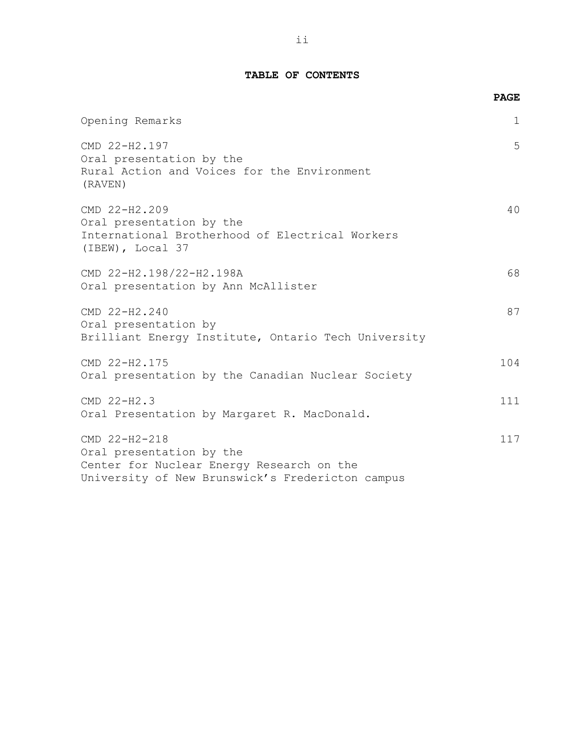#### **TABLE OF CONTENTS**

|                                                                                                                                            | <b>PAGE</b>  |
|--------------------------------------------------------------------------------------------------------------------------------------------|--------------|
| Opening Remarks                                                                                                                            | $\mathbf{1}$ |
| CMD 22-H2.197<br>Oral presentation by the<br>Rural Action and Voices for the Environment<br>(RAVEN)                                        | 5            |
| CMD 22-H2.209<br>Oral presentation by the<br>International Brotherhood of Electrical Workers<br>(IBEW), Local 37                           | 40           |
| CMD 22-H2.198/22-H2.198A<br>Oral presentation by Ann McAllister                                                                            | 68           |
| CMD 22-H2.240<br>Oral presentation by<br>Brilliant Energy Institute, Ontario Tech University                                               | 87           |
| CMD 22-H2.175<br>Oral presentation by the Canadian Nuclear Society                                                                         | 104          |
| CMD 22-H2.3<br>Oral Presentation by Margaret R. MacDonald.                                                                                 | 111          |
| CMD 22-H2-218<br>Oral presentation by the<br>Center for Nuclear Energy Research on the<br>University of New Brunswick's Fredericton campus | 117          |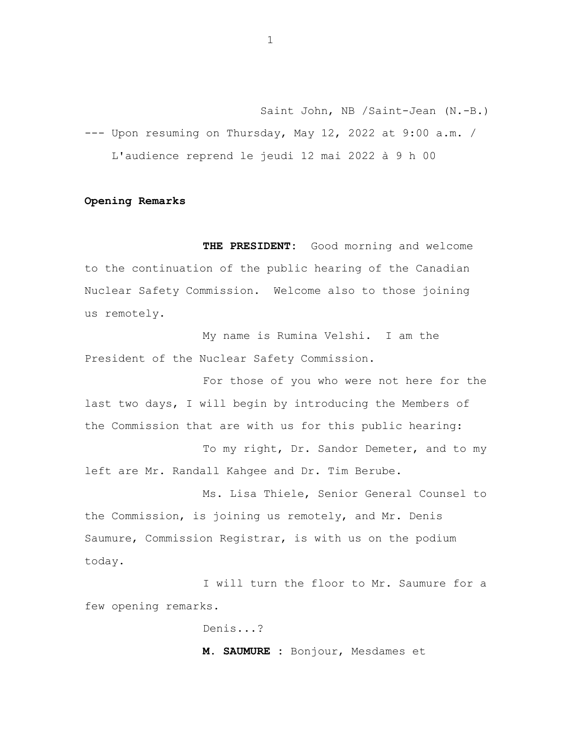Saint John, NB /Saint-Jean (N.-B.) --- Upon resuming on Thursday, May 12, 2022 at 9:00 a.m. / L'audience reprend le jeudi 12 mai 2022 à 9 h 00

#### **Opening Remarks**

**THE PRESIDENT:** Good morning and welcome to the continuation of the public hearing of the Canadian Nuclear Safety Commission. Welcome also to those joining us remotely.

My name is Rumina Velshi. I am the President of the Nuclear Safety Commission.

For those of you who were not here for the last two days, I will begin by introducing the Members of the Commission that are with us for this public hearing:

To my right, Dr. Sandor Demeter, and to my left are Mr. Randall Kahgee and Dr. Tim Berube.

Ms. Lisa Thiele, Senior General Counsel to the Commission, is joining us remotely, and Mr. Denis Saumure, Commission Registrar, is with us on the podium today.

I will turn the floor to Mr. Saumure for a few opening remarks.

Denis...?

**M. SAUMURE :** Bonjour, Mesdames et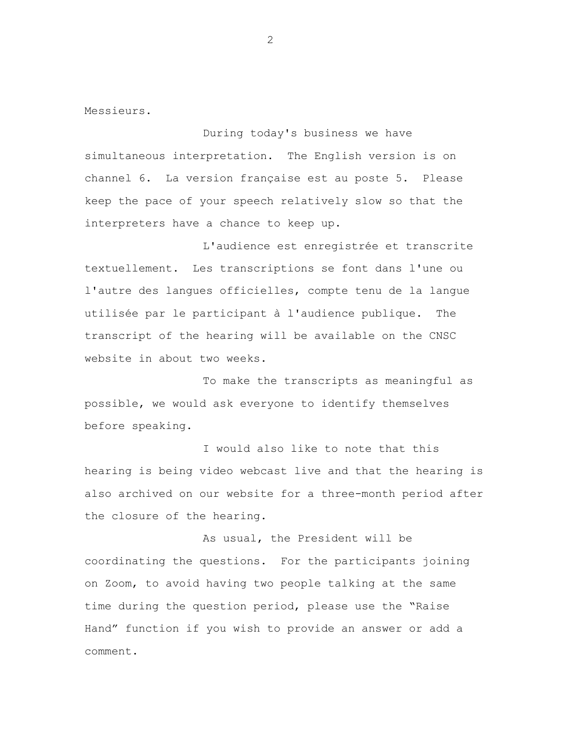Messieurs.

During today's business we have simultaneous interpretation. The English version is on channel 6. La version française est au poste 5. Please keep the pace of your speech relatively slow so that the interpreters have a chance to keep up.

L'audience est enregistrée et transcrite textuellement. Les transcriptions se font dans l'une ou l'autre des langues officielles, compte tenu de la langue utilisée par le participant à l'audience publique. The transcript of the hearing will be available on the CNSC website in about two weeks.

To make the transcripts as meaningful as possible, we would ask everyone to identify themselves before speaking.

I would also like to note that this hearing is being video webcast live and that the hearing is also archived on our website for a three-month period after the closure of the hearing.

As usual, the President will be coordinating the questions. For the participants joining on Zoom, to avoid having two people talking at the same time during the question period, please use the "Raise Hand" function if you wish to provide an answer or add a comment.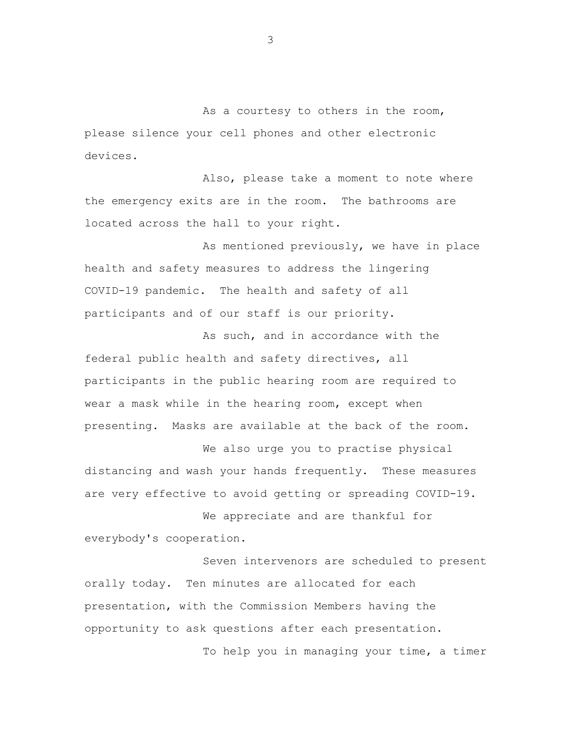As a courtesy to others in the room, please silence your cell phones and other electronic devices.

Also, please take a moment to note where the emergency exits are in the room. The bathrooms are located across the hall to your right.

As mentioned previously, we have in place health and safety measures to address the lingering COVID-19 pandemic. The health and safety of all participants and of our staff is our priority.

As such, and in accordance with the federal public health and safety directives, all participants in the public hearing room are required to wear a mask while in the hearing room, except when presenting. Masks are available at the back of the room.

We also urge you to practise physical distancing and wash your hands frequently. These measures are very effective to avoid getting or spreading COVID-19.

We appreciate and are thankful for everybody's cooperation.

Seven intervenors are scheduled to present orally today. Ten minutes are allocated for each presentation, with the Commission Members having the opportunity to ask questions after each presentation.

To help you in managing your time, a timer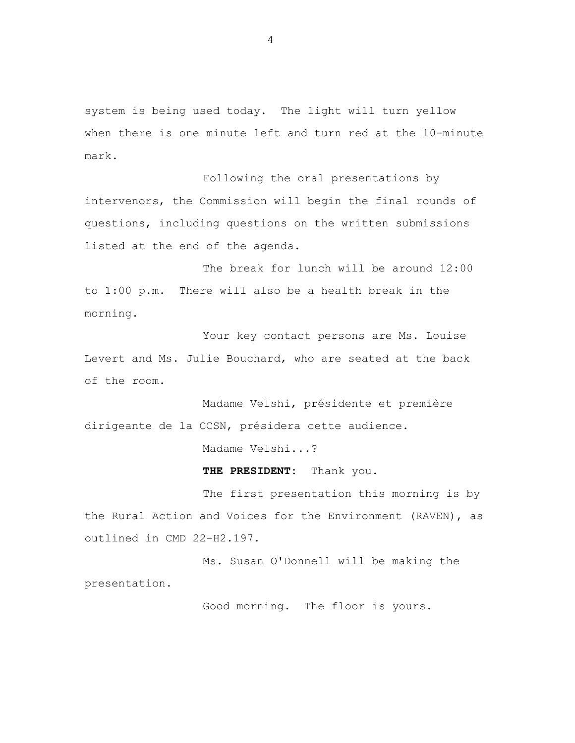system is being used today. The light will turn yellow when there is one minute left and turn red at the 10-minute mark.

Following the oral presentations by intervenors, the Commission will begin the final rounds of questions, including questions on the written submissions listed at the end of the agenda.

The break for lunch will be around 12:00 to 1:00 p.m. There will also be a health break in the morning.

Your key contact persons are Ms. Louise Levert and Ms. Julie Bouchard, who are seated at the back of the room.

Madame Velshi, présidente et première dirigeante de la CCSN, présidera cette audience.

Madame Velshi...?

**THE PRESIDENT:** Thank you.

The first presentation this morning is by the Rural Action and Voices for the Environment (RAVEN), as outlined in CMD 22-H2.197.

Ms. Susan O'Donnell will be making the presentation.

Good morning. The floor is yours.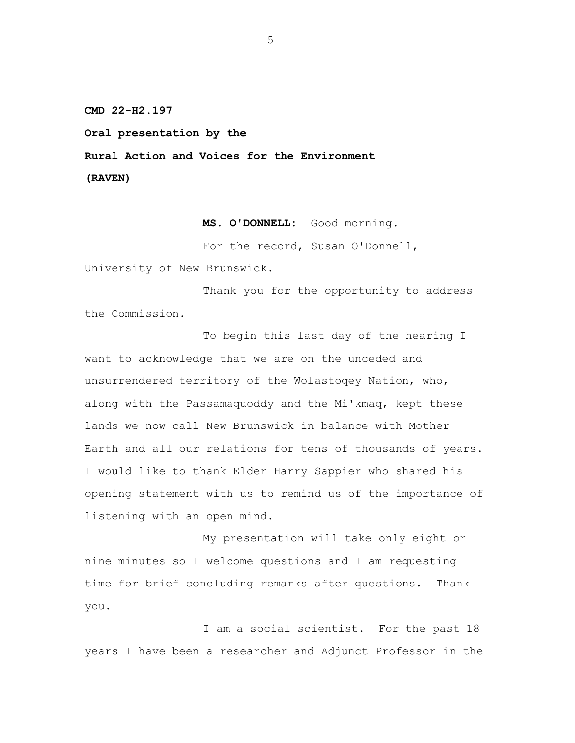**CMD 22-H2.197**

**Oral presentation by the**

**Rural Action and Voices for the Environment**

**(RAVEN)**

**MS. O'DONNELL:** Good morning.

For the record, Susan O'Donnell,

University of New Brunswick.

Thank you for the opportunity to address the Commission.

To begin this last day of the hearing I want to acknowledge that we are on the unceded and unsurrendered territory of the Wolastoqey Nation, who, along with the Passamaquoddy and the Mi'kmaq, kept these lands we now call New Brunswick in balance with Mother Earth and all our relations for tens of thousands of years. I would like to thank Elder Harry Sappier who shared his opening statement with us to remind us of the importance of listening with an open mind.

My presentation will take only eight or nine minutes so I welcome questions and I am requesting time for brief concluding remarks after questions. Thank you.

I am a social scientist. For the past 18 years I have been a researcher and Adjunct Professor in the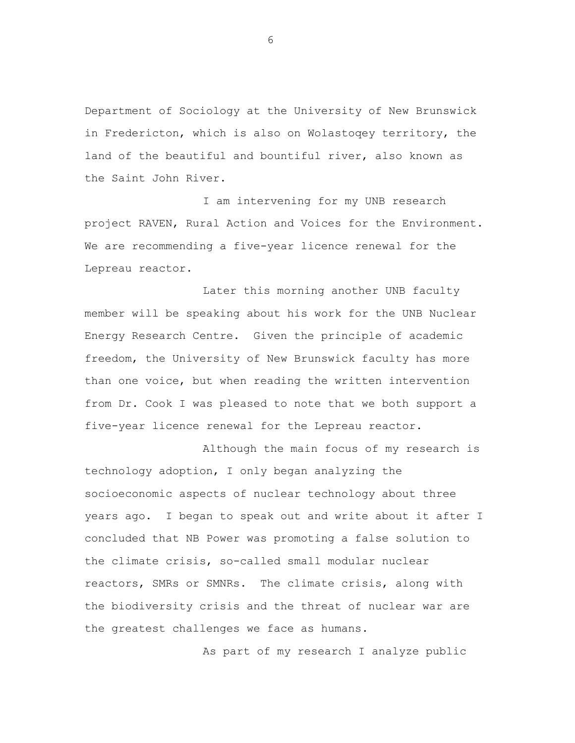Department of Sociology at the University of New Brunswick in Fredericton, which is also on Wolastoqey territory, the land of the beautiful and bountiful river, also known as the Saint John River.

I am intervening for my UNB research project RAVEN, Rural Action and Voices for the Environment. We are recommending a five-year licence renewal for the Lepreau reactor.

Later this morning another UNB faculty member will be speaking about his work for the UNB Nuclear Energy Research Centre. Given the principle of academic freedom, the University of New Brunswick faculty has more than one voice, but when reading the written intervention from Dr. Cook I was pleased to note that we both support a five-year licence renewal for the Lepreau reactor.

Although the main focus of my research is technology adoption, I only began analyzing the socioeconomic aspects of nuclear technology about three years ago. I began to speak out and write about it after I concluded that NB Power was promoting a false solution to the climate crisis, so-called small modular nuclear reactors, SMRs or SMNRs. The climate crisis, along with the biodiversity crisis and the threat of nuclear war are the greatest challenges we face as humans.

As part of my research I analyze public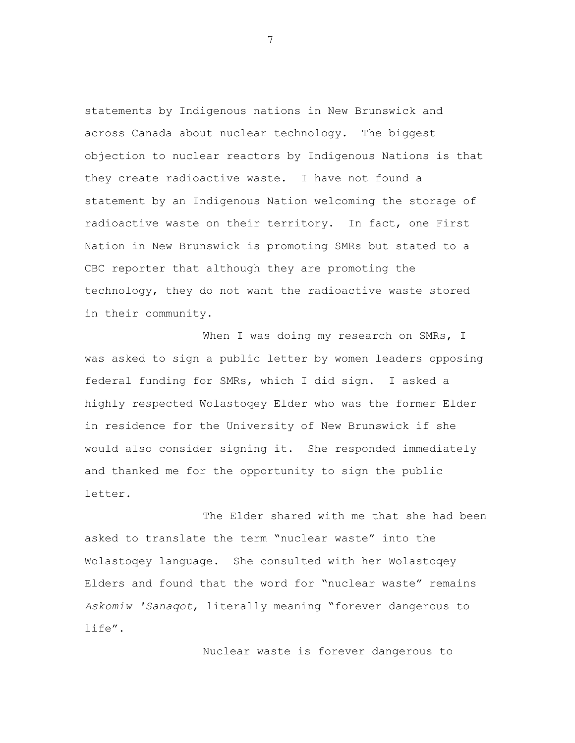statements by Indigenous nations in New Brunswick and across Canada about nuclear technology. The biggest objection to nuclear reactors by Indigenous Nations is that they create radioactive waste. I have not found a statement by an Indigenous Nation welcoming the storage of radioactive waste on their territory. In fact, one First Nation in New Brunswick is promoting SMRs but stated to a CBC reporter that although they are promoting the technology, they do not want the radioactive waste stored in their community.

When I was doing my research on SMRs, I was asked to sign a public letter by women leaders opposing federal funding for SMRs, which I did sign. I asked a highly respected Wolastoqey Elder who was the former Elder in residence for the University of New Brunswick if she would also consider signing it. She responded immediately and thanked me for the opportunity to sign the public letter.

The Elder shared with me that she had been asked to translate the term "nuclear waste" into the Wolastoqey language. She consulted with her Wolastoqey Elders and found that the word for "nuclear waste" remains *Askomiw 'Sanaqot*, literally meaning "forever dangerous to life".

Nuclear waste is forever dangerous to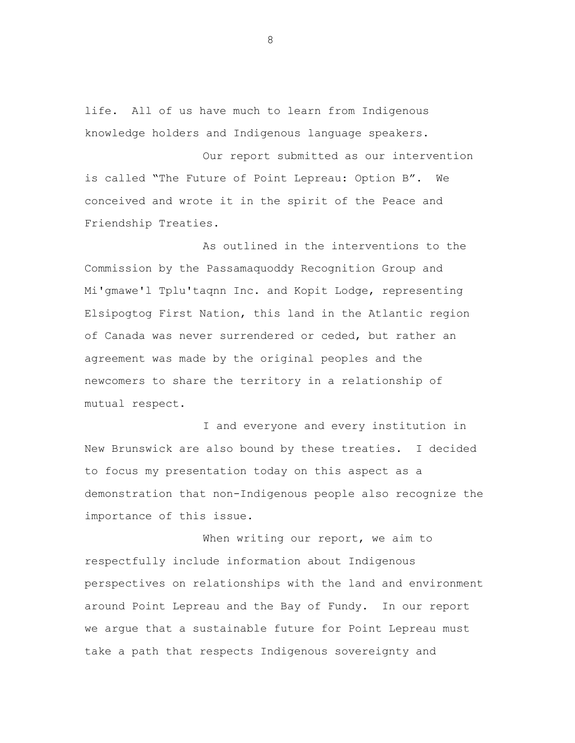life. All of us have much to learn from Indigenous knowledge holders and Indigenous language speakers.

Our report submitted as our intervention is called "The Future of Point Lepreau: Option B". We conceived and wrote it in the spirit of the Peace and Friendship Treaties.

As outlined in the interventions to the Commission by the Passamaquoddy Recognition Group and Mi'gmawe'l Tplu'taqnn Inc. and Kopit Lodge, representing Elsipogtog First Nation, this land in the Atlantic region of Canada was never surrendered or ceded, but rather an agreement was made by the original peoples and the newcomers to share the territory in a relationship of mutual respect.

I and everyone and every institution in New Brunswick are also bound by these treaties. I decided to focus my presentation today on this aspect as a demonstration that non-Indigenous people also recognize the importance of this issue.

When writing our report, we aim to respectfully include information about Indigenous perspectives on relationships with the land and environment around Point Lepreau and the Bay of Fundy. In our report we argue that a sustainable future for Point Lepreau must take a path that respects Indigenous sovereignty and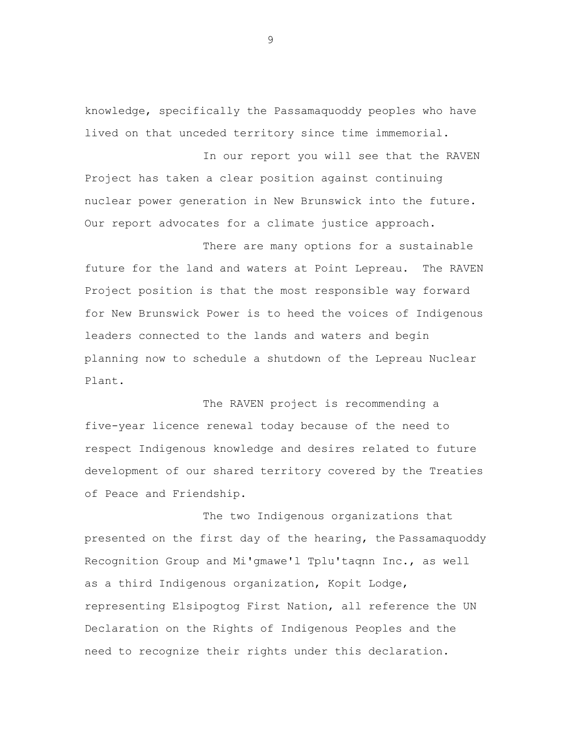knowledge, specifically the Passamaquoddy peoples who have lived on that unceded territory since time immemorial.

In our report you will see that the RAVEN Project has taken a clear position against continuing nuclear power generation in New Brunswick into the future. Our report advocates for a climate justice approach.

There are many options for a sustainable future for the land and waters at Point Lepreau. The RAVEN Project position is that the most responsible way forward for New Brunswick Power is to heed the voices of Indigenous leaders connected to the lands and waters and begin planning now to schedule a shutdown of the Lepreau Nuclear Plant.

The RAVEN project is recommending a five-year licence renewal today because of the need to respect Indigenous knowledge and desires related to future development of our shared territory covered by the Treaties of Peace and Friendship.

The two Indigenous organizations that presented on the first day of the hearing, the Passamaquoddy Recognition Group and Mi'gmawe'l Tplu'taqnn Inc., as well as a third Indigenous organization, Kopit Lodge, representing Elsipogtog First Nation, all reference the UN Declaration on the Rights of Indigenous Peoples and the need to recognize their rights under this declaration.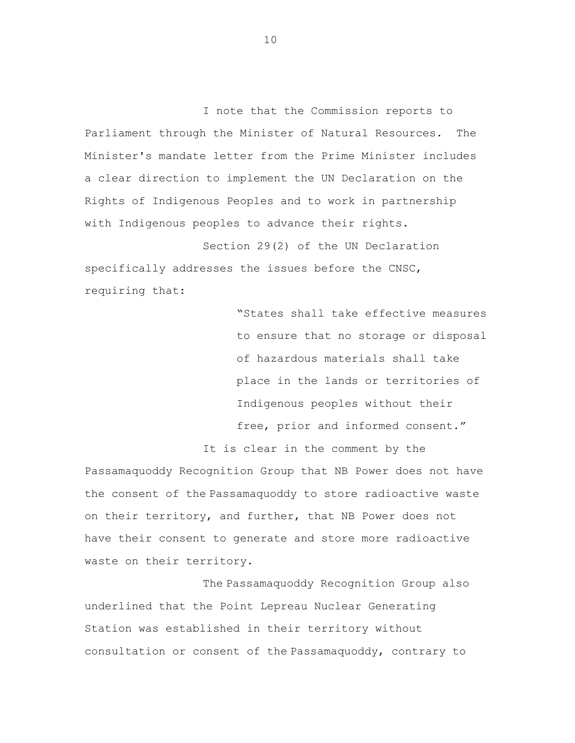I note that the Commission reports to Parliament through the Minister of Natural Resources. The Minister's mandate letter from the Prime Minister includes a clear direction to implement the UN Declaration on the Rights of Indigenous Peoples and to work in partnership with Indigenous peoples to advance their rights.

Section 29(2) of the UN Declaration specifically addresses the issues before the CNSC, requiring that:

> "States shall take effective measures to ensure that no storage or disposal of hazardous materials shall take place in the lands or territories of Indigenous peoples without their free, prior and informed consent."

It is clear in the comment by the Passamaquoddy Recognition Group that NB Power does not have the consent of the Passamaquoddy to store radioactive waste on their territory, and further, that NB Power does not have their consent to generate and store more radioactive waste on their territory.

The Passamaquoddy Recognition Group also underlined that the Point Lepreau Nuclear Generating Station was established in their territory without consultation or consent of the Passamaquoddy, contrary to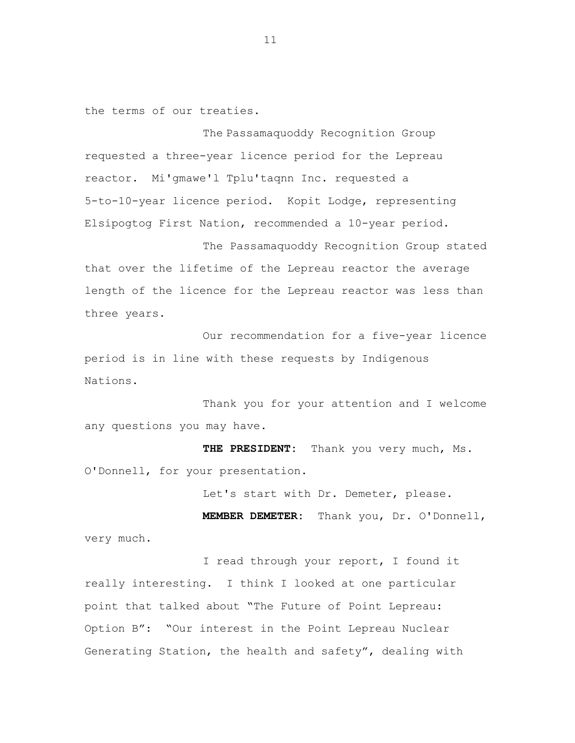the terms of our treaties.

The Passamaquoddy Recognition Group requested a three-year licence period for the Lepreau reactor. Mi'gmawe'l Tplu'taqnn Inc. requested a 5-to-10-year licence period. Kopit Lodge, representing Elsipogtog First Nation, recommended a 10-year period.

The Passamaquoddy Recognition Group stated that over the lifetime of the Lepreau reactor the average length of the licence for the Lepreau reactor was less than three years.

Our recommendation for a five-year licence period is in line with these requests by Indigenous Nations.

Thank you for your attention and I welcome any questions you may have.

**THE PRESIDENT:** Thank you very much, Ms. O'Donnell, for your presentation.

Let's start with Dr. Demeter, please.

**MEMBER DEMETER:** Thank you, Dr. O'Donnell, very much.

I read through your report, I found it really interesting. I think I looked at one particular point that talked about "The Future of Point Lepreau: Option B": "Our interest in the Point Lepreau Nuclear Generating Station, the health and safety", dealing with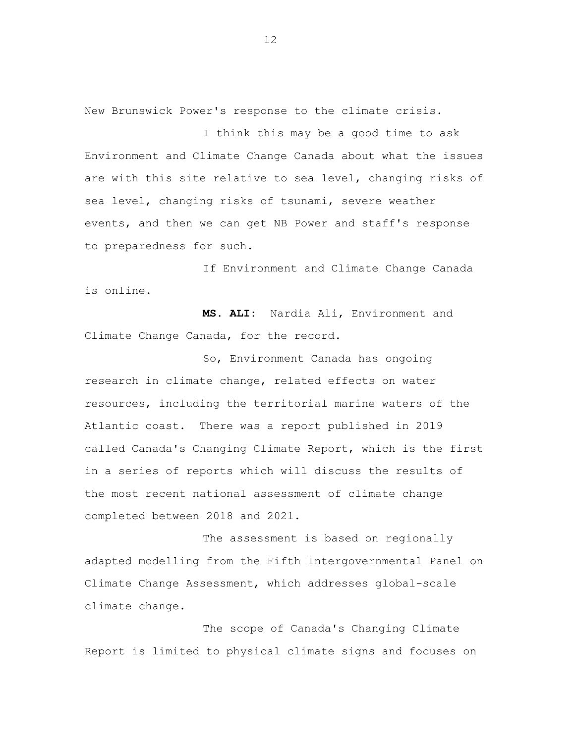New Brunswick Power's response to the climate crisis.

I think this may be a good time to ask Environment and Climate Change Canada about what the issues are with this site relative to sea level, changing risks of sea level, changing risks of tsunami, severe weather events, and then we can get NB Power and staff's response to preparedness for such.

If Environment and Climate Change Canada is online.

**MS. ALI:** Nardia Ali, Environment and Climate Change Canada, for the record.

So, Environment Canada has ongoing research in climate change, related effects on water resources, including the territorial marine waters of the Atlantic coast. There was a report published in 2019 called Canada's Changing Climate Report, which is the first in a series of reports which will discuss the results of the most recent national assessment of climate change completed between 2018 and 2021.

The assessment is based on regionally adapted modelling from the Fifth Intergovernmental Panel on Climate Change Assessment, which addresses global-scale climate change.

The scope of Canada's Changing Climate Report is limited to physical climate signs and focuses on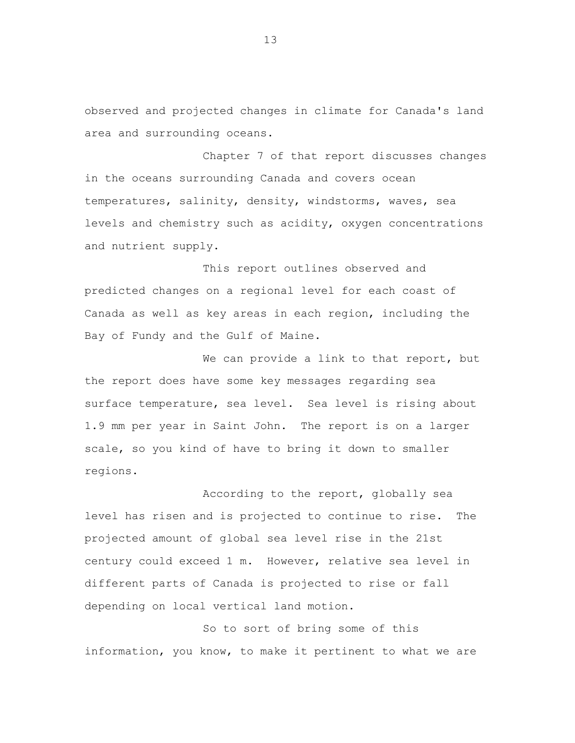observed and projected changes in climate for Canada's land area and surrounding oceans.

Chapter 7 of that report discusses changes in the oceans surrounding Canada and covers ocean temperatures, salinity, density, windstorms, waves, sea levels and chemistry such as acidity, oxygen concentrations and nutrient supply.

This report outlines observed and predicted changes on a regional level for each coast of Canada as well as key areas in each region, including the Bay of Fundy and the Gulf of Maine.

We can provide a link to that report, but the report does have some key messages regarding sea surface temperature, sea level. Sea level is rising about 1.9 mm per year in Saint John. The report is on a larger scale, so you kind of have to bring it down to smaller regions.

According to the report, globally sea level has risen and is projected to continue to rise. The projected amount of global sea level rise in the 21st century could exceed 1 m. However, relative sea level in different parts of Canada is projected to rise or fall depending on local vertical land motion.

So to sort of bring some of this information, you know, to make it pertinent to what we are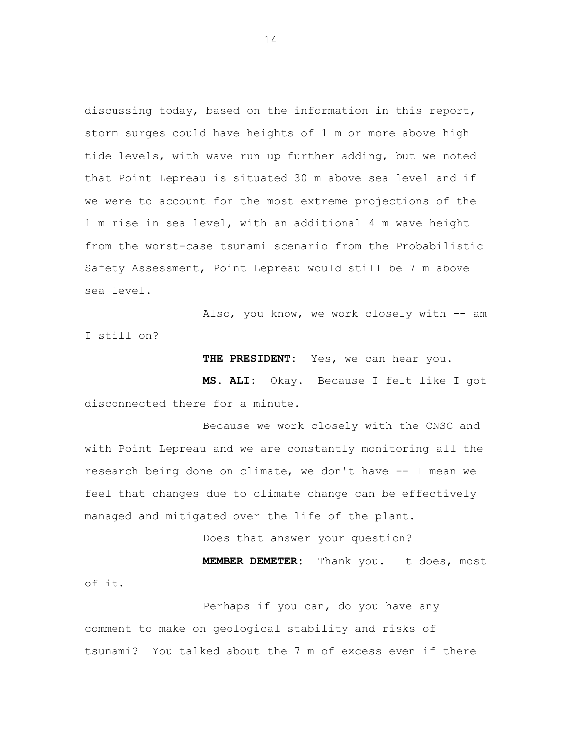discussing today, based on the information in this report, storm surges could have heights of 1 m or more above high tide levels, with wave run up further adding, but we noted that Point Lepreau is situated 30 m above sea level and if we were to account for the most extreme projections of the 1 m rise in sea level, with an additional 4 m wave height from the worst-case tsunami scenario from the Probabilistic Safety Assessment, Point Lepreau would still be 7 m above sea level.

Also, you know, we work closely with -- am I still on?

**THE PRESIDENT:** Yes, we can hear you.

**MS. ALI:** Okay. Because I felt like I got disconnected there for a minute.

Because we work closely with the CNSC and with Point Lepreau and we are constantly monitoring all the research being done on climate, we don't have -- I mean we feel that changes due to climate change can be effectively managed and mitigated over the life of the plant.

Does that answer your question? **MEMBER DEMETER:** Thank you. It does, most of it.

Perhaps if you can, do you have any comment to make on geological stability and risks of tsunami? You talked about the 7 m of excess even if there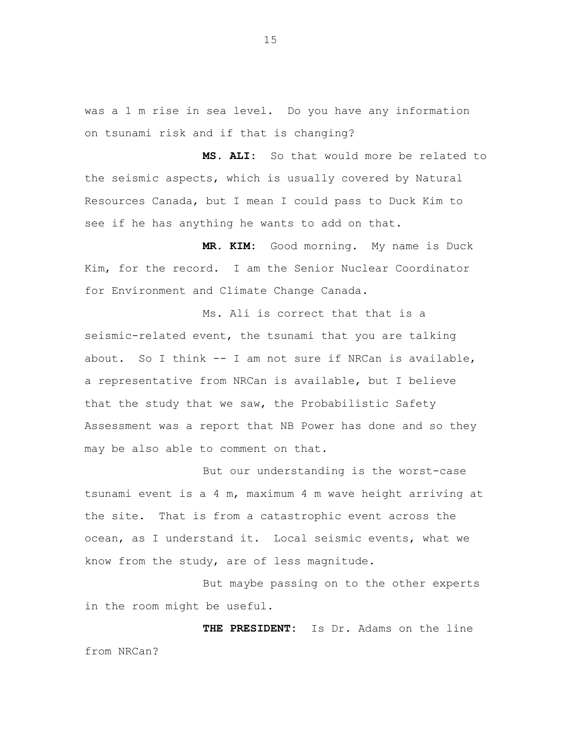was a 1 m rise in sea level. Do you have any information on tsunami risk and if that is changing?

**MS. ALI:** So that would more be related to the seismic aspects, which is usually covered by Natural Resources Canada, but I mean I could pass to Duck Kim to see if he has anything he wants to add on that.

**MR. KIM:** Good morning. My name is Duck Kim, for the record. I am the Senior Nuclear Coordinator for Environment and Climate Change Canada.

Ms. Ali is correct that that is a seismic-related event, the tsunami that you are talking about. So I think -- I am not sure if NRCan is available, a representative from NRCan is available, but I believe that the study that we saw, the Probabilistic Safety Assessment was a report that NB Power has done and so they may be also able to comment on that.

But our understanding is the worst-case tsunami event is a 4 m, maximum 4 m wave height arriving at the site. That is from a catastrophic event across the ocean, as I understand it. Local seismic events, what we know from the study, are of less magnitude.

But maybe passing on to the other experts in the room might be useful.

**THE PRESIDENT:** Is Dr. Adams on the line from NRCan?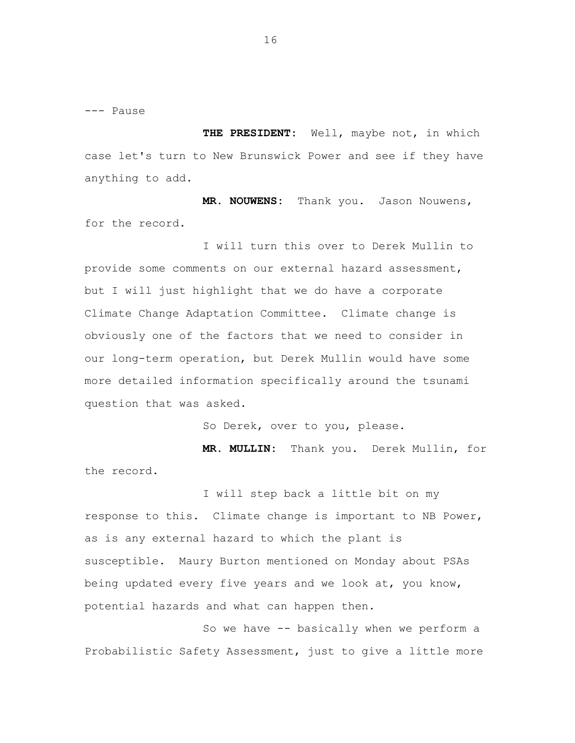--- Pause

**THE PRESIDENT:** Well, maybe not, in which case let's turn to New Brunswick Power and see if they have anything to add.

**MR. NOUWENS:** Thank you. Jason Nouwens, for the record.

I will turn this over to Derek Mullin to provide some comments on our external hazard assessment, but I will just highlight that we do have a corporate Climate Change Adaptation Committee. Climate change is obviously one of the factors that we need to consider in our long-term operation, but Derek Mullin would have some more detailed information specifically around the tsunami question that was asked.

So Derek, over to you, please.

**MR. MULLIN:** Thank you. Derek Mullin, for the record.

I will step back a little bit on my response to this. Climate change is important to NB Power, as is any external hazard to which the plant is susceptible. Maury Burton mentioned on Monday about PSAs being updated every five years and we look at, you know, potential hazards and what can happen then.

So we have -- basically when we perform a Probabilistic Safety Assessment, just to give a little more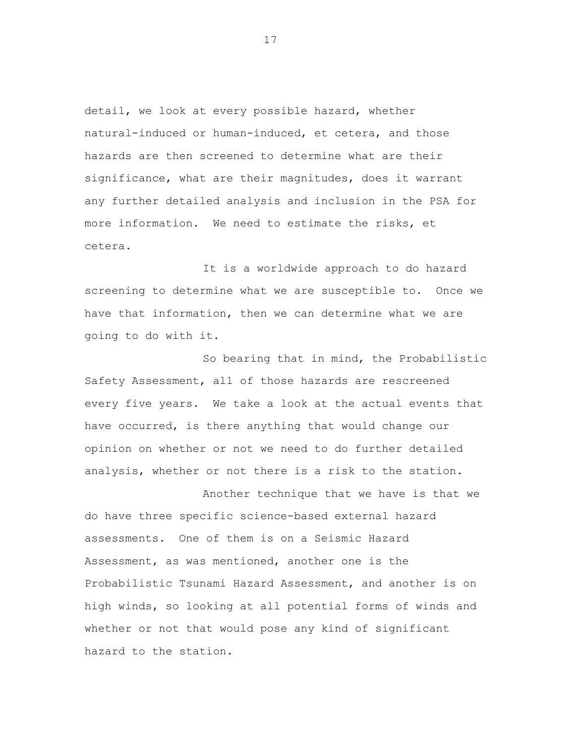detail, we look at every possible hazard, whether natural-induced or human-induced, et cetera, and those hazards are then screened to determine what are their significance, what are their magnitudes, does it warrant any further detailed analysis and inclusion in the PSA for more information. We need to estimate the risks, et cetera.

It is a worldwide approach to do hazard screening to determine what we are susceptible to. Once we have that information, then we can determine what we are going to do with it.

So bearing that in mind, the Probabilistic Safety Assessment, all of those hazards are rescreened every five years. We take a look at the actual events that have occurred, is there anything that would change our opinion on whether or not we need to do further detailed analysis, whether or not there is a risk to the station.

Another technique that we have is that we do have three specific science-based external hazard assessments. One of them is on a Seismic Hazard Assessment, as was mentioned, another one is the Probabilistic Tsunami Hazard Assessment, and another is on high winds, so looking at all potential forms of winds and whether or not that would pose any kind of significant hazard to the station.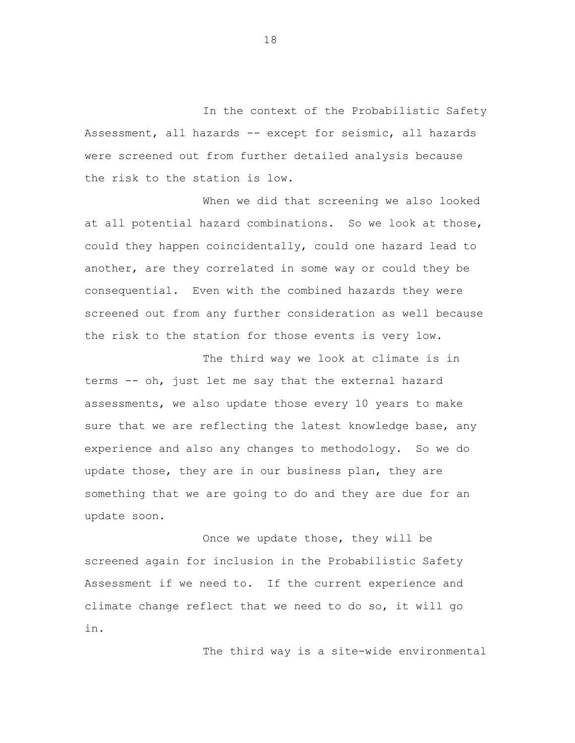In the context of the Probabilistic Safety Assessment, all hazards -- except for seismic, all hazards were screened out from further detailed analysis because the risk to the station is low.

When we did that screening we also looked at all potential hazard combinations. So we look at those, could they happen coincidentally, could one hazard lead to another, are they correlated in some way or could they be consequential. Even with the combined hazards they were screened out from any further consideration as well because the risk to the station for those events is very low.

The third way we look at climate is in terms -- oh, just let me say that the external hazard assessments, we also update those every 10 years to make sure that we are reflecting the latest knowledge base, any experience and also any changes to methodology. So we do update those, they are in our business plan, they are something that we are going to do and they are due for an update soon.

Once we update those, they will be screened again for inclusion in the Probabilistic Safety Assessment if we need to. If the current experience and climate change reflect that we need to do so, it will go in.

The third way is a site-wide environmental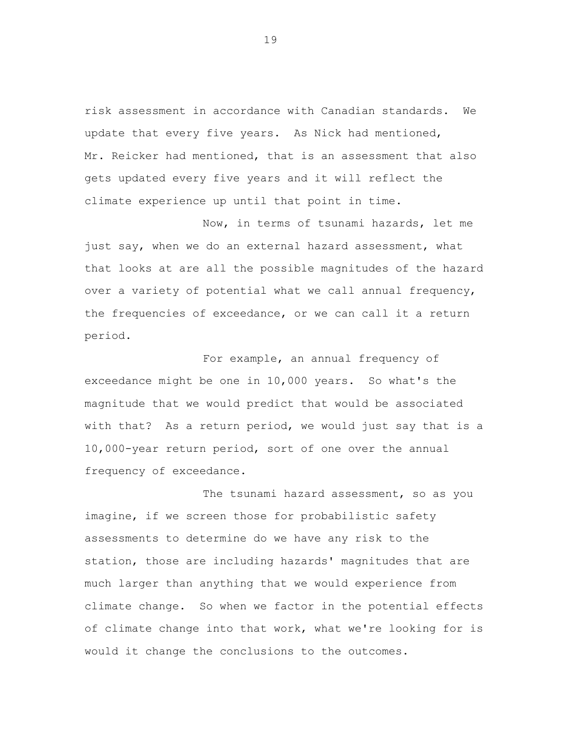risk assessment in accordance with Canadian standards. We update that every five years. As Nick had mentioned, Mr. Reicker had mentioned, that is an assessment that also gets updated every five years and it will reflect the climate experience up until that point in time.

Now, in terms of tsunami hazards, let me just say, when we do an external hazard assessment, what that looks at are all the possible magnitudes of the hazard over a variety of potential what we call annual frequency, the frequencies of exceedance, or we can call it a return period.

For example, an annual frequency of exceedance might be one in 10,000 years. So what's the magnitude that we would predict that would be associated with that? As a return period, we would just say that is a 10,000-year return period, sort of one over the annual frequency of exceedance.

The tsunami hazard assessment, so as you imagine, if we screen those for probabilistic safety assessments to determine do we have any risk to the station, those are including hazards' magnitudes that are much larger than anything that we would experience from climate change. So when we factor in the potential effects of climate change into that work, what we're looking for is would it change the conclusions to the outcomes.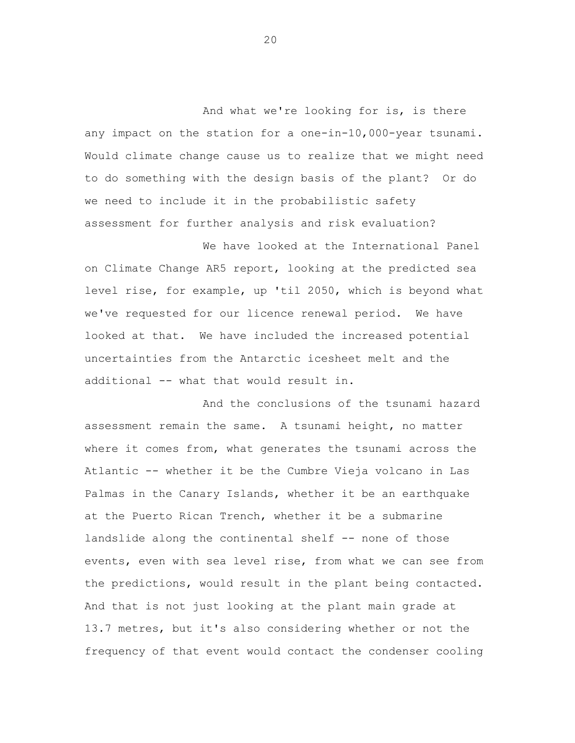And what we're looking for is, is there any impact on the station for a one-in-10,000-year tsunami. Would climate change cause us to realize that we might need to do something with the design basis of the plant? Or do we need to include it in the probabilistic safety assessment for further analysis and risk evaluation?

We have looked at the International Panel on Climate Change AR5 report, looking at the predicted sea level rise, for example, up 'til 2050, which is beyond what we've requested for our licence renewal period. We have looked at that. We have included the increased potential uncertainties from the Antarctic icesheet melt and the additional -- what that would result in.

And the conclusions of the tsunami hazard assessment remain the same. A tsunami height, no matter where it comes from, what generates the tsunami across the Atlantic -- whether it be the Cumbre Vieja volcano in Las Palmas in the Canary Islands, whether it be an earthquake at the Puerto Rican Trench, whether it be a submarine landslide along the continental shelf -- none of those events, even with sea level rise, from what we can see from the predictions, would result in the plant being contacted. And that is not just looking at the plant main grade at 13.7 metres, but it's also considering whether or not the frequency of that event would contact the condenser cooling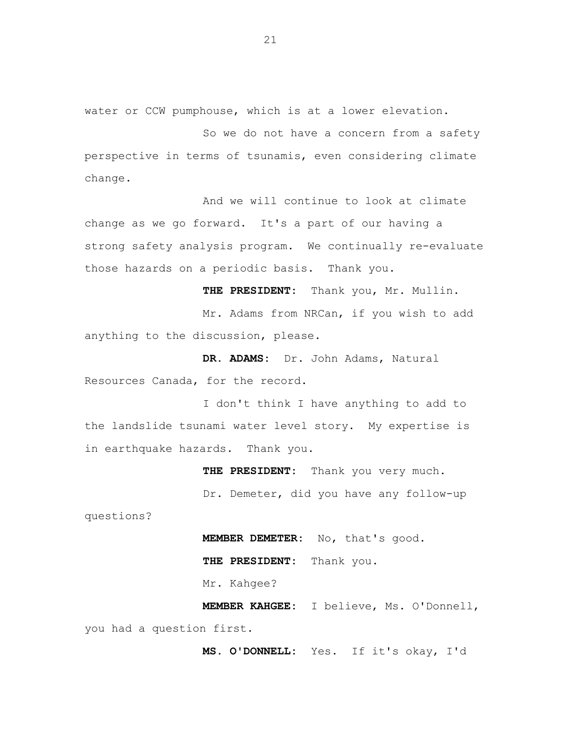water or CCW pumphouse, which is at a lower elevation.

So we do not have a concern from a safety perspective in terms of tsunamis, even considering climate change.

And we will continue to look at climate change as we go forward. It's a part of our having a strong safety analysis program. We continually re-evaluate those hazards on a periodic basis. Thank you.

**THE PRESIDENT:** Thank you, Mr. Mullin.

Mr. Adams from NRCan, if you wish to add anything to the discussion, please.

**DR. ADAMS:** Dr. John Adams, Natural Resources Canada, for the record.

I don't think I have anything to add to the landslide tsunami water level story. My expertise is in earthquake hazards. Thank you.

> **THE PRESIDENT:** Thank you very much. Dr. Demeter, did you have any follow-up

questions?

**MEMBER DEMETER:** No, that's good. **THE PRESIDENT:** Thank you. Mr. Kahgee?

**MEMBER KAHGEE:** I believe, Ms. O'Donnell, you had a question first.

**MS. O'DONNELL:** Yes. If it's okay, I'd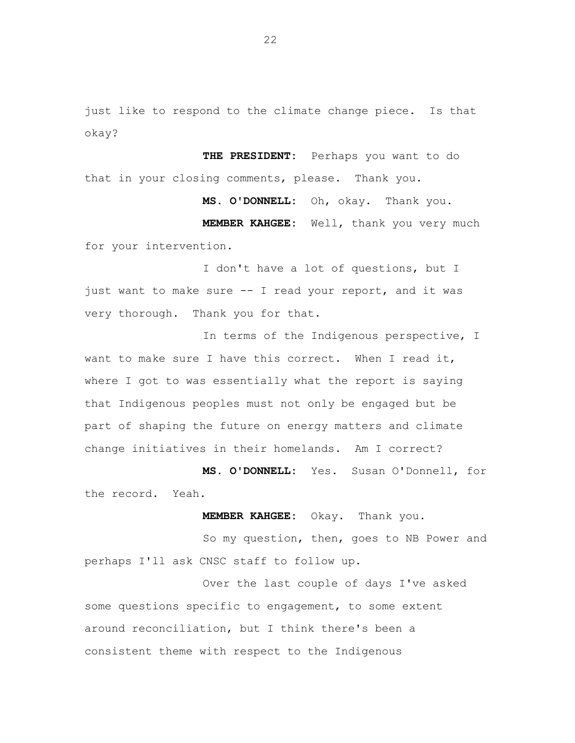just like to respond to the climate change piece. Is that okay?

**THE PRESIDENT:** Perhaps you want to do that in your closing comments, please. Thank you.

**MS. O'DONNELL:** Oh, okay. Thank you. **MEMBER KAHGEE:** Well, thank you very much for your intervention.

I don't have a lot of questions, but I just want to make sure -- I read your report, and it was very thorough. Thank you for that.

In terms of the Indigenous perspective, I want to make sure I have this correct. When I read it, where I got to was essentially what the report is saying that Indigenous peoples must not only be engaged but be part of shaping the future on energy matters and climate change initiatives in their homelands. Am I correct?

**MS. O'DONNELL:** Yes. Susan O'Donnell, for the record. Yeah.

**MEMBER KAHGEE:** Okay. Thank you.

So my question, then, goes to NB Power and perhaps I'll ask CNSC staff to follow up.

Over the last couple of days I've asked some questions specific to engagement, to some extent around reconciliation, but I think there's been a consistent theme with respect to the Indigenous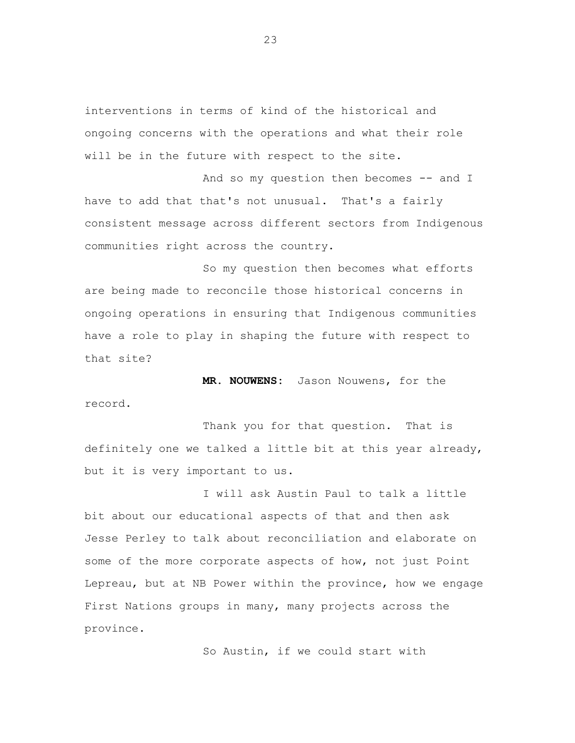interventions in terms of kind of the historical and ongoing concerns with the operations and what their role will be in the future with respect to the site.

And so my question then becomes -- and I have to add that that's not unusual. That's a fairly consistent message across different sectors from Indigenous communities right across the country.

So my question then becomes what efforts are being made to reconcile those historical concerns in ongoing operations in ensuring that Indigenous communities have a role to play in shaping the future with respect to that site?

**MR. NOUWENS:** Jason Nouwens, for the record.

Thank you for that question. That is definitely one we talked a little bit at this year already, but it is very important to us.

I will ask Austin Paul to talk a little bit about our educational aspects of that and then ask Jesse Perley to talk about reconciliation and elaborate on some of the more corporate aspects of how, not just Point Lepreau, but at NB Power within the province, how we engage First Nations groups in many, many projects across the province.

So Austin, if we could start with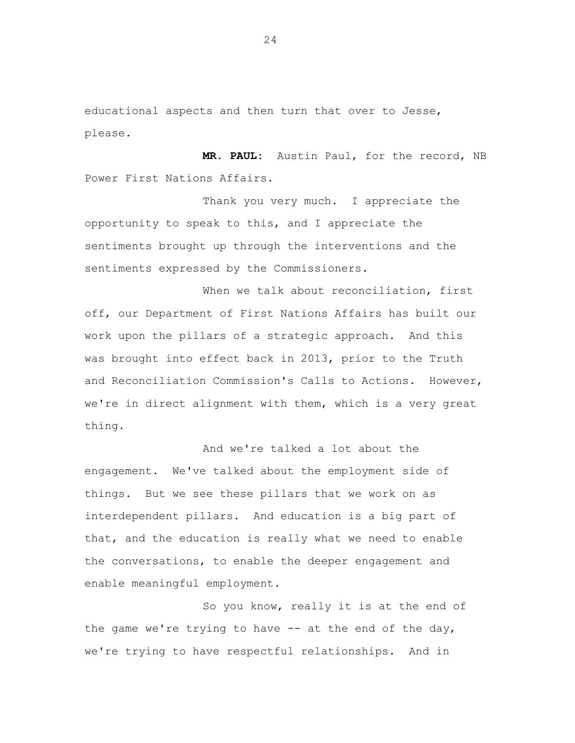educational aspects and then turn that over to Jesse, please.

**MR. PAUL:** Austin Paul, for the record, NB Power First Nations Affairs.

Thank you very much. I appreciate the opportunity to speak to this, and I appreciate the sentiments brought up through the interventions and the sentiments expressed by the Commissioners.

When we talk about reconciliation, first off, our Department of First Nations Affairs has built our work upon the pillars of a strategic approach. And this was brought into effect back in 2013, prior to the Truth and Reconciliation Commission's Calls to Actions. However, we're in direct alignment with them, which is a very great thing.

And we're talked a lot about the engagement. We've talked about the employment side of things. But we see these pillars that we work on as interdependent pillars. And education is a big part of that, and the education is really what we need to enable the conversations, to enable the deeper engagement and enable meaningful employment.

So you know, really it is at the end of the game we're trying to have  $-$  at the end of the day, we're trying to have respectful relationships. And in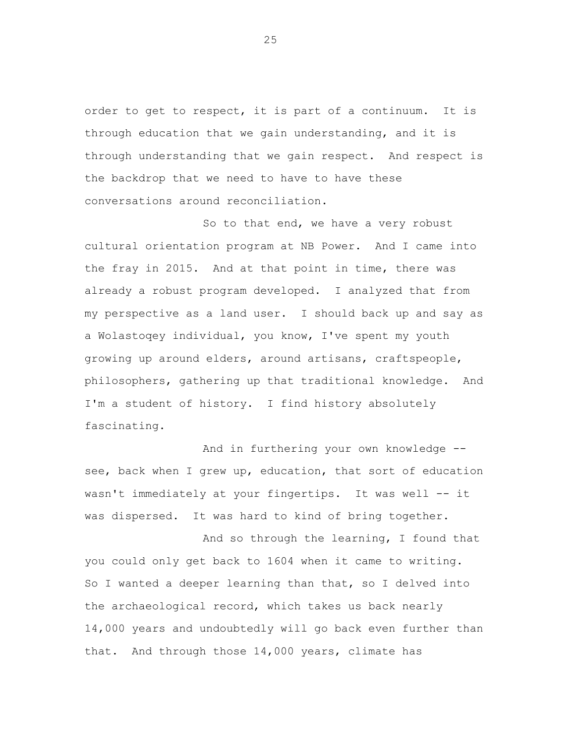order to get to respect, it is part of a continuum. It is through education that we gain understanding, and it is through understanding that we gain respect. And respect is the backdrop that we need to have to have these conversations around reconciliation.

So to that end, we have a very robust cultural orientation program at NB Power. And I came into the fray in 2015. And at that point in time, there was already a robust program developed. I analyzed that from my perspective as a land user. I should back up and say as a Wolastoqey individual, you know, I've spent my youth growing up around elders, around artisans, craftspeople, philosophers, gathering up that traditional knowledge. And I'm a student of history. I find history absolutely fascinating.

And in furthering your own knowledge - see, back when I grew up, education, that sort of education wasn't immediately at your fingertips. It was well -- it was dispersed. It was hard to kind of bring together.

And so through the learning, I found that you could only get back to 1604 when it came to writing. So I wanted a deeper learning than that, so I delved into the archaeological record, which takes us back nearly 14,000 years and undoubtedly will go back even further than that. And through those 14,000 years, climate has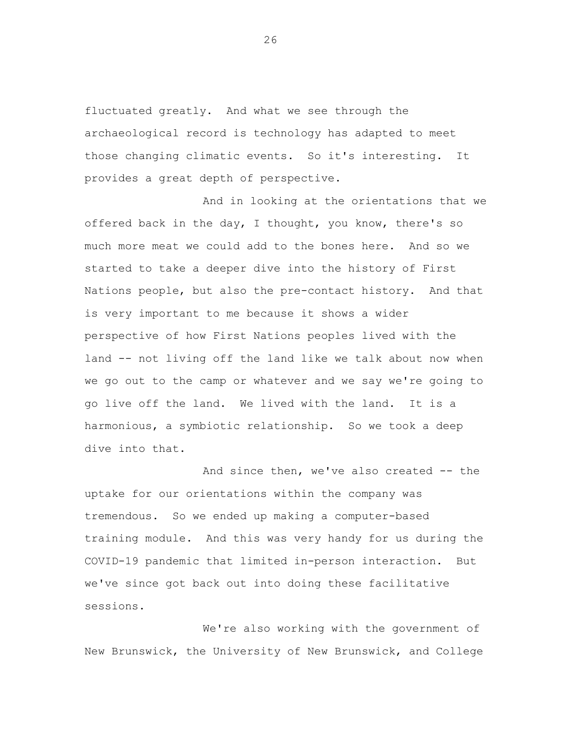fluctuated greatly. And what we see through the archaeological record is technology has adapted to meet those changing climatic events. So it's interesting. It provides a great depth of perspective.

And in looking at the orientations that we offered back in the day, I thought, you know, there's so much more meat we could add to the bones here. And so we started to take a deeper dive into the history of First Nations people, but also the pre-contact history. And that is very important to me because it shows a wider perspective of how First Nations peoples lived with the land -- not living off the land like we talk about now when we go out to the camp or whatever and we say we're going to go live off the land. We lived with the land. It is a harmonious, a symbiotic relationship. So we took a deep dive into that.

And since then, we've also created -- the uptake for our orientations within the company was tremendous. So we ended up making a computer-based training module. And this was very handy for us during the COVID-19 pandemic that limited in-person interaction. But we've since got back out into doing these facilitative sessions.

We're also working with the government of New Brunswick, the University of New Brunswick, and College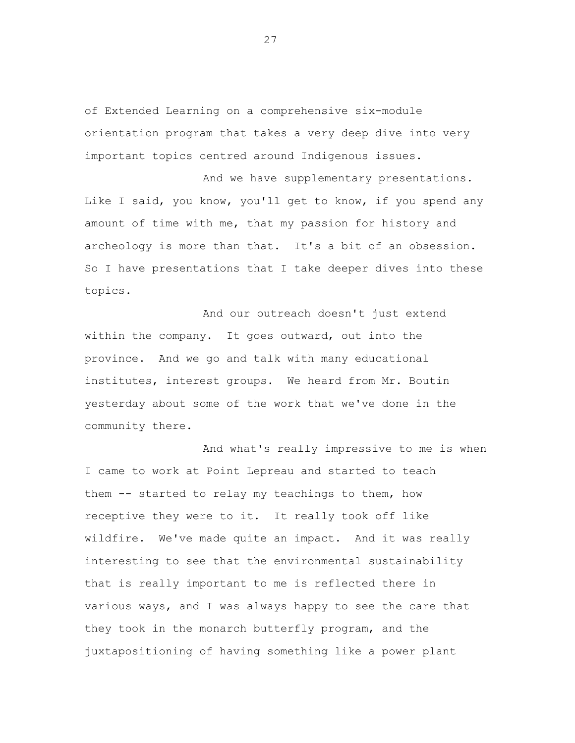of Extended Learning on a comprehensive six-module orientation program that takes a very deep dive into very important topics centred around Indigenous issues.

And we have supplementary presentations. Like I said, you know, you'll get to know, if you spend any amount of time with me, that my passion for history and archeology is more than that. It's a bit of an obsession. So I have presentations that I take deeper dives into these topics.

And our outreach doesn't just extend within the company. It goes outward, out into the province. And we go and talk with many educational institutes, interest groups. We heard from Mr. Boutin yesterday about some of the work that we've done in the community there.

And what's really impressive to me is when I came to work at Point Lepreau and started to teach them -- started to relay my teachings to them, how receptive they were to it. It really took off like wildfire. We've made quite an impact. And it was really interesting to see that the environmental sustainability that is really important to me is reflected there in various ways, and I was always happy to see the care that they took in the monarch butterfly program, and the juxtapositioning of having something like a power plant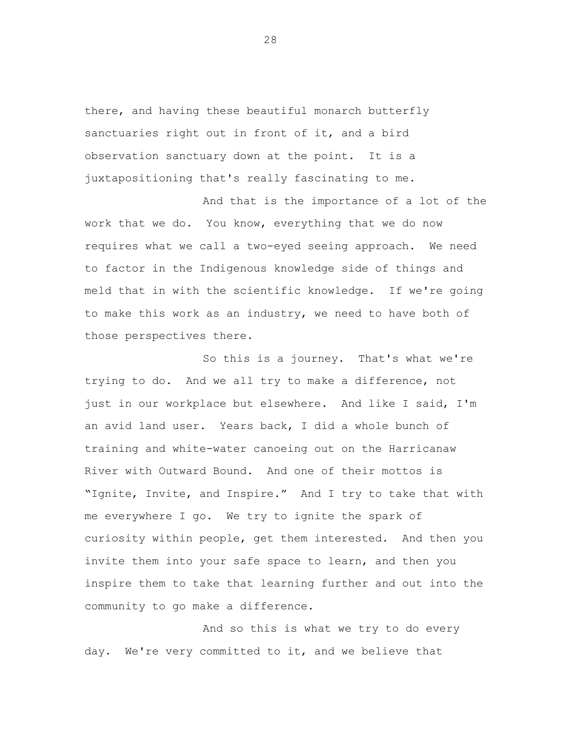there, and having these beautiful monarch butterfly sanctuaries right out in front of it, and a bird observation sanctuary down at the point. It is a juxtapositioning that's really fascinating to me.

And that is the importance of a lot of the work that we do. You know, everything that we do now requires what we call a two-eyed seeing approach. We need to factor in the Indigenous knowledge side of things and meld that in with the scientific knowledge. If we're going to make this work as an industry, we need to have both of those perspectives there.

So this is a journey. That's what we're trying to do. And we all try to make a difference, not just in our workplace but elsewhere. And like I said, I'm an avid land user. Years back, I did a whole bunch of training and white-water canoeing out on the Harricanaw River with Outward Bound. And one of their mottos is "Ignite, Invite, and Inspire." And I try to take that with me everywhere I go. We try to ignite the spark of curiosity within people, get them interested. And then you invite them into your safe space to learn, and then you inspire them to take that learning further and out into the community to go make a difference.

And so this is what we try to do every day. We're very committed to it, and we believe that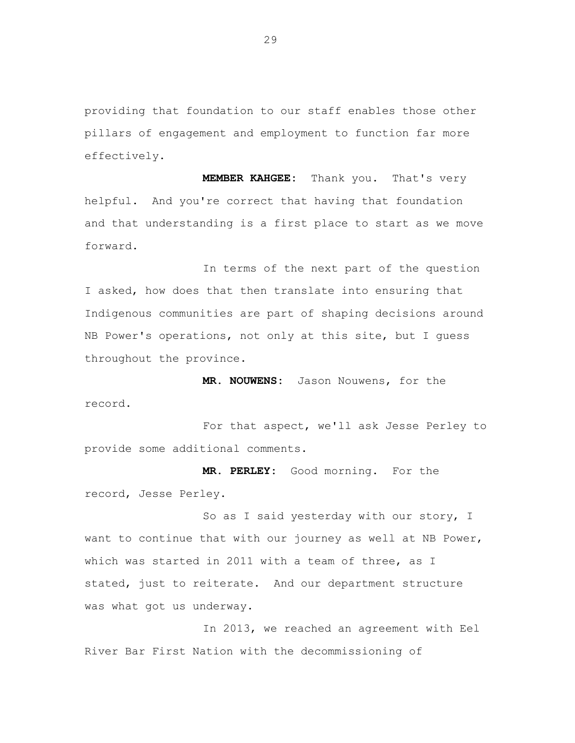providing that foundation to our staff enables those other pillars of engagement and employment to function far more effectively.

**MEMBER KAHGEE:** Thank you. That's very helpful. And you're correct that having that foundation and that understanding is a first place to start as we move forward.

In terms of the next part of the question I asked, how does that then translate into ensuring that Indigenous communities are part of shaping decisions around NB Power's operations, not only at this site, but I guess throughout the province.

**MR. NOUWENS:** Jason Nouwens, for the record.

For that aspect, we'll ask Jesse Perley to provide some additional comments.

**MR. PERLEY:** Good morning. For the record, Jesse Perley.

So as I said yesterday with our story, I want to continue that with our journey as well at NB Power, which was started in 2011 with a team of three, as I stated, just to reiterate. And our department structure was what got us underway.

In 2013, we reached an agreement with Eel River Bar First Nation with the decommissioning of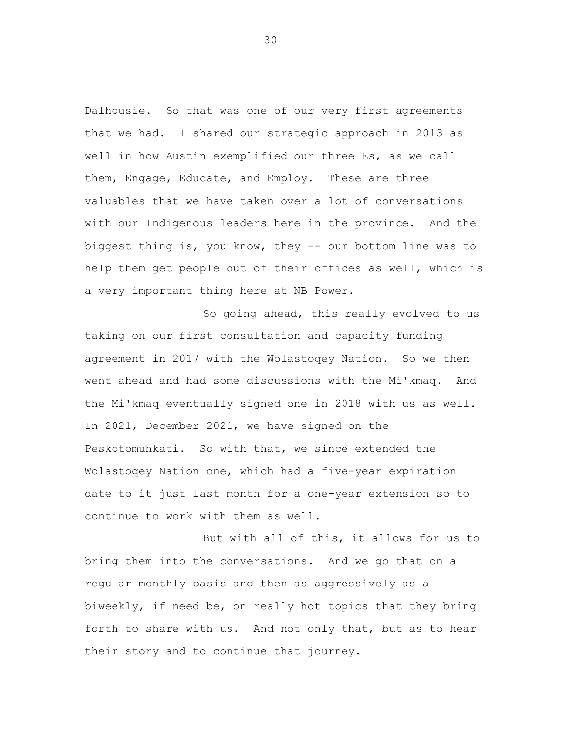Dalhousie. So that was one of our very first agreements that we had. I shared our strategic approach in 2013 as well in how Austin exemplified our three Es, as we call them, Engage, Educate, and Employ. These are three valuables that we have taken over a lot of conversations with our Indigenous leaders here in the province. And the biggest thing is, you know, they -- our bottom line was to help them get people out of their offices as well, which is a very important thing here at NB Power.

So going ahead, this really evolved to us taking on our first consultation and capacity funding agreement in 2017 with the Wolastoqey Nation. So we then went ahead and had some discussions with the Mi'kmaq. And the Mi'kmaq eventually signed one in 2018 with us as well. In 2021, December 2021, we have signed on the Peskotomuhkati. So with that, we since extended the Wolastoqey Nation one, which had a five-year expiration date to it just last month for a one-year extension so to continue to work with them as well.

But with all of this, it allows for us to bring them into the conversations. And we go that on a regular monthly basis and then as aggressively as a biweekly, if need be, on really hot topics that they bring forth to share with us. And not only that, but as to hear their story and to continue that journey.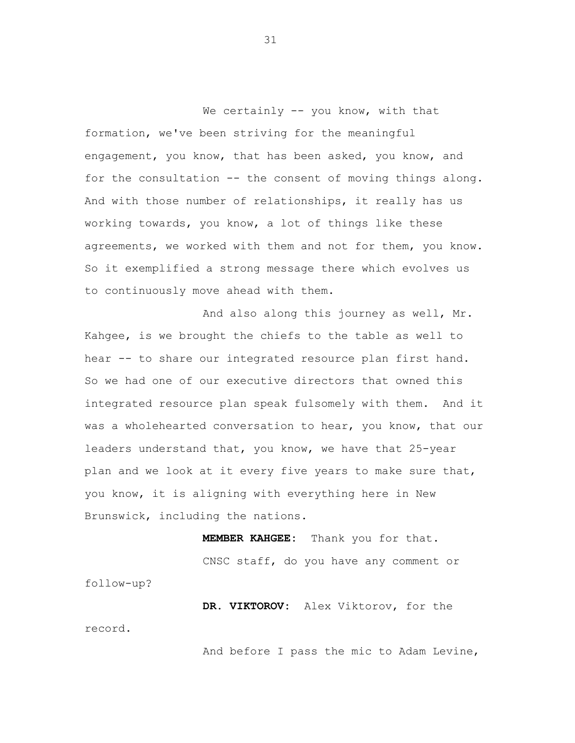We certainly -- you know, with that formation, we've been striving for the meaningful engagement, you know, that has been asked, you know, and for the consultation -- the consent of moving things along. And with those number of relationships, it really has us working towards, you know, a lot of things like these agreements, we worked with them and not for them, you know. So it exemplified a strong message there which evolves us to continuously move ahead with them.

And also along this journey as well, Mr. Kahgee, is we brought the chiefs to the table as well to hear -- to share our integrated resource plan first hand. So we had one of our executive directors that owned this integrated resource plan speak fulsomely with them. And it was a wholehearted conversation to hear, you know, that our leaders understand that, you know, we have that 25-year plan and we look at it every five years to make sure that, you know, it is aligning with everything here in New Brunswick, including the nations.

**MEMBER KAHGEE:** Thank you for that. CNSC staff, do you have any comment or follow-up?

**DR. VIKTOROV:** Alex Viktorov, for the record.

And before I pass the mic to Adam Levine,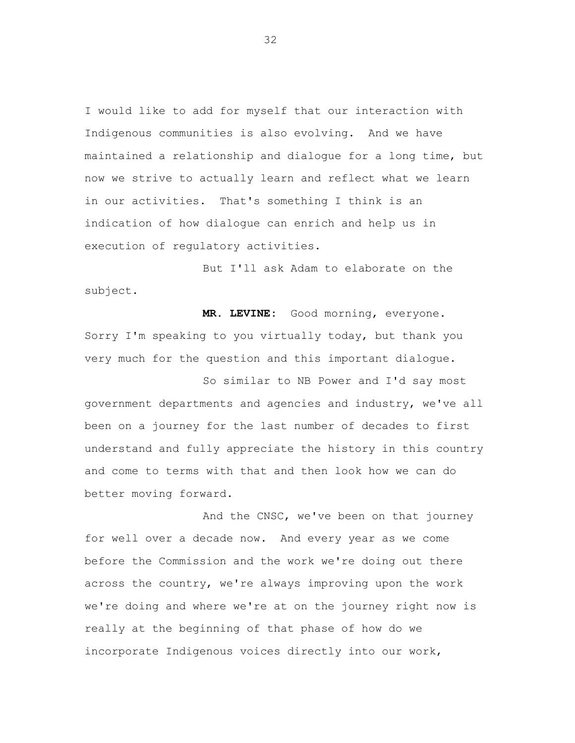I would like to add for myself that our interaction with Indigenous communities is also evolving. And we have maintained a relationship and dialogue for a long time, but now we strive to actually learn and reflect what we learn in our activities. That's something I think is an indication of how dialogue can enrich and help us in execution of regulatory activities.

But I'll ask Adam to elaborate on the subject.

**MR. LEVINE:** Good morning, everyone. Sorry I'm speaking to you virtually today, but thank you very much for the question and this important dialogue.

So similar to NB Power and I'd say most government departments and agencies and industry, we've all been on a journey for the last number of decades to first understand and fully appreciate the history in this country and come to terms with that and then look how we can do better moving forward.

And the CNSC, we've been on that journey for well over a decade now. And every year as we come before the Commission and the work we're doing out there across the country, we're always improving upon the work we're doing and where we're at on the journey right now is really at the beginning of that phase of how do we incorporate Indigenous voices directly into our work,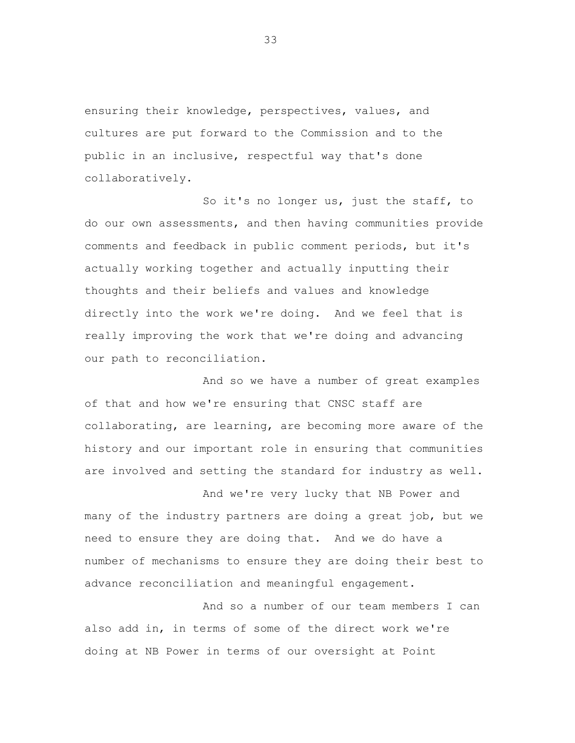ensuring their knowledge, perspectives, values, and cultures are put forward to the Commission and to the public in an inclusive, respectful way that's done collaboratively.

So it's no longer us, just the staff, to do our own assessments, and then having communities provide comments and feedback in public comment periods, but it's actually working together and actually inputting their thoughts and their beliefs and values and knowledge directly into the work we're doing. And we feel that is really improving the work that we're doing and advancing our path to reconciliation.

And so we have a number of great examples of that and how we're ensuring that CNSC staff are collaborating, are learning, are becoming more aware of the history and our important role in ensuring that communities are involved and setting the standard for industry as well.

And we're very lucky that NB Power and many of the industry partners are doing a great job, but we need to ensure they are doing that. And we do have a number of mechanisms to ensure they are doing their best to advance reconciliation and meaningful engagement.

And so a number of our team members I can also add in, in terms of some of the direct work we're doing at NB Power in terms of our oversight at Point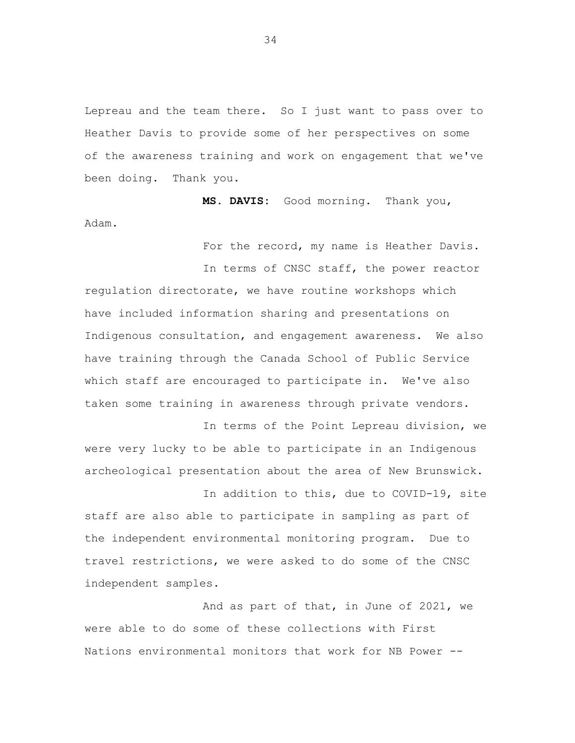Lepreau and the team there. So I just want to pass over to Heather Davis to provide some of her perspectives on some of the awareness training and work on engagement that we've been doing. Thank you.

**MS. DAVIS:** Good morning. Thank you, Adam.

For the record, my name is Heather Davis.

In terms of CNSC staff, the power reactor regulation directorate, we have routine workshops which have included information sharing and presentations on Indigenous consultation, and engagement awareness. We also have training through the Canada School of Public Service which staff are encouraged to participate in. We've also taken some training in awareness through private vendors.

In terms of the Point Lepreau division, we were very lucky to be able to participate in an Indigenous archeological presentation about the area of New Brunswick.

In addition to this, due to COVID-19, site staff are also able to participate in sampling as part of the independent environmental monitoring program. Due to travel restrictions, we were asked to do some of the CNSC independent samples.

And as part of that, in June of 2021, we were able to do some of these collections with First Nations environmental monitors that work for NB Power --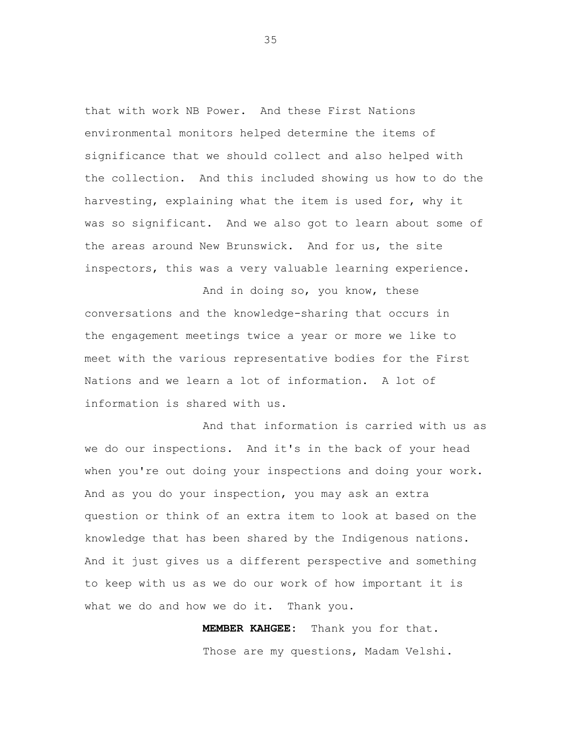that with work NB Power. And these First Nations environmental monitors helped determine the items of significance that we should collect and also helped with the collection. And this included showing us how to do the harvesting, explaining what the item is used for, why it was so significant. And we also got to learn about some of the areas around New Brunswick. And for us, the site inspectors, this was a very valuable learning experience.

And in doing so, you know, these conversations and the knowledge-sharing that occurs in the engagement meetings twice a year or more we like to meet with the various representative bodies for the First Nations and we learn a lot of information. A lot of information is shared with us.

And that information is carried with us as we do our inspections. And it's in the back of your head when you're out doing your inspections and doing your work. And as you do your inspection, you may ask an extra question or think of an extra item to look at based on the knowledge that has been shared by the Indigenous nations. And it just gives us a different perspective and something to keep with us as we do our work of how important it is what we do and how we do it. Thank you.

> **MEMBER KAHGEE:** Thank you for that. Those are my questions, Madam Velshi.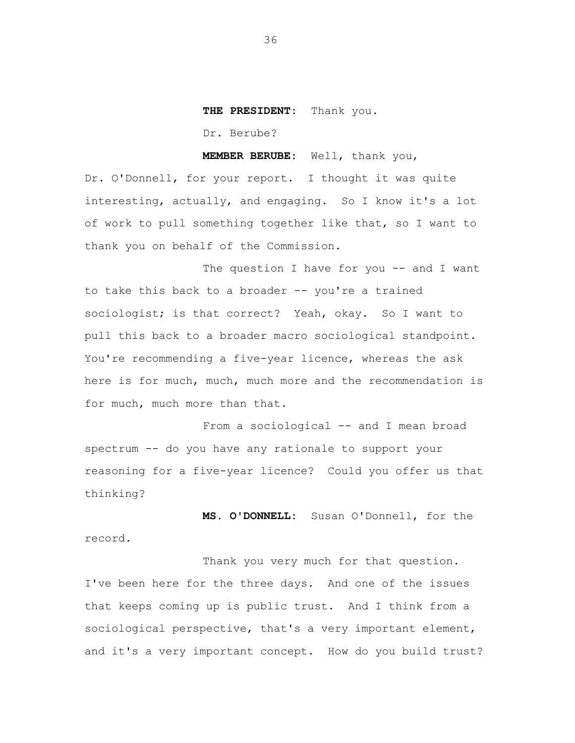## **THE PRESIDENT:** Thank you.

Dr. Berube?

**MEMBER BERUBE:** Well, thank you,

Dr. O'Donnell, for your report. I thought it was quite interesting, actually, and engaging. So I know it's a lot of work to pull something together like that, so I want to thank you on behalf of the Commission.

The question I have for you -- and I want to take this back to a broader -- you're a trained sociologist; is that correct? Yeah, okay. So I want to pull this back to a broader macro sociological standpoint. You're recommending a five-year licence, whereas the ask here is for much, much, much more and the recommendation is for much, much more than that.

From a sociological -- and I mean broad spectrum -- do you have any rationale to support your reasoning for a five-year licence? Could you offer us that thinking?

**MS. O'DONNELL:** Susan O'Donnell, for the record.

Thank you very much for that question. I've been here for the three days. And one of the issues that keeps coming up is public trust. And I think from a sociological perspective, that's a very important element, and it's a very important concept. How do you build trust?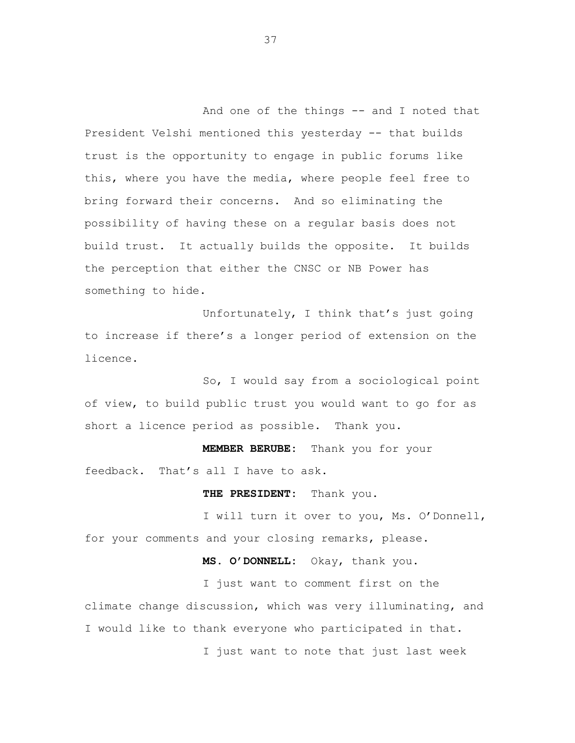And one of the things -- and I noted that President Velshi mentioned this yesterday -- that builds trust is the opportunity to engage in public forums like this, where you have the media, where people feel free to bring forward their concerns. And so eliminating the possibility of having these on a regular basis does not build trust. It actually builds the opposite. It builds the perception that either the CNSC or NB Power has something to hide.

Unfortunately, I think that's just going to increase if there's a longer period of extension on the licence.

So, I would say from a sociological point of view, to build public trust you would want to go for as short a licence period as possible. Thank you.

**MEMBER BERUBE:** Thank you for your feedback. That's all I have to ask.

**THE PRESIDENT:** Thank you.

I will turn it over to you, Ms. O'Donnell, for your comments and your closing remarks, please.

**MS. O'DONNELL:** Okay, thank you.

I just want to comment first on the climate change discussion, which was very illuminating, and I would like to thank everyone who participated in that.

I just want to note that just last week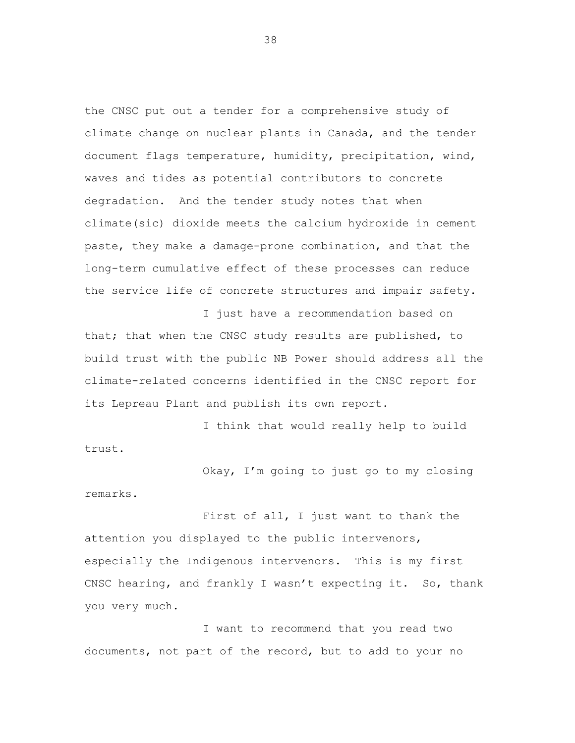the CNSC put out a tender for a comprehensive study of climate change on nuclear plants in Canada, and the tender document flags temperature, humidity, precipitation, wind, waves and tides as potential contributors to concrete degradation. And the tender study notes that when climate(sic) dioxide meets the calcium hydroxide in cement paste, they make a damage-prone combination, and that the long-term cumulative effect of these processes can reduce the service life of concrete structures and impair safety.

I just have a recommendation based on that; that when the CNSC study results are published, to build trust with the public NB Power should address all the climate-related concerns identified in the CNSC report for its Lepreau Plant and publish its own report.

I think that would really help to build trust.

Okay, I'm going to just go to my closing remarks.

First of all, I just want to thank the attention you displayed to the public intervenors, especially the Indigenous intervenors. This is my first CNSC hearing, and frankly I wasn't expecting it. So, thank you very much.

I want to recommend that you read two documents, not part of the record, but to add to your no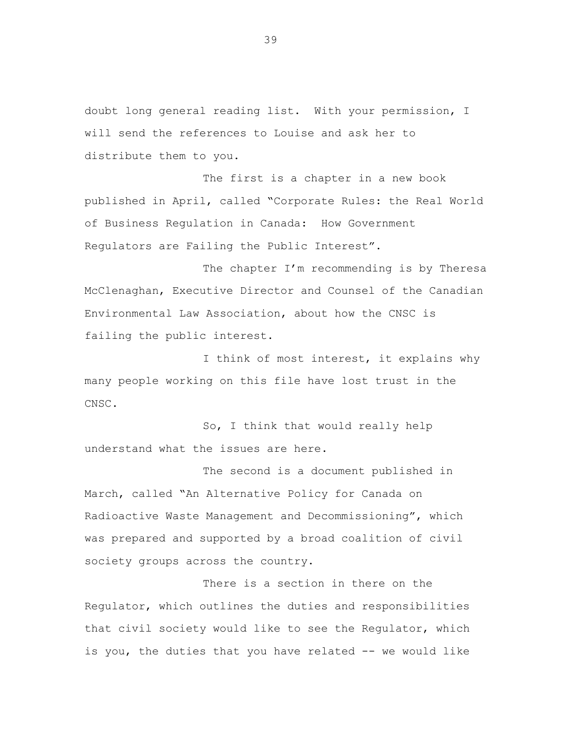doubt long general reading list. With your permission, I will send the references to Louise and ask her to distribute them to you.

The first is a chapter in a new book published in April, called "Corporate Rules: the Real World of Business Regulation in Canada: How Government Regulators are Failing the Public Interest".

The chapter I'm recommending is by Theresa McClenaghan, Executive Director and Counsel of the Canadian Environmental Law Association, about how the CNSC is failing the public interest.

I think of most interest, it explains why many people working on this file have lost trust in the CNSC.

So, I think that would really help understand what the issues are here.

The second is a document published in March, called "An Alternative Policy for Canada on Radioactive Waste Management and Decommissioning", which was prepared and supported by a broad coalition of civil society groups across the country.

There is a section in there on the Regulator, which outlines the duties and responsibilities that civil society would like to see the Regulator, which is you, the duties that you have related -- we would like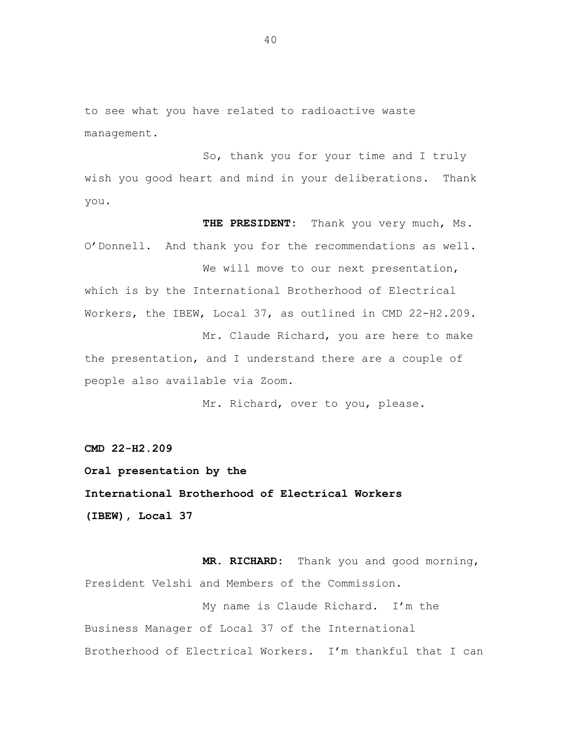to see what you have related to radioactive waste management.

So, thank you for your time and I truly wish you good heart and mind in your deliberations. Thank you.

**THE PRESIDENT:** Thank you very much, Ms. O'Donnell. And thank you for the recommendations as well. We will move to our next presentation, which is by the International Brotherhood of Electrical Workers, the IBEW, Local 37, as outlined in CMD 22-H2.209. Mr. Claude Richard, you are here to make the presentation, and I understand there are a couple of people also available via Zoom.

Mr. Richard, over to you, please.

**CMD 22-H2.209**

**Oral presentation by the International Brotherhood of Electrical Workers (IBEW), Local 37**

**MR. RICHARD:** Thank you and good morning, President Velshi and Members of the Commission.

My name is Claude Richard. I'm the Business Manager of Local 37 of the International Brotherhood of Electrical Workers. I'm thankful that I can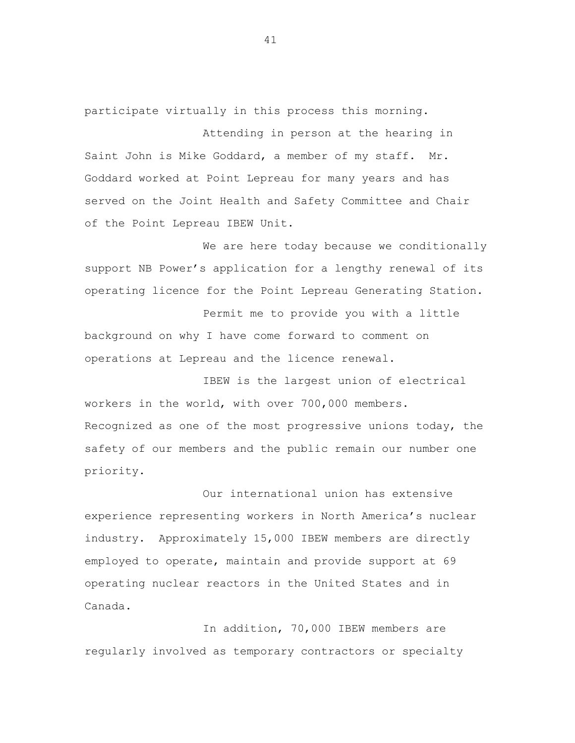participate virtually in this process this morning.

Attending in person at the hearing in Saint John is Mike Goddard, a member of my staff. Mr. Goddard worked at Point Lepreau for many years and has served on the Joint Health and Safety Committee and Chair of the Point Lepreau IBEW Unit.

We are here today because we conditionally support NB Power's application for a lengthy renewal of its operating licence for the Point Lepreau Generating Station.

Permit me to provide you with a little background on why I have come forward to comment on operations at Lepreau and the licence renewal.

IBEW is the largest union of electrical workers in the world, with over 700,000 members. Recognized as one of the most progressive unions today, the safety of our members and the public remain our number one priority.

Our international union has extensive experience representing workers in North America's nuclear industry. Approximately 15,000 IBEW members are directly employed to operate, maintain and provide support at 69 operating nuclear reactors in the United States and in Canada.

In addition, 70,000 IBEW members are regularly involved as temporary contractors or specialty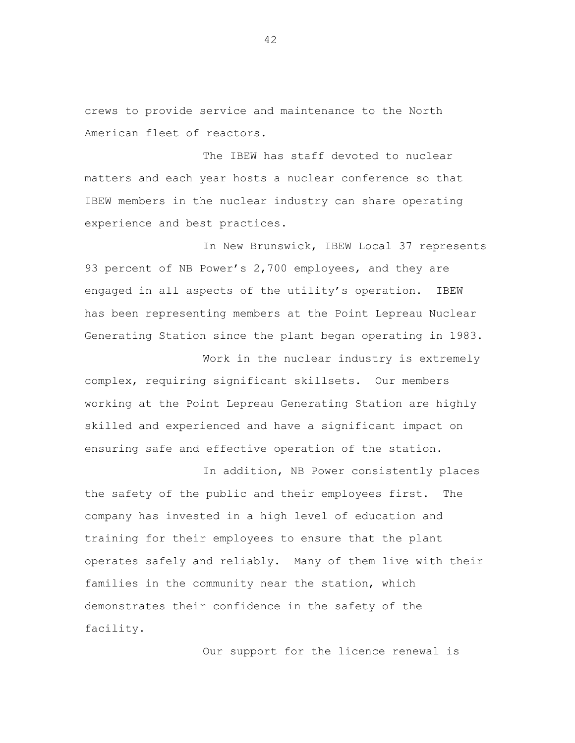crews to provide service and maintenance to the North American fleet of reactors.

The IBEW has staff devoted to nuclear matters and each year hosts a nuclear conference so that IBEW members in the nuclear industry can share operating experience and best practices.

In New Brunswick, IBEW Local 37 represents 93 percent of NB Power's 2,700 employees, and they are engaged in all aspects of the utility's operation. IBEW has been representing members at the Point Lepreau Nuclear Generating Station since the plant began operating in 1983.

complex, requiring significant skillsets. Our members working at the Point Lepreau Generating Station are highly skilled and experienced and have a significant impact on ensuring safe and effective operation of the station.

In addition, NB Power consistently places the safety of the public and their employees first. The company has invested in a high level of education and training for their employees to ensure that the plant operates safely and reliably. Many of them live with their families in the community near the station, which demonstrates their confidence in the safety of the facility.

Our support for the licence renewal is

Work in the nuclear industry is extremely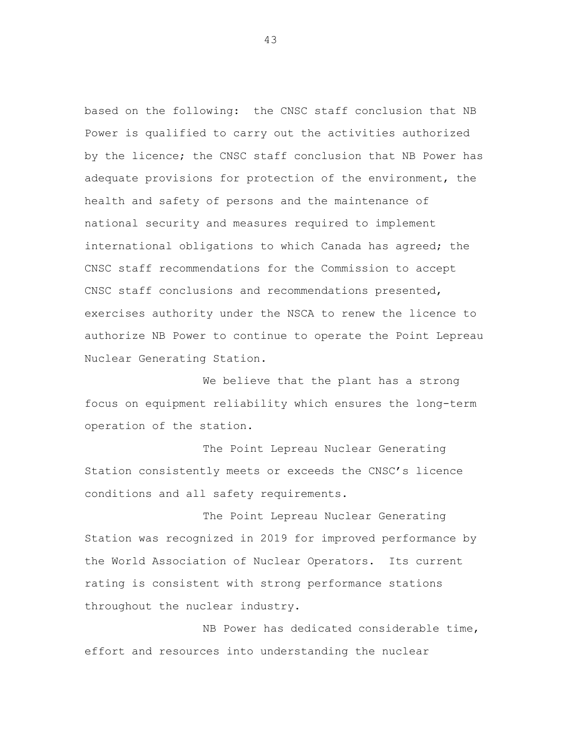based on the following: the CNSC staff conclusion that NB Power is qualified to carry out the activities authorized by the licence; the CNSC staff conclusion that NB Power has adequate provisions for protection of the environment, the health and safety of persons and the maintenance of national security and measures required to implement international obligations to which Canada has agreed; the CNSC staff recommendations for the Commission to accept CNSC staff conclusions and recommendations presented, exercises authority under the NSCA to renew the licence to authorize NB Power to continue to operate the Point Lepreau Nuclear Generating Station.

We believe that the plant has a strong focus on equipment reliability which ensures the long-term operation of the station.

The Point Lepreau Nuclear Generating Station consistently meets or exceeds the CNSC's licence conditions and all safety requirements.

The Point Lepreau Nuclear Generating Station was recognized in 2019 for improved performance by the World Association of Nuclear Operators. Its current rating is consistent with strong performance stations throughout the nuclear industry.

NB Power has dedicated considerable time, effort and resources into understanding the nuclear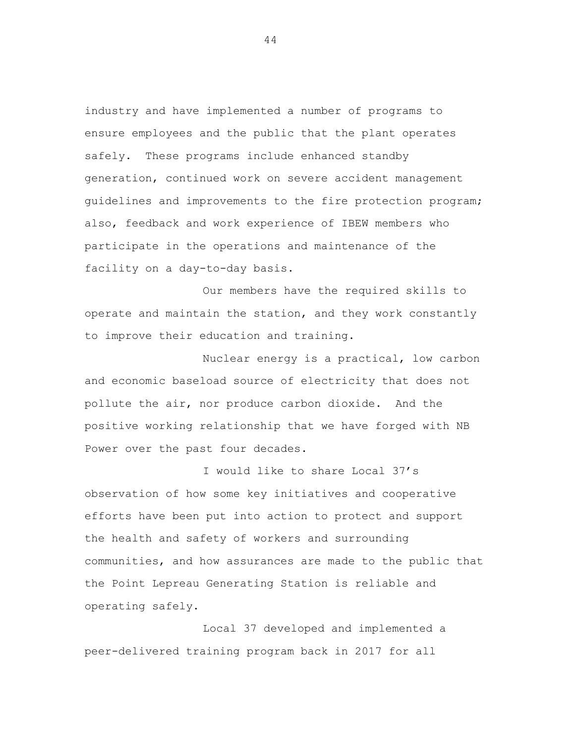industry and have implemented a number of programs to ensure employees and the public that the plant operates safely. These programs include enhanced standby generation, continued work on severe accident management guidelines and improvements to the fire protection program; also, feedback and work experience of IBEW members who participate in the operations and maintenance of the facility on a day-to-day basis.

Our members have the required skills to operate and maintain the station, and they work constantly to improve their education and training.

Nuclear energy is a practical, low carbon and economic baseload source of electricity that does not pollute the air, nor produce carbon dioxide. And the positive working relationship that we have forged with NB Power over the past four decades.

I would like to share Local 37's observation of how some key initiatives and cooperative efforts have been put into action to protect and support the health and safety of workers and surrounding communities, and how assurances are made to the public that the Point Lepreau Generating Station is reliable and operating safely.

Local 37 developed and implemented a peer-delivered training program back in 2017 for all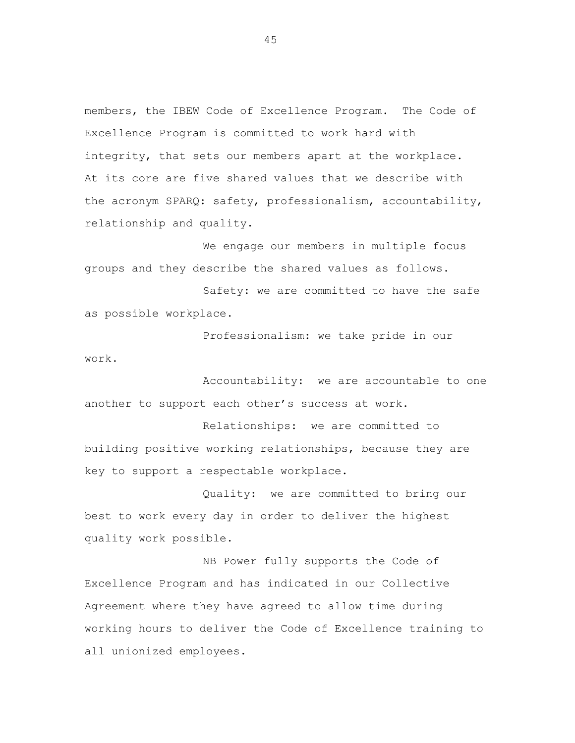members, the IBEW Code of Excellence Program. The Code of Excellence Program is committed to work hard with integrity, that sets our members apart at the workplace. At its core are five shared values that we describe with the acronym SPARQ: safety, professionalism, accountability, relationship and quality.

We engage our members in multiple focus groups and they describe the shared values as follows.

Safety: we are committed to have the safe as possible workplace.

Professionalism: we take pride in our work.

Accountability: we are accountable to one another to support each other's success at work.

Relationships: we are committed to building positive working relationships, because they are key to support a respectable workplace.

Quality: we are committed to bring our best to work every day in order to deliver the highest quality work possible.

NB Power fully supports the Code of Excellence Program and has indicated in our Collective Agreement where they have agreed to allow time during working hours to deliver the Code of Excellence training to all unionized employees.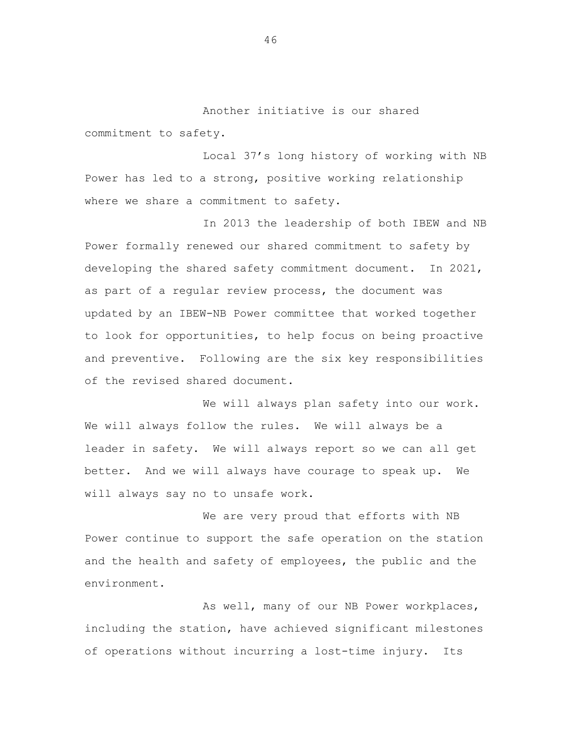Another initiative is our shared commitment to safety.

Local 37's long history of working with NB Power has led to a strong, positive working relationship where we share a commitment to safety.

In 2013 the leadership of both IBEW and NB Power formally renewed our shared commitment to safety by developing the shared safety commitment document. In 2021, as part of a regular review process, the document was updated by an IBEW-NB Power committee that worked together to look for opportunities, to help focus on being proactive and preventive. Following are the six key responsibilities of the revised shared document.

We will always plan safety into our work. We will always follow the rules. We will always be a leader in safety. We will always report so we can all get better. And we will always have courage to speak up. We will always say no to unsafe work.

We are very proud that efforts with NB Power continue to support the safe operation on the station and the health and safety of employees, the public and the environment.

As well, many of our NB Power workplaces, including the station, have achieved significant milestones of operations without incurring a lost-time injury. Its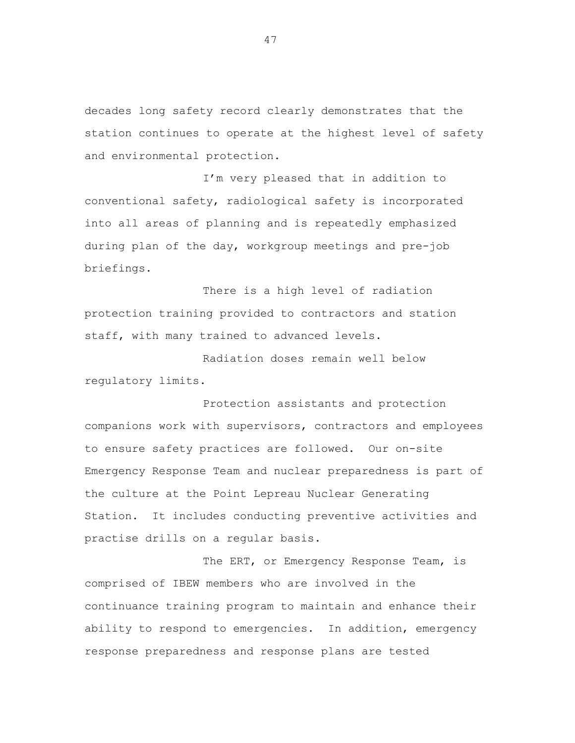decades long safety record clearly demonstrates that the station continues to operate at the highest level of safety and environmental protection.

I'm very pleased that in addition to conventional safety, radiological safety is incorporated into all areas of planning and is repeatedly emphasized during plan of the day, workgroup meetings and pre-job briefings.

There is a high level of radiation protection training provided to contractors and station staff, with many trained to advanced levels.

Radiation doses remain well below regulatory limits.

Protection assistants and protection companions work with supervisors, contractors and employees to ensure safety practices are followed. Our on-site Emergency Response Team and nuclear preparedness is part of the culture at the Point Lepreau Nuclear Generating Station. It includes conducting preventive activities and practise drills on a regular basis.

The ERT, or Emergency Response Team, is comprised of IBEW members who are involved in the continuance training program to maintain and enhance their ability to respond to emergencies. In addition, emergency response preparedness and response plans are tested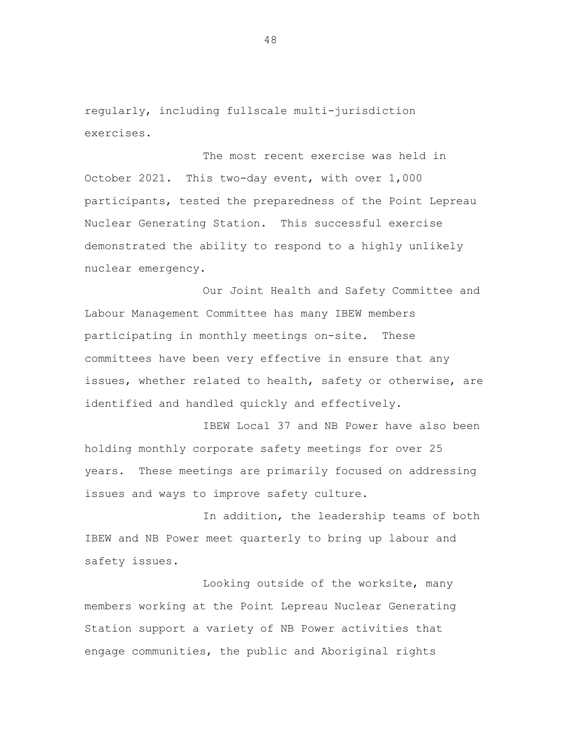regularly, including fullscale multi-jurisdiction exercises.

The most recent exercise was held in October 2021. This two-day event, with over 1,000 participants, tested the preparedness of the Point Lepreau Nuclear Generating Station. This successful exercise demonstrated the ability to respond to a highly unlikely nuclear emergency.

Our Joint Health and Safety Committee and Labour Management Committee has many IBEW members participating in monthly meetings on-site. These committees have been very effective in ensure that any issues, whether related to health, safety or otherwise, are identified and handled quickly and effectively.

IBEW Local 37 and NB Power have also been holding monthly corporate safety meetings for over 25 years. These meetings are primarily focused on addressing issues and ways to improve safety culture.

In addition, the leadership teams of both IBEW and NB Power meet quarterly to bring up labour and safety issues.

Looking outside of the worksite, many members working at the Point Lepreau Nuclear Generating Station support a variety of NB Power activities that engage communities, the public and Aboriginal rights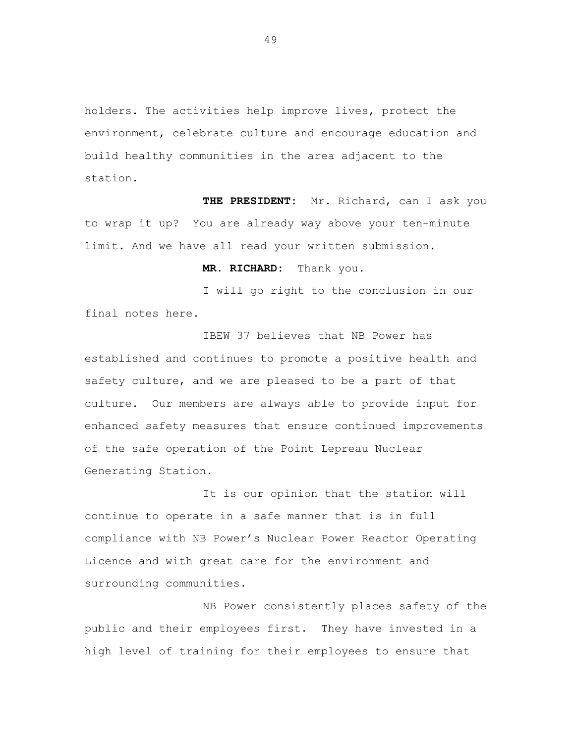holders. The activities help improve lives, protect the environment, celebrate culture and encourage education and build healthy communities in the area adjacent to the station.

**THE PRESIDENT:** Mr. Richard, can I ask you to wrap it up? You are already way above your ten-minute limit. And we have all read your written submission.

**MR. RICHARD:** Thank you.

I will go right to the conclusion in our final notes here.

IBEW 37 believes that NB Power has established and continues to promote a positive health and safety culture, and we are pleased to be a part of that culture. Our members are always able to provide input for enhanced safety measures that ensure continued improvements of the safe operation of the Point Lepreau Nuclear Generating Station.

It is our opinion that the station will continue to operate in a safe manner that is in full compliance with NB Power's Nuclear Power Reactor Operating Licence and with great care for the environment and surrounding communities.

NB Power consistently places safety of the public and their employees first. They have invested in a high level of training for their employees to ensure that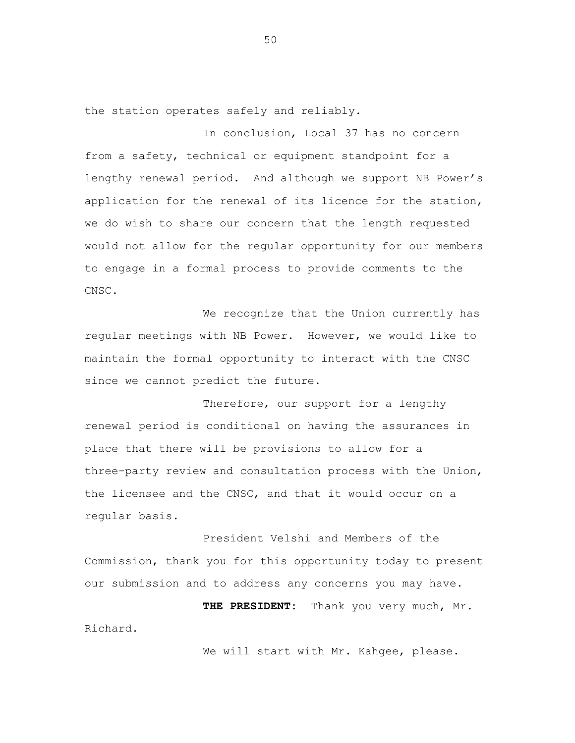the station operates safely and reliably.

In conclusion, Local 37 has no concern from a safety, technical or equipment standpoint for a lengthy renewal period. And although we support NB Power's application for the renewal of its licence for the station, we do wish to share our concern that the length requested would not allow for the regular opportunity for our members to engage in a formal process to provide comments to the CNSC.

We recognize that the Union currently has regular meetings with NB Power. However, we would like to maintain the formal opportunity to interact with the CNSC since we cannot predict the future.

Therefore, our support for a lengthy renewal period is conditional on having the assurances in place that there will be provisions to allow for a three-party review and consultation process with the Union, the licensee and the CNSC, and that it would occur on a regular basis.

President Velshi and Members of the Commission, thank you for this opportunity today to present our submission and to address any concerns you may have.

**THE PRESIDENT:** Thank you very much, Mr. Richard.

We will start with Mr. Kahgee, please.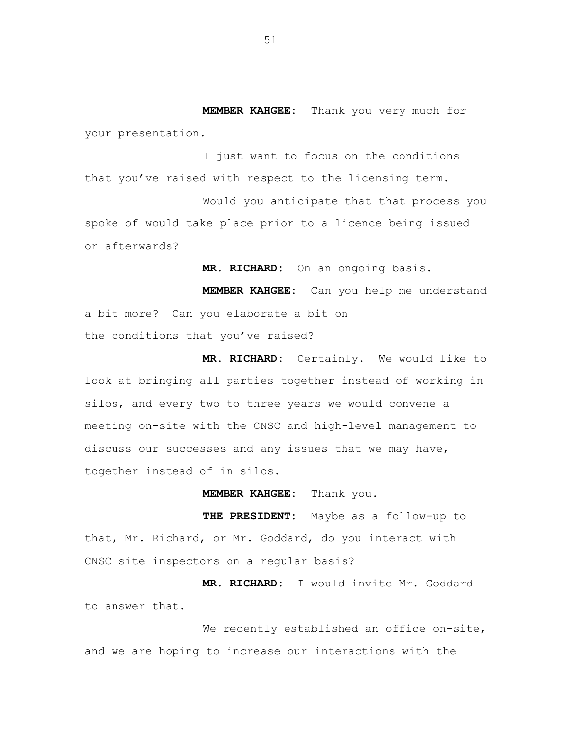**MEMBER KAHGEE:** Thank you very much for your presentation.

I just want to focus on the conditions that you've raised with respect to the licensing term.

Would you anticipate that that process you spoke of would take place prior to a licence being issued or afterwards?

**MR. RICHARD:** On an ongoing basis.

**MEMBER KAHGEE:** Can you help me understand a bit more? Can you elaborate a bit on the conditions that you've raised?

**MR. RICHARD:** Certainly. We would like to look at bringing all parties together instead of working in silos, and every two to three years we would convene a meeting on-site with the CNSC and high-level management to discuss our successes and any issues that we may have, together instead of in silos.

**MEMBER KAHGEE:** Thank you.

**THE PRESIDENT:** Maybe as a follow-up to that, Mr. Richard, or Mr. Goddard, do you interact with CNSC site inspectors on a regular basis?

**MR. RICHARD:** I would invite Mr. Goddard to answer that.

We recently established an office on-site, and we are hoping to increase our interactions with the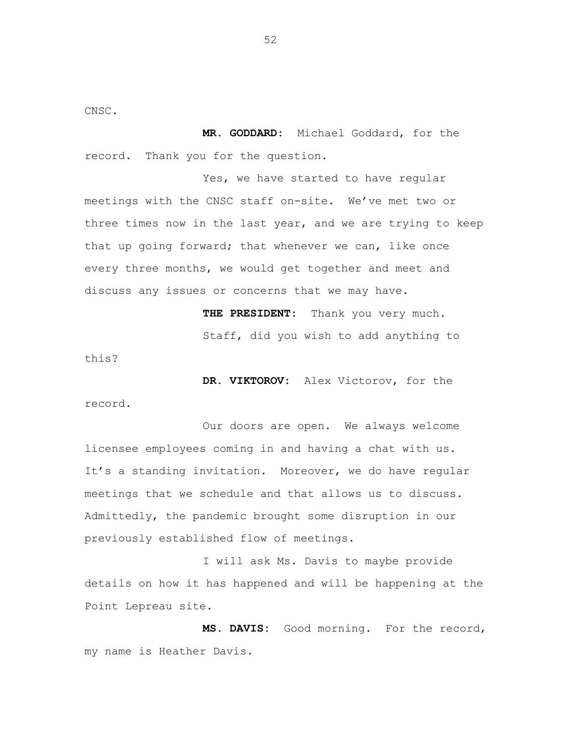CNSC.

**MR. GODDARD:** Michael Goddard, for the record. Thank you for the question.

Yes, we have started to have regular meetings with the CNSC staff on-site. We've met two or three times now in the last year, and we are trying to keep that up going forward; that whenever we can, like once every three months, we would get together and meet and discuss any issues or concerns that we may have.

> **THE PRESIDENT:** Thank you very much. Staff, did you wish to add anything to

this?

**DR. VIKTOROV:** Alex Victorov, for the record.

Our doors are open. We always welcome licensee employees coming in and having a chat with us. It's a standing invitation. Moreover, we do have regular meetings that we schedule and that allows us to discuss. Admittedly, the pandemic brought some disruption in our previously established flow of meetings.

I will ask Ms. Davis to maybe provide details on how it has happened and will be happening at the Point Lepreau site.

**MS. DAVIS:** Good morning. For the record, my name is Heather Davis.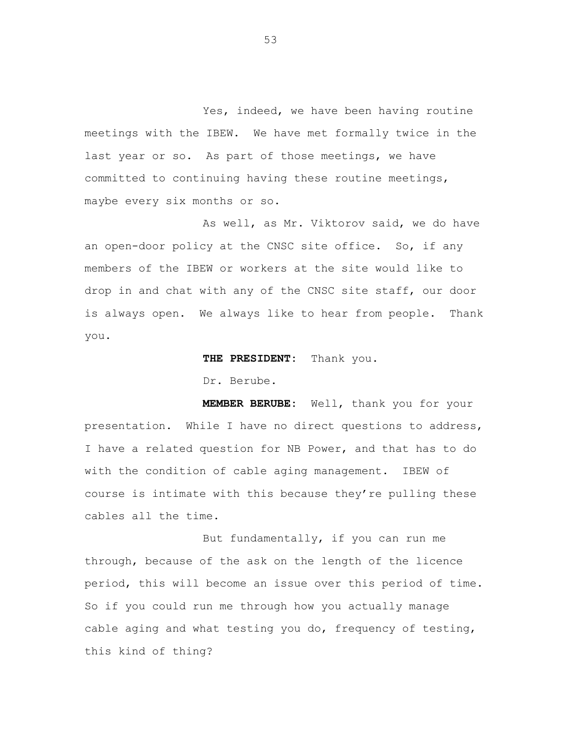Yes, indeed, we have been having routine meetings with the IBEW. We have met formally twice in the last year or so. As part of those meetings, we have committed to continuing having these routine meetings, maybe every six months or so.

As well, as Mr. Viktorov said, we do have an open-door policy at the CNSC site office. So, if any members of the IBEW or workers at the site would like to drop in and chat with any of the CNSC site staff, our door is always open. We always like to hear from people. Thank you.

**THE PRESIDENT:** Thank you.

Dr. Berube.

**MEMBER BERUBE:** Well, thank you for your presentation. While I have no direct questions to address, I have a related question for NB Power, and that has to do with the condition of cable aging management. IBEW of course is intimate with this because they're pulling these cables all the time.

But fundamentally, if you can run me through, because of the ask on the length of the licence period, this will become an issue over this period of time. So if you could run me through how you actually manage cable aging and what testing you do, frequency of testing, this kind of thing?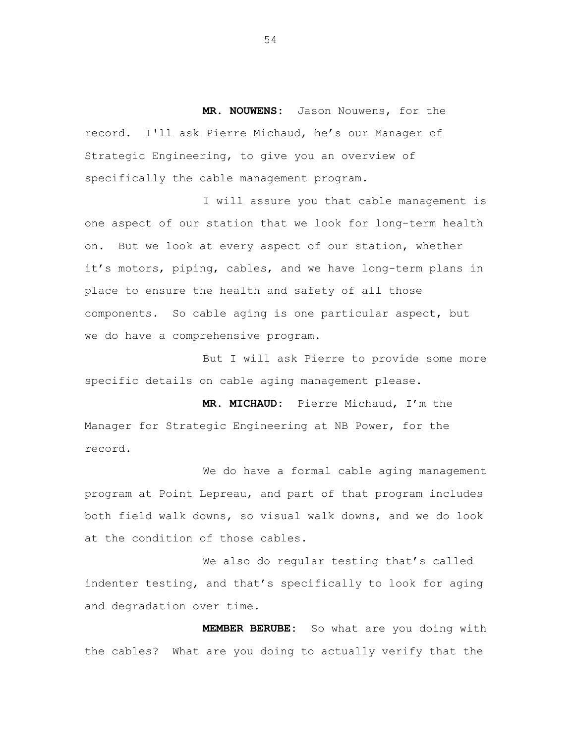**MR. NOUWENS:** Jason Nouwens, for the record. I'll ask Pierre Michaud, he's our Manager of Strategic Engineering, to give you an overview of specifically the cable management program.

I will assure you that cable management is one aspect of our station that we look for long-term health on. But we look at every aspect of our station, whether it's motors, piping, cables, and we have long-term plans in place to ensure the health and safety of all those components. So cable aging is one particular aspect, but we do have a comprehensive program.

But I will ask Pierre to provide some more specific details on cable aging management please.

**MR. MICHAUD:** Pierre Michaud, I'm the Manager for Strategic Engineering at NB Power, for the record.

We do have a formal cable aging management program at Point Lepreau, and part of that program includes both field walk downs, so visual walk downs, and we do look at the condition of those cables.

We also do regular testing that's called indenter testing, and that's specifically to look for aging and degradation over time.

**MEMBER BERUBE:** So what are you doing with the cables? What are you doing to actually verify that the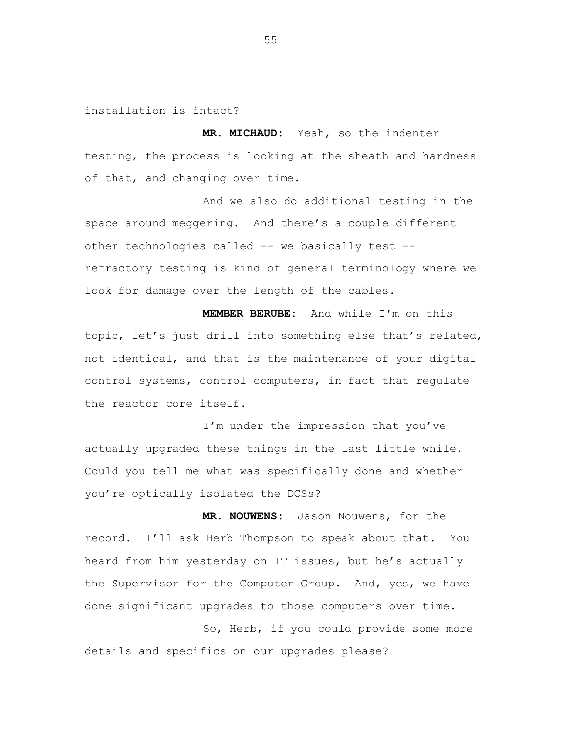installation is intact?

**MR. MICHAUD:** Yeah, so the indenter testing, the process is looking at the sheath and hardness of that, and changing over time.

And we also do additional testing in the space around meggering. And there's a couple different other technologies called -- we basically test - refractory testing is kind of general terminology where we look for damage over the length of the cables.

**MEMBER BERUBE:** And while I'm on this topic, let's just drill into something else that's related, not identical, and that is the maintenance of your digital control systems, control computers, in fact that regulate the reactor core itself.

I'm under the impression that you've actually upgraded these things in the last little while. Could you tell me what was specifically done and whether you're optically isolated the DCSs?

**MR. NOUWENS:** Jason Nouwens, for the record. I'll ask Herb Thompson to speak about that. You heard from him yesterday on IT issues, but he's actually the Supervisor for the Computer Group. And, yes, we have done significant upgrades to those computers over time.

So, Herb, if you could provide some more details and specifics on our upgrades please?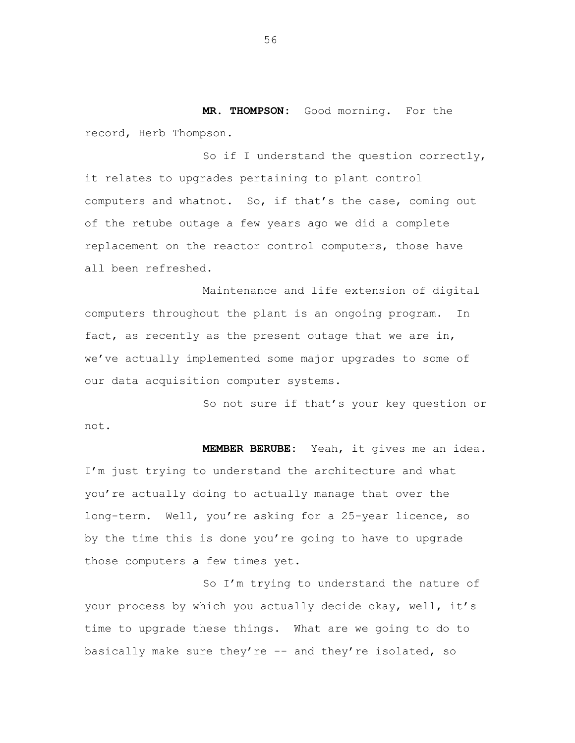**MR. THOMPSON:** Good morning. For the record, Herb Thompson.

So if I understand the question correctly, it relates to upgrades pertaining to plant control computers and whatnot. So, if that's the case, coming out of the retube outage a few years ago we did a complete replacement on the reactor control computers, those have all been refreshed.

Maintenance and life extension of digital computers throughout the plant is an ongoing program. In fact, as recently as the present outage that we are in, we've actually implemented some major upgrades to some of our data acquisition computer systems.

So not sure if that's your key question or not.

**MEMBER BERUBE:** Yeah, it gives me an idea. I'm just trying to understand the architecture and what you're actually doing to actually manage that over the long-term. Well, you're asking for a 25-year licence, so by the time this is done you're going to have to upgrade those computers a few times yet.

So I'm trying to understand the nature of your process by which you actually decide okay, well, it's time to upgrade these things. What are we going to do to basically make sure they're -- and they're isolated, so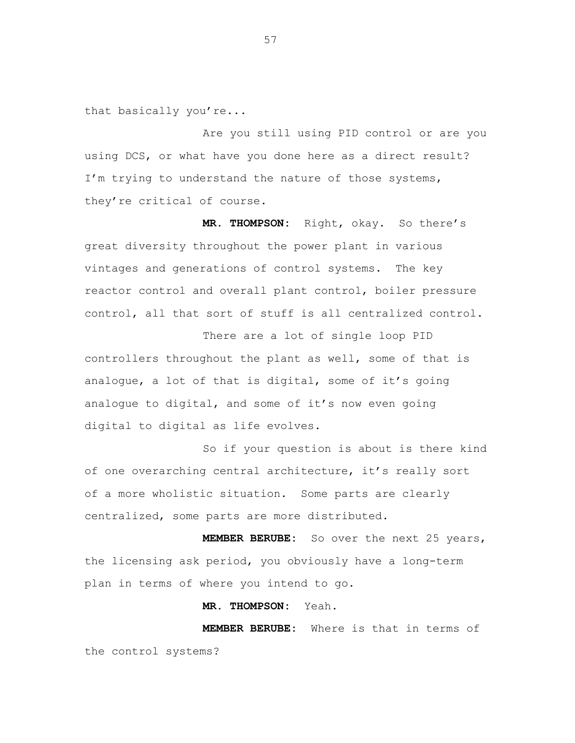that basically you're...

Are you still using PID control or are you using DCS, or what have you done here as a direct result? I'm trying to understand the nature of those systems, they're critical of course.

**MR. THOMPSON:** Right, okay. So there's great diversity throughout the power plant in various vintages and generations of control systems. The key reactor control and overall plant control, boiler pressure control, all that sort of stuff is all centralized control.

There are a lot of single loop PID controllers throughout the plant as well, some of that is analogue, a lot of that is digital, some of it's going analogue to digital, and some of it's now even going digital to digital as life evolves.

So if your question is about is there kind of one overarching central architecture, it's really sort of a more wholistic situation. Some parts are clearly centralized, some parts are more distributed.

**MEMBER BERUBE:** So over the next 25 years, the licensing ask period, you obviously have a long-term plan in terms of where you intend to go.

**MR. THOMPSON:** Yeah.

**MEMBER BERUB E:** Where is that in terms ofthe control systems?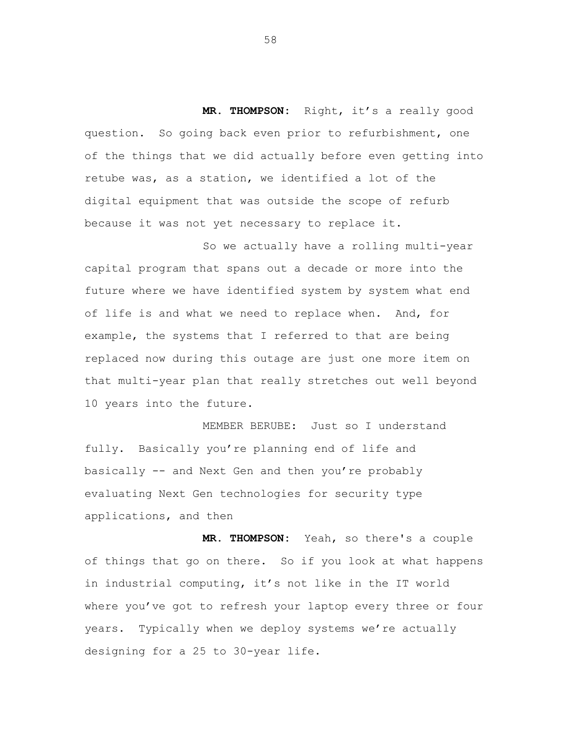**MR. THOMPSON:** Right, it's a really good question. So going back even prior to refurbishment, one of the things that we did actually before even getting into retube was, as a station, we identified a lot of the digital equipment that was outside the scope of refurb because it was not yet necessary to replace it.

So we actually have a rolling multi-year capital program that spans out a decade or more into the future where we have identified system by system what end of life is and what we need to replace when. And, for example, the systems that I referred to that are being replaced now during this outage are just one more item on that multi-year plan that really stretches out well beyond 10 years into the future.

MEMBER BERUBE: Just so I understand fully. Basically you're planning end of life and basically -- and Next Gen and then you're probably evaluating Next Gen technologies for security type applications, and then

**MR. THOMPSON:** Yeah, so there's a couple of things that go on there. So if you look at what happens in industrial computing, it's not like in the IT world where you've got to refresh your laptop every three or four years. Typically when we deploy systems we're actually designing for a 25 to 30-year life.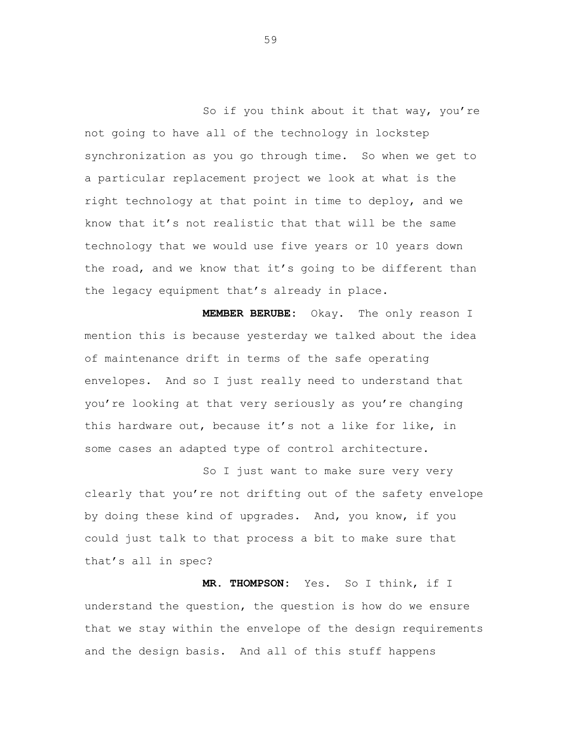So if you think about it that way, you're not going to have all of the technology in lockstep synchronization as you go through time. So when we get to a particular replacement project we look at what is the right technology at that point in time to deploy, and we know that it's not realistic that that will be the same technology that we would use five years or 10 years down the road, and we know that it's going to be different than the legacy equipment that's already in place.

**MEMBER BERUBE:** Okay. The only reason I mention this is because yesterday we talked about the idea of maintenance drift in terms of the safe operating envelopes. And so I just really need to understand that you're looking at that very seriously as you're changing this hardware out, because it's not a like for like, in some cases an adapted type of control architecture.

So I just want to make sure very very clearly that you're not drifting out of the safety envelope by doing these kind of upgrades. And, you know, if you could just talk to that process a bit to make sure that that's all in spec?

**MR. THOMPSON:** Yes. So I think, if I understand the question, the question is how do we ensure that we stay within the envelope of the design requirements and the design basis. And all of this stuff happens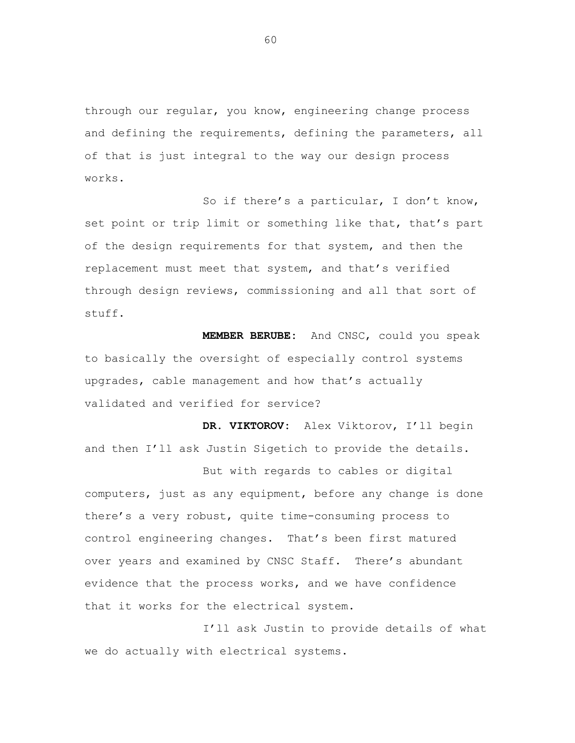through our regular, you know, engineering change process and defining the requirements, defining the parameters, all of that is just integral to the way our design process works.

So if there's a particular, I don't know, set point or trip limit or something like that, that's part of the design requirements for that system, and then the replacement must meet that system, and that's verified through design reviews, commissioning and all that sort of stuff.

**MEMBER BERUBE:** And CNSC, could you speak to basically the oversight of especially control systems upgrades, cable management and how that's actually validated and verified for service?

**DR. VIKTOROV:** Alex Viktorov, I'll begin and then I'll ask Justin Sigetich to provide the details.

But with regards to cables or digital computers, just as any equipment, before any change is done there's a very robust, quite time-consuming process to control engineering changes. That's been first matured over years and examined by CNSC Staff. There's abundant evidence that the process works, and we have confidence that it works for the electrical system.

I'll ask Justin to provide details of what we do actually with electrical systems.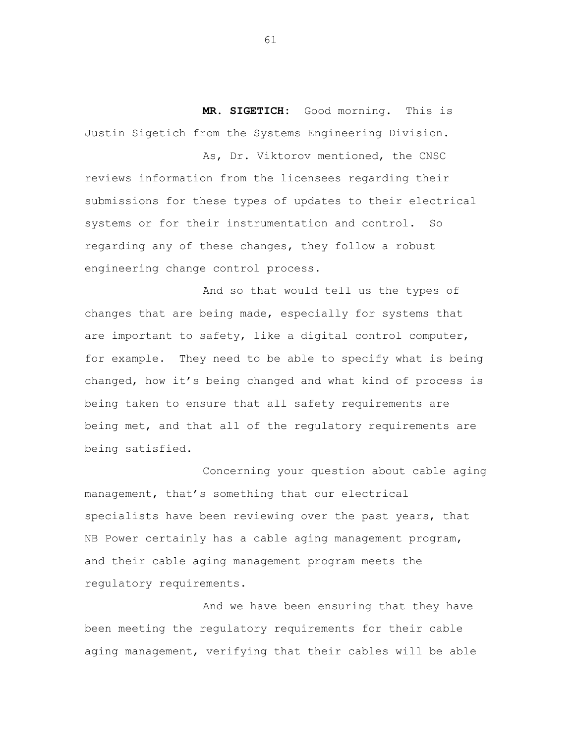**MR. SIGETICH:** Good morning. This is Justin Sigetich from the Systems Engineering Division.

As, Dr. Viktorov mentioned, the CNSC reviews information from the licensees regarding their submissions for these types of updates to their electrical systems or for their instrumentation and control. So regarding any of these changes, they follow a robust engineering change control process.

And so that would tell us the types of changes that are being made, especially for systems that are important to safety, like a digital control computer, for example. They need to be able to specify what is being changed, how it's being changed and what kind of process is being taken to ensure that all safety requirements are being met, and that all of the regulatory requirements are being satisfied.

Concerning your question about cable aging management, that's something that our electrical specialists have been reviewing over the past years, that NB Power certainly has a cable aging management program, and their cable aging management program meets the regulatory requirements.

And we have been ensuring that they have been meeting the regulatory requirements for their cable aging management, verifying that their cables will be able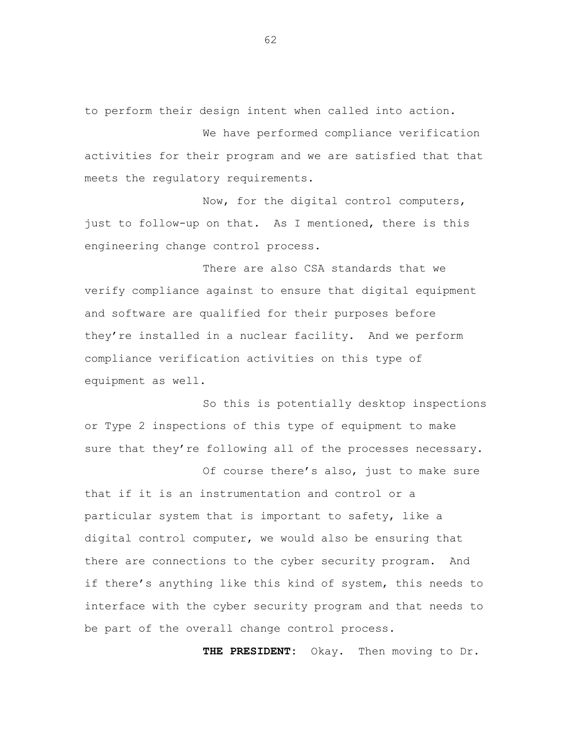to perform their design intent when called into action.

We have performed compliance verification activities for their program and we are satisfied that that meets the regulatory requirements.

Now, for the digital control computers, just to follow-up on that. As I mentioned, there is this engineering change control process.

There are also CSA standards that we verify compliance against to ensure that digital equipment and software are qualified for their purposes before they're installed in a nuclear facility. And we perform compliance verification activities on this type of equipment as well.

So this is potentially desktop inspections or Type 2 inspections of this type of equipment to make sure that they're following all of the processes necessary.

Of course there's also, just to make sure that if it is an instrumentation and control or a particular system that is important to safety, like a digital control computer, we would also be ensuring that there are connections to the cyber security program. And if there's anything like this kind of system, this needs to interface with the cyber security program and that needs to be part of the overall change control process.

**THE PRESIDENT:** Okay. Then moving to Dr.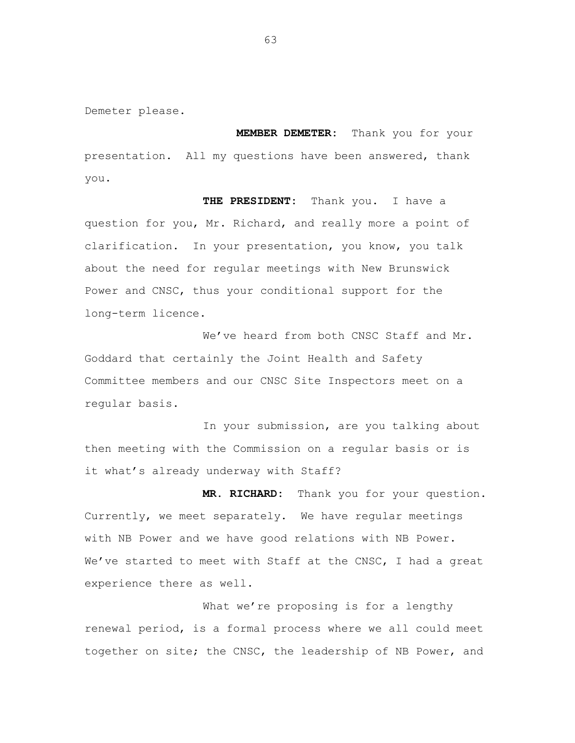Demeter please.

**MEMBER DEMETER:** Thank you for your presentation. All my questions have been answered, thank you.

**THE PRESIDENT:** Thank you. I have a question for you, Mr. Richard, and really more a point of clarification. In your presentation, you know, you talk about the need for regular meetings with New Brunswick Power and CNSC, thus your conditional support for the long-term licence.

We've heard from both CNSC Staff and Mr. Goddard that certainly the Joint Health and Safety Committee members and our CNSC Site Inspectors meet on a regular basis.

In your submission, are you talking about then meeting with the Commission on a regular basis or is it what's already underway with Staff?

**MR. RICHARD:** Thank you for your question. Currently, we meet separately. We have regular meetings with NB Power and we have good relations with NB Power. We've started to meet with Staff at the CNSC, I had a great experience there as well.

What we're proposing is for a lengthy renewal period, is a formal process where we all could meet together on site; the CNSC, the leadership of NB Power, and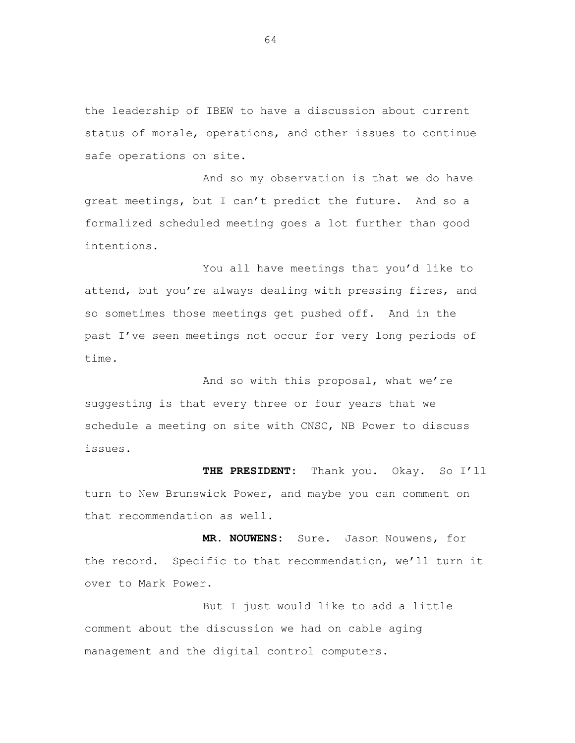the leadership of IBEW to have a discussion about current status of morale, operations, and other issues to continue safe operations on site.

And so my observation is that we do have great meetings, but I can't predict the future. And so a formalized scheduled meeting goes a lot further than good intentions.

You all have meetings that you'd like to attend, but you're always dealing with pressing fires, and so sometimes those meetings get pushed off. And in the past I've seen meetings not occur for very long periods of time.

And so with this proposal, what we're suggesting is that every three or four years that we schedule a meeting on site with CNSC, NB Power to discuss issues.

**THE PRESIDENT:** Thank you. Okay. So I'll turn to New Brunswick Power, and maybe you can comment on that recommendation as well.

**MR. NOUWENS:** Sure. Jason Nouwens, for the record. Specific to that recommendation, we'll turn it over to Mark Power.

But I just would like to add a little comment about the discussion we had on cable aging management and the digital control computers.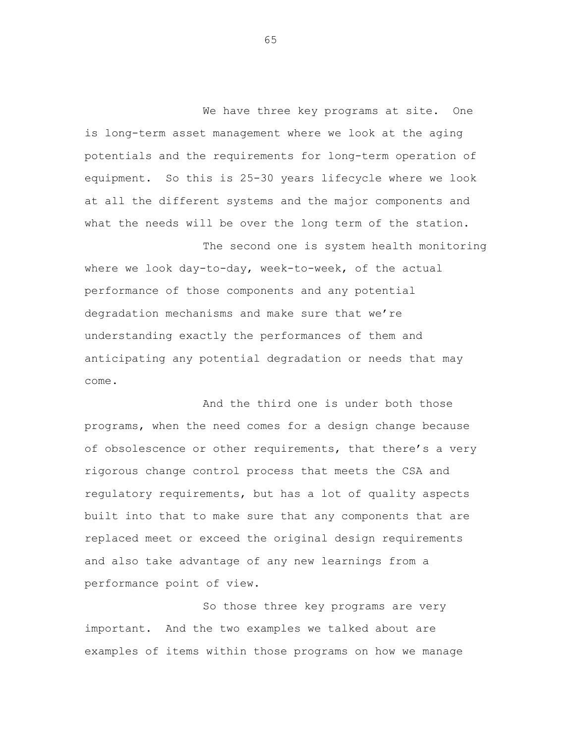We have three key programs at site. One is long-term asset management where we look at the aging potentials and the requirements for long-term operation of equipment. So this is 25-30 years lifecycle where we look at all the different systems and the major components and what the needs will be over the long term of the station.

The second one is system health monitoring where we look day-to-day, week-to-week, of the actual performance of those components and any potential degradation mechanisms and make sure that we're understanding exactly the performances of them and anticipating any potential degradation or needs that may come.

And the third one is under both those programs, when the need comes for a design change because of obsolescence or other requirements, that there's a very rigorous change control process that meets the CSA and regulatory requirements, but has a lot of quality aspects built into that to make sure that any components that are replaced meet or exceed the original design requirements and also take advantage of any new learnings from a performance point of view.

So those three key programs are very important. And the two examples we talked about are examples of items within those programs on how we manage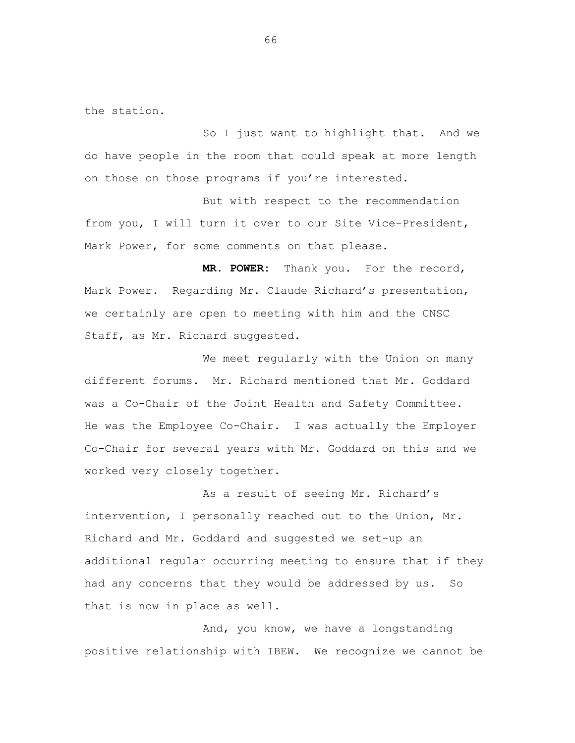the station.

So I just want to highlight that. And we do have people in the room that could speak at more length on those on those programs if you're interested.

But with respect to the recommendation from you, I will turn it over to our Site Vice-President, Mark Power, for some comments on that please.

**MR. POWER:** Thank you. For the record, Mark Power. Regarding Mr. Claude Richard's presentation, we certainly are open to meeting with him and the CNSC Staff, as Mr. Richard suggested.

We meet regularly with the Union on many different forums. Mr. Richard mentioned that Mr. Goddard was a Co-Chair of the Joint Health and Safety Committee. He was the Employee Co-Chair. I was actually the Employer Co-Chair for several years with Mr. Goddard on this and we worked very closely together.

As a result of seeing Mr. Richard's intervention, I personally reached out to the Union, Mr. Richard and Mr. Goddard and suggested we set-up an additional regular occurring meeting to ensure that if they had any concerns that they would be addressed by us. So that is now in place as well.

And, you know, we have a longstanding positive relationship with IBEW. We recognize we cannot be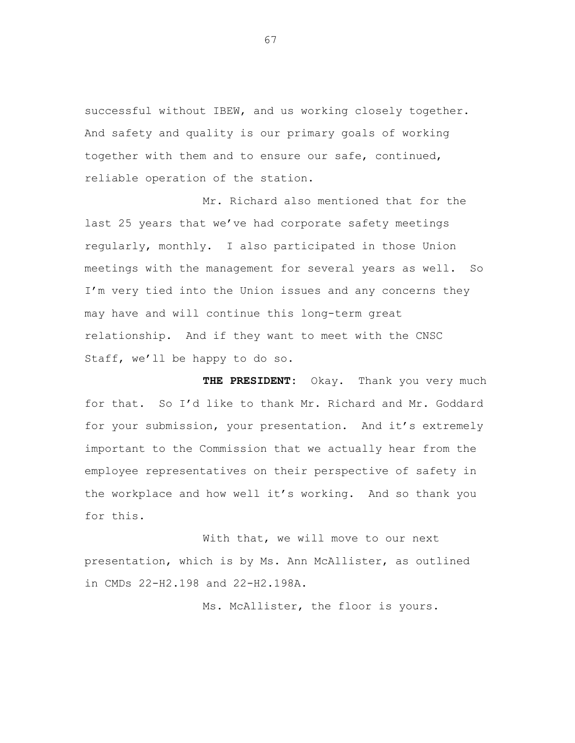successful without IBEW, and us working closely together. And safety and quality is our primary goals of working together with them and to ensure our safe, continued, reliable operation of the station.

Mr. Richard also mentioned that for the last 25 years that we've had corporate safety meetings regularly, monthly. I also participated in those Union meetings with the management for several years as well. So I'm very tied into the Union issues and any concerns they may have and will continue this long-term great relationship. And if they want to meet with the CNSC Staff, we'll be happy to do so.

**THE PRESIDENT:** Okay. Thank you very much for that. So I'd like to thank Mr. Richard and Mr. Goddard for your submission, your presentation. And it's extremely important to the Commission that we actually hear from the employee representatives on their perspective of safety in the workplace and how well it's working. And so thank you for this.

With that, we will move to our next presentation, which is by Ms. Ann McAllister, as outlined in CMDs 22-H2.198 and 22-H2.198A.

Ms. McAllister, the floor is yours.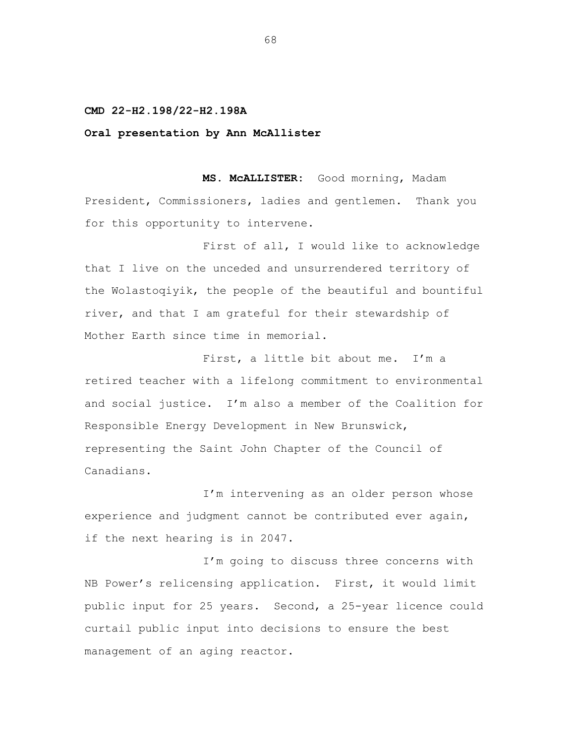## **CMD 22-H2.198/22-H2.198A**

## **Oral presentation by Ann McAllister**

**MS. McALLISTER:** Good morning, Madam President, Commissioners, ladies and gentlemen. Thank you for this opportunity to intervene.

First of all, I would like to acknowledge that I live on the unceded and unsurrendered territory of the Wolastoqiyik, the people of the beautiful and bountiful river, and that I am grateful for their stewardship of Mother Earth since time in memorial.

First, a little bit about me. I'm a retired teacher with a lifelong commitment to environmental and social justice. I'm also a member of the Coalition for Responsible Energy Development in New Brunswick, representing the Saint John Chapter of the Council of Canadians.

I'm intervening as an older person whose experience and judgment cannot be contributed ever again, if the next hearing is in 2047.

I'm going to discuss three concerns with NB Power's relicensing application. First, it would limit public input for 25 years. Second, a 25-year licence could curtail public input into decisions to ensure the best management of an aging reactor.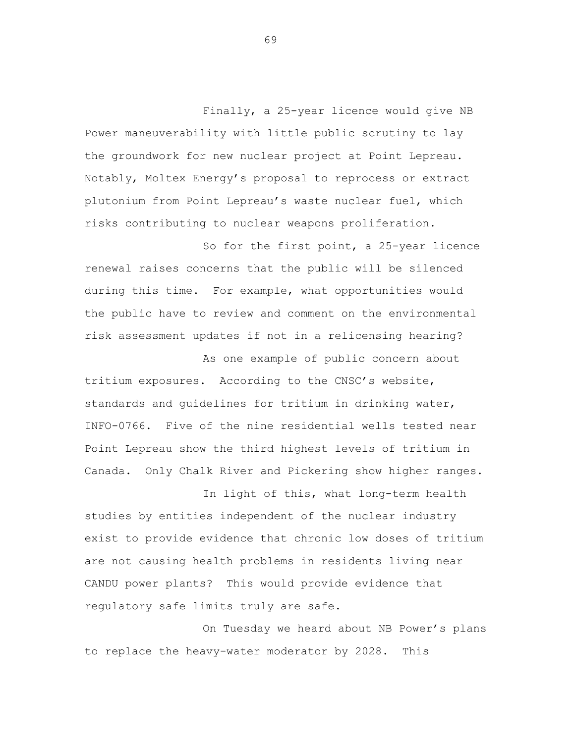Finally, a 25-year licence would give NB Power maneuverability with little public scrutiny to lay the groundwork for new nuclear project at Point Lepreau. Notably, Moltex Energy's proposal to reprocess or extract plutonium from Point Lepreau's waste nuclear fuel, which risks contributing to nuclear weapons proliferation.

So for the first point, a 25-year licence renewal raises concerns that the public will be silenced during this time. For example, what opportunities would the public have to review and comment on the environmental risk assessment updates if not in a relicensing hearing?

As one example of public concern about tritium exposures. According to the CNSC's website, standards and guidelines for tritium in drinking water, INFO-0766. Five of the nine residential wells tested near Point Lepreau show the third highest levels of tritium in Canada. Only Chalk River and Pickering show higher ranges.

In light of this, what long-term health studies by entities independent of the nuclear industry exist to provide evidence that chronic low doses of tritium are not causing health problems in residents living near CANDU power plants? This would provide evidence that regulatory safe limits truly are safe.

On Tuesday we heard about NB Power's plans to replace the heavy-water moderator by 2028. This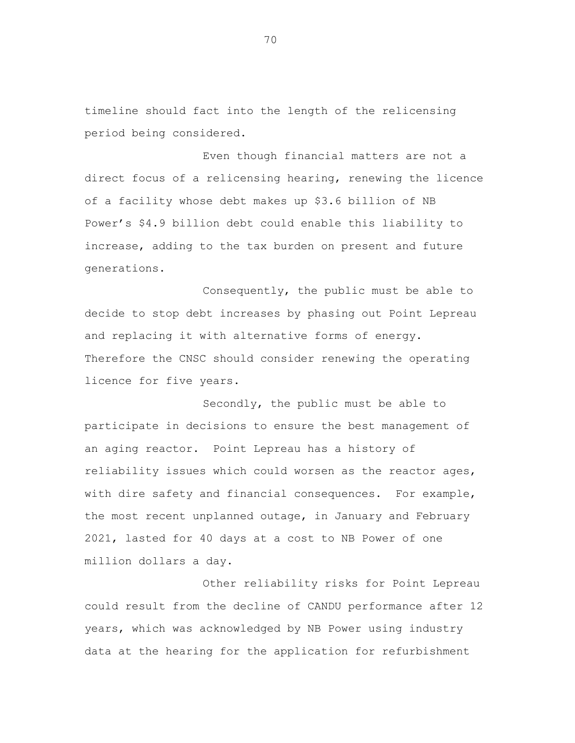timeline should fact into the length of the relicensing period being considered.

Even though financial matters are not a direct focus of a relicensing hearing, renewing the licence of a facility whose debt makes up \$3.6 billion of NB Power's \$4.9 billion debt could enable this liability to increase, adding to the tax burden on present and future generations.

Consequently, the public must be able to decide to stop debt increases by phasing out Point Lepreau and replacing it with alternative forms of energy. Therefore the CNSC should consider renewing the operating licence for five years.

Secondly, the public must be able to participate in decisions to ensure the best management of an aging reactor. Point Lepreau has a history of reliability issues which could worsen as the reactor ages, with dire safety and financial consequences. For example, the most recent unplanned outage, in January and February 2021, lasted for 40 days at a cost to NB Power of one million dollars a day.

Other reliability risks for Point Lepreau could result from the decline of CANDU performance after 12 years, which was acknowledged by NB Power using industry data at the hearing for the application for refurbishment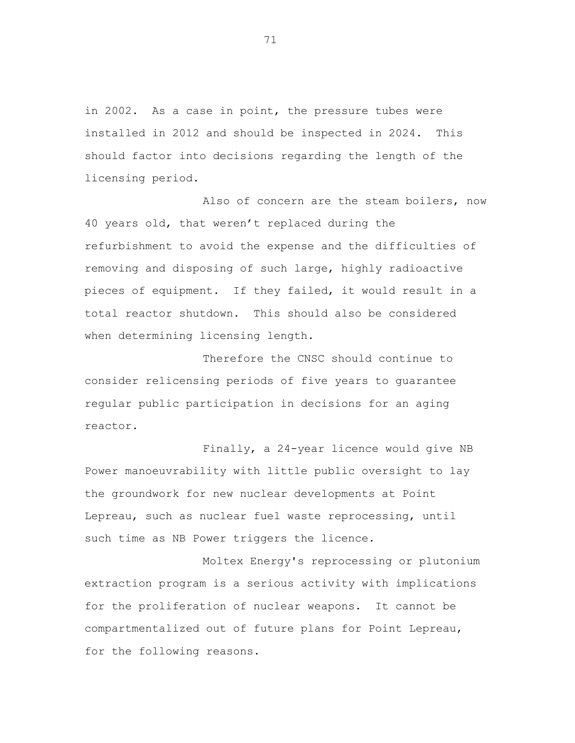in 2002. As a case in point, the pressure tubes were installed in 2012 and should be inspected in 2024. This should factor into decisions regarding the length of the licensing period.

Also of concern are the steam boilers, now 40 years old, that weren't replaced during the refurbishment to avoid the expense and the difficulties of removing and disposing of such large, highly radioactive pieces of equipment. If they failed, it would result in a total reactor shutdown. This should also be considered when determining licensing length.

Therefore the CNSC should continue to consider relicensing periods of five years to guarantee regular public participation in decisions for an aging reactor.

Finally, a 24-year licence would give NB Power manoeuvrability with little public oversight to lay the groundwork for new nuclear developments at Point Lepreau, such as nuclear fuel waste reprocessing, until such time as NB Power triggers the licence.

Moltex Energy's reprocessing or plutonium extraction program is a serious activity with implications for the proliferation of nuclear weapons. It cannot be compartmentalized out of future plans for Point Lepreau, for the following reasons.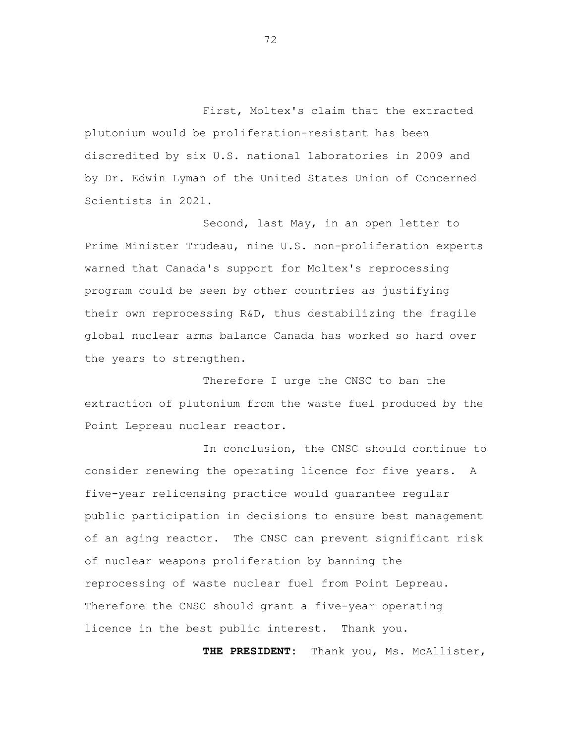First, Moltex's claim that the extracted plutonium would be proliferation-resistant has been discredited by six U.S. national laboratories in 2009 and by Dr. Edwin Lyman of the United States Union of Concerned Scientists in 2021.

Second, last May, in an open letter to Prime Minister Trudeau, nine U.S. non-proliferation experts warned that Canada's support for Moltex's reprocessing program could be seen by other countries as justifying their own reprocessing R&D, thus destabilizing the fragile global nuclear arms balance Canada has worked so hard over the years to strengthen.

Therefore I urge the CNSC to ban the extraction of plutonium from the waste fuel produced by the Point Lepreau nuclear reactor.

In conclusion, the CNSC should continue to consider renewing the operating licence for five years. A five-year relicensing practice would guarantee regular public participation in decisions to ensure best management of an aging reactor. The CNSC can prevent significant risk of nuclear weapons proliferation by banning the reprocessing of waste nuclear fuel from Point Lepreau. Therefore the CNSC should grant a five-year operating licence in the best public interest. Thank you.

**THE PRESIDENT:** Thank you, Ms. McAllister,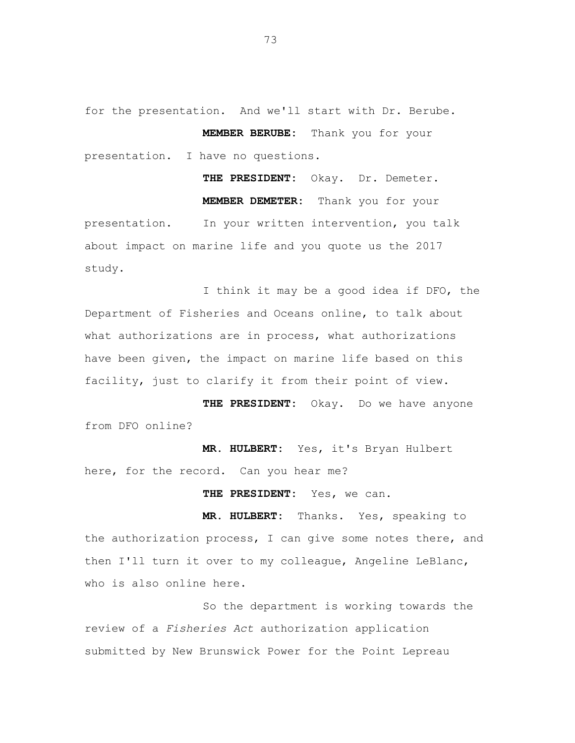for the presentation. And we'll start with Dr. Berube. **MEMBER BERUBE:** Thank you for your presentation. I have no questions.

**THE PRESIDENT:** Okay. Dr. Demeter. **MEMBER DEMETER:** Thank you for your presentation. In your written intervention, you talk about impact on marine life and you quote us the 2017 study.

I think it may be a good idea if DFO, the Department of Fisheries and Oceans online, to talk about what authorizations are in process, what authorizations have been given, the impact on marine life based on this facility, just to clarify it from their point of view.

**THE PRESIDENT:** Okay. Do we have anyone from DFO online?

**MR. HULBERT:** Yes, it's Bryan Hulbert here, for the record. Can you hear me?

**THE PRESIDENT:** Yes, we can.

**MR. HULBERT:** Thanks. Yes, speaking to the authorization process, I can give some notes there, and then I'll turn it over to my colleague, Angeline LeBlanc, who is also online here.

So the department is working towards the review of a *Fisheries Act* authorization application submitted by New Brunswick Power for the Point Lepreau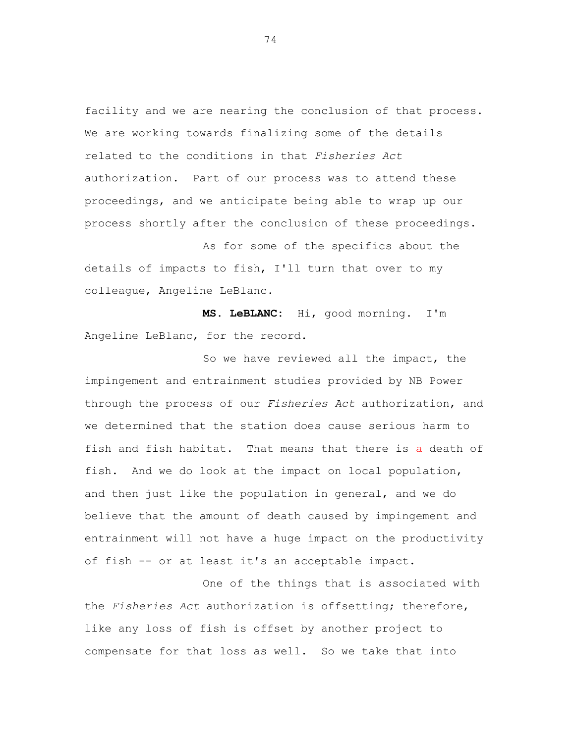facility and we are nearing the conclusion of that process. We are working towards finalizing some of the details related to the conditions in that *Fisheries Act* authorization. Part of our process was to attend these proceedings, and we anticipate being able to wrap up our process shortly after the conclusion of these proceedings.

As for some of the specifics about the details of impacts to fish, I'll turn that over to my colleague, Angeline LeBlanc.

**MS. LeBLANC:** Hi, good morning. I'm Angeline LeBlanc, for the record.

So we have reviewed all the impact, the impingement and entrainment studies provided by NB Power through the process of our *Fisheries Act* authorization, and we determined that the station does cause serious harm to fish and fish habitat. That means that there is a death of fish. And we do look at the impact on local population, and then just like the population in general, and we do believe that the amount of death caused by impingement and entrainment will not have a huge impact on the productivity of fish -- or at least it's an acceptable impact.

One of the things that is associated with the *Fisheries Act* authorization is offsetting; therefore, like any loss of fish is offset by another project to compensate for that loss as well. So we take that into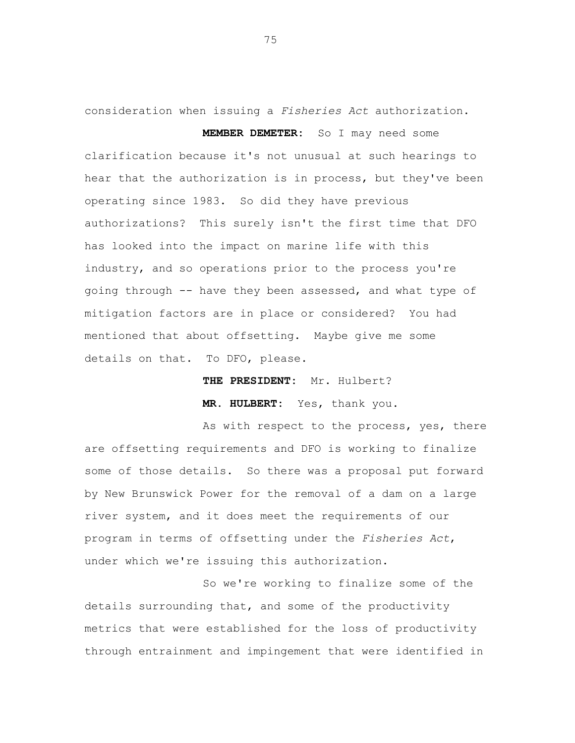consideration when issuing a *Fisheries Act* authorization. **MEMBER DEMETER:** So I may need some

clarification because it's not unusual at such hearings to hear that the authorization is in process, but they've been operating since 1983. So did they have previous authorizations? This surely isn't the first time that DFO has looked into the impact on marine life with this industry, and so operations prior to the process you're going through -- have they been assessed, and what type of mitigation factors are in place or considered? You had mentioned that about offsetting. Maybe give me some details on that. To DFO, please.

**THE PRESIDENT:** Mr. Hulbert?

**MR. HULBERT:** Yes, thank you.

As with respect to the process, yes, there are offsetting requirements and DFO is working to finalize some of those details. So there was a proposal put forward by New Brunswick Power for the removal of a dam on a large river system, and it does meet the requirements of our program in terms of offsetting under the *Fisheries Act*, under which we're issuing this authorization.

So we're working to finalize some of the details surrounding that, and some of the productivity metrics that were established for the loss of productivity through entrainment and impingement that were identified in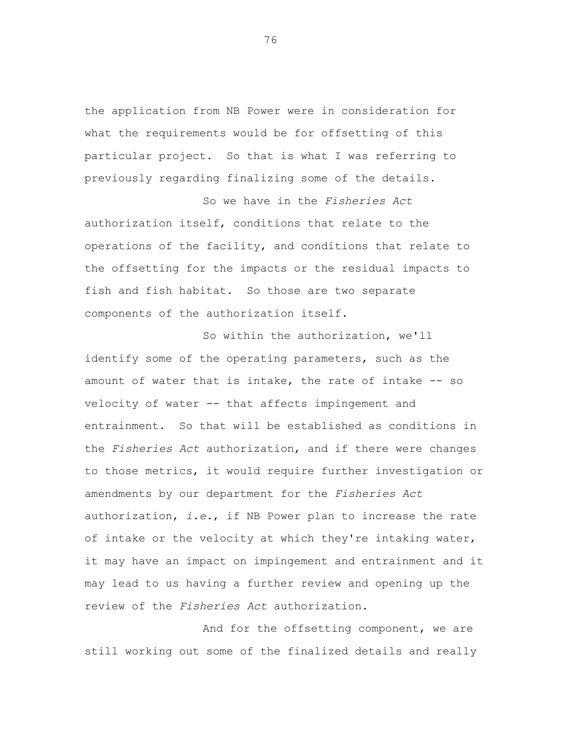the application from NB Power were in consideration for what the requirements would be for offsetting of this particular project. So that is what I was referring to previously regarding finalizing some of the details.

So we have in the *Fisheries Act* authorization itself, conditions that relate to the operations of the facility, and conditions that relate to the offsetting for the impacts or the residual impacts to fish and fish habitat. So those are two separate components of the authorization itself.

So within the authorization, we'll identify some of the operating parameters, such as the amount of water that is intake, the rate of intake -- so velocity of water -- that affects impingement and entrainment. So that will be established as conditions in the *Fisheries Act* authorization, and if there were changes to those metrics, it would require further investigation or amendments by our department for the *Fisheries Act* authorization, *i.e.*, if NB Power plan to increase the rate of intake or the velocity at which they're intaking water, it may have an impact on impingement and entrainment and it may lead to us having a further review and opening up the review of the *Fisheries Act* authorization.

And for the offsetting component, we are still working out some of the finalized details and really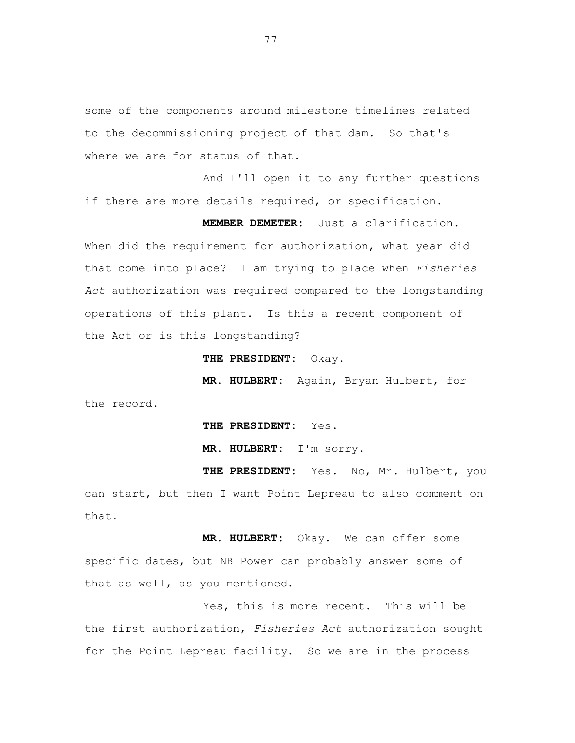some of the components around milestone timelines related to the decommissioning project of that dam. So that's where we are for status of that.

And I'll open it to any further questions if there are more details required, or specification.

**MEMBER DEMETER:** Just a clarification. When did the requirement for authorization, what year did that come into place? I am trying to place when *Fisheries Act* authorization was required compared to the longstanding operations of this plant. Is this a recent component of the Act or is this longstanding?

**THE PRESIDENT:** Okay.

**MR. HULBERT:** Again, Bryan Hulbert, for the record.

**THE PRESIDENT:** Yes.

**MR. HULBERT:** I'm sorry.

THE PRESIDENT: Yes. No, Mr. Hulbert, you can start, but then I want Point Lepreau to also comment on that.

**MR. HULBERT:** Okay. We can offer some specific dates, but NB Power can probably answer some of that as well, as you mentioned.

Yes, this is more recent. This will be the first authorization, *Fisheries Act* authorization sought for the Point Lepreau facility. So we are in the process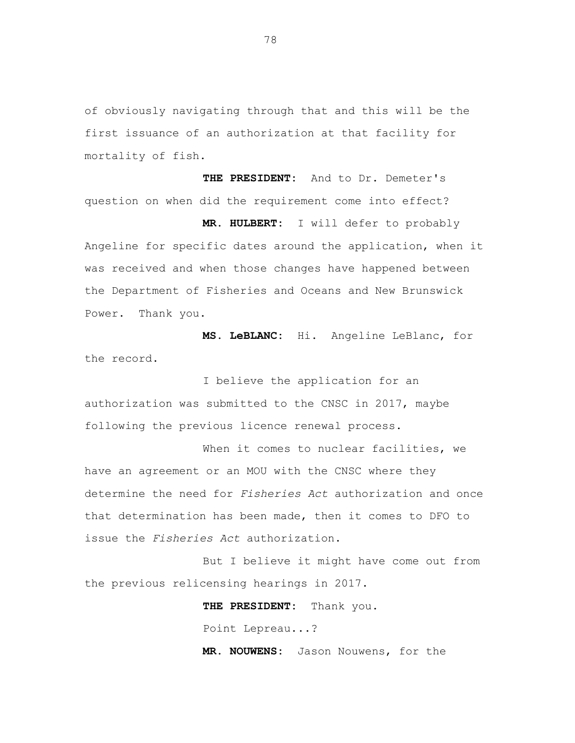of obviously navigating through that and this will be the first issuance of an authorization at that facility for mortality of fish.

**THE PRESIDENT:** And to Dr. Demeter's question on when did the requirement come into effect? **MR. HULBERT:** I will defer to probably Angeline for specific dates around the application, when it was received and when those changes have happened between the Department of Fisheries and Oceans and New Brunswick

**MS. LeBLANC:** Hi. Angeline LeBlanc, for the record.

Power. Thank you.

I believe the application for an authorization was submitted to the CNSC in 2017, maybe following the previous licence renewal process.

When it comes to nuclear facilities, we have an agreement or an MOU with the CNSC where they determine the need for *Fisheries Act* authorization and once that determination has been made, then it comes to DFO to issue the *Fisheries Act* authorization.

But I believe it might have come out from the previous relicensing hearings in 2017.

> **THE PRESIDENT:** Thank you. Point Lepreau...?

**MR. NOUWENS:** Jason Nouwens, for the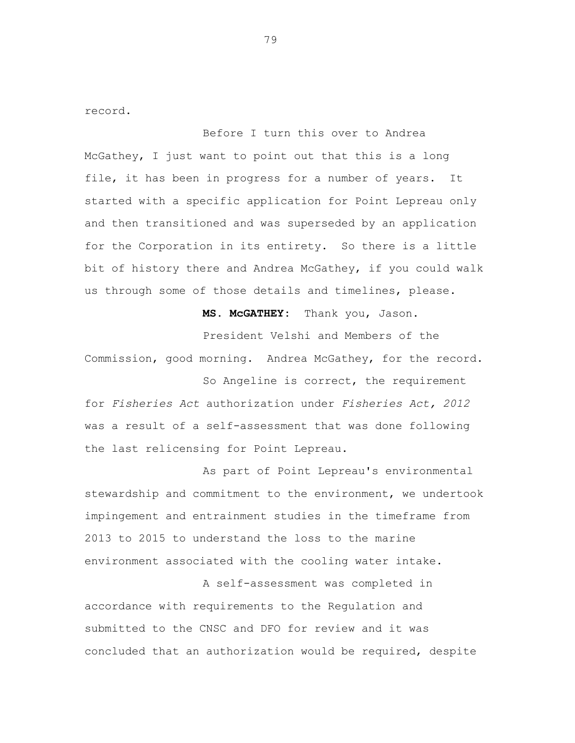record.

Before I turn this over to Andrea McGathey, I just want to point out that this is a long file, it has been in progress for a number of years. It started with a specific application for Point Lepreau only and then transitioned and was superseded by an application for the Corporation in its entirety. So there is a little bit of history there and Andrea McGathey, if you could walk us through some of those details and timelines, please.

**MS. McGATHEY:** Thank you, Jason.

President Velshi and Members of the Commission, good morning. Andrea McGathey, for the record.

So Angeline is correct, the requirement for *Fisheries Act* authorization under *Fisheries Act, 2012* was a result of a self-assessment that was done following the last relicensing for Point Lepreau.

As part of Point Lepreau's environmental stewardship and commitment to the environment, we undertook impingement and entrainment studies in the timeframe from 2013 to 2015 to understand the loss to the marine environment associated with the cooling water intake.

A self-assessment was completed in accordance with requirements to the Regulation and submitted to the CNSC and DFO for review and it was concluded that an authorization would be required, despite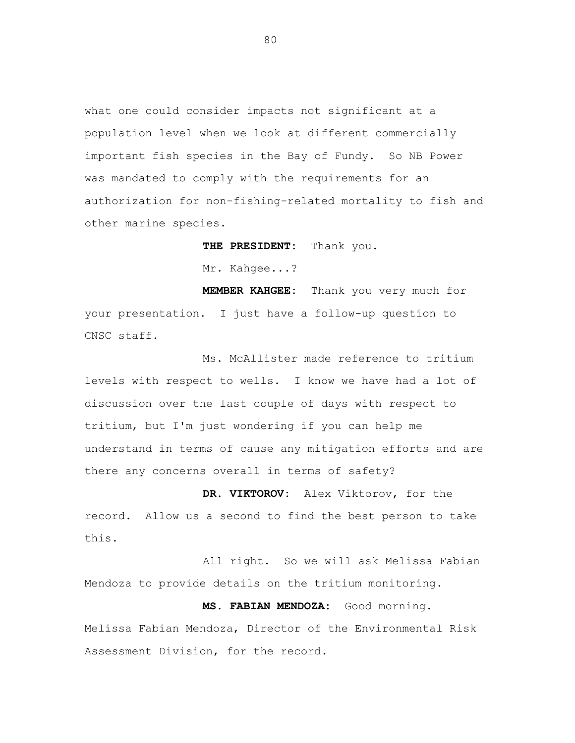what one could consider impacts not significant at a population level when we look at different commercially important fish species in the Bay of Fundy. So NB Power was mandated to comply with the requirements for an authorization for non-fishing-related mortality to fish and other marine species.

> **THE PRESIDENT:** Thank you. Mr. Kahgee...?

**MEMBER KAHGEE:** Thank you very much for your presentation. I just have a follow-up question to CNSC staff.

Ms. McAllister made reference to tritium levels with respect to wells. I know we have had a lot of discussion over the last couple of days with respect to tritium, but I'm just wondering if you can help me understand in terms of cause any mitigation efforts and are there any concerns overall in terms of safety?

**DR. VIKTOROV:** Alex Viktorov, for the record. Allow us a second to find the best person to take this.

All right. So we will ask Melissa Fabian Mendoza to provide details on the tritium monitoring.

**MS. FABIAN MENDOZA:** Good morning. Melissa Fabian Mendoza, Director of the Environmental Risk Assessment Division, for the record.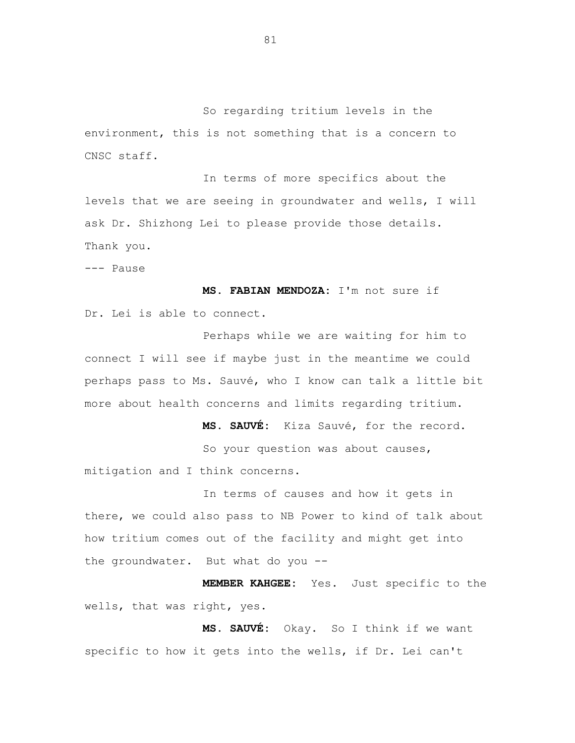So regarding tritium levels in the environment, this is not something that is a concern to CNSC staff.

In terms of more specifics about the levels that we are seeing in groundwater and wells, I will ask Dr. Shizhong Lei to please provide those details. Thank you.

--- Pause

**MS. FABIAN MENDOZA:** I'm not sure if Dr. Lei is able to connect.

Perhaps while we are waiting for him to connect I will see if maybe just in the meantime we could perhaps pass to Ms. Sauvé, who I know can talk a little bit more about health concerns and limits regarding tritium.

**MS. SAUVÉ:** Kiza Sauvé, for the record.

So your question was about causes, mitigation and I think concerns.

In terms of causes and how it gets in there, we could also pass to NB Power to kind of talk about how tritium comes out of the facility and might get into the groundwater. But what do you --

**MEMBER KAHGEE:** Yes. Just specific to the wells, that was right, yes.

**MS. SAUVÉ:** Okay. So I think if we want specific to how it gets into the wells, if Dr. Lei can't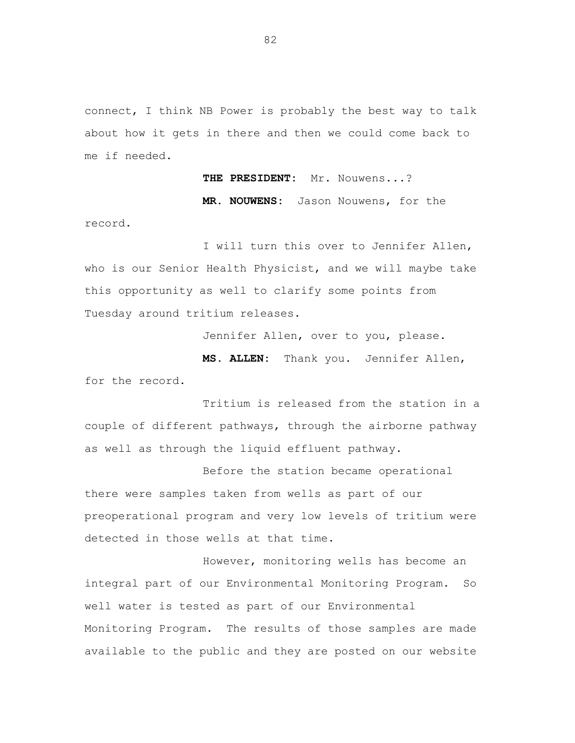connect, I think NB Power is probably the best way to talk about how it gets in there and then we could come back to me if needed.

**THE PRESIDENT:** Mr. Nouwens...?

**MR. NOUWENS:** Jason Nouwens, for the

I will turn this over to Jennifer Allen, who is our Senior Health Physicist, and we will maybe take this opportunity as well to clarify some points from Tuesday around tritium releases.

record.

Jennifer Allen, over to you, please.

**MS. ALLEN:** Thank you. Jennifer Allen, for the record.

Tritium is released from the station in a couple of different pathways, through the airborne pathway as well as through the liquid effluent pathway.

Before the station became operational there were samples taken from wells as part of our preoperational program and very low levels of tritium were detected in those wells at that time.

However, monitoring wells has become an integral part of our Environmental Monitoring Program. So well water is tested as part of our Environmental Monitoring Program. The results of those samples are made available to the public and they are posted on our website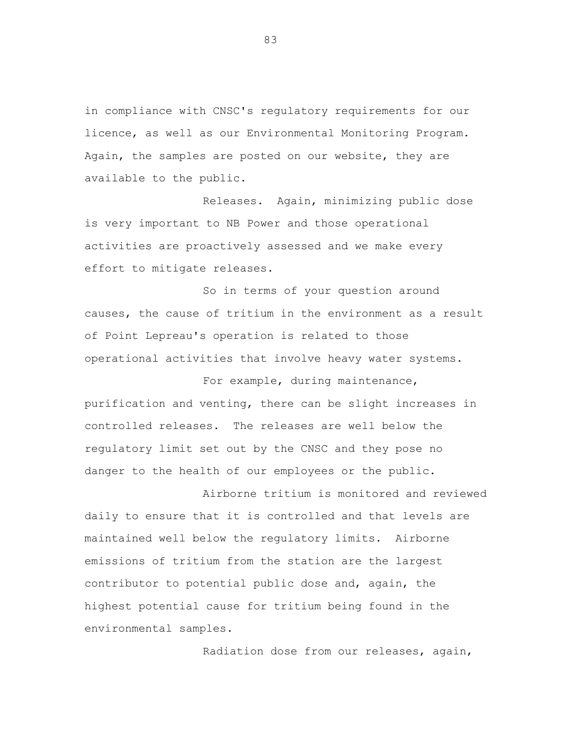in compliance with CNSC's regulatory requirements for our licence, as well as our Environmental Monitoring Program. Again, the samples are posted on our website, they are available to the public.

Releases. Again, minimizing public dose is very important to NB Power and those operational activities are proactively assessed and we make every effort to mitigate releases.

So in terms of your question around causes, the cause of tritium in the environment as a result of Point Lepreau's operation is related to those operational activities that involve heavy water systems.

For example, during maintenance, purification and venting, there can be slight increases in controlled releases. The releases are well below the regulatory limit set out by the CNSC and they pose no danger to the health of our employees or the public.

Airborne tritium is monitored and reviewed daily to ensure that it is controlled and that levels are maintained well below the regulatory limits. Airborne emissions of tritium from the station are the largest contributor to potential public dose and, again, the highest potential cause for tritium being found in the environmental samples.

Radiation dose from our releases, again,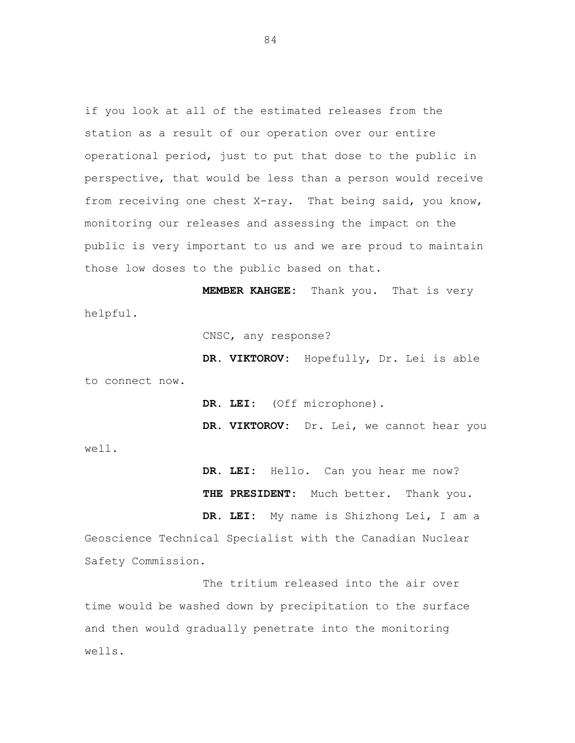if you look at all of the estimated releases from the station as a result of our operation over our entire operational period, just to put that dose to the public in perspective, that would be less than a person would receive from receiving one chest X-ray. That being said, you know, monitoring our releases and assessing the impact on the public is very important to us and we are proud to maintain those low doses to the public based on that.

**MEMBER KAHGEE:** Thank you. That is very helpful.

CNSC, any response?

**DR. VIKTOROV:** Hopefully, Dr. Lei is able to connect now.

**DR. LEI:** (Off microphone).

**DR. VIKTOROV:** Dr. Lei, we cannot hear you well.

> **DR. LEI:** Hello. Can you hear me now? **THE PRESIDENT:** Much better. Thank you.

**DR. LEI:** My name is Shizhong Lei, I am a Geoscience Technical Specialist with the Canadian Nuclear Safety Commission.

The tritium released into the air over time would be washed down by precipitation to the surface and then would gradually penetrate into the monitoring wells.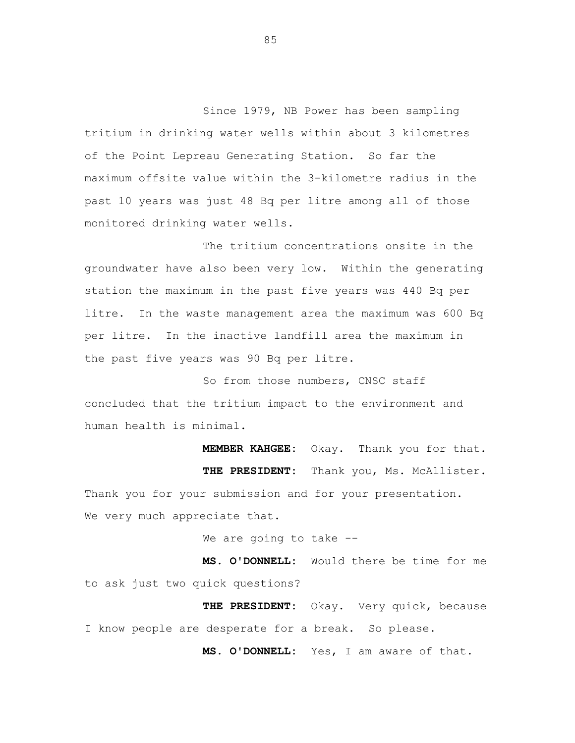Since 1979, NB Power has been sampling tritium in drinking water wells within about 3 kilometres of the Point Lepreau Generating Station. So far the maximum offsite value within the 3-kilometre radius in the past 10 years was just 48 Bq per litre among all of those monitored drinking water wells.

The tritium concentrations onsite in the groundwater have also been very low. Within the generating station the maximum in the past five years was 440 Bq per litre. In the waste management area the maximum was 600 Bq per litre. In the inactive landfill area the maximum in the past five years was 90 Bq per litre.

So from those numbers, CNSC staff concluded that the tritium impact to the environment and human health is minimal.

**MEMBER KAHGEE:** Okay. Thank you for that. **THE PRESIDENT:** Thank you, Ms. McAllister. Thank you for your submission and for your presentation. We very much appreciate that.

We are going to take --

**MS. O'DONNELL:** Would there be time for me to ask just two quick questions?

**THE PRESIDENT:** Okay. Very quick, because I know people are desperate for a break. So please.

**MS. O'DONNELL:** Yes, I am aware of that.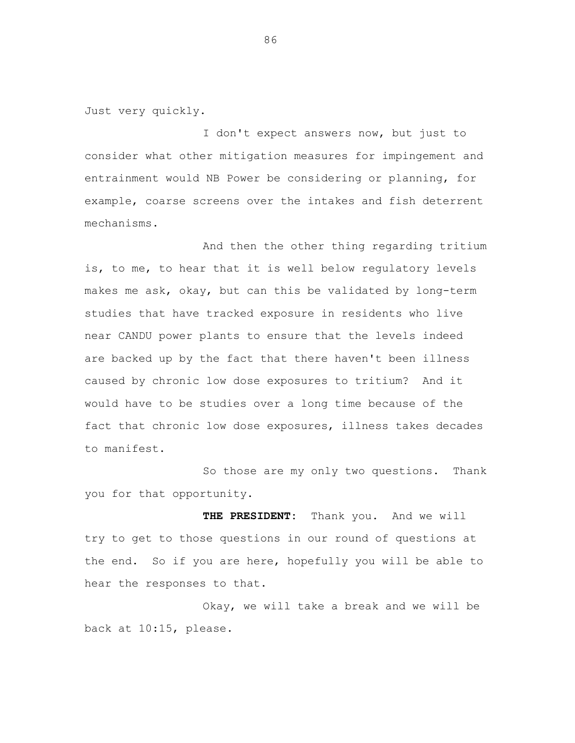Just very quickly.

I don't expect answers now, but just to consider what other mitigation measures for impingement and entrainment would NB Power be considering or planning, for example, coarse screens over the intakes and fish deterrent mechanisms.

And then the other thing regarding tritium is, to me, to hear that it is well below regulatory levels makes me ask, okay, but can this be validated by long-term studies that have tracked exposure in residents who live near CANDU power plants to ensure that the levels indeed are backed up by the fact that there haven't been illness caused by chronic low dose exposures to tritium? And it would have to be studies over a long time because of the fact that chronic low dose exposures, illness takes decades to manifest.

So those are my only two questions. Thank you for that opportunity.

**THE PRESIDENT:** Thank you. And we will try to get to those questions in our round of questions at the end. So if you are here, hopefully you will be able to hear the responses to that.

Okay, we will take a break and we will be back at 10:15, please.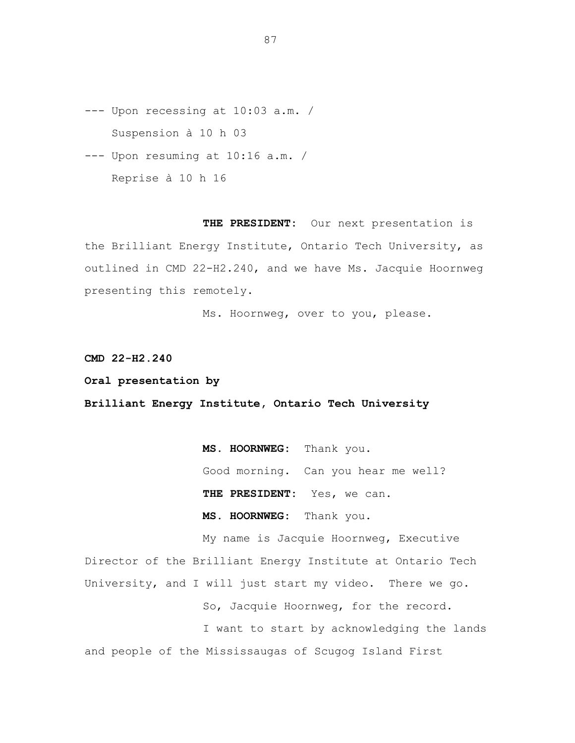- --- Upon recessing at 10:03 a.m. / Suspension à 10 h 03
- --- Upon resuming at 10:16 a.m. / Reprise à 10 h 16

**THE PRESIDENT:** Our next presentation is the Brilliant Energy Institute, Ontario Tech University, as outlined in CMD 22-H2.240, and we have Ms. Jacquie Hoornweg presenting this remotely.

Ms. Hoornweg, over to you, please.

**CMD 22-H2.240**

**Oral presentation by**

**Brilliant Energy Institute, Ontario Tech University**

**MS. HOORNWEG:** Thank you. Good morning. Can you hear me well? **THE PRESIDENT:** Yes, we can. **MS. HOORNWEG:** Thank you.

My name is Jacquie Hoornweg, Executive Director of the Brilliant Energy Institute at Ontario Tech University, and I will just start my video. There we go. So, Jacquie Hoornweg, for the record. I want to start by acknowledging the lands and people of the Mississaugas of Scugog Island First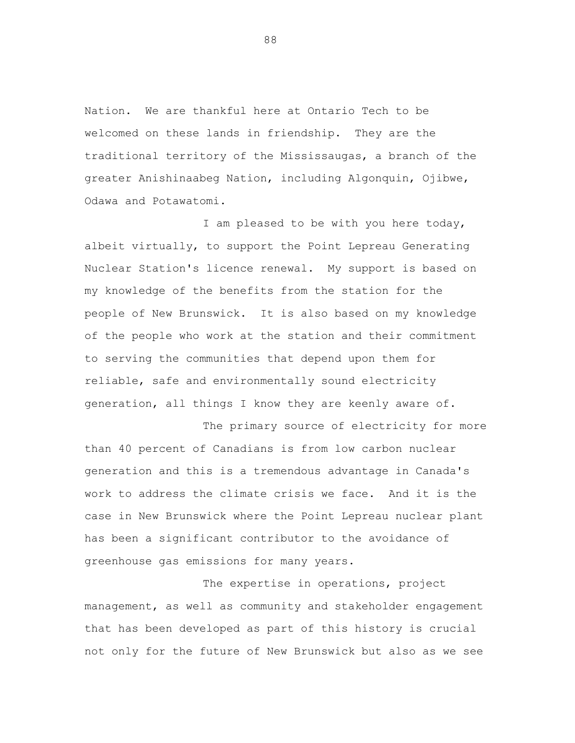Nation. We are thankful here at Ontario Tech to be welcomed on these lands in friendship. They are the traditional territory of the Mississaugas, a branch of the greater Anishinaabeg Nation, including Algonquin, Ojibwe, Odawa and Potawatomi.

I am pleased to be with you here today, albeit virtually, to support the Point Lepreau Generating Nuclear Station's licence renewal. My support is based on my knowledge of the benefits from the station for the people of New Brunswick. It is also based on my knowledge of the people who work at the station and their commitment to serving the communities that depend upon them for reliable, safe and environmentally sound electricity generation, all things I know they are keenly aware of.

The primary source of electricity for more than 40 percent of Canadians is from low carbon nuclear generation and this is a tremendous advantage in Canada's work to address the climate crisis we face. And it is the case in New Brunswick where the Point Lepreau nuclear plant has been a significant contributor to the avoidance of greenhouse gas emissions for many years.

The expertise in operations, project management, as well as community and stakeholder engagement that has been developed as part of this history is crucial not only for the future of New Brunswick but also as we see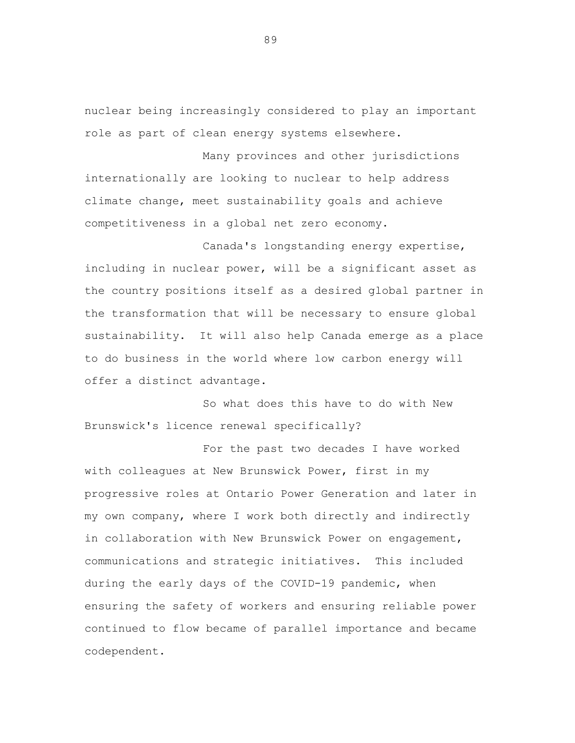nuclear being increasingly considered to play an important role as part of clean energy systems elsewhere.

Many provinces and other jurisdictions internationally are looking to nuclear to help address climate change, meet sustainability goals and achieve competitiveness in a global net zero economy.

Canada's longstanding energy expertise, including in nuclear power, will be a significant asset as the country positions itself as a desired global partner in the transformation that will be necessary to ensure global sustainability. It will also help Canada emerge as a place to do business in the world where low carbon energy will offer a distinct advantage.

So what does this have to do with New Brunswick's licence renewal specifically?

For the past two decades I have worked with colleagues at New Brunswick Power, first in my progressive roles at Ontario Power Generation and later in my own company, where I work both directly and indirectly in collaboration with New Brunswick Power on engagement, communications and strategic initiatives. This included during the early days of the COVID-19 pandemic, when ensuring the safety of workers and ensuring reliable power continued to flow became of parallel importance and became codependent.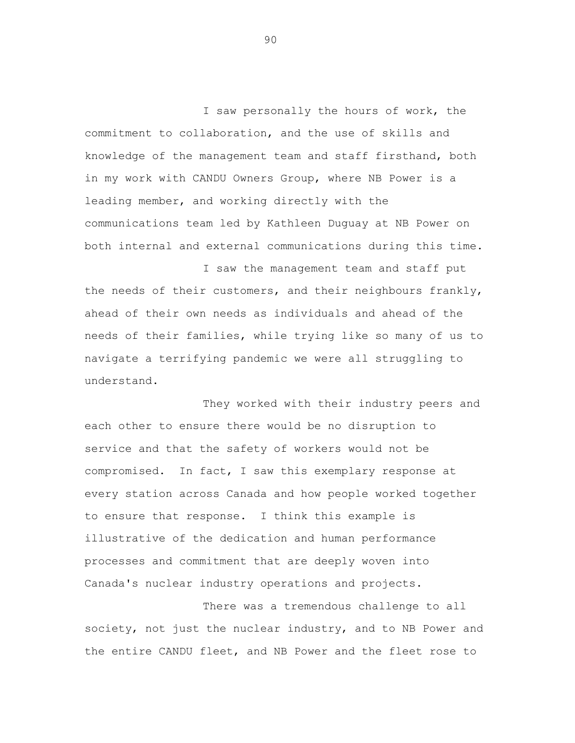I saw personally the hours of work, the commitment to collaboration, and the use of skills and knowledge of the management team and staff firsthand, both in my work with CANDU Owners Group, where NB Power is a leading member, and working directly with the communications team led by Kathleen Duguay at NB Power on both internal and external communications during this time.

I saw the management team and staff put the needs of their customers, and their neighbours frankly, ahead of their own needs as individuals and ahead of the needs of their families, while trying like so many of us to navigate a terrifying pandemic we were all struggling to understand.

They worked with their industry peers and each other to ensure there would be no disruption to service and that the safety of workers would not be compromised. In fact, I saw this exemplary response at every station across Canada and how people worked together to ensure that response. I think this example is illustrative of the dedication and human performance processes and commitment that are deeply woven into Canada's nuclear industry operations and projects.

There was a tremendous challenge to all society, not just the nuclear industry, and to NB Power and the entire CANDU fleet, and NB Power and the fleet rose to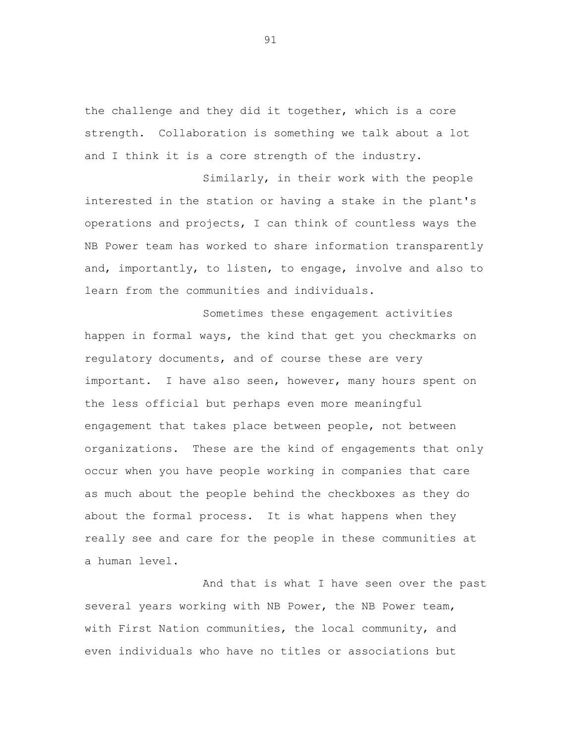the challenge and they did it together, which is a core strength. Collaboration is something we talk about a lot and I think it is a core strength of the industry.

Similarly, in their work with the people interested in the station or having a stake in the plant's operations and projects, I can think of countless ways the NB Power team has worked to share information transparently and, importantly, to listen, to engage, involve and also to learn from the communities and individuals.

Sometimes these engagement activities happen in formal ways, the kind that get you checkmarks on regulatory documents, and of course these are very important. I have also seen, however, many hours spent on the less official but perhaps even more meaningful engagement that takes place between people, not between organizations. These are the kind of engagements that only occur when you have people working in companies that care as much about the people behind the checkboxes as they do about the formal process. It is what happens when they really see and care for the people in these communities at a human level.

And that is what I have seen over the past several years working with NB Power, the NB Power team, with First Nation communities, the local community, and even individuals who have no titles or associations but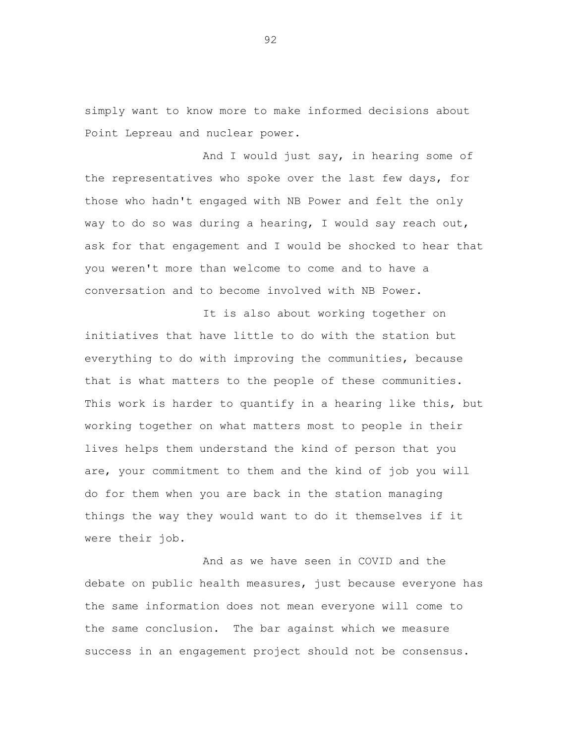simply want to know more to make informed decisions about Point Lepreau and nuclear power.

And I would just say, in hearing some of the representatives who spoke over the last few days, for those who hadn't engaged with NB Power and felt the only way to do so was during a hearing, I would say reach out, ask for that engagement and I would be shocked to hear that you weren't more than welcome to come and to have a conversation and to become involved with NB Power.

It is also about working together on initiatives that have little to do with the station but everything to do with improving the communities, because that is what matters to the people of these communities. This work is harder to quantify in a hearing like this, but working together on what matters most to people in their lives helps them understand the kind of person that you are, your commitment to them and the kind of job you will do for them when you are back in the station managing things the way they would want to do it themselves if it were their job.

And as we have seen in COVID and the debate on public health measures, just because everyone has the same information does not mean everyone will come to the same conclusion. The bar against which we measure success in an engagement project should not be consensus.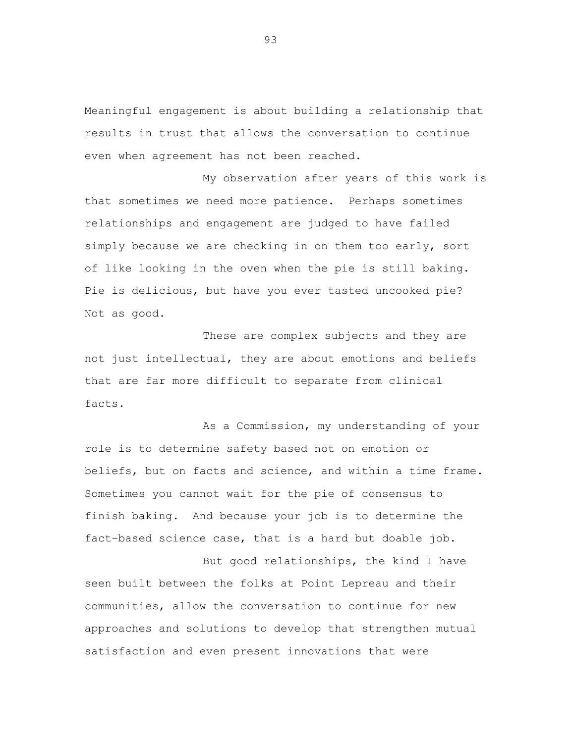Meaningful engagement is about building a relationship that results in trust that allows the conversation to continue even when agreement has not been reached.

My observation after years of this work is that sometimes we need more patience. Perhaps sometimes relationships and engagement are judged to have failed simply because we are checking in on them too early, sort of like looking in the oven when the pie is still baking. Pie is delicious, but have you ever tasted uncooked pie? Not as good.

These are complex subjects and they are not just intellectual, they are about emotions and beliefs that are far more difficult to separate from clinical facts.

As a Commission, my understanding of your role is to determine safety based not on emotion or beliefs, but on facts and science, and within a time frame. Sometimes you cannot wait for the pie of consensus to finish baking. And because your job is to determine the fact-based science case, that is a hard but doable job.

But good relationships, the kind I have seen built between the folks at Point Lepreau and their communities, allow the conversation to continue for new approaches and solutions to develop that strengthen mutual satisfaction and even present innovations that were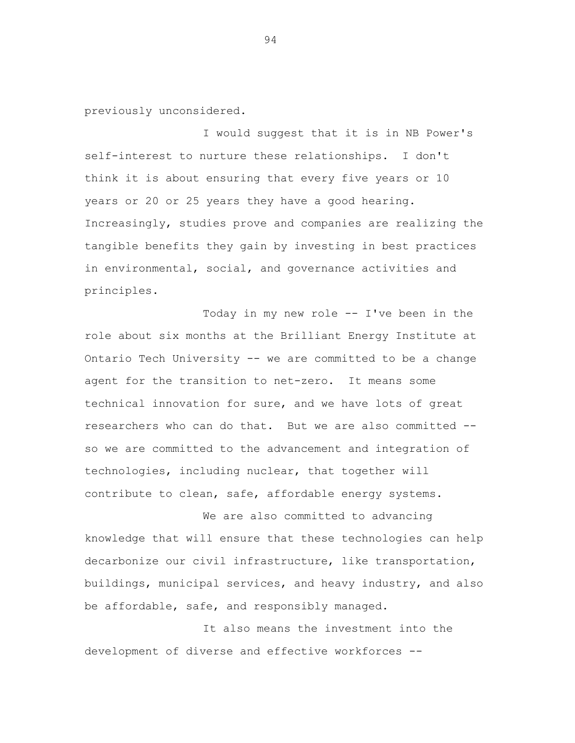previously unconsidered.

I would suggest that it is in NB Power's self-interest to nurture these relationships. I don't think it is about ensuring that every five years or 10 years or 20 or 25 years they have a good hearing. Increasingly, studies prove and companies are realizing the tangible benefits they gain by investing in best practices in environmental, social, and governance activities and principles.

Today in my new role -- I've been in the role about six months at the Brilliant Energy Institute at Ontario Tech University -- we are committed to be a change agent for the transition to net-zero. It means some technical innovation for sure, and we have lots of great researchers who can do that. But we are also committed - so we are committed to the advancement and integration of technologies, including nuclear, that together will contribute to clean, safe, affordable energy systems.

We are also committed to advancing knowledge that will ensure that these technologies can help decarbonize our civil infrastructure, like transportation, buildings, municipal services, and heavy industry, and also be affordable, safe, and responsibly managed.

It also means the investment into the development of diverse and effective workforces --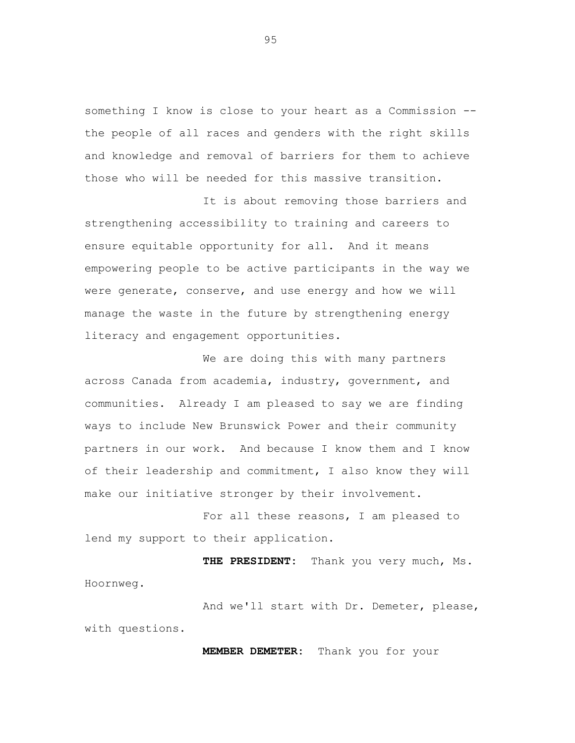something I know is close to your heart as a Commission - the people of all races and genders with the right skills and knowledge and removal of barriers for them to achieve those who will be needed for this massive transition.

It is about removing those barriers and strengthening accessibility to training and careers to ensure equitable opportunity for all. And it means empowering people to be active participants in the way we were generate, conserve, and use energy and how we will manage the waste in the future by strengthening energy literacy and engagement opportunities.

We are doing this with many partners across Canada from academia, industry, government, and communities. Already I am pleased to say we are finding ways to include New Brunswick Power and their community partners in our work. And because I know them and I know of their leadership and commitment, I also know they will make our initiative stronger by their involvement.

For all these reasons, I am pleased to lend my support to their application.

**THE PRESIDENT:** Thank you very much, Ms. Hoornweg.

And we'll start with Dr. Demeter, please, with questions.

**MEMBER DEMETER:** Thank you for your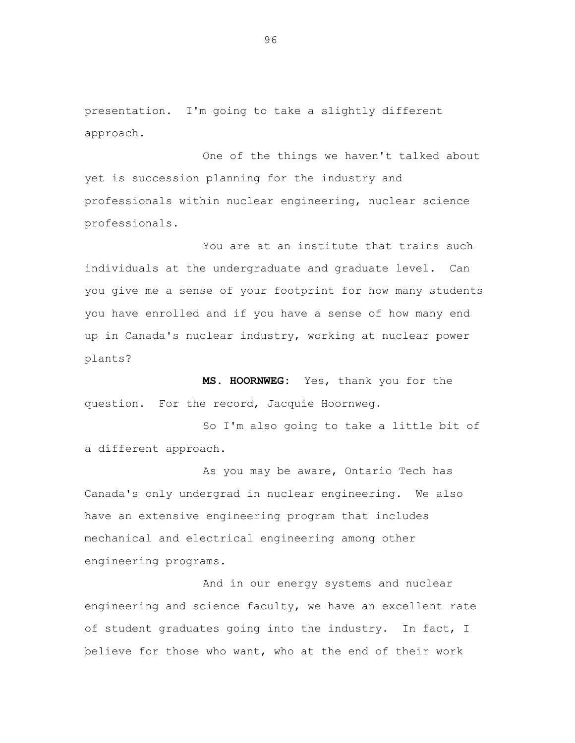presentation. I'm going to take a slightly different approach.

One of the things we haven't talked about yet is succession planning for the industry and professionals within nuclear engineering, nuclear science professionals.

You are at an institute that trains such individuals at the undergraduate and graduate level. Can you give me a sense of your footprint for how many students you have enrolled and if you have a sense of how many end up in Canada's nuclear industry, working at nuclear power plants?

**MS. HOORNWEG:** Yes, thank you for the question. For the record, Jacquie Hoornweg.

So I'm also going to take a little bit of a different approach.

As you may be aware, Ontario Tech has Canada's only undergrad in nuclear engineering. We also have an extensive engineering program that includes mechanical and electrical engineering among other engineering programs.

And in our energy systems and nuclear engineering and science faculty, we have an excellent rate of student graduates going into the industry. In fact, I believe for those who want, who at the end of their work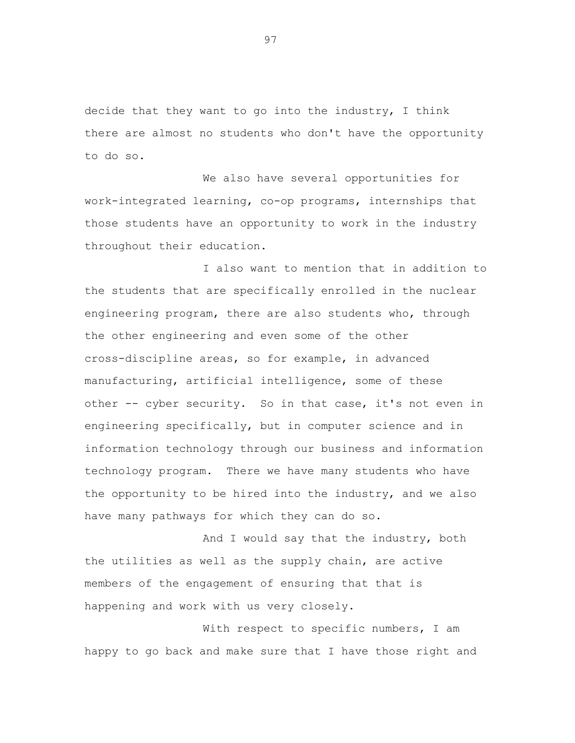decide that they want to go into the industry, I think there are almost no students who don't have the opportunity to do so.

We also have several opportunities for work-integrated learning, co-op programs, internships that those students have an opportunity to work in the industry throughout their education.

I also want to mention that in addition to the students that are specifically enrolled in the nuclear engineering program, there are also students who, through the other engineering and even some of the other cross-discipline areas, so for example, in advanced manufacturing, artificial intelligence, some of these other -- cyber security. So in that case, it's not even in engineering specifically, but in computer science and in information technology through our business and information technology program. There we have many students who have the opportunity to be hired into the industry, and we also have many pathways for which they can do so.

And I would say that the industry, both the utilities as well as the supply chain, are active members of the engagement of ensuring that that is happening and work with us very closely.

With respect to specific numbers, I am happy to go back and make sure that I have those right and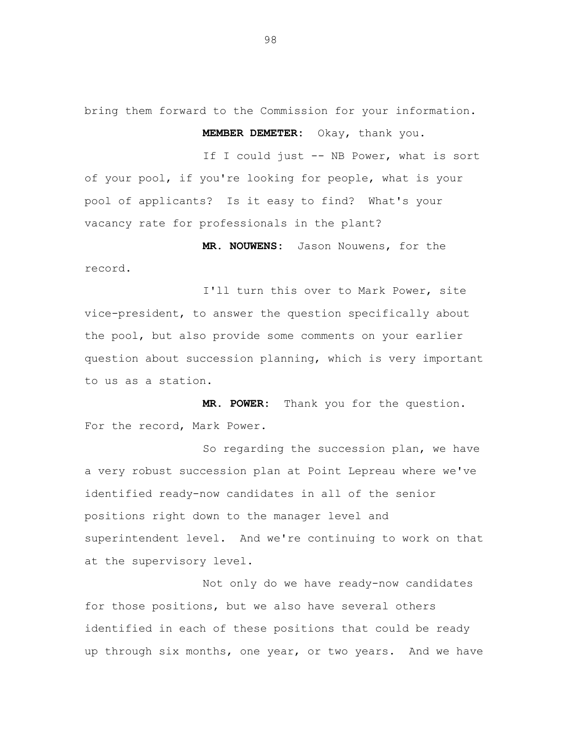bring them forward to the Commission for your information. **MEMBER DEMETER:** Okay, thank you.

If I could just -- NB Power, what is sort of your pool, if you're looking for people, what is your pool of applicants? Is it easy to find? What's your vacancy rate for professionals in the plant?

**MR. NOUWENS:** Jason Nouwens, for the record.

I'll turn this over to Mark Power, site vice-president, to answer the question specifically about the pool, but also provide some comments on your earlier question about succession planning, which is very important to us as a station.

**MR. POWER:** Thank you for the question. For the record, Mark Power.

So regarding the succession plan, we have a very robust succession plan at Point Lepreau where we've identified ready-now candidates in all of the senior positions right down to the manager level and superintendent level. And we're continuing to work on that at the supervisory level.

Not only do we have ready-now candidates for those positions, but we also have several others identified in each of these positions that could be ready up through six months, one year, or two years. And we have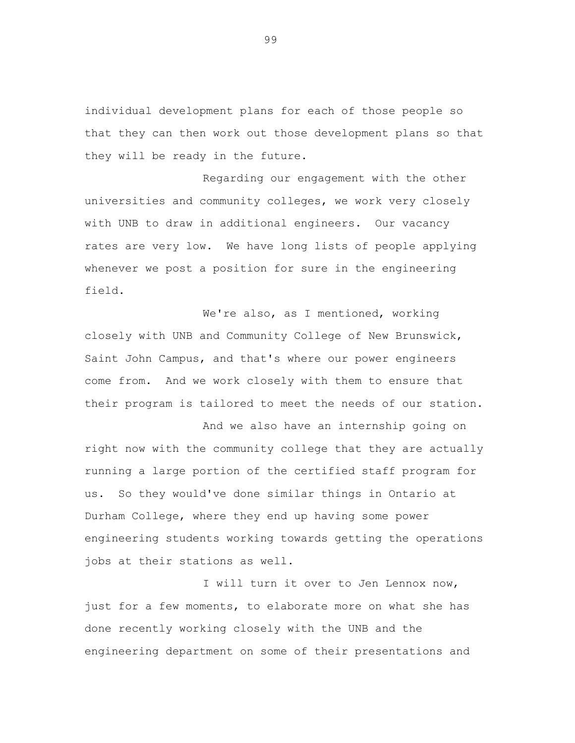individual development plans for each of those people so that they can then work out those development plans so that they will be ready in the future.

Regarding our engagement with the other universities and community colleges, we work very closely with UNB to draw in additional engineers. Our vacancy rates are very low. We have long lists of people applying whenever we post a position for sure in the engineering field.

We're also, as I mentioned, working closely with UNB and Community College of New Brunswick, Saint John Campus, and that's where our power engineers come from. And we work closely with them to ensure that their program is tailored to meet the needs of our station.

And we also have an internship going on right now with the community college that they are actually running a large portion of the certified staff program for us. So they would've done similar things in Ontario at Durham College, where they end up having some power engineering students working towards getting the operations jobs at their stations as well.

I will turn it over to Jen Lennox now, just for a few moments, to elaborate more on what she has done recently working closely with the UNB and the engineering department on some of their presentations and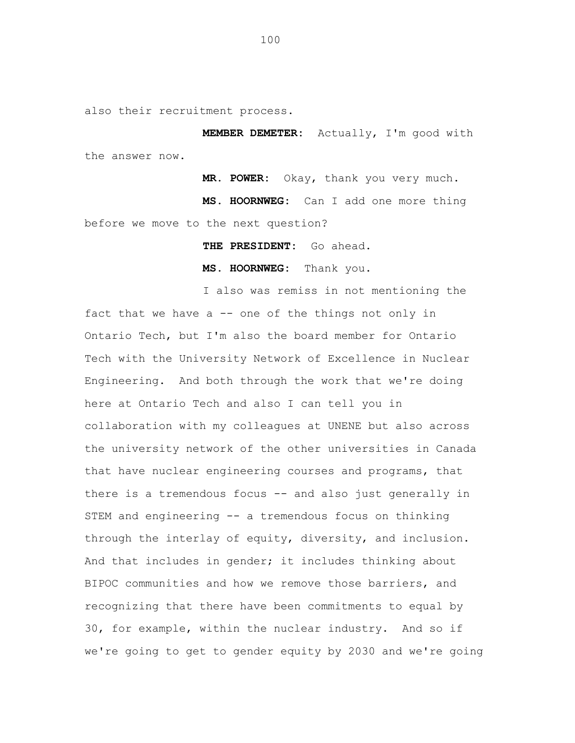also their recruitment process.

**MEMBER DEMETER:** Actually, I'm good with the answer now.

**MR. POWER:** Okay, thank you very much.

**MS. HOORNWEG:** Can I add one more thing before we move to the next question?

**THE PRESIDENT:** Go ahead.

**MS. HOORNWEG:** Thank you.

I also was remiss in not mentioning the fact that we have a  $-$  one of the things not only in Ontario Tech, but I'm also the board member for Ontario Tech with the University Network of Excellence in Nuclear Engineering. And both through the work that we're doing here at Ontario Tech and also I can tell you in collaboration with my colleagues at UNENE but also across the university network of the other universities in Canada that have nuclear engineering courses and programs, that there is a tremendous focus -- and also just generally in STEM and engineering -- a tremendous focus on thinking through the interlay of equity, diversity, and inclusion. And that includes in gender; it includes thinking about BIPOC communities and how we remove those barriers, and recognizing that there have been commitments to equal by 30, for example, within the nuclear industry. And so if we're going to get to gender equity by 2030 and we're going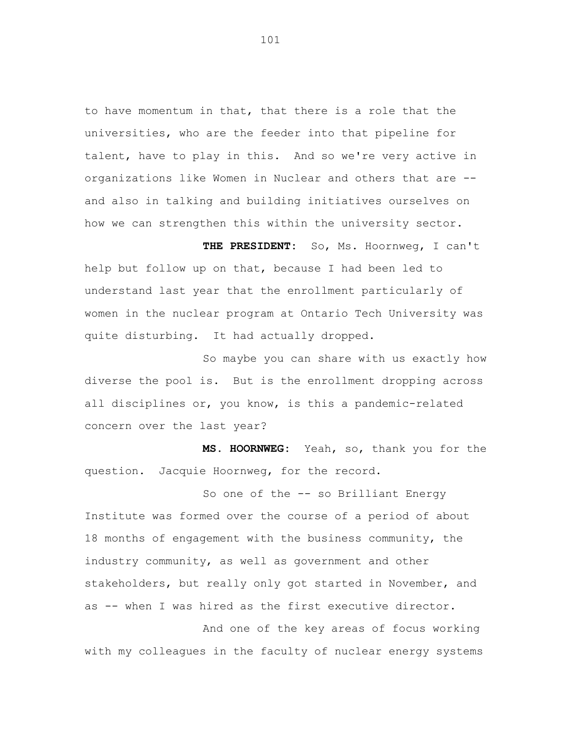to have momentum in that, that there is a role that the universities, who are the feeder into that pipeline for talent, have to play in this. And so we're very active in organizations like Women in Nuclear and others that are - and also in talking and building initiatives ourselves on how we can strengthen this within the university sector.

**THE PRESIDENT:** So, Ms. Hoornweg, I can't help but follow up on that, because I had been led to understand last year that the enrollment particularly of women in the nuclear program at Ontario Tech University was quite disturbing. It had actually dropped.

So maybe you can share with us exactly how diverse the pool is. But is the enrollment dropping across all disciplines or, you know, is this a pandemic-related concern over the last year?

**MS. HOORNWEG:** Yeah, so, thank you for the question. Jacquie Hoornweg, for the record.

So one of the -- so Brilliant Energy Institute was formed over the course of a period of about 18 months of engagement with the business community, the industry community, as well as government and other stakeholders, but really only got started in November, and as -- when I was hired as the first executive director.

And one of the key areas of focus working with my colleagues in the faculty of nuclear energy systems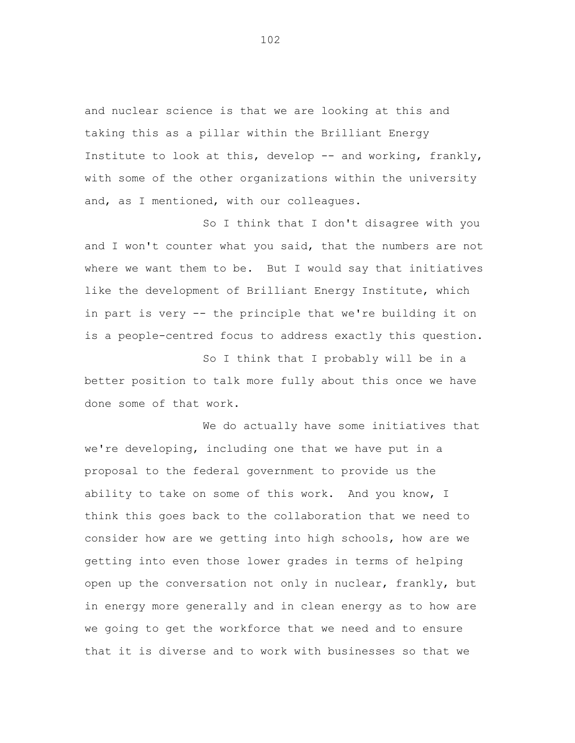and nuclear science is that we are looking at this and taking this as a pillar within the Brilliant Energy Institute to look at this, develop -- and working, frankly, with some of the other organizations within the university and, as I mentioned, with our colleagues.

So I think that I don't disagree with you and I won't counter what you said, that the numbers are not where we want them to be. But I would say that initiatives like the development of Brilliant Energy Institute, which in part is very -- the principle that we're building it on is a people-centred focus to address exactly this question.

So I think that I probably will be in a better position to talk more fully about this once we have done some of that work.

We do actually have some initiatives that we're developing, including one that we have put in a proposal to the federal government to provide us the ability to take on some of this work. And you know, I think this goes back to the collaboration that we need to consider how are we getting into high schools, how are we getting into even those lower grades in terms of helping open up the conversation not only in nuclear, frankly, but in energy more generally and in clean energy as to how are we going to get the workforce that we need and to ensure that it is diverse and to work with businesses so that we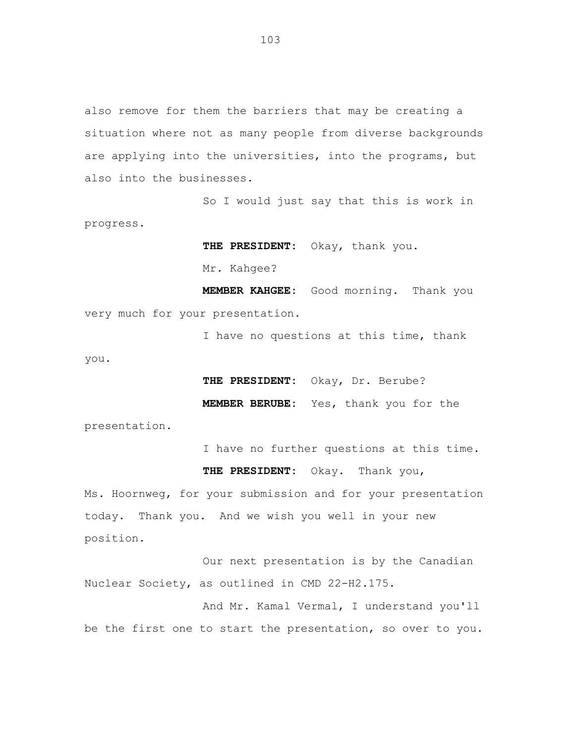also remove for them the barriers that may be creating a situation where not as many people from diverse backgrounds are applying into the universities, into the programs, but also into the businesses.

So I would just say that this is work in progress.

**THE PRESIDENT:** Okay, thank you.

Mr. Kahgee?

**MEMBER KAHGEE:** Good morning. Thank you very much for your presentation.

I have no questions at this time, thank

you.

**THE PRESIDENT:** Okay, Dr. Berube?

**MEMBER BERUBE:** Yes, thank you for the

presentation.

I have no further questions at this time.

**THE PRESIDENT:** Okay. Thank you,

Ms. Hoornweg, for your submission and for your presentation today. Thank you. And we wish you well in your new position.

Our next presentation is by the Canadian Nuclear Society, as outlined in CMD 22-H2.175.

And Mr. Kamal Vermal, I understand you'll be the first one to start the presentation, so over to you.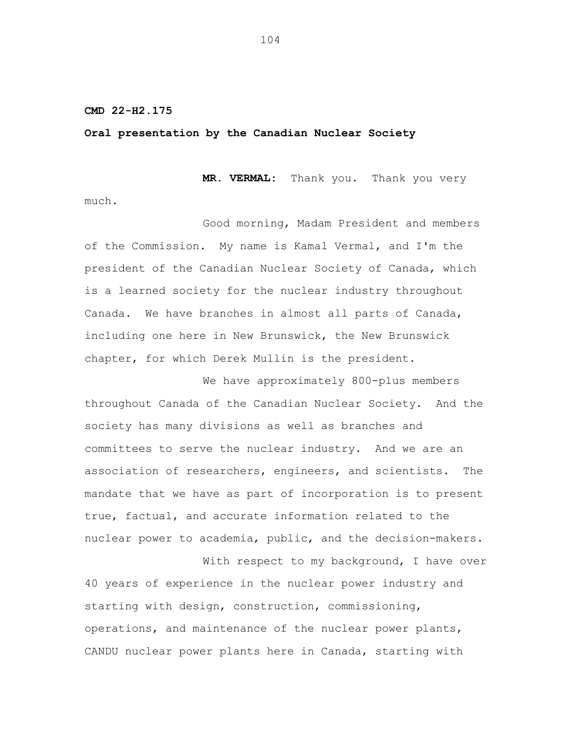## **CMD 22-H2.175**

## **Oral presentation by the Canadian Nuclear Society**

**MR. VERMAL:** Thank you. Thank you very

much.

Good morning, Madam President and members of the Commission. My name is Kamal Vermal, and I'm the president of the Canadian Nuclear Society of Canada, which is a learned society for the nuclear industry throughout Canada. We have branches in almost all parts of Canada, including one here in New Brunswick, the New Brunswick chapter, for which Derek Mullin is the president.

We have approximately 800-plus members throughout Canada of the Canadian Nuclear Society. And the society has many divisions as well as branches and committees to serve the nuclear industry. And we are an association of researchers, engineers, and scientists. The mandate that we have as part of incorporation is to present true, factual, and accurate information related to the nuclear power to academia, public, and the decision-makers.

With respect to my background, I have over 40 years of experience in the nuclear power industry and starting with design, construction, commissioning, operations, and maintenance of the nuclear power plants, CANDU nuclear power plants here in Canada, starting with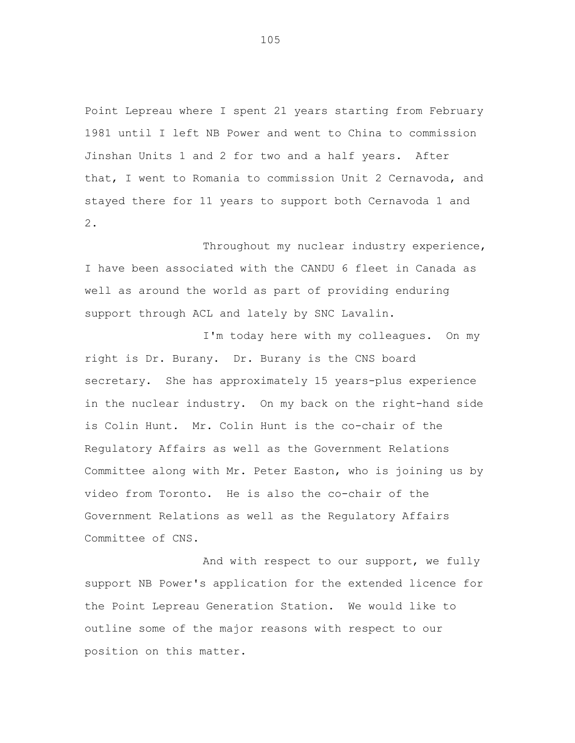Point Lepreau where I spent 21 years starting from February 1981 until I left NB Power and went to China to commission Jinshan Units 1 and 2 for two and a half years. After that, I went to Romania to commission Unit 2 Cernavoda, and stayed there for 11 years to support both Cernavoda 1 and 2.

Throughout my nuclear industry experience, I have been associated with the CANDU 6 fleet in Canada as well as around the world as part of providing enduring support through ACL and lately by SNC Lavalin.

I'm today here with my colleagues. On my right is Dr. Burany. Dr. Burany is the CNS board secretary. She has approximately 15 years-plus experience in the nuclear industry. On my back on the right-hand side is Colin Hunt. Mr. Colin Hunt is the co-chair of the Regulatory Affairs as well as the Government Relations Committee along with Mr. Peter Easton, who is joining us by video from Toronto. He is also the co-chair of the Government Relations as well as the Regulatory Affairs Committee of CNS.

And with respect to our support, we fully support NB Power's application for the extended licence for the Point Lepreau Generation Station. We would like to outline some of the major reasons with respect to our position on this matter.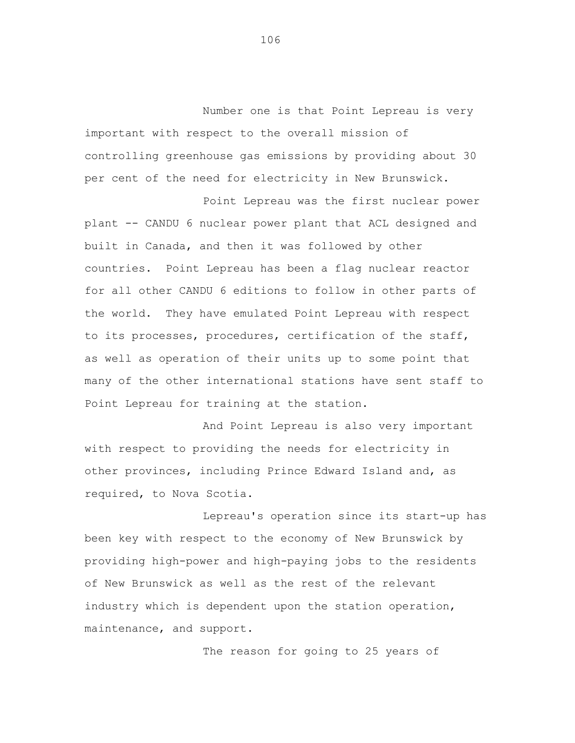Number one is that Point Lepreau is very important with respect to the overall mission of controlling greenhouse gas emissions by providing about 30 per cent of the need for electricity in New Brunswick.

Point Lepreau was the first nuclear power plant -- CANDU 6 nuclear power plant that ACL designed and built in Canada, and then it was followed by other countries. Point Lepreau has been a flag nuclear reactor for all other CANDU 6 editions to follow in other parts of the world. They have emulated Point Lepreau with respect to its processes, procedures, certification of the staff, as well as operation of their units up to some point that many of the other international stations have sent staff to Point Lepreau for training at the station.

And Point Lepreau is also very important with respect to providing the needs for electricity in other provinces, including Prince Edward Island and, as required, to Nova Scotia.

Lepreau's operation since its start-up has been key with respect to the economy of New Brunswick by providing high-power and high-paying jobs to the residents of New Brunswick as well as the rest of the relevant industry which is dependent upon the station operation, maintenance, and support.

The reason for going to 25 years of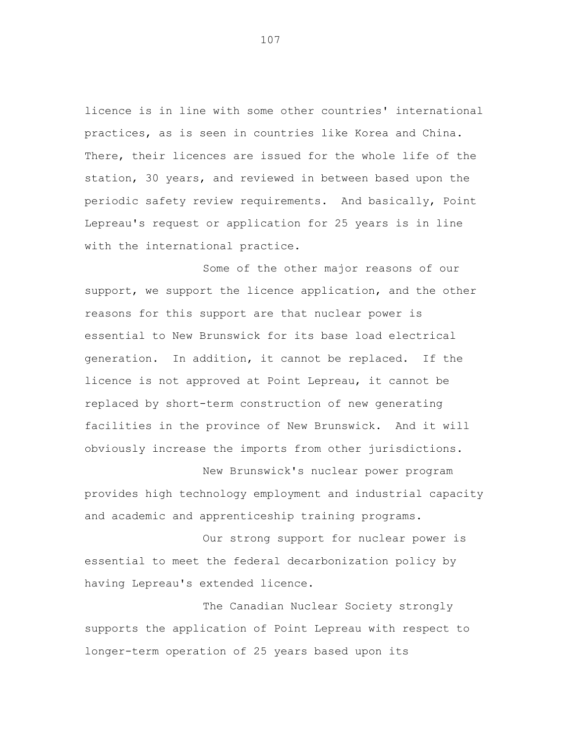licence is in line with some other countries' international practices, as is seen in countries like Korea and China. There, their licences are issued for the whole life of the station, 30 years, and reviewed in between based upon the periodic safety review requirements. And basically, Point Lepreau's request or application for 25 years is in line with the international practice.

Some of the other major reasons of our support, we support the licence application, and the other reasons for this support are that nuclear power is essential to New Brunswick for its base load electrical generation. In addition, it cannot be replaced. If the licence is not approved at Point Lepreau, it cannot be replaced by short-term construction of new generating facilities in the province of New Brunswick. And it will obviously increase the imports from other jurisdictions.

New Brunswick's nuclear power program provides high technology employment and industrial capacity and academic and apprenticeship training programs.

Our strong support for nuclear power is essential to meet the federal decarbonization policy by having Lepreau's extended licence.

The Canadian Nuclear Society strongly supports the application of Point Lepreau with respect to longer-term operation of 25 years based upon its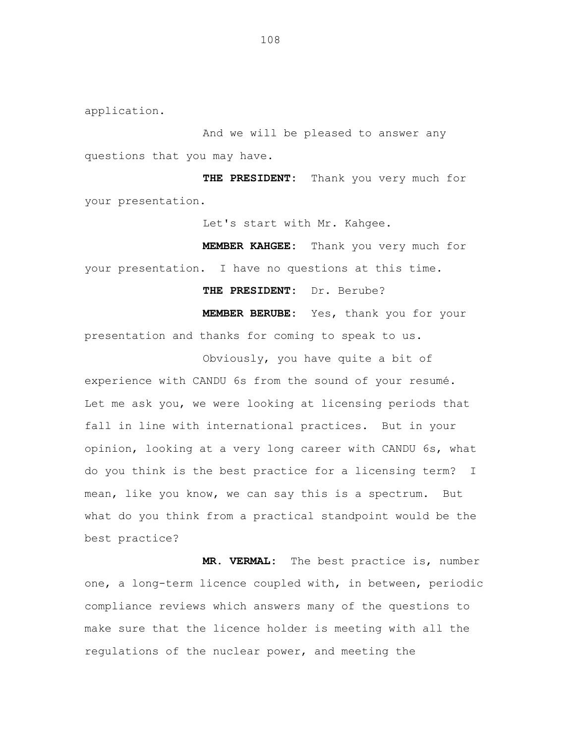application.

And we will be pleased to answer any questions that you may have.

**THE PRESIDENT:** Thank you very much for your presentation.

Let's start with Mr. Kahgee.

**MEMBER KAHGEE:** Thank you very much for your presentation. I have no questions at this time.

**THE PRESIDENT:** Dr. Berube?

**MEMBER BERUBE:** Yes, thank you for your presentation and thanks for coming to speak to us.

Obviously, you have quite a bit of experience with CANDU 6s from the sound of your resumé. Let me ask you, we were looking at licensing periods that fall in line with international practices. But in your opinion, looking at a very long career with CANDU 6s, what do you think is the best practice for a licensing term? I mean, like you know, we can say this is a spectrum. But what do you think from a practical standpoint would be the best practice?

**MR. VERMAL:** The best practice is, number one, a long-term licence coupled with, in between, periodic compliance reviews which answers many of the questions to make sure that the licence holder is meeting with all the regulations of the nuclear power, and meeting the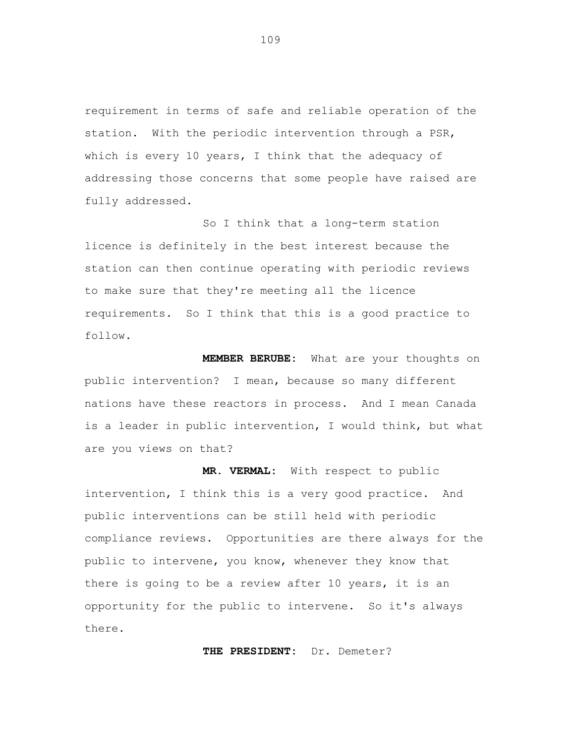requirement in terms of safe and reliable operation of the station. With the periodic intervention through a PSR, which is every 10 years, I think that the adequacy of addressing those concerns that some people have raised are fully addressed.

So I think that a long-term station licence is definitely in the best interest because the station can then continue operating with periodic reviews to make sure that they're meeting all the licence requirements. So I think that this is a good practice to follow.

**MEMBER BERUBE:** What are your thoughts on public intervention? I mean, because so many different nations have these reactors in process. And I mean Canada is a leader in public intervention, I would think, but what are you views on that?

**MR. VERMAL:** With respect to public intervention, I think this is a very good practice. And public interventions can be still held with periodic compliance reviews. Opportunities are there always for the public to intervene, you know, whenever they know that there is going to be a review after 10 years, it is an opportunity for the public to intervene. So it's always there.

**THE PRESIDENT:** Dr. Demeter?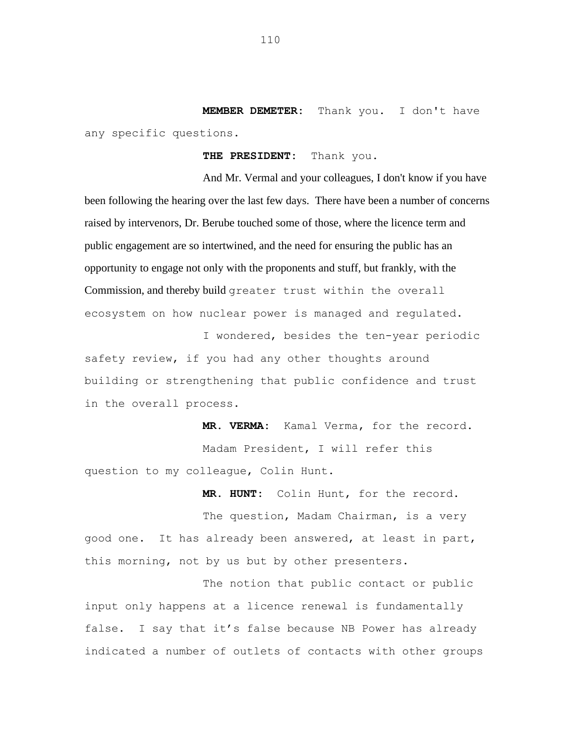**MEMBER DEMETER:** Thank you. I don't have any specific questions.

**THE PRESIDENT:** Thank you.

And Mr. Vermal and your colleagues, I don't know if you have been following the hearing over the last few days. There have been a number of concerns raised by intervenors, Dr. Berube touched some of those, where the licence term and public engagement are so intertwined, and the need for ensuring the public has an opportunity to engage not only with the proponents and stuff, but frankly, with the Commission, and thereby build greater trust within the overall ecosystem on how nuclear power is managed and regulated.

I wondered, besides the ten-year periodic safety review, if you had any other thoughts around building or strengthening that public confidence and trust in the overall process.

**MR. VERMA:** Kamal Verma, for the record. Madam President, I will refer this question to my colleague, Colin Hunt.

**MR. HUNT:** Colin Hunt, for the record.

The question, Madam Chairman, is a very good one. It has already been answered, at least in part, this morning, not by us but by other presenters.

The notion that public contact or public input only happens at a licence renewal is fundamentally false. I say that it's false because NB Power has already indicated a number of outlets of contacts with other groups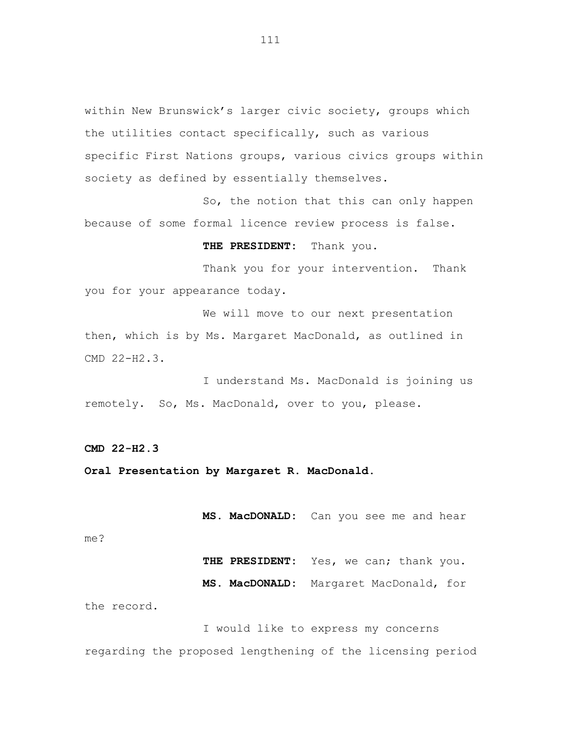within New Brunswick's larger civic society, groups which the utilities contact specifically, such as various specific First Nations groups, various civics groups within society as defined by essentially themselves.

So, the notion that this can only happen because of some formal licence review process is false.

**THE PRESIDENT:** Thank you.

Thank you for your intervention. Thank you for your appearance today.

We will move to our next presentation then, which is by Ms. Margaret MacDonald, as outlined in CMD 22-H2.3.

I understand Ms. MacDonald is joining us remotely. So, Ms. MacDonald, over to you, please.

**CMD 22-H2.3**

**Oral Presentation by Margaret R. MacDonald.**

**MS. MacDONALD:** Can you see me and hear

me?

THE PRESIDENT: Yes, we can; thank you.

**MS. MacDONALD:** Margaret MacDonald, for

the record.

I would like to express my concerns regarding the proposed lengthening of the licensing period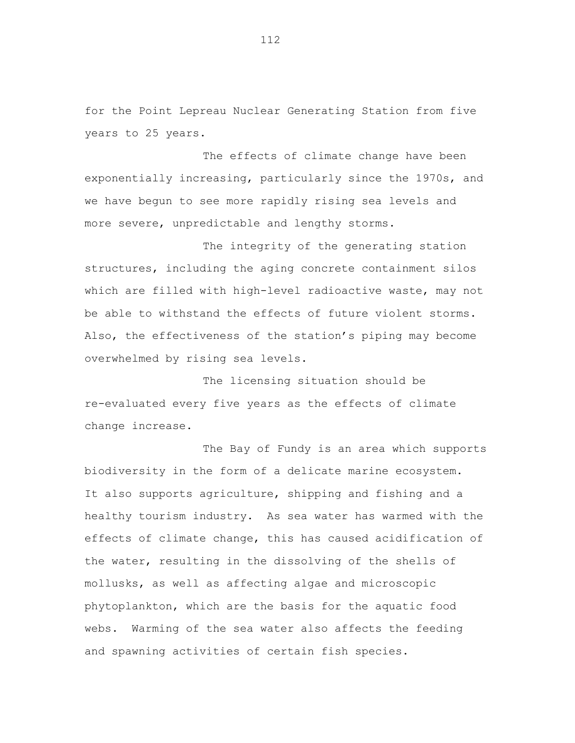for the Point Lepreau Nuclear Generating Station from five years to 25 years.

The effects of climate change have been exponentially increasing, particularly since the 1970s, and we have begun to see more rapidly rising sea levels and more severe, unpredictable and lengthy storms.

The integrity of the generating station structures, including the aging concrete containment silos which are filled with high-level radioactive waste, may not be able to withstand the effects of future violent storms. Also, the effectiveness of the station's piping may become overwhelmed by rising sea levels.

The licensing situation should be re-evaluated every five years as the effects of climate change increase.

The Bay of Fundy is an area which supports biodiversity in the form of a delicate marine ecosystem. It also supports agriculture, shipping and fishing and a healthy tourism industry. As sea water has warmed with the effects of climate change, this has caused acidification of the water, resulting in the dissolving of the shells of mollusks, as well as affecting algae and microscopic phytoplankton, which are the basis for the aquatic food webs. Warming of the sea water also affects the feeding and spawning activities of certain fish species.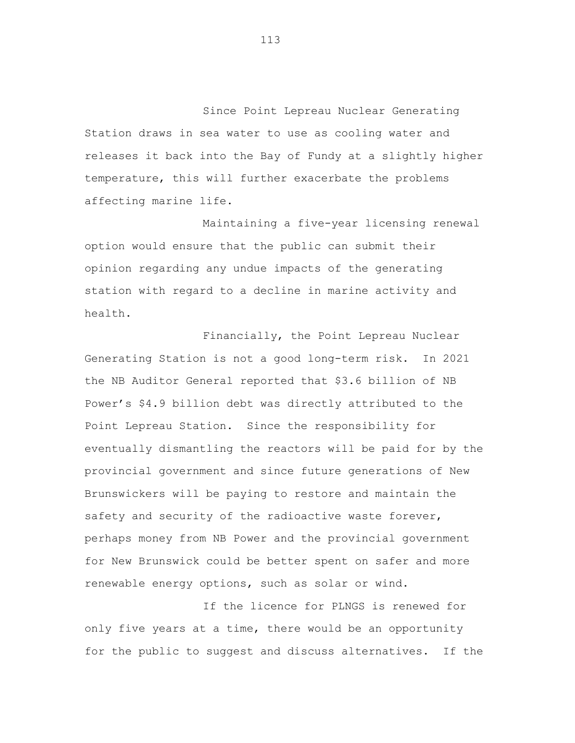Since Point Lepreau Nuclear Generating Station draws in sea water to use as cooling water and releases it back into the Bay of Fundy at a slightly higher temperature, this will further exacerbate the problems affecting marine life.

Maintaining a five-year licensing renewal option would ensure that the public can submit their opinion regarding any undue impacts of the generating station with regard to a decline in marine activity and health.

Financially, the Point Lepreau Nuclear Generating Station is not a good long-term risk. In 2021 the NB Auditor General reported that \$3.6 billion of NB Power's \$4.9 billion debt was directly attributed to the Point Lepreau Station. Since the responsibility for eventually dismantling the reactors will be paid for by the provincial government and since future generations of New Brunswickers will be paying to restore and maintain the safety and security of the radioactive waste forever, perhaps money from NB Power and the provincial government for New Brunswick could be better spent on safer and more renewable energy options, such as solar or wind.

If the licence for PLNGS is renewed for only five years at a time, there would be an opportunity for the public to suggest and discuss alternatives. If the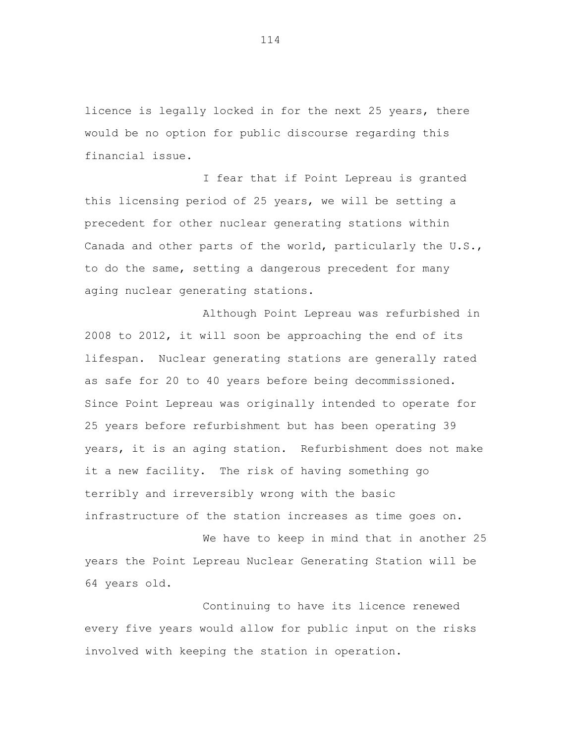licence is legally locked in for the next 25 years, there would be no option for public discourse regarding this financial issue.

I fear that if Point Lepreau is granted this licensing period of 25 years, we will be setting a precedent for other nuclear generating stations within Canada and other parts of the world, particularly the U.S., to do the same, setting a dangerous precedent for many aging nuclear generating stations.

Although Point Lepreau was refurbished in 2008 to 2012, it will soon be approaching the end of its lifespan. Nuclear generating stations are generally rated as safe for 20 to 40 years before being decommissioned. Since Point Lepreau was originally intended to operate for 25 years before refurbishment but has been operating 39 years, it is an aging station. Refurbishment does not make it a new facility. The risk of having something go terribly and irreversibly wrong with the basic infrastructure of the station increases as time goes on.

We have to keep in mind that in another 25 years the Point Lepreau Nuclear Generating Station will be 64 years old.

Continuing to have its licence renewed every five years would allow for public input on the risks involved with keeping the station in operation.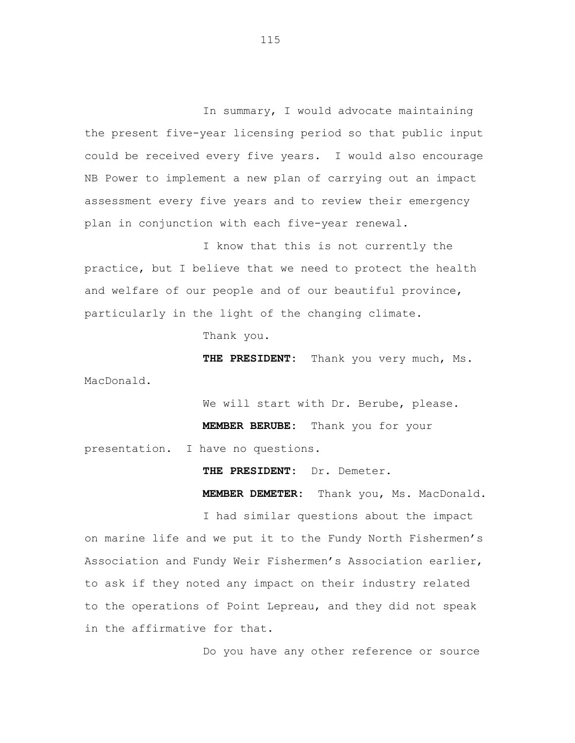In summary, I would advocate maintaining the present five-year licensing period so that public input could be received every five years. I would also encourage NB Power to implement a new plan of carrying out an impact assessment every five years and to review their emergency plan in conjunction with each five-year renewal.

I know that this is not currently the practice, but I believe that we need to protect the health and welfare of our people and of our beautiful province, particularly in the light of the changing climate.

Thank you.

**THE PRESIDENT:** Thank you very much, Ms. MacDonald.

We will start with Dr. Berube, please.

**MEMBER BERUBE:** Thank you for your

presentation. I have no questions.

**THE PRESIDENT:** Dr. Demeter.

**MEMBER DEMETER:** Thank you, Ms. MacDonald.

I had similar questions about the impact on marine life and we put it to the Fundy North Fishermen's Association and Fundy Weir Fishermen's Association earlier, to ask if they noted any impact on their industry related to the operations of Point Lepreau, and they did not speak in the affirmative for that.

Do you have any other reference or source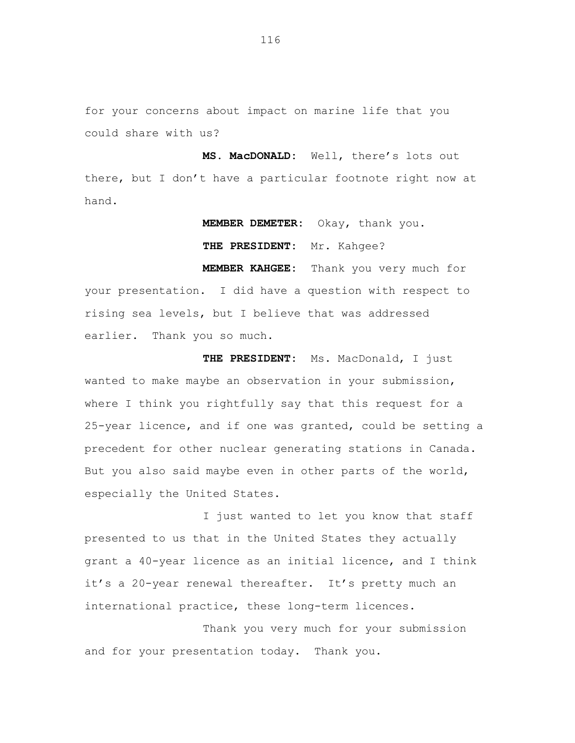for your concerns about impact on marine life that you could share with us?

**MS. MacDONALD:** Well, there's lots out there, but I don't have a particular footnote right now at hand.

**MEMBER DEMETER:** Okay, thank you.

**THE PRESIDENT:** Mr. Kahgee?

**MEMBER KAHGEE:** Thank you very much for your presentation. I did have a question with respect to rising sea levels, but I believe that was addressed earlier. Thank you so much.

**THE PRESIDENT:** Ms. MacDonald, I just wanted to make maybe an observation in your submission, where I think you rightfully say that this request for a 25-year licence, and if one was granted, could be setting a precedent for other nuclear generating stations in Canada. But you also said maybe even in other parts of the world, especially the United States.

I just wanted to let you know that staff presented to us that in the United States they actually grant a 40-year licence as an initial licence, and I think it's a 20-year renewal thereafter. It's pretty much an international practice, these long-term licences.

Thank you very much for your submission and for your presentation today. Thank you.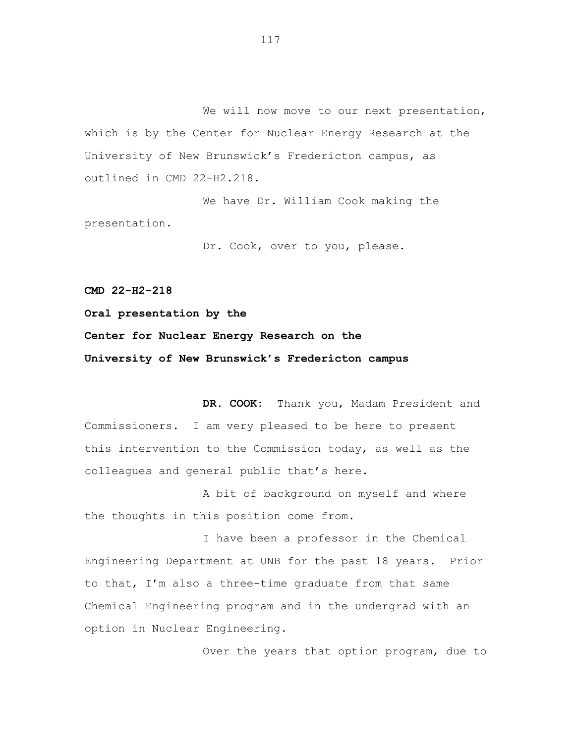We will now move to our next presentation, which is by the Center for Nuclear Energy Research at the University of New Brunswick's Fredericton campus, as outlined in CMD 22-H2.218.

We have Dr. William Cook making the presentation.

Dr. Cook, over to you, please.

**CMD 22-H2-218**

**Oral presentation by the**

**Center for Nuclear Energy Research on the University of New Brunswick's Fredericton campus**

**DR. COOK:** Thank you, Madam President and Commissioners. I am very pleased to be here to present this intervention to the Commission today, as well as the colleagues and general public that's here.

A bit of background on myself and where the thoughts in this position come from.

I have been a professor in the Chemical Engineering Department at UNB for the past 18 years. Prior to that, I'm also a three-time graduate from that same Chemical Engineering program and in the undergrad with an option in Nuclear Engineering.

Over the years that option program, due to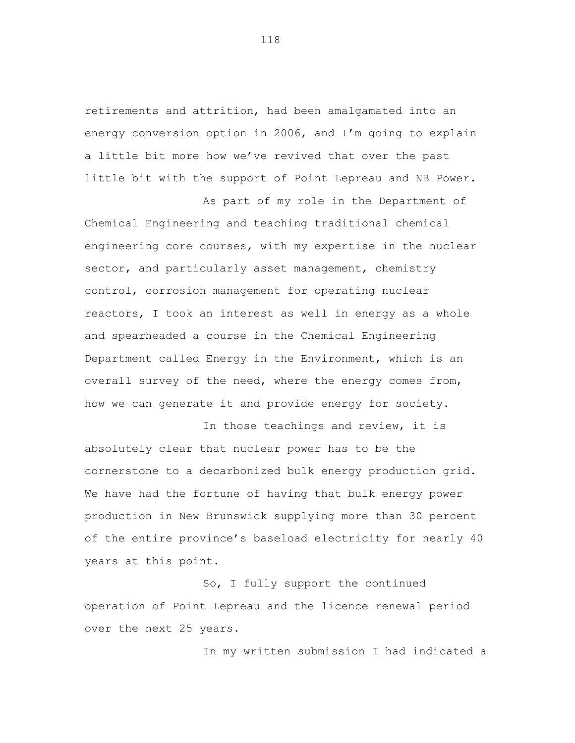retirements and attrition, had been amalgamated into an energy conversion option in 2006, and I'm going to explain a little bit more how we've revived that over the past little bit with the support of Point Lepreau and NB Power.

As part of my role in the Department of

Chemical Engineering and teaching traditional chemical engineering core courses, with my expertise in the nuclear sector, and particularly asset management, chemistry control, corrosion management for operating nuclear reactors, I took an interest as well in energy as a whole and spearheaded a course in the Chemical Engineering Department called Energy in the Environment, which is an overall survey of the need, where the energy comes from, how we can generate it and provide energy for society.

In those teachings and review, it is absolutely clear that nuclear power has to be the cornerstone to a decarbonized bulk energy production grid. We have had the fortune of having that bulk energy power production in New Brunswick supplying more than 30 percent of the entire province's baseload electricity for nearly 40 years at this point.

So, I fully support the continued operation of Point Lepreau and the licence renewal period over the next 25 years.

In my written submission I had indicated a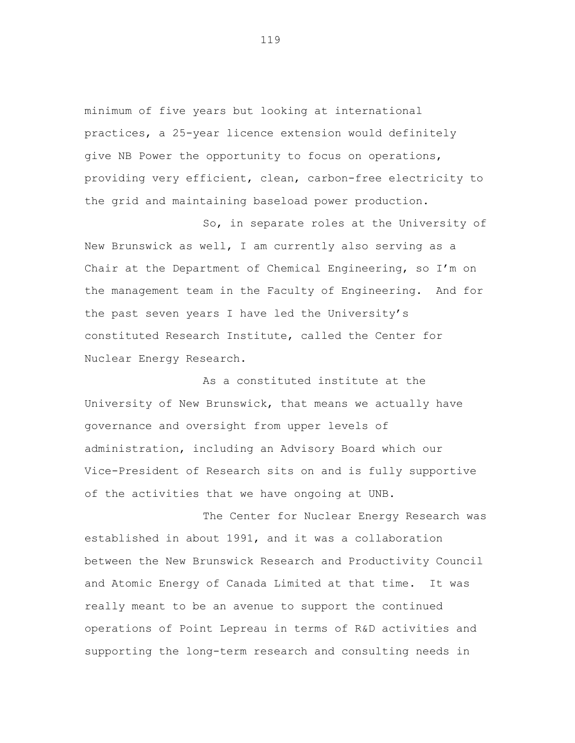minimum of five years but looking at international practices, a 25-year licence extension would definitely give NB Power the opportunity to focus on operations, providing very efficient, clean, carbon-free electricity to the grid and maintaining baseload power production.

So, in separate roles at the University of New Brunswick as well, I am currently also serving as a Chair at the Department of Chemical Engineering, so I'm on the management team in the Faculty of Engineering. And for the past seven years I have led the University's constituted Research Institute, called the Center for Nuclear Energy Research.

As a constituted institute at the University of New Brunswick, that means we actually have governance and oversight from upper levels of administration, including an Advisory Board which our Vice-President of Research sits on and is fully supportive of the activities that we have ongoing at UNB.

The Center for Nuclear Energy Research was established in about 1991, and it was a collaboration between the New Brunswick Research and Productivity Council and Atomic Energy of Canada Limited at that time. It was really meant to be an avenue to support the continued operations of Point Lepreau in terms of R&D activities and supporting the long-term research and consulting needs in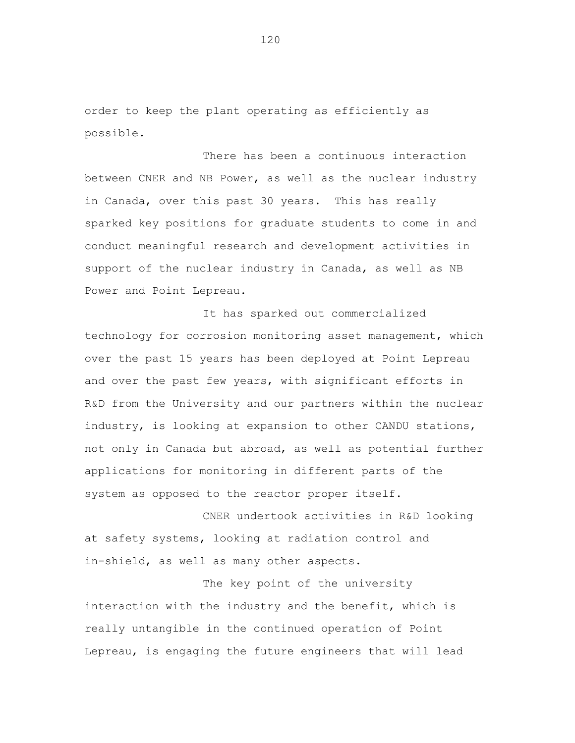order to keep the plant operating as efficiently as possible.

There has been a continuous interaction between CNER and NB Power, as well as the nuclear industry in Canada, over this past 30 years. This has really sparked key positions for graduate students to come in and conduct meaningful research and development activities in support of the nuclear industry in Canada, as well as NB Power and Point Lepreau.

It has sparked out commercialized technology for corrosion monitoring asset management, which over the past 15 years has been deployed at Point Lepreau and over the past few years, with significant efforts in R&D from the University and our partners within the nuclear industry, is looking at expansion to other CANDU stations, not only in Canada but abroad, as well as potential further applications for monitoring in different parts of the system as opposed to the reactor proper itself.

CNER undertook activities in R&D looking at safety systems, looking at radiation control and in-shield, as well as many other aspects.

The key point of the university interaction with the industry and the benefit, which is really untangible in the continued operation of Point Lepreau, is engaging the future engineers that will lead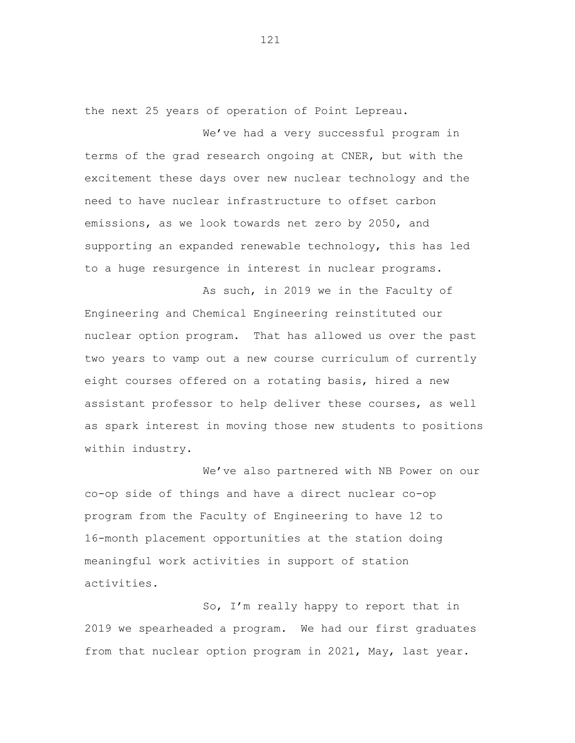the next 25 years of operation of Point Lepreau.

We've had a very successful program in terms of the grad research ongoing at CNER, but with the excitement these days over new nuclear technology and the need to have nuclear infrastructure to offset carbon emissions, as we look towards net zero by 2050, and supporting an expanded renewable technology, this has led to a huge resurgence in interest in nuclear programs.

As such, in 2019 we in the Faculty of Engineering and Chemical Engineering reinstituted our nuclear option program. That has allowed us over the past two years to vamp out a new course curriculum of currently eight courses offered on a rotating basis, hired a new assistant professor to help deliver these courses, as well as spark interest in moving those new students to positions within industry.

We've also partnered with NB Power on our co-op side of things and have a direct nuclear co-op program from the Faculty of Engineering to have 12 to 16-month placement opportunities at the station doing meaningful work activities in support of station activities.

So, I'm really happy to report that in 2019 we spearheaded a program. We had our first graduates from that nuclear option program in 2021, May, last year.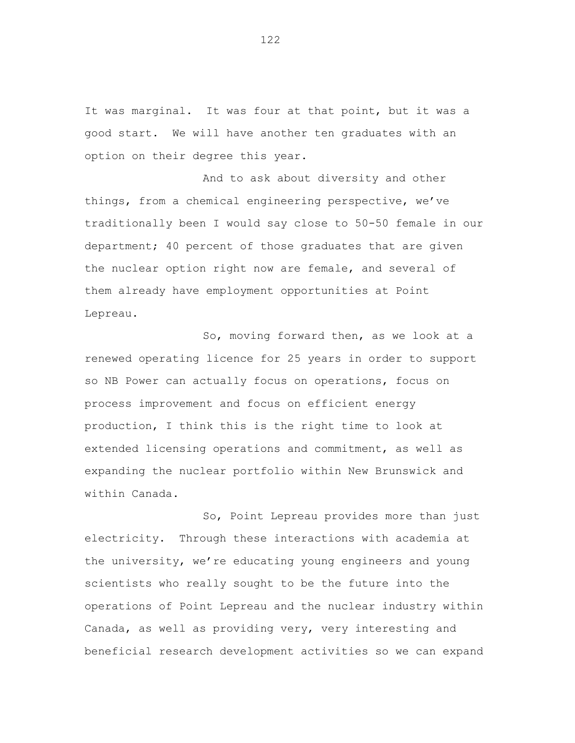It was marginal. It was four at that point, but it was a good start. We will have another ten graduates with an option on their degree this year.

And to ask about diversity and other things, from a chemical engineering perspective, we've traditionally been I would say close to 50-50 female in our department; 40 percent of those graduates that are given the nuclear option right now are female, and several of them already have employment opportunities at Point Lepreau.

So, moving forward then, as we look at a renewed operating licence for 25 years in order to support so NB Power can actually focus on operations, focus on process improvement and focus on efficient energy production, I think this is the right time to look at extended licensing operations and commitment, as well as expanding the nuclear portfolio within New Brunswick and within Canada.

So, Point Lepreau provides more than just electricity. Through these interactions with academia at the university, we're educating young engineers and young scientists who really sought to be the future into the operations of Point Lepreau and the nuclear industry within Canada, as well as providing very, very interesting and beneficial research development activities so we can expand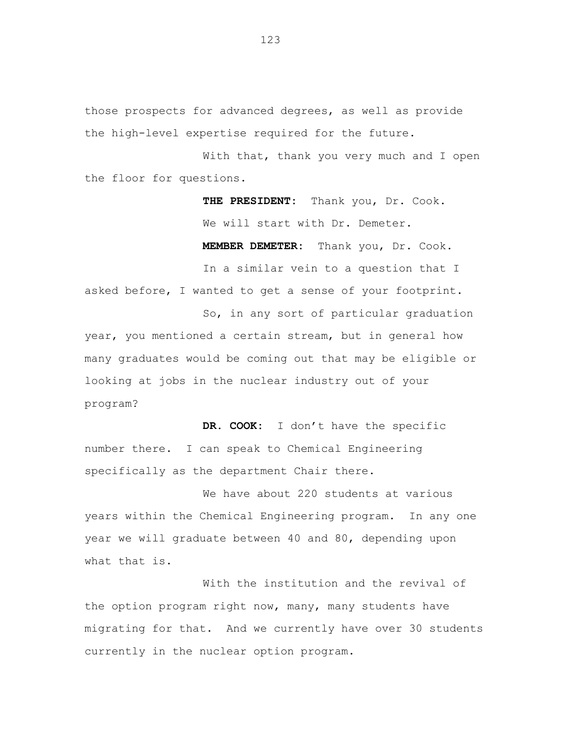those prospects for advanced degrees, as well as provide the high-level expertise required for the future.

With that, thank you very much and I open the floor for questions.

> **THE PRESIDENT:** Thank you, Dr. Cook. We will start with Dr. Demeter. **MEMBER DEMETER:** Thank you, Dr. Cook.

In a similar vein to a question that I asked before, I wanted to get a sense of your footprint.

So, in any sort of particular graduation year, you mentioned a certain stream, but in general how many graduates would be coming out that may be eligible or looking at jobs in the nuclear industry out of your program?

**DR. COOK:** I don't have the specific number there. I can speak to Chemical Engineering specifically as the department Chair there.

We have about 220 students at various years within the Chemical Engineering program. In any one year we will graduate between 40 and 80, depending upon what that is.

With the institution and the revival of the option program right now, many, many students have migrating for that. And we currently have over 30 students currently in the nuclear option program.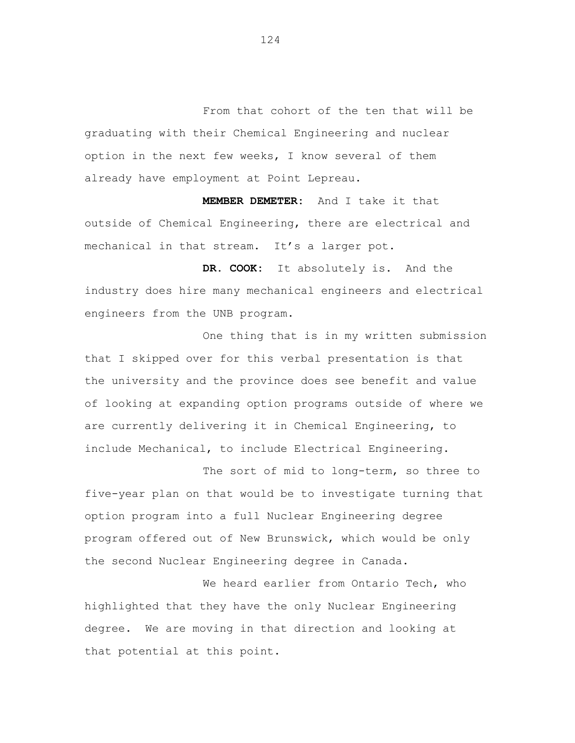From that cohort of the ten that will be graduating with their Chemical Engineering and nuclear option in the next few weeks, I know several of them already have employment at Point Lepreau.

**MEMBER DEMETER:** And I take it that outside of Chemical Engineering, there are electrical and mechanical in that stream. It's a larger pot.

**DR. COOK:** It absolutely is. And the industry does hire many mechanical engineers and electrical engineers from the UNB program.

One thing that is in my written submission that I skipped over for this verbal presentation is that the university and the province does see benefit and value of looking at expanding option programs outside of where we are currently delivering it in Chemical Engineering, to include Mechanical, to include Electrical Engineering.

The sort of mid to long-term, so three to five-year plan on that would be to investigate turning that option program into a full Nuclear Engineering degree program offered out of New Brunswick, which would be only the second Nuclear Engineering degree in Canada.

We heard earlier from Ontario Tech, who highlighted that they have the only Nuclear Engineering degree. We are moving in that direction and looking at that potential at this point.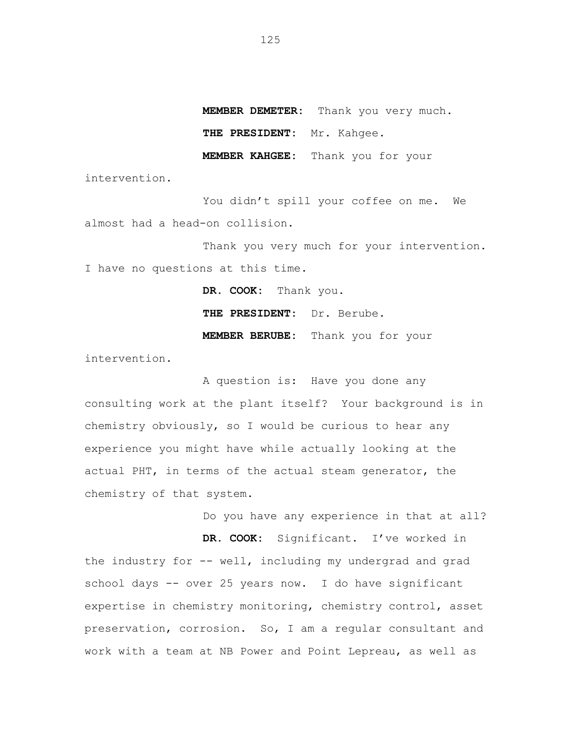**MEMBER DEMETER:** Thank you very much.

**THE PRESIDENT:** Mr. Kahgee.

**MEMBER KAHGEE:** Thank you for your

intervention.

You didn't spill your coffee on me. We almost had a head-on collision.

Thank you very much for your intervention. I have no questions at this time.

> **DR. COOK:** Thank you. **THE PRESIDENT:** Dr. Berube. **MEMBER BERUBE:** Thank you for your

intervention.

A question is: Have you done any consulting work at the plant itself? Your background is in chemistry obviously, so I would be curious to hear any experience you might have while actually looking at the actual PHT, in terms of the actual steam generator, the chemistry of that system.

Do you have any experience in that at all?

**DR. COOK:** Significant. I've worked in the industry for -- well, including my undergrad and grad school days -- over 25 years now. I do have significant expertise in chemistry monitoring, chemistry control, asset preservation, corrosion. So, I am a regular consultant and work with a team at NB Power and Point Lepreau, as well as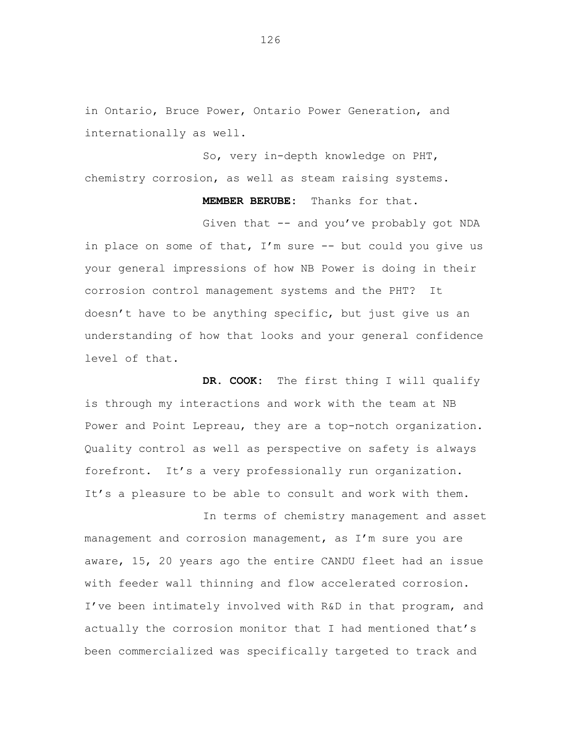in Ontario, Bruce Power, Ontario Power Generation, and internationally as well.

So, very in-depth knowledge on PHT, chemistry corrosion, as well as steam raising systems.

> **MEMBER BERUBE:** Thanks for that. Given that -- and you've probably got NDA

in place on some of that,  $I'm$  sure  $-$  but could you give us your general impressions of how NB Power is doing in their corrosion control management systems and the PHT? It doesn't have to be anything specific, but just give us an understanding of how that looks and your general confidence level of that.

**DR. COOK:** The first thing I will qualify is through my interactions and work with the team at NB Power and Point Lepreau, they are a top-notch organization. Quality control as well as perspective on safety is always forefront. It's a very professionally run organization. It's a pleasure to be able to consult and work with them.

In terms of chemistry management and asset management and corrosion management, as I'm sure you are aware, 15, 20 years ago the entire CANDU fleet had an issue with feeder wall thinning and flow accelerated corrosion. I've been intimately involved with R&D in that program, and actually the corrosion monitor that I had mentioned that's been commercialized was specifically targeted to track and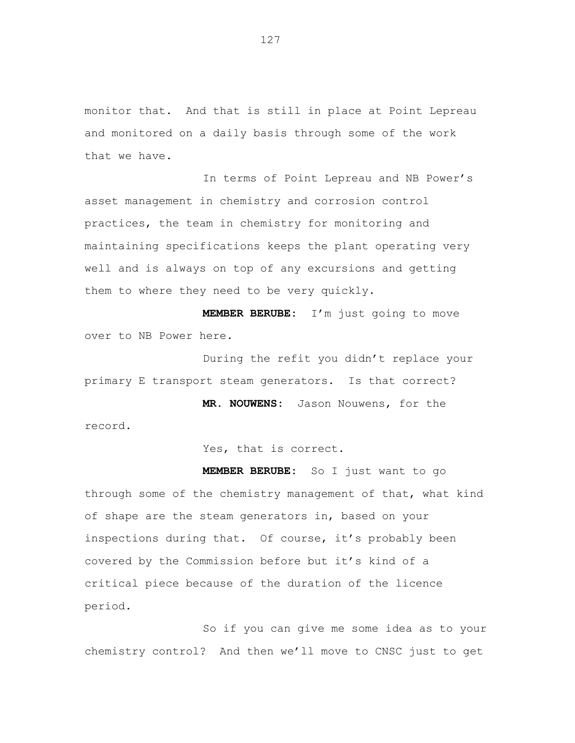monitor that. And that is still in place at Point Lepreau and monitored on a daily basis through some of the work that we have.

In terms of Point Lepreau and NB Power's asset management in chemistry and corrosion control practices, the team in chemistry for monitoring and maintaining specifications keeps the plant operating very well and is always on top of any excursions and getting them to where they need to be very quickly.

**MEMBER BERUBE:** I'm just going to move over to NB Power here.

During the refit you didn't replace your primary E transport steam generators. Is that correct?

**MR. NOUWENS:** Jason Nouwens, for the record.

Yes, that is correct.

**MEMBER BERUBE:** So I just want to go through some of the chemistry management of that, what kind of shape are the steam generators in, based on your inspections during that. Of course, it's probably been covered by the Commission before but it's kind of a critical piece because of the duration of the licence period.

So if you can give me some idea as to your chemistry control? And then we'll move to CNSC just to get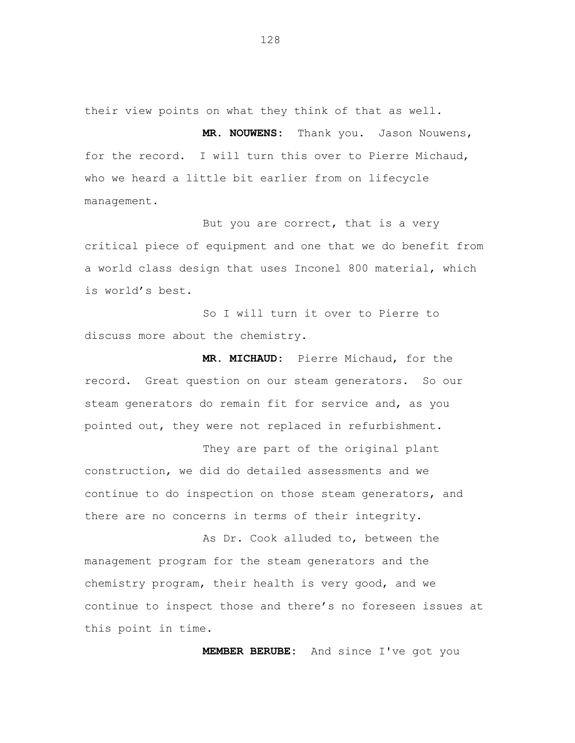their view points on what they think of that as well.

**MR. NOUWENS:** Thank you. Jason Nouwens, for the record. I will turn this over to Pierre Michaud, who we heard a little bit earlier from on lifecycle management.

But you are correct, that is a very critical piece of equipment and one that we do benefit from a world class design that uses Inconel 800 material, which is world's best.

So I will turn it over to Pierre to discuss more about the chemistry.

**MR. MICHAUD:** Pierre Michaud, for the record. Great question on our steam generators. So our steam generators do remain fit for service and, as you pointed out, they were not replaced in refurbishment.

They are part of the original plant construction, we did do detailed assessments and we continue to do inspection on those steam generators, and there are no concerns in terms of their integrity.

As Dr. Cook alluded to, between the management program for the steam generators and the chemistry program, their health is very good, and we continue to inspect those and there's no foreseen issues at this point in time.

**MEMBER BERUBE:** And since I've got you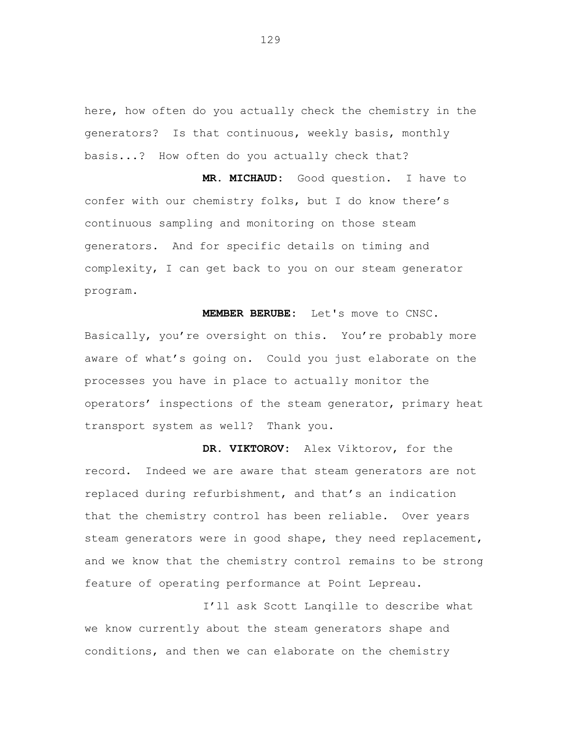here, how often do you actually check the chemistry in the generators? Is that continuous, weekly basis, monthly basis...? How often do you actually check that?

**MR. MICHAUD:** Good question. I have to confer with our chemistry folks, but I do know there's continuous sampling and monitoring on those steam generators. And for specific details on timing and complexity, I can get back to you on our steam generator program.

**MEMBER BERUBE:** Let's move to CNSC. Basically, you're oversight on this. You're probably more aware of what's going on. Could you just elaborate on the processes you have in place to actually monitor the operators' inspections of the steam generator, primary heat transport system as well? Thank you.

**DR. VIKTOROV:** Alex Viktorov, for the record. Indeed we are aware that steam generators are not replaced during refurbishment, and that's an indication that the chemistry control has been reliable. Over years steam generators were in good shape, they need replacement, and we know that the chemistry control remains to be strong feature of operating performance at Point Lepreau.

I'll ask Scott Lanqille to describe what we know currently about the steam generators shape and conditions, and then we can elaborate on the chemistry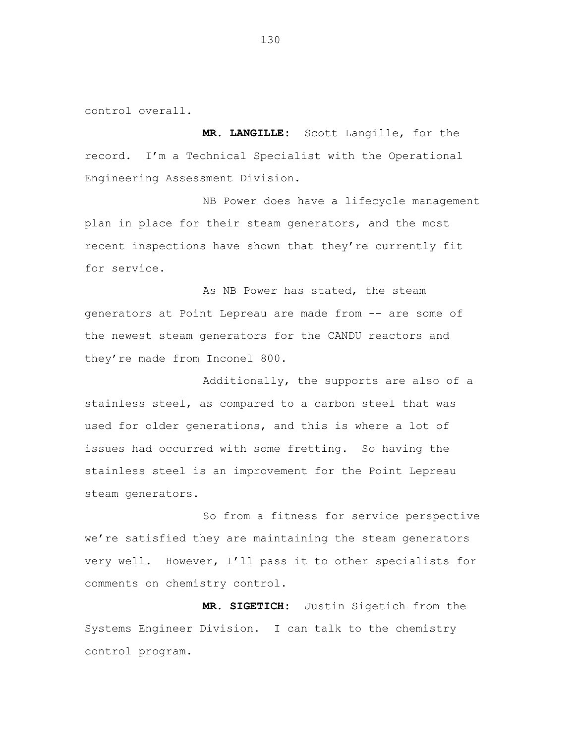control overall.

**MR. LANGILLE:** Scott Langille, for the record. I'm a Technical Specialist with the Operational Engineering Assessment Division.

NB Power does have a lifecycle management plan in place for their steam generators, and the most recent inspections have shown that they're currently fit for service.

As NB Power has stated, the steam generators at Point Lepreau are made from -- are some of the newest steam generators for the CANDU reactors and they're made from Inconel 800.

Additionally, the supports are also of a stainless steel, as compared to a carbon steel that was used for older generations, and this is where a lot of issues had occurred with some fretting. So having the stainless steel is an improvement for the Point Lepreau steam generators.

So from a fitness for service perspective we're satisfied they are maintaining the steam generators very well. However, I'll pass it to other specialists for comments on chemistry control.

**MR. SIGETICH:** Justin Sigetich from the Systems Engineer Division. I can talk to the chemistry control program.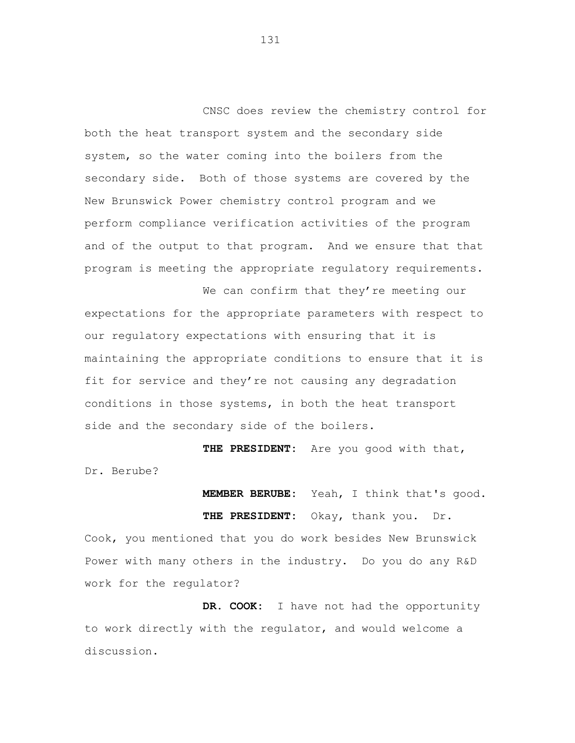CNSC does review the chemistry control for both the heat transport system and the secondary side system, so the water coming into the boilers from the secondary side. Both of those systems are covered by the New Brunswick Power chemistry control program and we perform compliance verification activities of the program and of the output to that program. And we ensure that that program is meeting the appropriate regulatory requirements.

We can confirm that they're meeting our expectations for the appropriate parameters with respect to our regulatory expectations with ensuring that it is maintaining the appropriate conditions to ensure that it is fit for service and they're not causing any degradation conditions in those systems, in both the heat transport side and the secondary side of the boilers.

**THE PRESIDENT:** Are you good with that, Dr. Berube?

> **MEMBER BERUBE:** Yeah, I think that's good. **THE PRESIDENT:** Okay, thank you. Dr.

Cook, you mentioned that you do work besides New Brunswick Power with many others in the industry. Do you do any R&D work for the regulator?

**DR. COOK:** I have not had the opportunity to work directly with the regulator, and would welcome a discussion.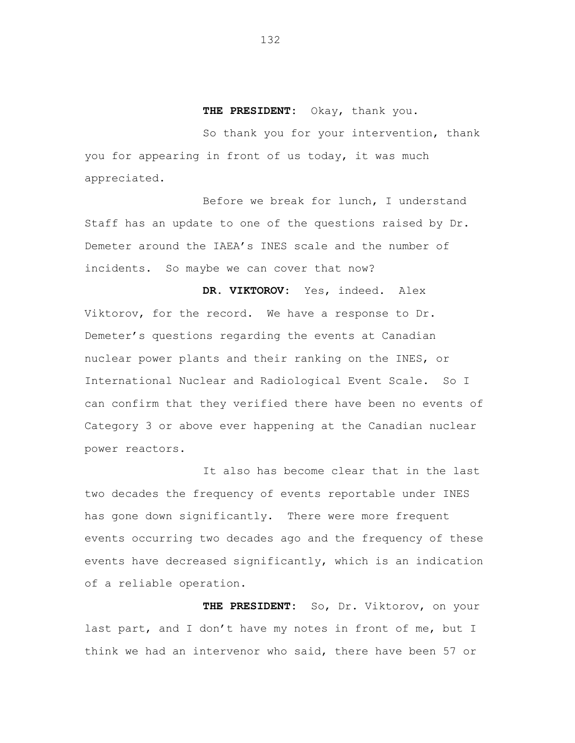**THE PRESIDENT:** Okay, thank you.

So thank you for your intervention, thank you for appearing in front of us today, it was much appreciated.

Before we break for lunch, I understand Staff has an update to one of the questions raised by Dr. Demeter around the IAEA's INES scale and the number of incidents. So maybe we can cover that now?

**DR. VIKTOROV:** Yes, indeed. Alex Viktorov, for the record. We have a response to Dr. Demeter's questions regarding the events at Canadian nuclear power plants and their ranking on the INES, or International Nuclear and Radiological Event Scale. So I can confirm that they verified there have been no events of Category 3 or above ever happening at the Canadian nuclear power reactors.

It also has become clear that in the last two decades the frequency of events reportable under INES has gone down significantly. There were more frequent events occurring two decades ago and the frequency of these events have decreased significantly, which is an indication of a reliable operation.

**THE PRESIDENT:** So, Dr. Viktorov, on your last part, and I don't have my notes in front of me, but I think we had an intervenor who said, there have been 57 or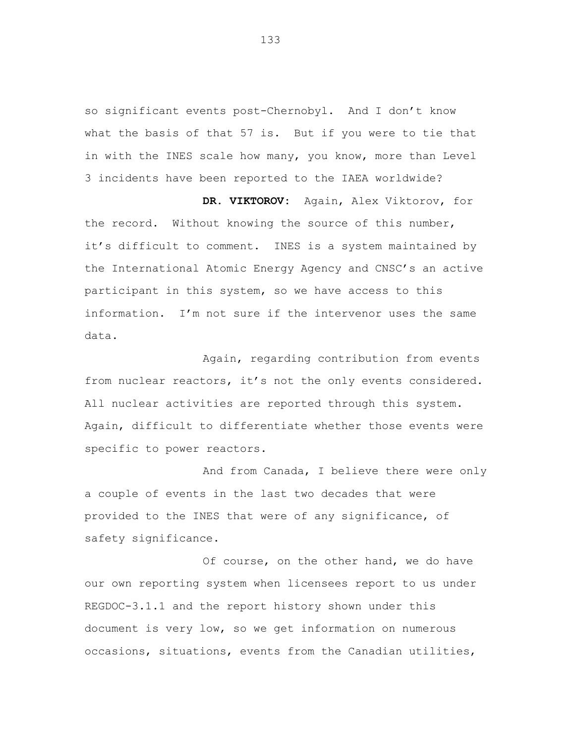so significant events post-Chernobyl. And I don't know what the basis of that 57 is. But if you were to tie that in with the INES scale how many, you know, more than Level 3 incidents have been reported to the IAEA worldwide?

**DR. VIKTOROV:** Again, Alex Viktorov, for the record. Without knowing the source of this number, it's difficult to comment. INES is a system maintained by the International Atomic Energy Agency and CNSC's an active participant in this system, so we have access to this information. I'm not sure if the intervenor uses the same data.

Again, regarding contribution from events from nuclear reactors, it's not the only events considered. All nuclear activities are reported through this system. Again, difficult to differentiate whether those events were specific to power reactors.

And from Canada, I believe there were only a couple of events in the last two decades that were provided to the INES that were of any significance, of safety significance.

Of course, on the other hand, we do have our own reporting system when licensees report to us under REGDOC-3.1.1 and the report history shown under this document is very low, so we get information on numerous occasions, situations, events from the Canadian utilities,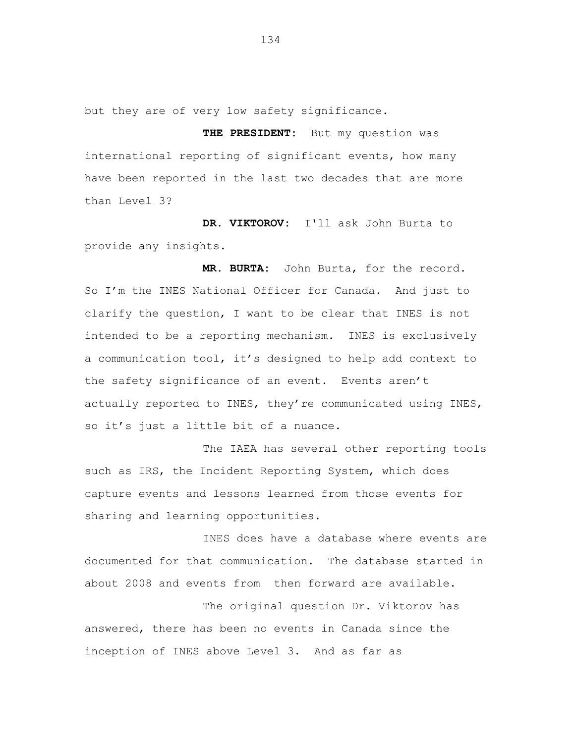but they are of very low safety significance.

**THE PRESIDENT:** But my question was international reporting of significant events, how many have been reported in the last two decades that are more than Level 3?

**DR. VIKTOROV:** I'll ask John Burta to provide any insights.

**MR. BURTA:** John Burta, for the record. So I'm the INES National Officer for Canada. And just to clarify the question, I want to be clear that INES is not intended to be a reporting mechanism. INES is exclusively a communication tool, it's designed to help add context to the safety significance of an event. Events aren't actually reported to INES, they're communicated using INES, so it's just a little bit of a nuance.

The IAEA has several other reporting tools such as IRS, the Incident Reporting System, which does capture events and lessons learned from those events for sharing and learning opportunities.

INES does have a database where events are documented for that communication. The database started in about 2008 and events from then forward are available.

The original question Dr. Viktorov has answered, there has been no events in Canada since the inception of INES above Level 3. And as far as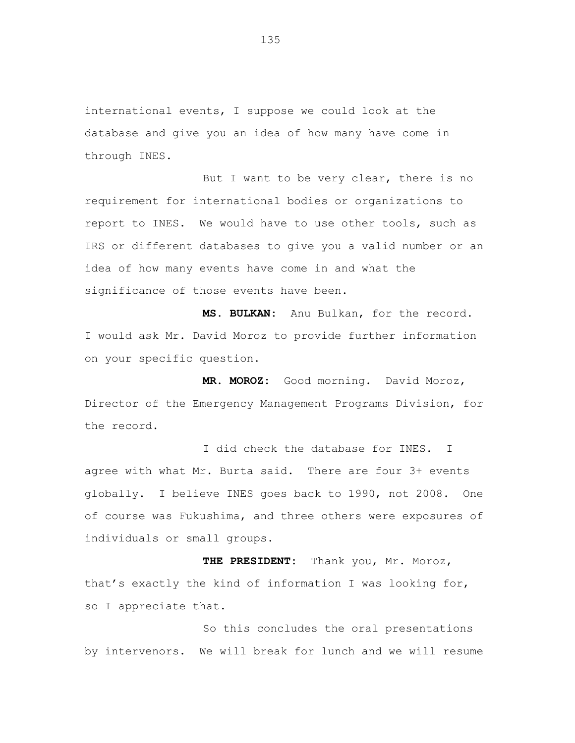international events, I suppose we could look at the database and give you an idea of how many have come in through INES.

But I want to be very clear, there is no requirement for international bodies or organizations to report to INES. We would have to use other tools, such as IRS or different databases to give you a valid number or an idea of how many events have come in and what the significance of those events have been.

**MS. BULKAN:** Anu Bulkan, for the record. I would ask Mr. David Moroz to provide further information on your specific question.

**MR. MOROZ:** Good morning. David Moroz, Director of the Emergency Management Programs Division, for the record.

I did check the database for INES. I agree with what Mr. Burta said. There are four 3+ events globally. I believe INES goes back to 1990, not 2008. One of course was Fukushima, and three others were exposures of individuals or small groups.

**THE PRESIDENT:** Thank you, Mr. Moroz, that's exactly the kind of information I was looking for, so I appreciate that.

So this concludes the oral presentations by intervenors. We will break for lunch and we will resume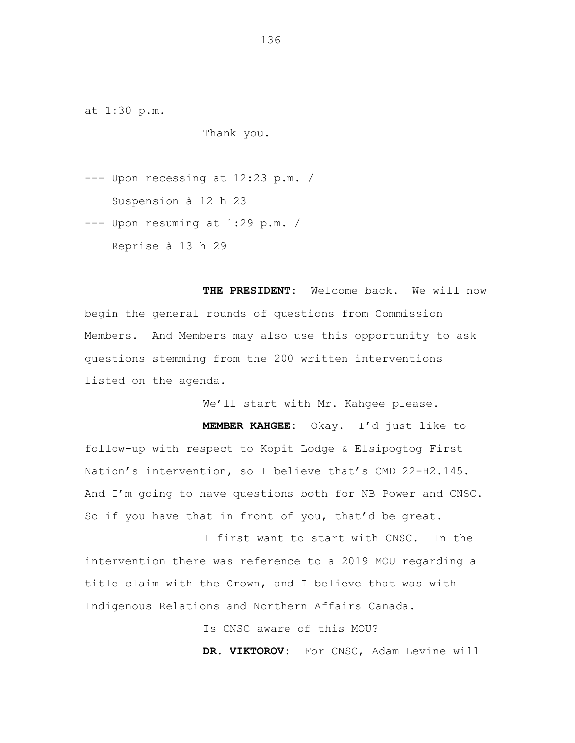at 1:30 p.m.

Thank you.

--- Upon recessing at 12:23 p.m. / Suspension à 12 h 23

--- Upon resuming at 1:29 p.m. / Reprise à 13 h 29

**THE PRESIDENT:** Welcome back. We will now begin the general rounds of questions from Commission Members. And Members may also use this opportunity to ask questions stemming from the 200 written interventions listed on the agenda.

We'll start with Mr. Kahgee please.

**MEMBER KAHGEE:** Okay. I'd just like to follow-up with respect to Kopit Lodge & Elsipogtog First Nation's intervention, so I believe that's CMD 22-H2.145. And I'm going to have questions both for NB Power and CNSC. So if you have that in front of you, that'd be great.

I first want to start with CNSC. In the intervention there was reference to a 2019 MOU regarding a title claim with the Crown, and I believe that was with Indigenous Relations and Northern Affairs Canada.

Is CNSC aware of this MOU?

**DR. VIKTOROV:** For CNSC, Adam Levine will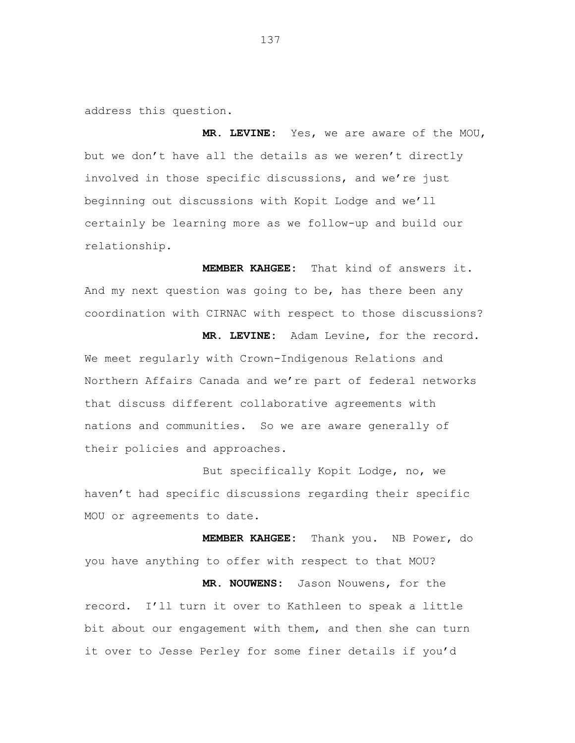address this question.

**MR. LEVINE:** Yes, we are aware of the MOU, but we don't have all the details as we weren't directly involved in those specific discussions, and we're just beginning out discussions with Kopit Lodge and we'll certainly be learning more as we follow-up and build our relationship.

**MEMBER KAHGEE:** That kind of answers it. And my next question was going to be, has there been any coordination with CIRNAC with respect to those discussions? **MR. LEVINE:** Adam Levine, for the record. We meet regularly with Crown-Indigenous Relations and Northern Affairs Canada and we're part of federal networks that discuss different collaborative agreements with nations and communities. So we are aware generally of

their policies and approaches.

But specifically Kopit Lodge, no, we haven't had specific discussions regarding their specific MOU or agreements to date.

**MEMBER KAHGEE:** Thank you. NB Power, do you have anything to offer with respect to that MOU? **MR. NOUWENS:** Jason Nouwens, for the record. I'll turn it over to Kathleen to speak a little bit about our engagement with them, and then she can turn it over to Jesse Perley for some finer details if you'd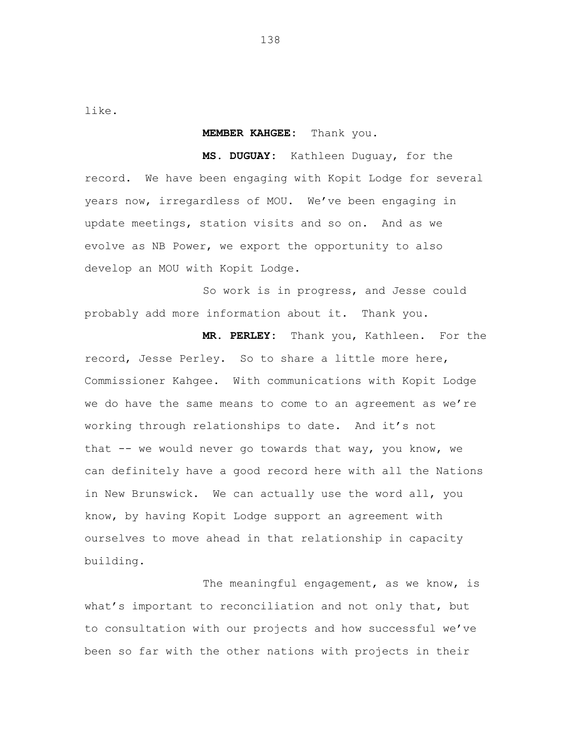like.

## **MEMBER KAHGEE:** Thank you.

**MS. DUGUAY:** Kathleen Duguay, for the record. We have been engaging with Kopit Lodge for several years now, irregardless of MOU. We've been engaging in update meetings, station visits and so on. And as we evolve as NB Power, we export the opportunity to also develop an MOU with Kopit Lodge.

So work is in progress, and Jesse could probably add more information about it. Thank you.

**MR. PERLEY:** Thank you, Kathleen. For the record, Jesse Perley. So to share a little more here, Commissioner Kahgee. With communications with Kopit Lodge we do have the same means to come to an agreement as we're working through relationships to date. And it's not that -- we would never go towards that way, you know, we can definitely have a good record here with all the Nations in New Brunswick. We can actually use the word all, you know, by having Kopit Lodge support an agreement with ourselves to move ahead in that relationship in capacity building.

The meaningful engagement, as we know, is what's important to reconciliation and not only that, but to consultation with our projects and how successful we've been so far with the other nations with projects in their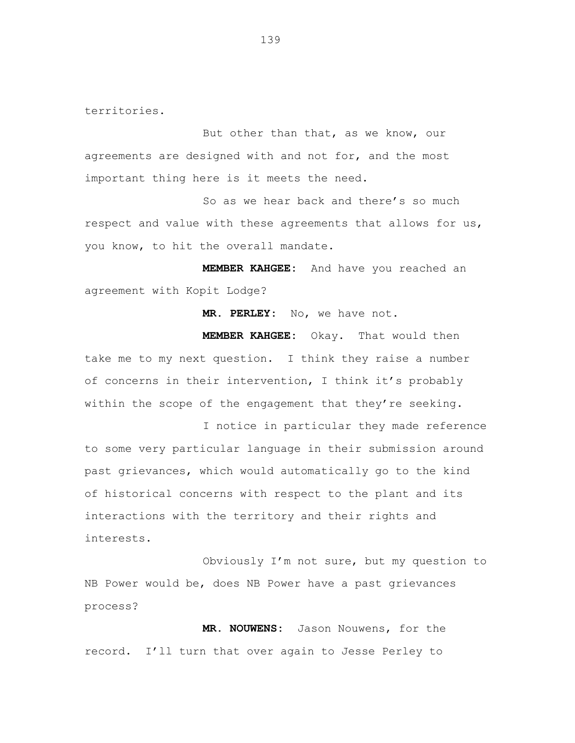territories.

But other than that, as we know, our agreements are designed with and not for, and the most important thing here is it meets the need.

So as we hear back and there's so much respect and value with these agreements that allows for us, you know, to hit the overall mandate.

**MEMBER KAHGEE:** And have you reached an agreement with Kopit Lodge?

**MR. PERLEY:** No, we have not.

**MEMBER KAHGEE:** Okay. That would then take me to my next question. I think they raise a number of concerns in their intervention, I think it's probably within the scope of the engagement that they're seeking.

I notice in particular they made reference to some very particular language in their submission around past grievances, which would automatically go to the kind of historical concerns with respect to the plant and its interactions with the territory and their rights and interests.

Obviously I'm not sure, but my question to NB Power would be, does NB Power have a past grievances process?

**MR. NOUWENS:** Jason Nouwens, for the record. I'll turn that over again to Jesse Perley to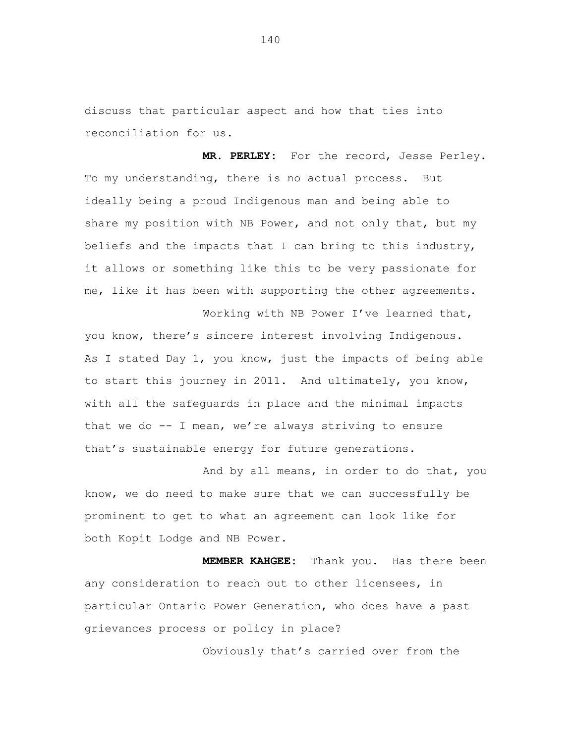discuss that particular aspect and how that ties into reconciliation for us.

**MR. PERLEY:** For the record, Jesse Perley. To my understanding, there is no actual process. But ideally being a proud Indigenous man and being able to share my position with NB Power, and not only that, but my beliefs and the impacts that I can bring to this industry, it allows or something like this to be very passionate for me, like it has been with supporting the other agreements.

Working with NB Power I've learned that, you know, there's sincere interest involving Indigenous. As I stated Day 1, you know, just the impacts of being able to start this journey in 2011. And ultimately, you know, with all the safeguards in place and the minimal impacts that we do  $--$  I mean, we're always striving to ensure that's sustainable energy for future generations.

And by all means, in order to do that, you know, we do need to make sure that we can successfully be prominent to get to what an agreement can look like for both Kopit Lodge and NB Power.

**MEMBER KAHGEE:** Thank you. Has there been any consideration to reach out to other licensees, in particular Ontario Power Generation, who does have a past grievances process or policy in place?

Obviously that's carried over from the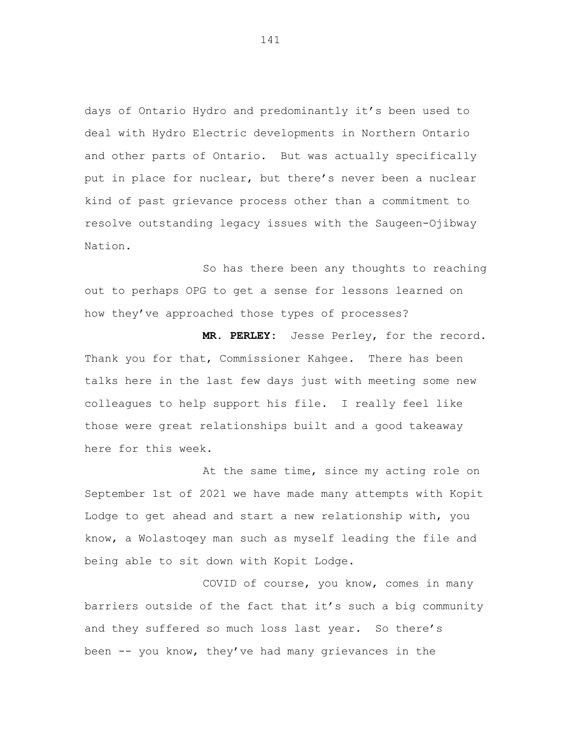days of Ontario Hydro and predominantly it's been used to deal with Hydro Electric developments in Northern Ontario and other parts of Ontario. But was actually specifically put in place for nuclear, but there's never been a nuclear kind of past grievance process other than a commitment to resolve outstanding legacy issues with the Saugeen-Ojibway Nation.

So has there been any thoughts to reaching out to perhaps OPG to get a sense for lessons learned on how they've approached those types of processes?

**MR. PERLEY:** Jesse Perley, for the record. Thank you for that, Commissioner Kahgee. There has been talks here in the last few days just with meeting some new colleagues to help support his file. I really feel like those were great relationships built and a good takeaway here for this week.

At the same time, since my acting role on September 1st of 2021 we have made many attempts with Kopit Lodge to get ahead and start a new relationship with, you know, a Wolastoqey man such as myself leading the file and being able to sit down with Kopit Lodge.

COVID of course, you know, comes in many barriers outside of the fact that it's such a big community and they suffered so much loss last year. So there's been  $-$  you know, they've had many grievances in the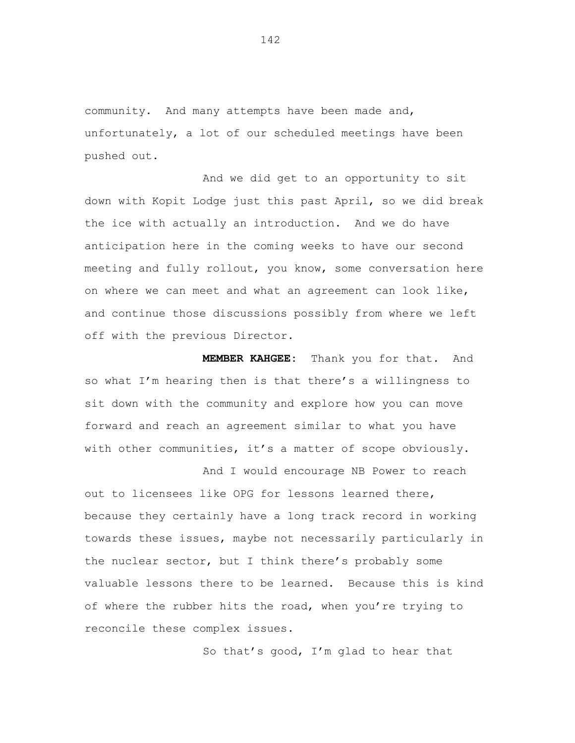community. And many attempts have been made and, unfortunately, a lot of our scheduled meetings have been pushed out.

And we did get to an opportunity to sit down with Kopit Lodge just this past April, so we did break the ice with actually an introduction. And we do have anticipation here in the coming weeks to have our second meeting and fully rollout, you know, some conversation here on where we can meet and what an agreement can look like, and continue those discussions possibly from where we left off with the previous Director.

**MEMBER KAHGEE:** Thank you for that. And so what I'm hearing then is that there's a willingness to sit down with the community and explore how you can move forward and reach an agreement similar to what you have with other communities, it's a matter of scope obviously.

And I would encourage NB Power to reach out to licensees like OPG for lessons learned there, because they certainly have a long track record in working towards these issues, maybe not necessarily particularly in the nuclear sector, but I think there's probably some valuable lessons there to be learned. Because this is kind of where the rubber hits the road, when you're trying to reconcile these complex issues.

So that's good, I'm glad to hear that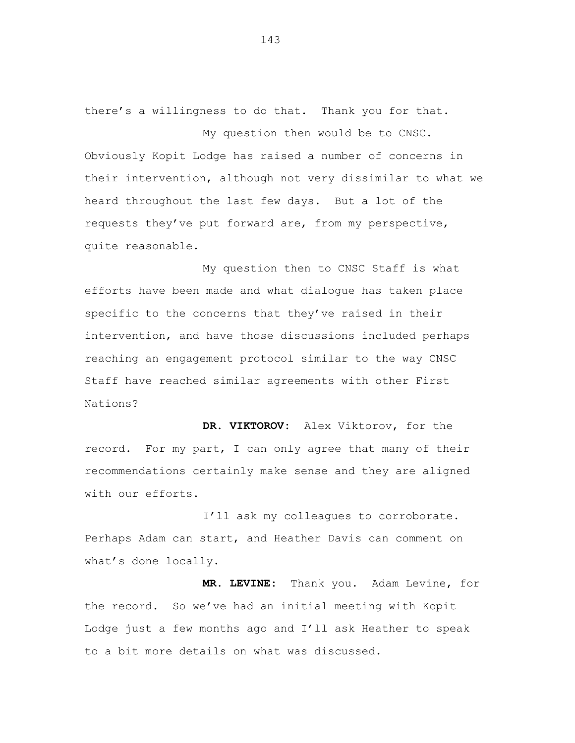there's a willingness to do that. Thank you for that.

My question then would be to CNSC. Obviously Kopit Lodge has raised a number of concerns in their intervention, although not very dissimilar to what we heard throughout the last few days. But a lot of the requests they've put forward are, from my perspective, quite reasonable.

My question then to CNSC Staff is what efforts have been made and what dialogue has taken place specific to the concerns that they've raised in their intervention, and have those discussions included perhaps reaching an engagement protocol similar to the way CNSC Staff have reached similar agreements with other First Nations?

**DR. VIKTOROV:** Alex Viktorov, for the record. For my part, I can only agree that many of their recommendations certainly make sense and they are aligned with our efforts.

I'll ask my colleagues to corroborate. Perhaps Adam can start, and Heather Davis can comment on what's done locally.

**MR. LEVINE:** Thank you. Adam Levine, for the record. So we've had an initial meeting with Kopit Lodge just a few months ago and I'll ask Heather to speak to a bit more details on what was discussed.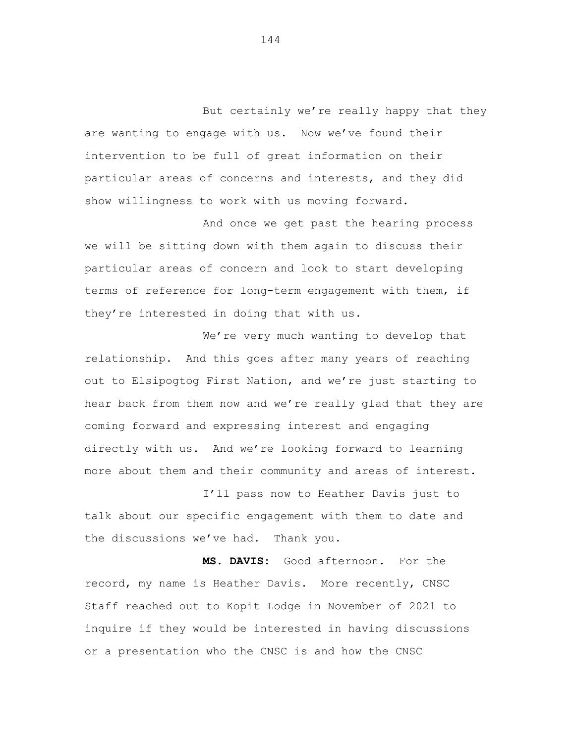But certainly we're really happy that they are wanting to engage with us. Now we've found their intervention to be full of great information on their particular areas of concerns and interests, and they did show willingness to work with us moving forward.

And once we get past the hearing process we will be sitting down with them again to discuss their particular areas of concern and look to start developing terms of reference for long-term engagement with them, if they're interested in doing that with us.

We're very much wanting to develop that relationship. And this goes after many years of reaching out to Elsipogtog First Nation, and we're just starting to hear back from them now and we're really glad that they are coming forward and expressing interest and engaging directly with us. And we're looking forward to learning more about them and their community and areas of interest.

I'll pass now to Heather Davis just to talk about our specific engagement with them to date and the discussions we've had. Thank you.

**MS. DAVIS:** Good afternoon. For the record, my name is Heather Davis. More recently, CNSC Staff reached out to Kopit Lodge in November of 2021 to inquire if they would be interested in having discussions or a presentation who the CNSC is and how the CNSC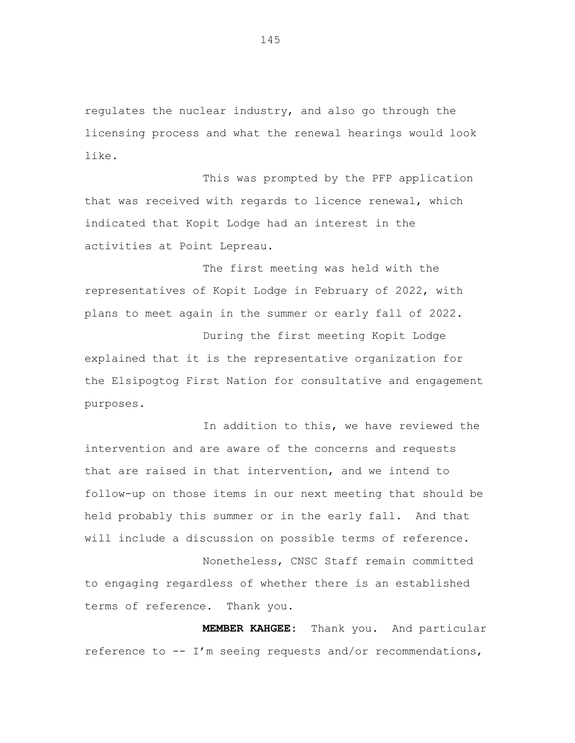regulates the nuclear industry, and also go through the licensing process and what the renewal hearings would look like.

This was prompted by the PFP application that was received with regards to licence renewal, which indicated that Kopit Lodge had an interest in the activities at Point Lepreau.

The first meeting was held with the representatives of Kopit Lodge in February of 2022, with plans to meet again in the summer or early fall of 2022.

During the first meeting Kopit Lodge explained that it is the representative organization for the Elsipogtog First Nation for consultative and engagement purposes.

In addition to this, we have reviewed the intervention and are aware of the concerns and requests that are raised in that intervention, and we intend to follow-up on those items in our next meeting that should be held probably this summer or in the early fall. And that will include a discussion on possible terms of reference.

Nonetheless, CNSC Staff remain committed to engaging regardless of whether there is an established terms of reference. Thank you.

**MEMBER KAHGEE:** Thank you. And particular reference to -- I'm seeing requests and/or recommendations,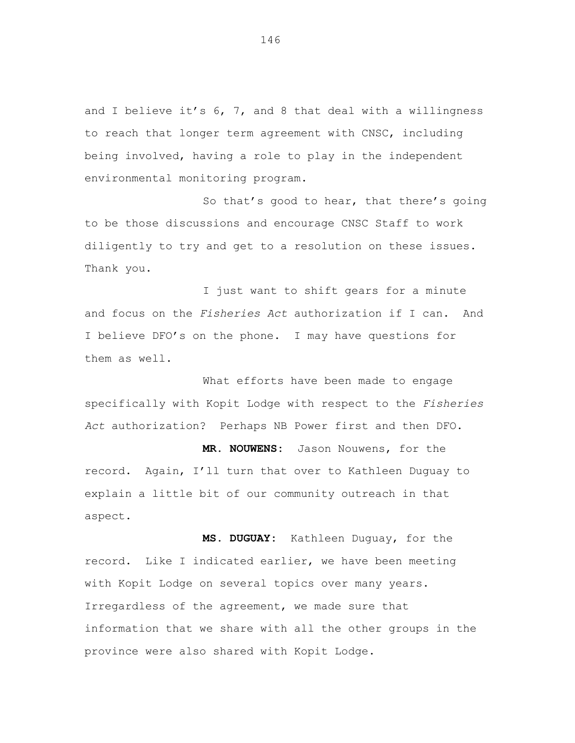and I believe it's 6, 7, and 8 that deal with a willingness to reach that longer term agreement with CNSC, including being involved, having a role to play in the independent environmental monitoring program.

So that's good to hear, that there's going to be those discussions and encourage CNSC Staff to work diligently to try and get to a resolution on these issues. Thank you.

I just want to shift gears for a minute and focus on the *Fisheries Act* authorization if I can. And I believe DFO's on the phone. I may have questions for them as well.

What efforts have been made to engage specifically with Kopit Lodge with respect to the *Fisheries Act* authorization? Perhaps NB Power first and then DFO.

**MR. NOUWENS:** Jason Nouwens, for the record. Again, I'll turn that over to Kathleen Duguay to explain a little bit of our community outreach in that aspect.

**MS. DUGUAY:** Kathleen Duguay, for the record. Like I indicated earlier, we have been meeting with Kopit Lodge on several topics over many years. Irregardless of the agreement, we made sure that information that we share with all the other groups in the province were also shared with Kopit Lodge.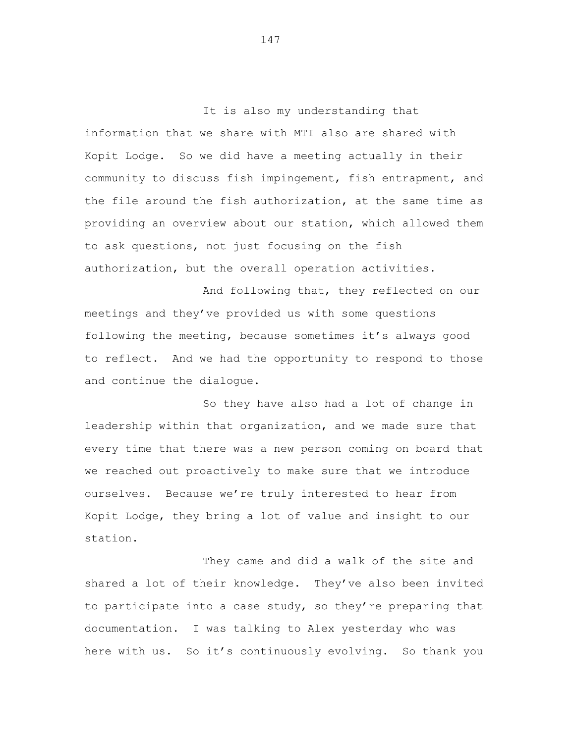It is also my understanding that information that we share with MTI also are shared with Kopit Lodge. So we did have a meeting actually in their community to discuss fish impingement, fish entrapment, and the file around the fish authorization, at the same time as providing an overview about our station, which allowed them to ask questions, not just focusing on the fish authorization, but the overall operation activities.

And following that, they reflected on our meetings and they've provided us with some questions following the meeting, because sometimes it's always good to reflect. And we had the opportunity to respond to those and continue the dialogue.

So they have also had a lot of change in leadership within that organization, and we made sure that every time that there was a new person coming on board that we reached out proactively to make sure that we introduce ourselves. Because we're truly interested to hear from Kopit Lodge, they bring a lot of value and insight to our station.

They came and did a walk of the site and shared a lot of their knowledge. They've also been invited to participate into a case study, so they're preparing that documentation. I was talking to Alex yesterday who was here with us. So it's continuously evolving. So thank you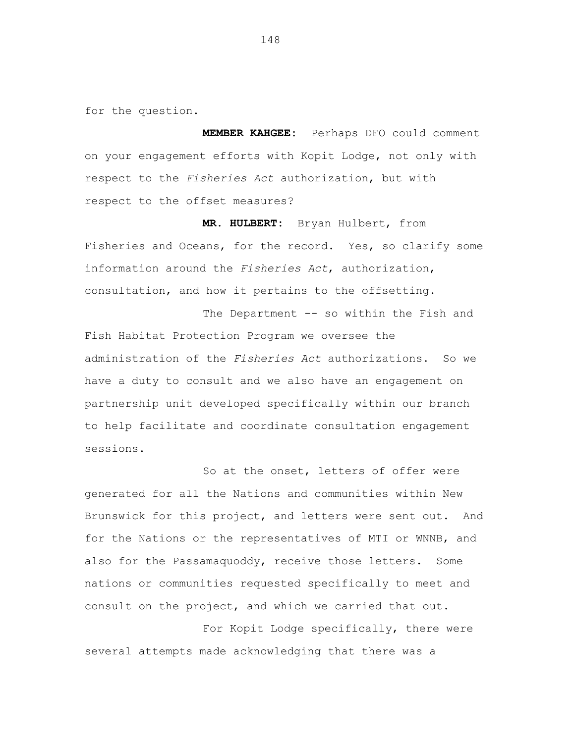for the question.

**MEMBER KAHGEE:** Perhaps DFO could comment on your engagement efforts with Kopit Lodge, not only with respect to the *Fisheries Act* authorization, but with respect to the offset measures?

**MR. HULBERT:** Bryan Hulbert, from Fisheries and Oceans, for the record. Yes, so clarify some information around the *Fisheries Act*, authorization, consultation, and how it pertains to the offsetting.

The Department -- so within the Fish and Fish Habitat Protection Program we oversee the administration of the *Fisheries Act* authorizations. So we have a duty to consult and we also have an engagement on partnership unit developed specifically within our branch to help facilitate and coordinate consultation engagement sessions.

So at the onset, letters of offer were generated for all the Nations and communities within New Brunswick for this project, and letters were sent out. And for the Nations or the representatives of MTI or WNNB, and also for the Passamaquoddy, receive those letters. Some nations or communities requested specifically to meet and consult on the project, and which we carried that out.

For Kopit Lodge specifically, there were several attempts made acknowledging that there was a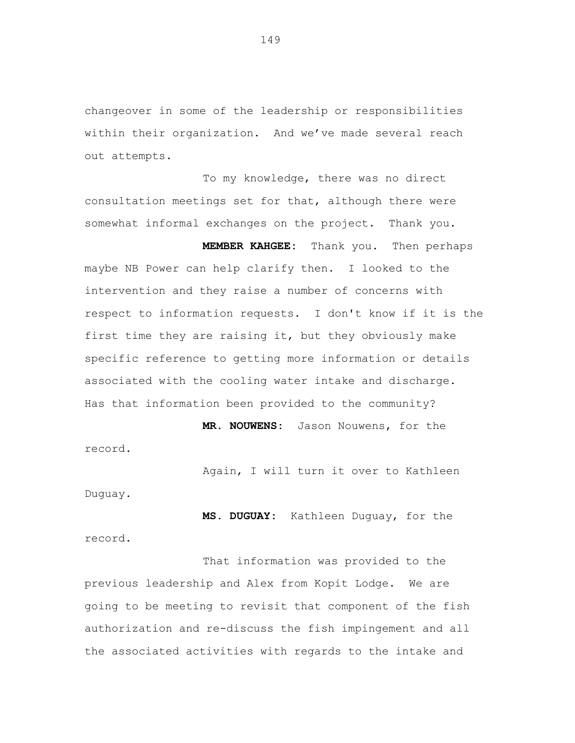changeover in some of the leadership or responsibilities within their organization. And we've made several reach out attempts.

To my knowledge, there was no direct consultation meetings set for that, although there were somewhat informal exchanges on the project. Thank you.

**MEMBER KAHGEE:** Thank you. Then perhaps maybe NB Power can help clarify then. I looked to the intervention and they raise a number of concerns with respect to information requests. I don't know if it is the first time they are raising it, but they obviously make specific reference to getting more information or details associated with the cooling water intake and discharge. Has that information been provided to the community?

**MR. NOUWENS:** Jason Nouwens, for the record.

Again, I will turn it over to Kathleen

Duguay.

record.

**MS. DUGUAY:** Kathleen Duguay, for the

That information was provided to the previous leadership and Alex from Kopit Lodge. We are going to be meeting to revisit that component of the fish authorization and re-discuss the fish impingement and all the associated activities with regards to the intake and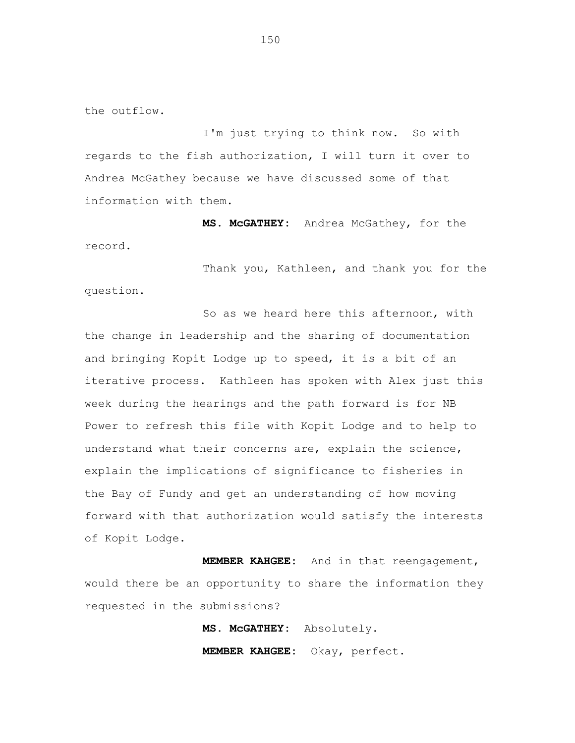the outflow.

I'm just trying to think now. So with regards to the fish authorization, I will turn it over to Andrea McGathey because we have discussed some of that information with them.

**MS. McGATHEY:** Andrea McGathey, for the record.

Thank you, Kathleen, and thank you for the question.

So as we heard here this afternoon, with the change in leadership and the sharing of documentation and bringing Kopit Lodge up to speed, it is a bit of an iterative process. Kathleen has spoken with Alex just this week during the hearings and the path forward is for NB Power to refresh this file with Kopit Lodge and to help to understand what their concerns are, explain the science, explain the implications of significance to fisheries in the Bay of Fundy and get an understanding of how moving forward with that authorization would satisfy the interests of Kopit Lodge.

**MEMBER KAHGEE:** And in that reengagement, would there be an opportunity to share the information they requested in the submissions?

> **MS. McGATHEY:** Absolutely. **MEMBER KAHGEE:** Okay, perfect.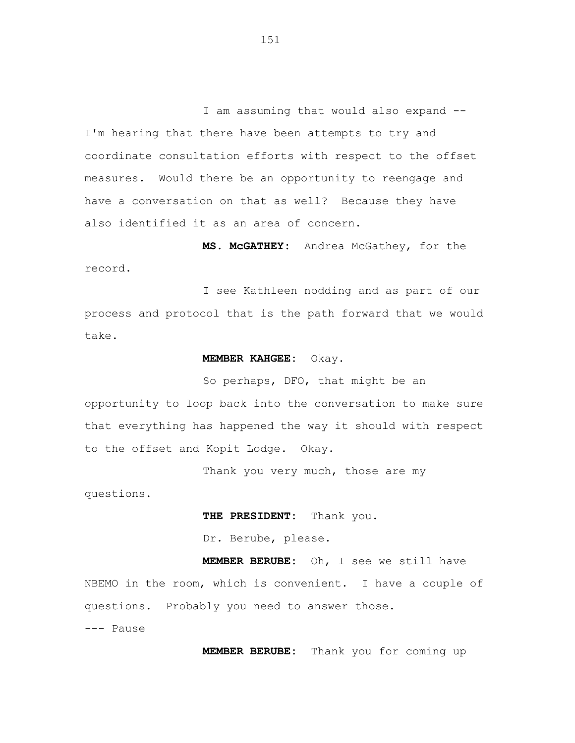I am assuming that would also expand -- I'm hearing that there have been attempts to try and coordinate consultation efforts with respect to the offset measures. Would there be an opportunity to reengage and have a conversation on that as well? Because they have also identified it as an area of concern.

**MS. McGATHEY:** Andrea McGathey, for the record.

I see Kathleen nodding and as part of our process and protocol that is the path forward that we would take.

## **MEMBER KAHGEE:** Okay.

So perhaps, DFO, that might be an opportunity to loop back into the conversation to make sure that everything has happened the way it should with respect to the offset and Kopit Lodge. Okay.

Thank you very much, those are my

questions.

**THE PRESIDENT:** Thank you.

Dr. Berube, please.

**MEMBER BERUBE:** Oh, I see we still have NBEMO in the room, which is convenient. I have a couple of questions. Probably you need to answer those.

--- Pause

**MEMBER BERUBE:** Thank you for coming up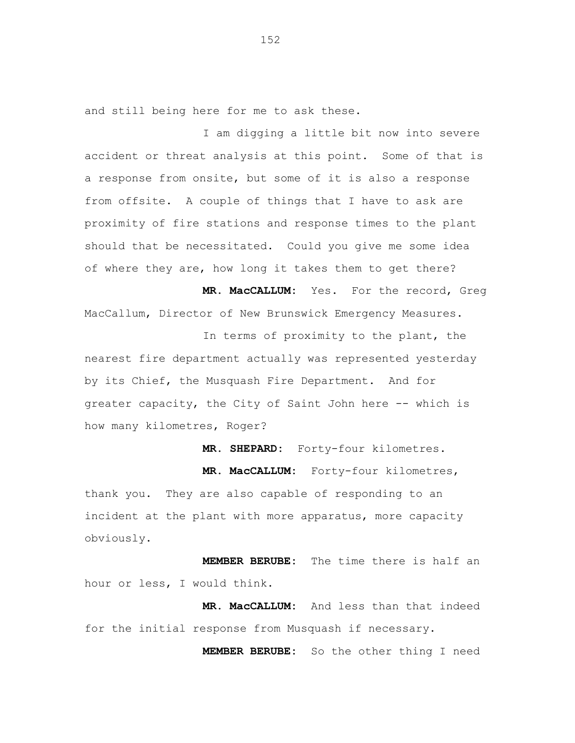and still being here for me to ask these.

I am digging a little bit now into severe accident or threat analysis at this point. Some of that is a response from onsite, but some of it is also a response from offsite. A couple of things that I have to ask are proximity of fire stations and response times to the plant should that be necessitated. Could you give me some idea of where they are, how long it takes them to get there?

**MR. MacCALLUM:** Yes. For the record, Greg MacCallum, Director of New Brunswick Emergency Measures.

In terms of proximity to the plant, the nearest fire department actually was represented yesterday by its Chief, the Musquash Fire Department. And for greater capacity, the City of Saint John here -- which is how many kilometres, Roger?

**MR. SHEPARD:** Forty-four kilometres.

**MR. MacCALLUM:** Forty-four kilometres, thank you. They are also capable of responding to an incident at the plant with more apparatus, more capacity obviously.

**MEMBER BERUBE:** The time there is half an hour or less, I would think.

**MR. MacCALLUM:** And less than that indeed for the initial response from Musquash if necessary.

**MEMBER BERUBE:** So the other thing I need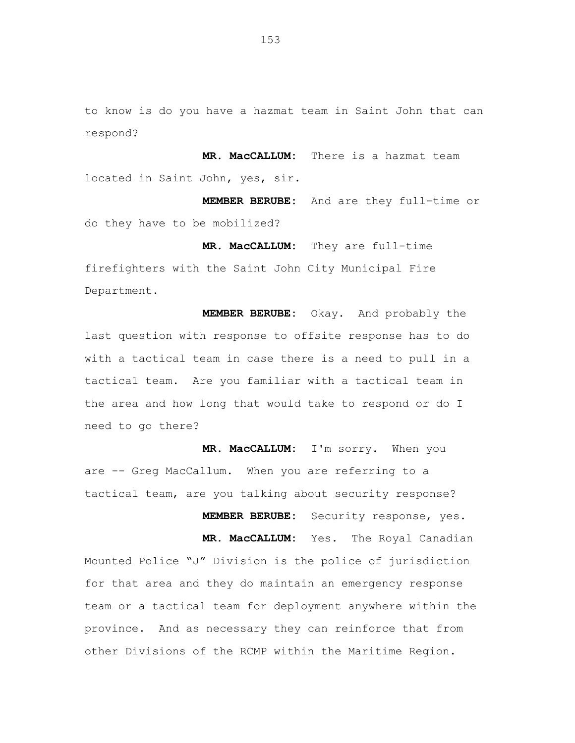to know is do you have a hazmat team in Saint John that can respond?

**MR. MacCALLUM:** There is a hazmat team located in Saint John, yes, sir.

**MEMBER BERUBE:** And are they full-time or do they have to be mobilized?

**MR. MacCALLUM:** They are full-time firefighters with the Saint John City Municipal Fire Department.

**MEMBER BERUBE:** Okay. And probably the last question with response to offsite response has to do with a tactical team in case there is a need to pull in a tactical team. Are you familiar with a tactical team in the area and how long that would take to respond or do I need to go there?

**MR. MacCALLUM:** I'm sorry. When you are -- Greg MacCallum. When you are referring to a tactical team, are you talking about security response?

**MEMBER BERUBE:** Security response, yes.

**MR. MacCALLUM:** Yes. The Royal Canadian Mounted Police "J" Division is the police of jurisdiction for that area and they do maintain an emergency response team or a tactical team for deployment anywhere within the province. And as necessary they can reinforce that from other Divisions of the RCMP within the Maritime Region.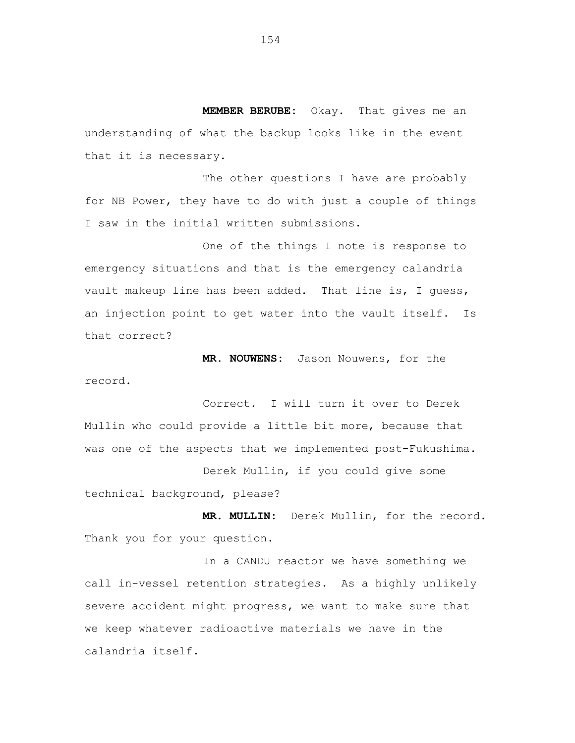**MEMBER BERUBE:** Okay. That gives me an understanding of what the backup looks like in the event that it is necessary.

The other questions I have are probably for NB Power, they have to do with just a couple of things I saw in the initial written submissions.

One of the things I note is response to emergency situations and that is the emergency calandria vault makeup line has been added. That line is, I guess, an injection point to get water into the vault itself. Is that correct?

**MR. NOUWENS:** Jason Nouwens, for the record.

Correct. I will turn it over to Derek Mullin who could provide a little bit more, because that was one of the aspects that we implemented post-Fukushima.

Derek Mullin, if you could give some technical background, please?

**MR. MULLIN:** Derek Mullin, for the record. Thank you for your question.

In a CANDU reactor we have something we call in-vessel retention strategies. As a highly unlikely severe accident might progress, we want to make sure that we keep whatever radioactive materials we have in the calandria itself.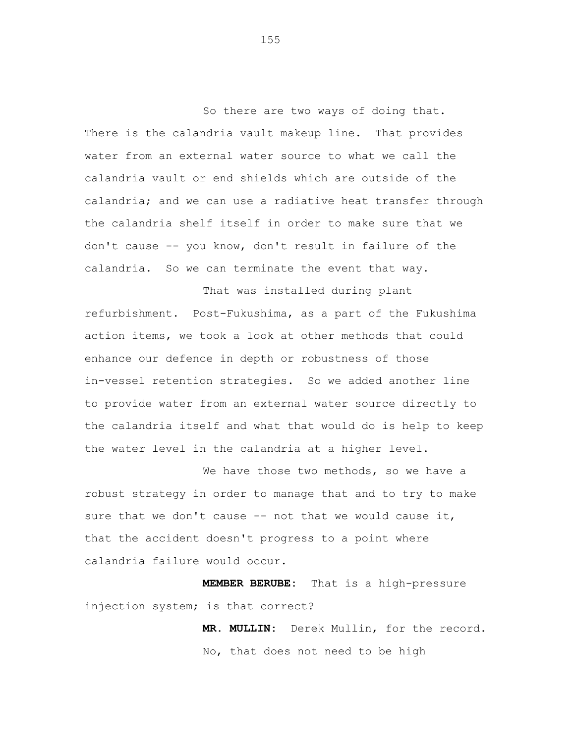So there are two ways of doing that. There is the calandria vault makeup line. That provides water from an external water source to what we call the calandria vault or end shields which are outside of the calandria; and we can use a radiative heat transfer through the calandria shelf itself in order to make sure that we don't cause -- you know, don't result in failure of the calandria. So we can terminate the event that way.

That was installed during plant refurbishment. Post-Fukushima, as a part of the Fukushima action items, we took a look at other methods that could enhance our defence in depth or robustness of those in-vessel retention strategies. So we added another line to provide water from an external water source directly to the calandria itself and what that would do is help to keep the water level in the calandria at a higher level.

We have those two methods, so we have a robust strategy in order to manage that and to try to make sure that we don't cause -- not that we would cause it, that the accident doesn't progress to a point where calandria failure would occur.

**MEMBER BERUBE:** That is a high-pressure injection system; is that correct?

> **MR. MULLIN:** Derek Mullin, for the record. No, that does not need to be high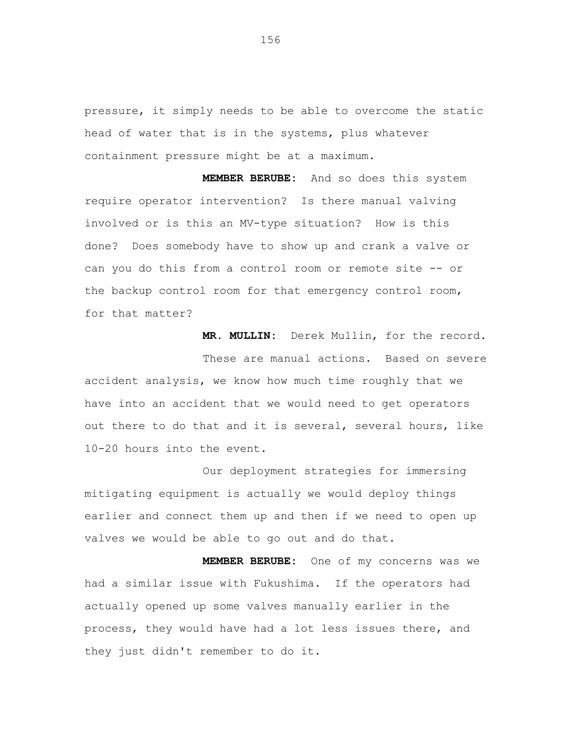pressure, it simply needs to be able to overcome the static head of water that is in the systems, plus whatever containment pressure might be at a maximum.

**MEMBER BERUBE:** And so does this system require operator intervention? Is there manual valving involved or is this an MV-type situation? How is this done? Does somebody have to show up and crank a valve or can you do this from a control room or remote site -- or the backup control room for that emergency control room, for that matter?

**MR. MULLIN:** Derek Mullin, for the record.

These are manual actions. Based on severe accident analysis, we know how much time roughly that we have into an accident that we would need to get operators out there to do that and it is several, several hours, like 10-20 hours into the event.

Our deployment strategies for immersing mitigating equipment is actually we would deploy things earlier and connect them up and then if we need to open up valves we would be able to go out and do that.

**MEMBER BERUBE:** One of my concerns was we had a similar issue with Fukushima. If the operators had actually opened up some valves manually earlier in the process, they would have had a lot less issues there, and they just didn't remember to do it.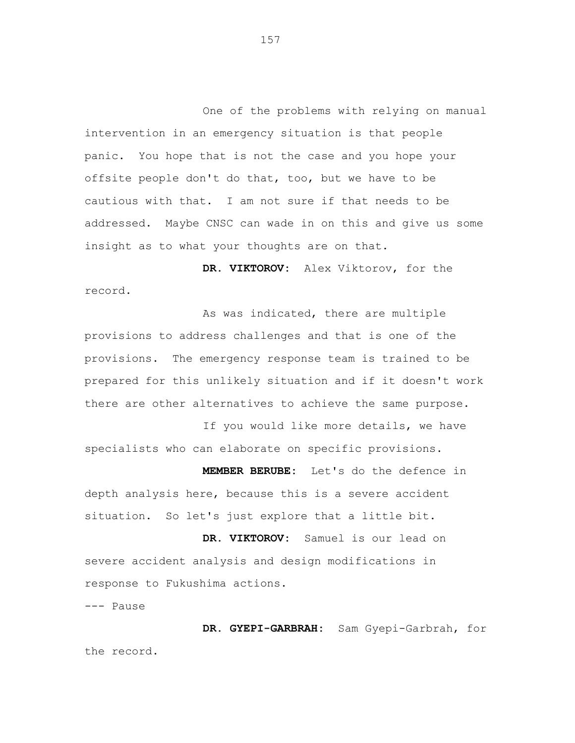One of the problems with relying on manual intervention in an emergency situation is that people panic. You hope that is not the case and you hope your offsite people don't do that, too, but we have to be cautious with that. I am not sure if that needs to be addressed. Maybe CNSC can wade in on this and give us some insight as to what your thoughts are on that.

**DR. VIKTOROV:** Alex Viktorov, for the record.

As was indicated, there are multiple provisions to address challenges and that is one of the provisions. The emergency response team is trained to be prepared for this unlikely situation and if it doesn't work there are other alternatives to achieve the same purpose.

If you would like more details, we have specialists who can elaborate on specific provisions.

**MEMBER BERUBE:** Let's do the defence in depth analysis here, because this is a severe accident situation. So let's just explore that a little bit.

**DR. VIKTOROV:** Samuel is our lead on severe accident analysis and design modifications in response to Fukushima actions.

--- Pause

**DR. GYEPI-GARBRAH:** Sam Gyepi-Garbrah, for the record.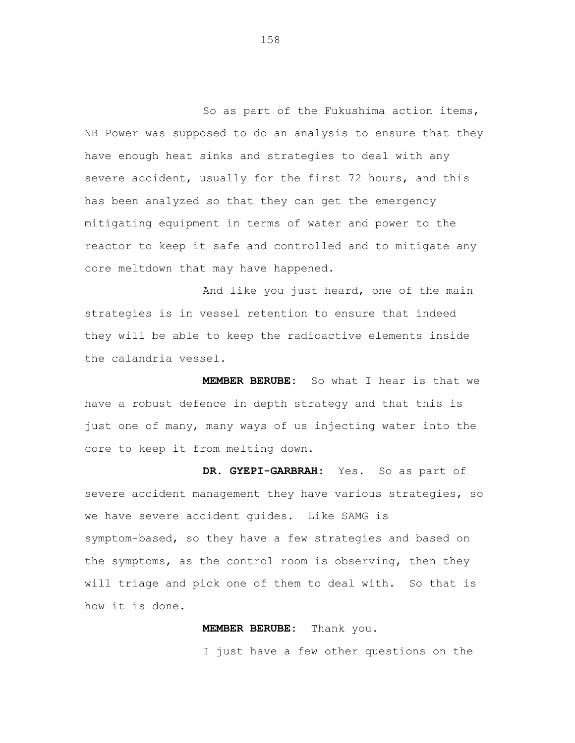So as part of the Fukushima action items, NB Power was supposed to do an analysis to ensure that they have enough heat sinks and strategies to deal with any severe accident, usually for the first 72 hours, and this has been analyzed so that they can get the emergency mitigating equipment in terms of water and power to the reactor to keep it safe and controlled and to mitigate any core meltdown that may have happened.

And like you just heard, one of the main strategies is in vessel retention to ensure that indeed they will be able to keep the radioactive elements inside the calandria vessel.

**MEMBER BERUBE:** So what I hear is that we have a robust defence in depth strategy and that this is just one of many, many ways of us injecting water into the core to keep it from melting down.

**DR. GYEPI-GARBRAH:** Yes. So as part of severe accident management they have various strategies, so we have severe accident guides. Like SAMG is symptom-based, so they have a few strategies and based on the symptoms, as the control room is observing, then they will triage and pick one of them to deal with. So that is how it is done.

## **MEMBER BERUBE:** Thank you.

I just have a few other questions on the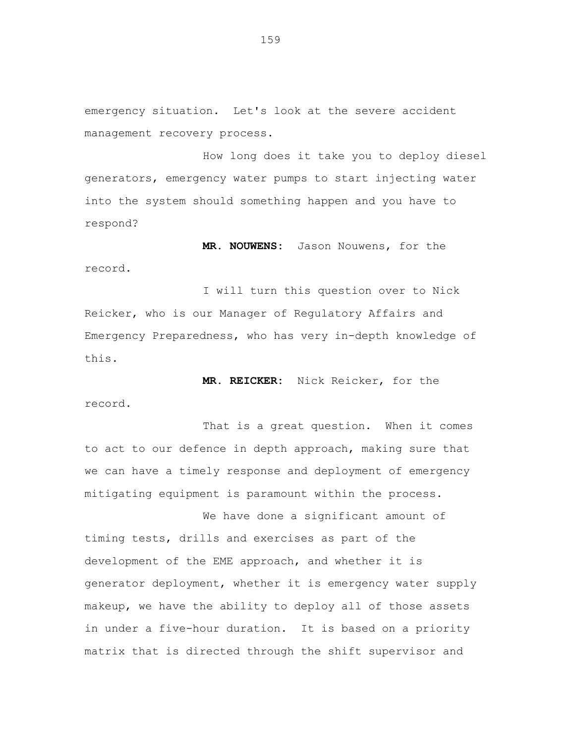emergency situation. Let's look at the severe accident management recovery process.

How long does it take you to deploy diesel generators, emergency water pumps to start injecting water into the system should something happen and you have to respond?

**MR. NOUWENS:** Jason Nouwens, for the record.

I will turn this question over to Nick Reicker, who is our Manager of Regulatory Affairs and Emergency Preparedness, who has very in-depth knowledge of this.

**MR. REICKER:** Nick Reicker, for the record.

That is a great question. When it comes to act to our defence in depth approach, making sure that we can have a timely response and deployment of emergency mitigating equipment is paramount within the process.

We have done a significant amount of timing tests, drills and exercises as part of the development of the EME approach, and whether it is generator deployment, whether it is emergency water supply makeup, we have the ability to deploy all of those assets in under a five-hour duration. It is based on a priority matrix that is directed through the shift supervisor and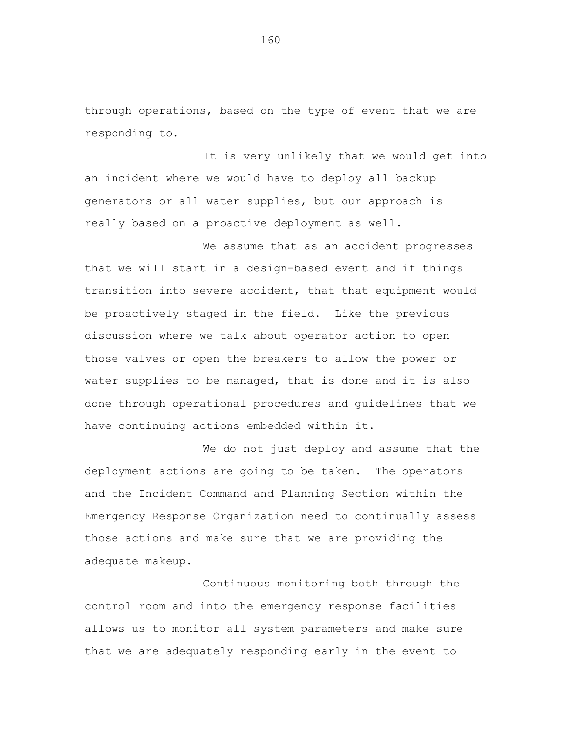through operations, based on the type of event that we are responding to.

It is very unlikely that we would get into an incident where we would have to deploy all backup generators or all water supplies, but our approach is really based on a proactive deployment as well.

We assume that as an accident progresses that we will start in a design-based event and if things transition into severe accident, that that equipment would be proactively staged in the field. Like the previous discussion where we talk about operator action to open those valves or open the breakers to allow the power or water supplies to be managed, that is done and it is also done through operational procedures and guidelines that we have continuing actions embedded within it.

We do not just deploy and assume that the deployment actions are going to be taken. The operators and the Incident Command and Planning Section within the Emergency Response Organization need to continually assess those actions and make sure that we are providing the adequate makeup.

Continuous monitoring both through the control room and into the emergency response facilities allows us to monitor all system parameters and make sure that we are adequately responding early in the event to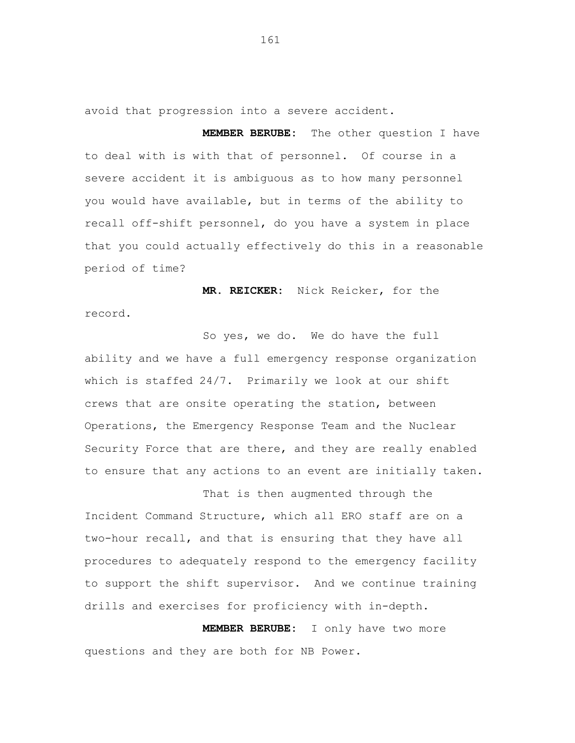avoid that progression into a severe accident.

**MEMBER BERUBE:** The other question I have to deal with is with that of personnel. Of course in a severe accident it is ambiguous as to how many personnel you would have available, but in terms of the ability to recall off-shift personnel, do you have a system in place that you could actually effectively do this in a reasonable period of time?

**MR. REICKER:** Nick Reicker, for the record.

So yes, we do. We do have the full ability and we have a full emergency response organization which is staffed 24/7. Primarily we look at our shift crews that are onsite operating the station, between Operations, the Emergency Response Team and the Nuclear Security Force that are there, and they are really enabled to ensure that any actions to an event are initially taken.

That is then augmented through the Incident Command Structure, which all ERO staff are on a two-hour recall, and that is ensuring that they have all procedures to adequately respond to the emergency facility to support the shift supervisor. And we continue training drills and exercises for proficiency with in-depth.

**MEMBER BERUBE:** I only have two more questions and they are both for NB Power.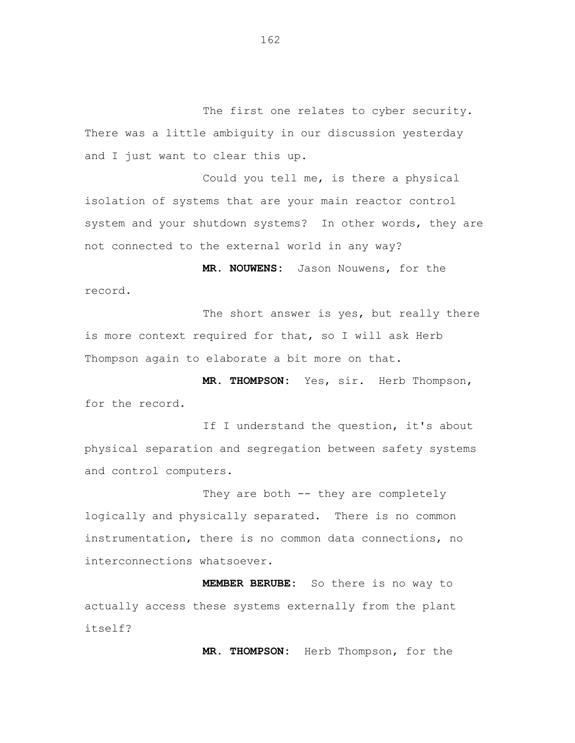The first one relates to cyber security. There was a little ambiguity in our discussion yesterday and I just want to clear this up.

Could you tell me, is there a physical isolation of systems that are your main reactor control system and your shutdown systems? In other words, they are not connected to the external world in any way?

**MR. NOUWENS:** Jason Nouwens, for the record.

The short answer is yes, but really there is more context required for that, so I will ask Herb Thompson again to elaborate a bit more on that.

**MR. THOMPSON:** Yes, sir. Herb Thompson, for the record.

If I understand the question, it's about physical separation and segregation between safety systems and control computers.

They are both -- they are completely logically and physically separated. There is no common instrumentation, there is no common data connections, no interconnections whatsoever.

**MEMBER BERUBE:** So there is no way to actually access these systems externally from the plant itself?

**MR. THOMPSON:** Herb Thompson, for the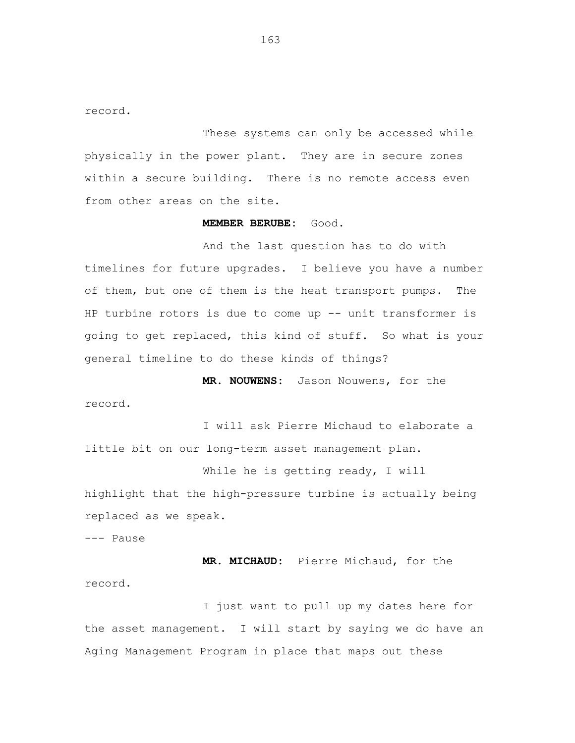record.

These systems can only be accessed while physically in the power plant. They are in secure zones within a secure building. There is no remote access even from other areas on the site.

## **MEMBER BERUBE:** Good.

And the last question has to do with timelines for future upgrades. I believe you have a number of them, but one of them is the heat transport pumps. The HP turbine rotors is due to come up -- unit transformer is going to get replaced, this kind of stuff. So what is your general timeline to do these kinds of things?

**MR. NOUWENS:** Jason Nouwens, for the record.

I will ask Pierre Michaud to elaborate a little bit on our long-term asset management plan.

While he is getting ready, I will highlight that the high-pressure turbine is actually being replaced as we speak.

--- Pause

**MR. MICHAUD:** Pierre Michaud, for the record.

I just want to pull up my dates here for the asset management. I will start by saying we do have an Aging Management Program in place that maps out these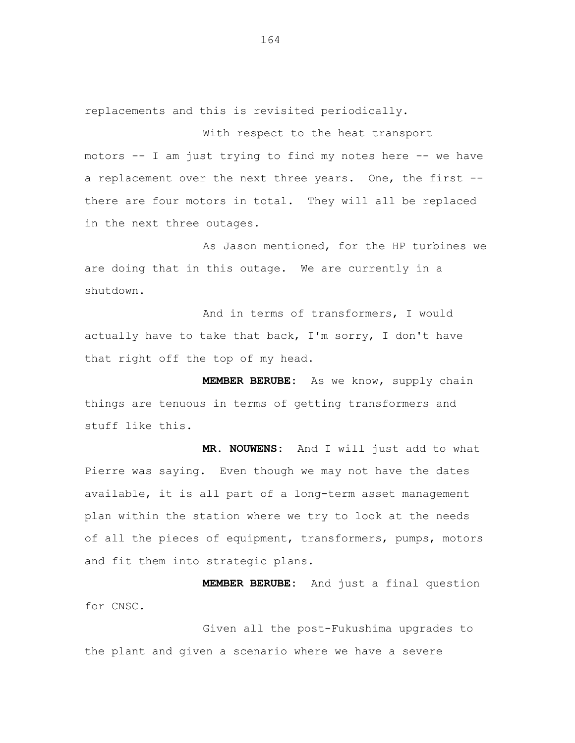replacements and this is revisited periodically.

With respect to the heat transport motors -- I am just trying to find my notes here -- we have a replacement over the next three years. One, the first - there are four motors in total. They will all be replaced in the next three outages.

As Jason mentioned, for the HP turbines we are doing that in this outage. We are currently in a shutdown.

And in terms of transformers, I would actually have to take that back, I'm sorry, I don't have that right off the top of my head.

**MEMBER BERUBE:** As we know, supply chain things are tenuous in terms of getting transformers and stuff like this.

**MR. NOUWENS:** And I will just add to what Pierre was saying. Even though we may not have the dates available, it is all part of a long-term asset management plan within the station where we try to look at the needs of all the pieces of equipment, transformers, pumps, motors and fit them into strategic plans.

**MEMBER BERUBE:** And just a final question for CNSC.

Given all the post-Fukushima upgrades to the plant and given a scenario where we have a severe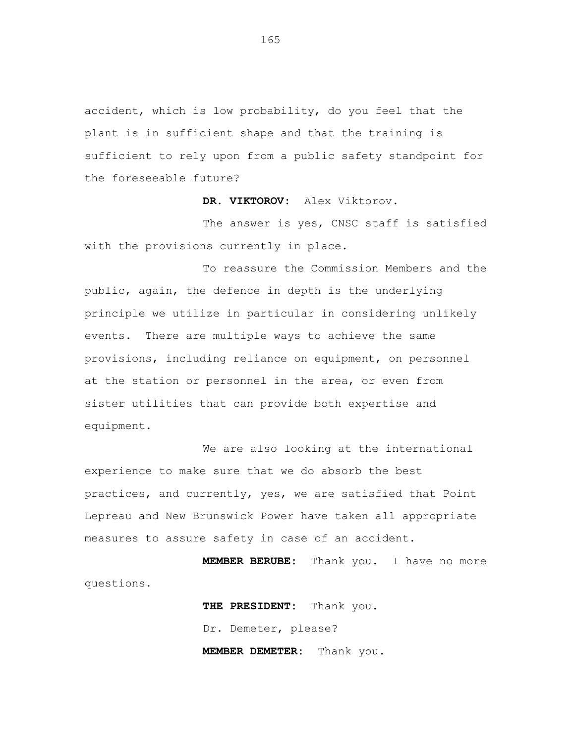accident, which is low probability, do you feel that the plant is in sufficient shape and that the training is sufficient to rely upon from a public safety standpoint for the foreseeable future?

**DR. VIKTOROV:** Alex Viktorov.

The answer is yes, CNSC staff is satisfied with the provisions currently in place.

To reassure the Commission Members and the public, again, the defence in depth is the underlying principle we utilize in particular in considering unlikely events. There are multiple ways to achieve the same provisions, including reliance on equipment, on personnel at the station or personnel in the area, or even from sister utilities that can provide both expertise and equipment.

We are also looking at the international experience to make sure that we do absorb the best practices, and currently, yes, we are satisfied that Point Lepreau and New Brunswick Power have taken all appropriate measures to assure safety in case of an accident.

**MEMBER BERUBE:** Thank you. I have no more questions.

> **THE PRESIDENT:** Thank you. Dr. Demeter, please? **MEMBER DEMETER:** Thank you.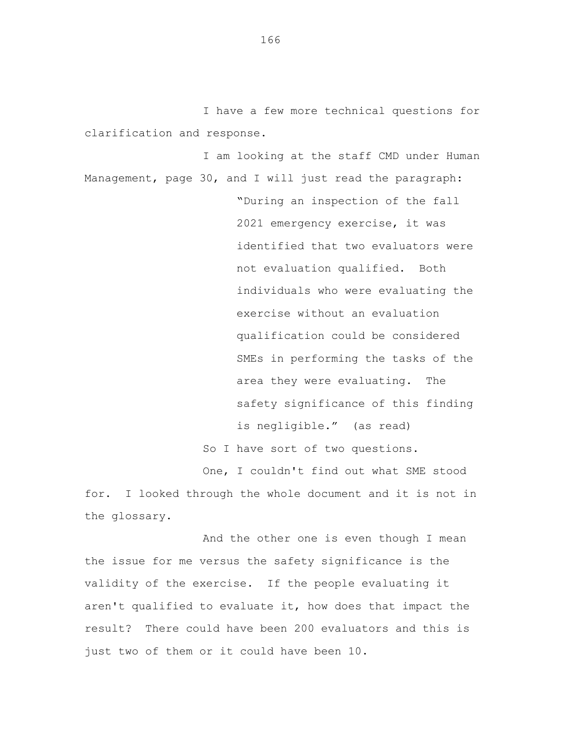I have a few more technical questions for clarification and response.

I am looking at the staff CMD under Human Management, page 30, and I will just read the paragraph: "During an inspection of the fall 2021 emergency exercise, it was identified that two evaluators were not evaluation qualified. Both individuals who were evaluating the exercise without an evaluation qualification could be considered SMEs in performing the tasks of the area they were evaluating. The safety significance of this finding is negligible." (as read) So I have sort of two questions. One, I couldn't find out what SME stood

for. I looked through the whole document and it is not in the glossary.

And the other one is even though I mean the issue for me versus the safety significance is the validity of the exercise. If the people evaluating it aren't qualified to evaluate it, how does that impact the result? There could have been 200 evaluators and this is just two of them or it could have been 10.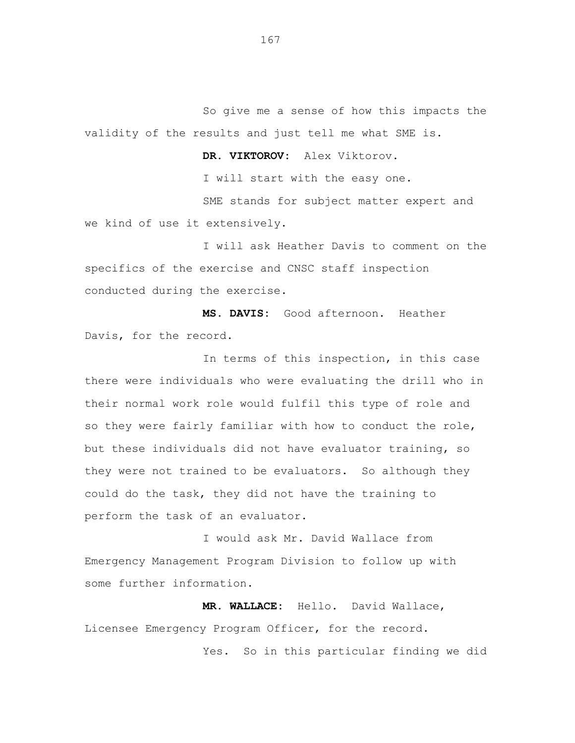So give me a sense of how this impacts the validity of the results and just tell me what SME is.

**DR. VIKTOROV:** Alex Viktorov.

I will start with the easy one.

SME stands for subject matter expert and we kind of use it extensively.

I will ask Heather Davis to comment on the specifics of the exercise and CNSC staff inspection conducted during the exercise.

**MS. DAVIS:** Good afternoon. Heather Davis, for the record.

In terms of this inspection, in this case there were individuals who were evaluating the drill who in their normal work role would fulfil this type of role and so they were fairly familiar with how to conduct the role, but these individuals did not have evaluator training, so they were not trained to be evaluators. So although they could do the task, they did not have the training to perform the task of an evaluator.

I would ask Mr. David Wallace from Emergency Management Program Division to follow up with some further information.

**MR. WALLACE:** Hello. David Wallace, Licensee Emergency Program Officer, for the record. Yes. So in this particular finding we did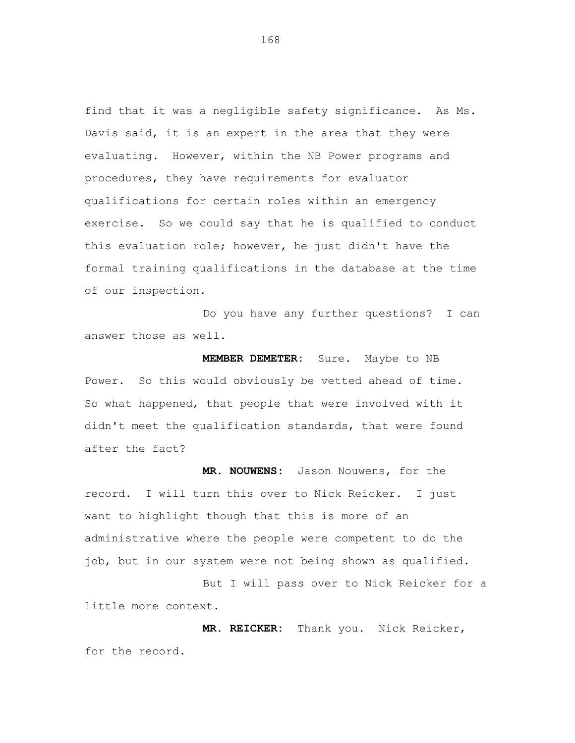find that it was a negligible safety significance. As Ms. Davis said, it is an expert in the area that they were evaluating. However, within the NB Power programs and procedures, they have requirements for evaluator qualifications for certain roles within an emergency exercise. So we could say that he is qualified to conduct this evaluation role; however, he just didn't have the formal training qualifications in the database at the time of our inspection.

Do you have any further questions? I can answer those as well.

**MEMBER DEMETER:** Sure. Maybe to NB Power. So this would obviously be vetted ahead of time. So what happened, that people that were involved with it didn't meet the qualification standards, that were found after the fact?

**MR. NOUWENS:** Jason Nouwens, for the record. I will turn this over to Nick Reicker. I just want to highlight though that this is more of an administrative where the people were competent to do the job, but in our system were not being shown as qualified.

But I will pass over to Nick Reicker for a little more context.

**MR. REICKER:** Thank you. Nick Reicker, for the record.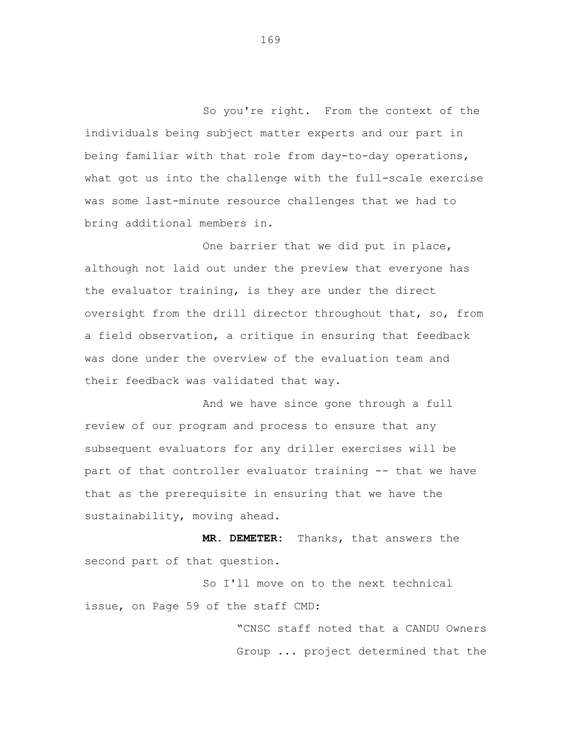So you're right. From the context of the individuals being subject matter experts and our part in being familiar with that role from day-to-day operations, what got us into the challenge with the full-scale exercise was some last-minute resource challenges that we had to bring additional members in.

One barrier that we did put in place, although not laid out under the preview that everyone has the evaluator training, is they are under the direct oversight from the drill director throughout that, so, from a field observation, a critique in ensuring that feedback was done under the overview of the evaluation team and their feedback was validated that way.

And we have since gone through a full review of our program and process to ensure that any subsequent evaluators for any driller exercises will be part of that controller evaluator training -- that we have that as the prerequisite in ensuring that we have the sustainability, moving ahead.

**MR. DEMETER:** Thanks, that answers the second part of that question.

So I'll move on to the next technical issue, on Page 59 of the staff CMD:

> "CNSC staff noted that a CANDU Owners Group ... project determined that the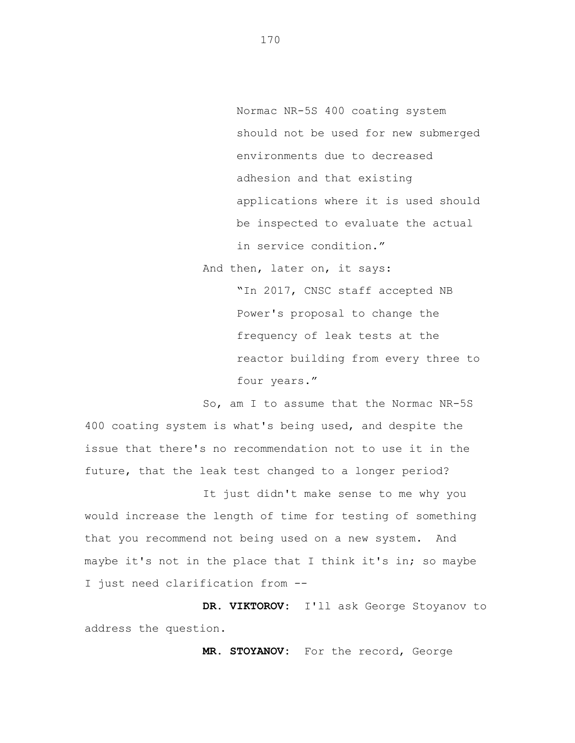Normac NR-5S 400 coating system should not be used for new submerged environments due to decreased adhesion and that existing applications where it is used should be inspected to evaluate the actual in service condition."

And then, later on, it says: "In 2017, CNSC staff accepted NB Power's proposal to change the frequency of leak tests at the reactor building from every three to four years."

So, am I to assume that the Normac NR-5S 400 coating system is what's being used, and despite the issue that there's no recommendation not to use it in the future, that the leak test changed to a longer period?

It just didn't make sense to me why you would increase the length of time for testing of something that you recommend not being used on a new system. And maybe it's not in the place that I think it's in; so maybe I just need clarification from --

**DR. VIKTOROV:** I'll ask George Stoyanov to address the question.

**MR. STOYANOV:** For the record, George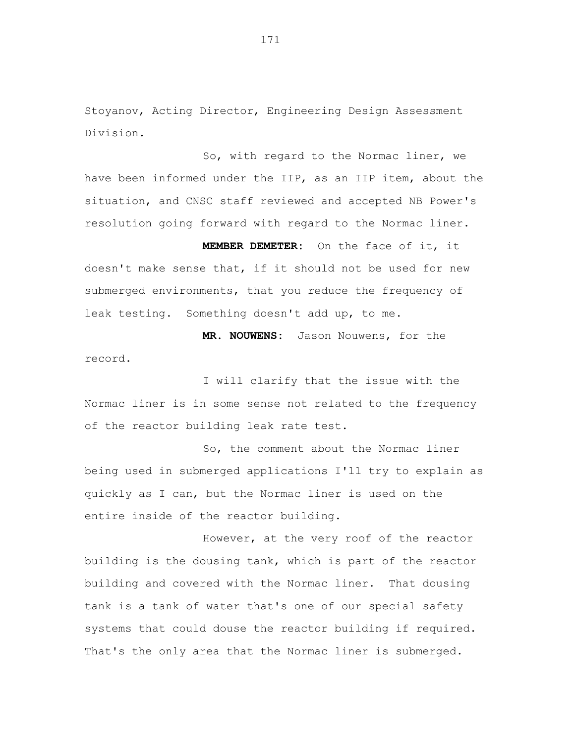Stoyanov, Acting Director, Engineering Design Assessment Division.

So, with regard to the Normac liner, we have been informed under the IIP, as an IIP item, about the situation, and CNSC staff reviewed and accepted NB Power's resolution going forward with regard to the Normac liner.

**MEMBER DEMETER:** On the face of it, it doesn't make sense that, if it should not be used for new submerged environments, that you reduce the frequency of leak testing. Something doesn't add up, to me.

**MR. NOUWENS:** Jason Nouwens, for the record.

I will clarify that the issue with the Normac liner is in some sense not related to the frequency of the reactor building leak rate test.

So, the comment about the Normac liner being used in submerged applications I'll try to explain as quickly as I can, but the Normac liner is used on the entire inside of the reactor building.

However, at the very roof of the reactor building is the dousing tank, which is part of the reactor building and covered with the Normac liner. That dousing tank is a tank of water that's one of our special safety systems that could douse the reactor building if required. That's the only area that the Normac liner is submerged.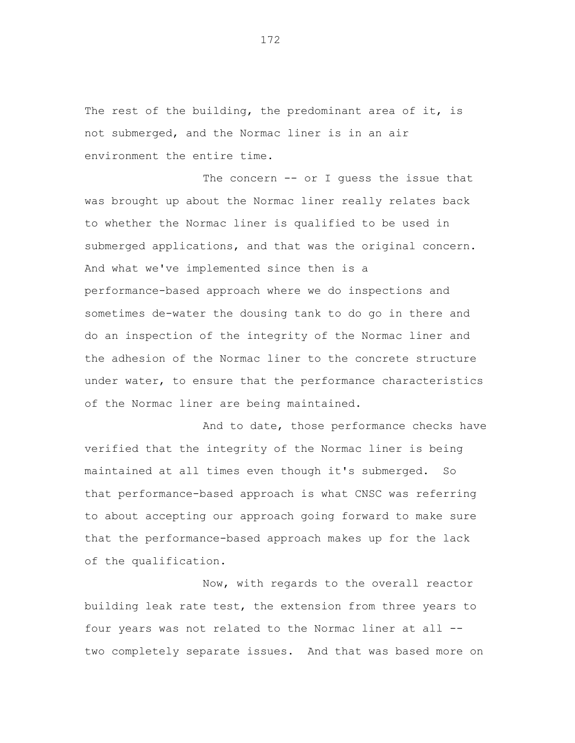The rest of the building, the predominant area of it, is not submerged, and the Normac liner is in an air environment the entire time.

The concern -- or I guess the issue that was brought up about the Normac liner really relates back to whether the Normac liner is qualified to be used in submerged applications, and that was the original concern. And what we've implemented since then is a performance-based approach where we do inspections and sometimes de-water the dousing tank to do go in there and do an inspection of the integrity of the Normac liner and the adhesion of the Normac liner to the concrete structure under water, to ensure that the performance characteristics of the Normac liner are being maintained.

And to date, those performance checks have verified that the integrity of the Normac liner is being maintained at all times even though it's submerged. So that performance-based approach is what CNSC was referring to about accepting our approach going forward to make sure that the performance-based approach makes up for the lack of the qualification.

Now, with regards to the overall reactor building leak rate test, the extension from three years to four years was not related to the Normac liner at all - two completely separate issues. And that was based more on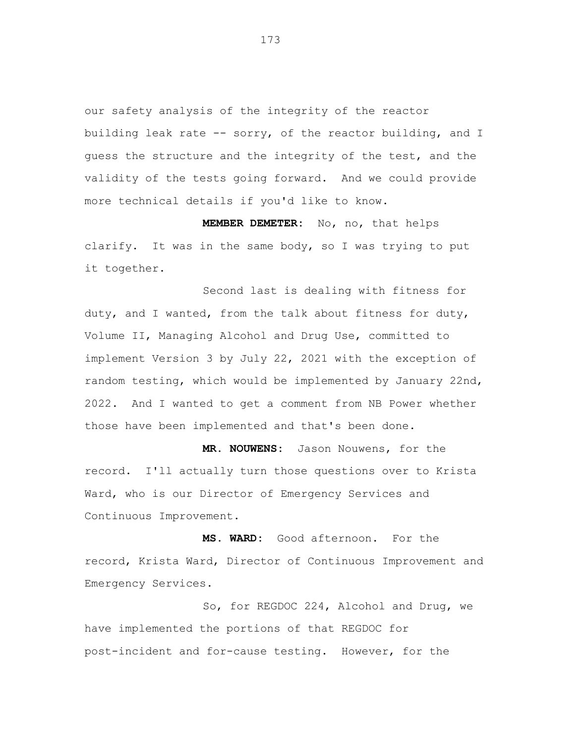our safety analysis of the integrity of the reactor building leak rate -- sorry, of the reactor building, and I guess the structure and the integrity of the test, and the validity of the tests going forward. And we could provide more technical details if you'd like to know.

**MEMBER DEMETER:** No, no, that helps clarify. It was in the same body, so I was trying to put it together.

Second last is dealing with fitness for duty, and I wanted, from the talk about fitness for duty, Volume II, Managing Alcohol and Drug Use, committed to implement Version 3 by July 22, 2021 with the exception of random testing, which would be implemented by January 22nd, 2022. And I wanted to get a comment from NB Power whether those have been implemented and that's been done.

**MR. NOUWENS:** Jason Nouwens, for the record. I'll actually turn those questions over to Krista Ward, who is our Director of Emergency Services and Continuous Improvement.

**MS. WARD:** Good afternoon. For the record, Krista Ward, Director of Continuous Improvement and Emergency Services.

So, for REGDOC 224, Alcohol and Drug, we have implemented the portions of that REGDOC for post-incident and for-cause testing. However, for the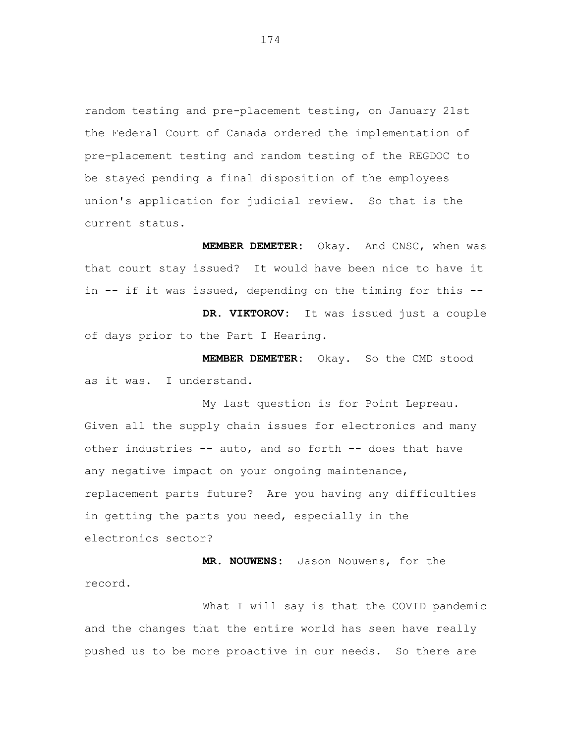random testing and pre-placement testing, on January 21st the Federal Court of Canada ordered the implementation of pre-placement testing and random testing of the REGDOC to be stayed pending a final disposition of the employees union's application for judicial review. So that is the current status.

**MEMBER DEMETER:** Okay. And CNSC, when was that court stay issued? It would have been nice to have it in -- if it was issued, depending on the timing for this --

**DR. VIKTOROV:** It was issued just a couple of days prior to the Part I Hearing.

**MEMBER DEMETER:** Okay. So the CMD stood as it was. I understand.

My last question is for Point Lepreau. Given all the supply chain issues for electronics and many other industries -- auto, and so forth -- does that have any negative impact on your ongoing maintenance, replacement parts future? Are you having any difficulties in getting the parts you need, especially in the electronics sector?

**MR. NOUWENS:** Jason Nouwens, for the record.

What I will say is that the COVID pandemic and the changes that the entire world has seen have really pushed us to be more proactive in our needs. So there are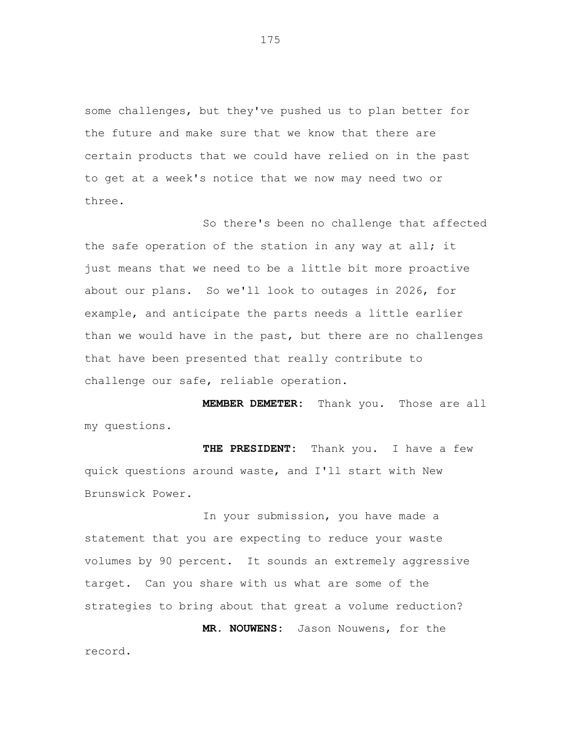some challenges, but they've pushed us to plan better for the future and make sure that we know that there are certain products that we could have relied on in the past to get at a week's notice that we now may need two or three.

So there's been no challenge that affected the safe operation of the station in any way at all; it just means that we need to be a little bit more proactive about our plans. So we'll look to outages in 2026, for example, and anticipate the parts needs a little earlier than we would have in the past, but there are no challenges that have been presented that really contribute to challenge our safe, reliable operation.

**MEMBER DEMETER:** Thank you. Those are all my questions.

**THE PRESIDENT:** Thank you. I have a few quick questions around waste, and I'll start with New Brunswick Power.

In your submission, you have made a statement that you are expecting to reduce your waste volumes by 90 percent. It sounds an extremely aggressive target. Can you share with us what are some of the strategies to bring about that great a volume reduction?

**MR. NOUWENS:** Jason Nouwens, for the record.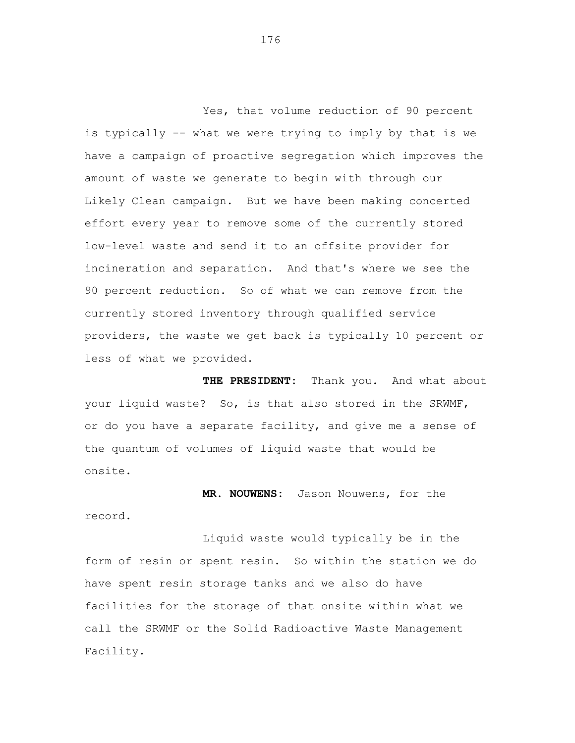Yes, that volume reduction of 90 percent is typically -- what we were trying to imply by that is we have a campaign of proactive segregation which improves the amount of waste we generate to begin with through our Likely Clean campaign. But we have been making concerted effort every year to remove some of the currently stored low-level waste and send it to an offsite provider for incineration and separation. And that's where we see the 90 percent reduction. So of what we can remove from the currently stored inventory through qualified service providers, the waste we get back is typically 10 percent or less of what we provided.

**THE PRESIDENT:** Thank you. And what about your liquid waste? So, is that also stored in the SRWMF, or do you have a separate facility, and give me a sense of the quantum of volumes of liquid waste that would be onsite.

**MR. NOUWENS:** Jason Nouwens, for the record.

Liquid waste would typically be in the form of resin or spent resin. So within the station we do have spent resin storage tanks and we also do have facilities for the storage of that onsite within what we call the SRWMF or the Solid Radioactive Waste Management Facility.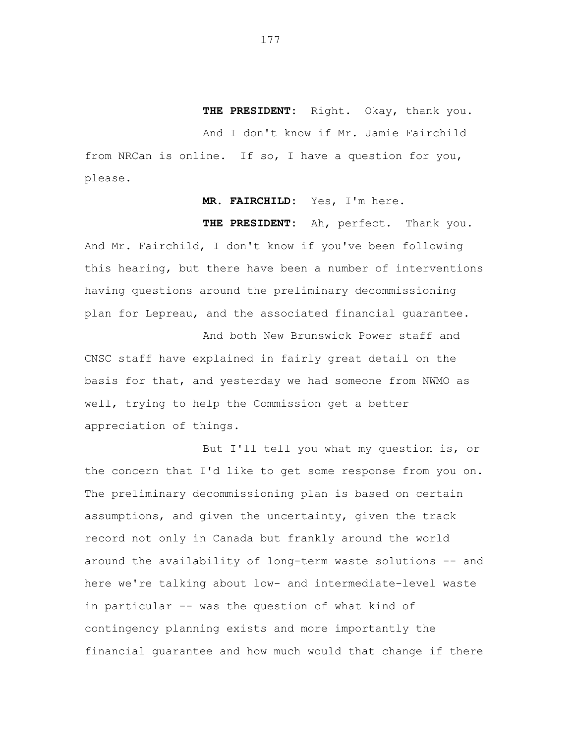**THE PRESIDENT:** Right. Okay, thank you.

And I don't know if Mr. Jamie Fairchild from NRCan is online. If so, I have a question for you, please.

**MR. FAIRCHILD:** Yes, I'm here.

**THE PRESIDENT:** Ah, perfect. Thank you. And Mr. Fairchild, I don't know if you've been following this hearing, but there have been a number of interventions having questions around the preliminary decommissioning plan for Lepreau, and the associated financial guarantee.

And both New Brunswick Power staff and CNSC staff have explained in fairly great detail on the basis for that, and yesterday we had someone from NWMO as well, trying to help the Commission get a better appreciation of things.

But I'll tell you what my question is, or the concern that I'd like to get some response from you on. The preliminary decommissioning plan is based on certain assumptions, and given the uncertainty, given the track record not only in Canada but frankly around the world around the availability of long-term waste solutions -- and here we're talking about low- and intermediate-level waste in particular -- was the question of what kind of contingency planning exists and more importantly the financial guarantee and how much would that change if there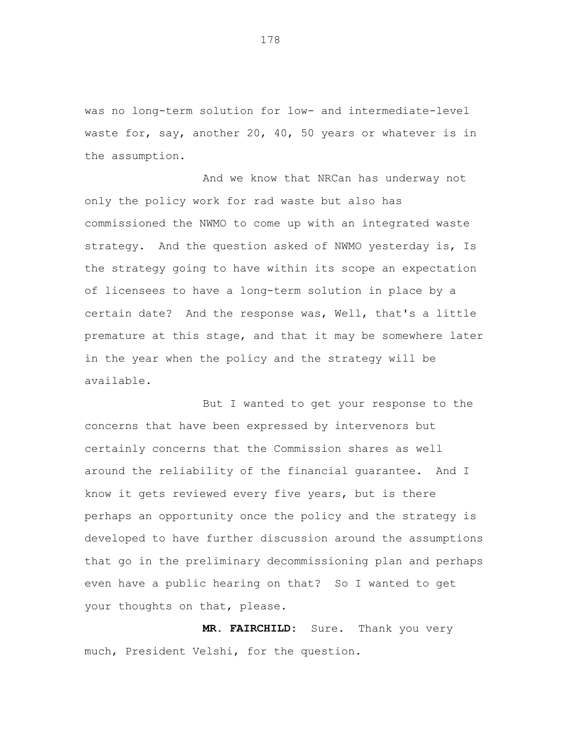was no long-term solution for low- and intermediate-level waste for, say, another 20, 40, 50 years or whatever is in the assumption.

And we know that NRCan has underway not only the policy work for rad waste but also has commissioned the NWMO to come up with an integrated waste strategy. And the question asked of NWMO yesterday is, Is the strategy going to have within its scope an expectation of licensees to have a long-term solution in place by a certain date? And the response was, Well, that's a little premature at this stage, and that it may be somewhere later in the year when the policy and the strategy will be available.

But I wanted to get your response to the concerns that have been expressed by intervenors but certainly concerns that the Commission shares as well around the reliability of the financial guarantee. And I know it gets reviewed every five years, but is there perhaps an opportunity once the policy and the strategy is developed to have further discussion around the assumptions that go in the preliminary decommissioning plan and perhaps even have a public hearing on that? So I wanted to get your thoughts on that, please.

**MR. FAIRCHILD:** Sure. Thank you very much, President Velshi, for the question.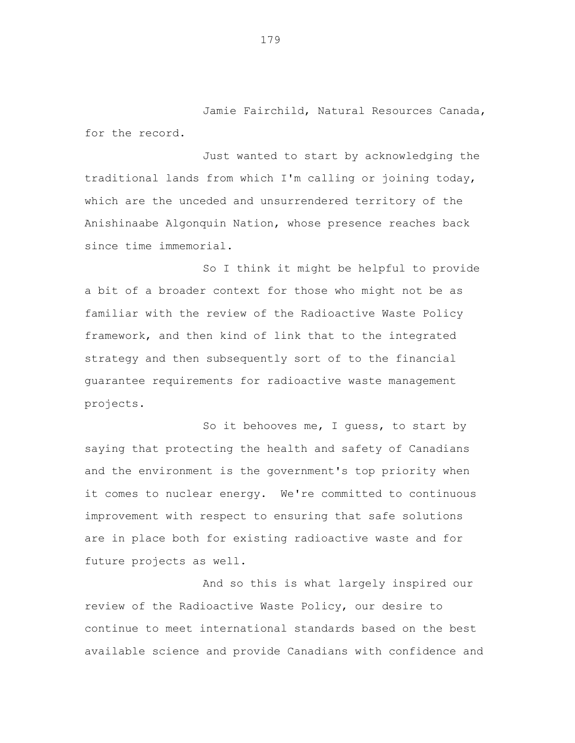Jamie Fairchild, Natural Resources Canada, for the record.

Just wanted to start by acknowledging the traditional lands from which I'm calling or joining today, which are the unceded and unsurrendered territory of the Anishinaabe Algonquin Nation, whose presence reaches back since time immemorial.

So I think it might be helpful to provide a bit of a broader context for those who might not be as familiar with the review of the Radioactive Waste Policy framework, and then kind of link that to the integrated strategy and then subsequently sort of to the financial guarantee requirements for radioactive waste management projects.

So it behooves me, I guess, to start by saying that protecting the health and safety of Canadians and the environment is the government's top priority when it comes to nuclear energy. We're committed to continuous improvement with respect to ensuring that safe solutions are in place both for existing radioactive waste and for future projects as well.

And so this is what largely inspired our review of the Radioactive Waste Policy, our desire to continue to meet international standards based on the best available science and provide Canadians with confidence and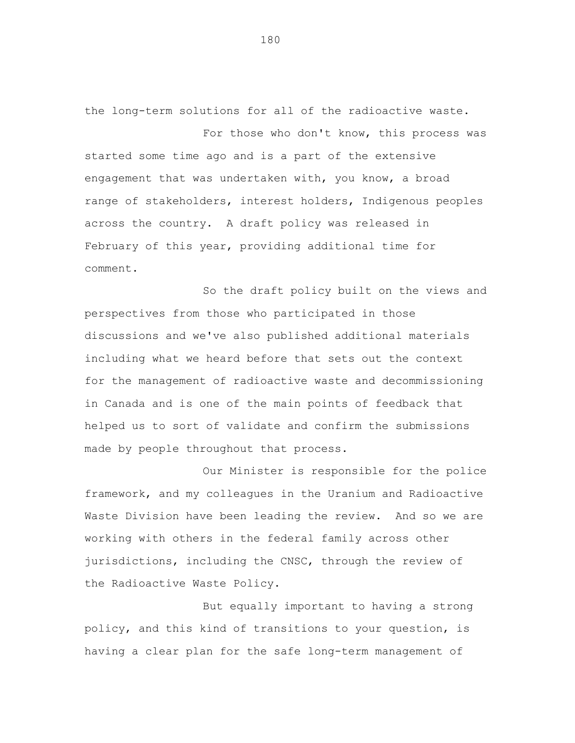the long-term solutions for all of the radioactive waste. For those who don't know, this process was started some time ago and is a part of the extensive engagement that was undertaken with, you know, a broad range of stakeholders, interest holders, Indigenous peoples across the country. A draft policy was released in

February of this year, providing additional time for comment.

So the draft policy built on the views and perspectives from those who participated in those discussions and we've also published additional materials including what we heard before that sets out the context for the management of radioactive waste and decommissioning in Canada and is one of the main points of feedback that helped us to sort of validate and confirm the submissions made by people throughout that process.

Our Minister is responsible for the police framework, and my colleagues in the Uranium and Radioactive Waste Division have been leading the review. And so we are working with others in the federal family across other jurisdictions, including the CNSC, through the review of the Radioactive Waste Policy.

But equally important to having a strong policy, and this kind of transitions to your question, is having a clear plan for the safe long-term management of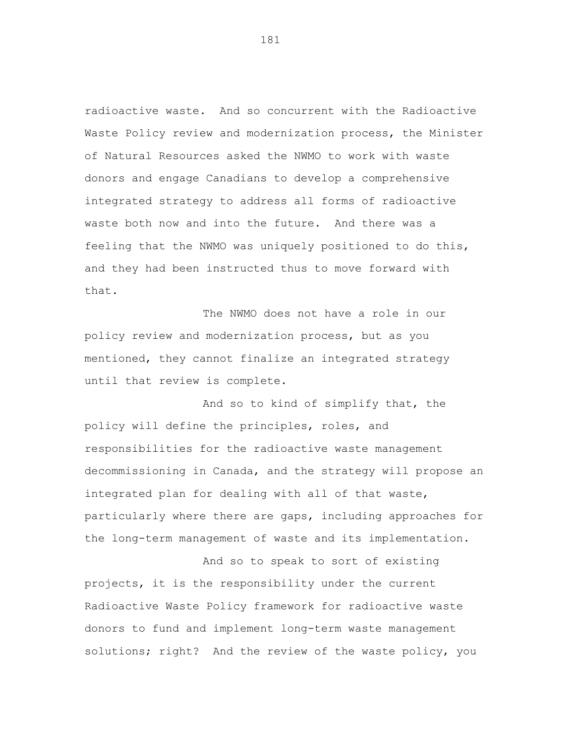radioactive waste. And so concurrent with the Radioactive Waste Policy review and modernization process, the Minister of Natural Resources asked the NWMO to work with waste donors and engage Canadians to develop a comprehensive integrated strategy to address all forms of radioactive waste both now and into the future. And there was a feeling that the NWMO was uniquely positioned to do this, and they had been instructed thus to move forward with that.

The NWMO does not have a role in our policy review and modernization process, but as you mentioned, they cannot finalize an integrated strategy until that review is complete.

And so to kind of simplify that, the policy will define the principles, roles, and responsibilities for the radioactive waste management decommissioning in Canada, and the strategy will propose an integrated plan for dealing with all of that waste, particularly where there are gaps, including approaches for the long-term management of waste and its implementation.

And so to speak to sort of existing projects, it is the responsibility under the current Radioactive Waste Policy framework for radioactive waste donors to fund and implement long-term waste management solutions; right? And the review of the waste policy, you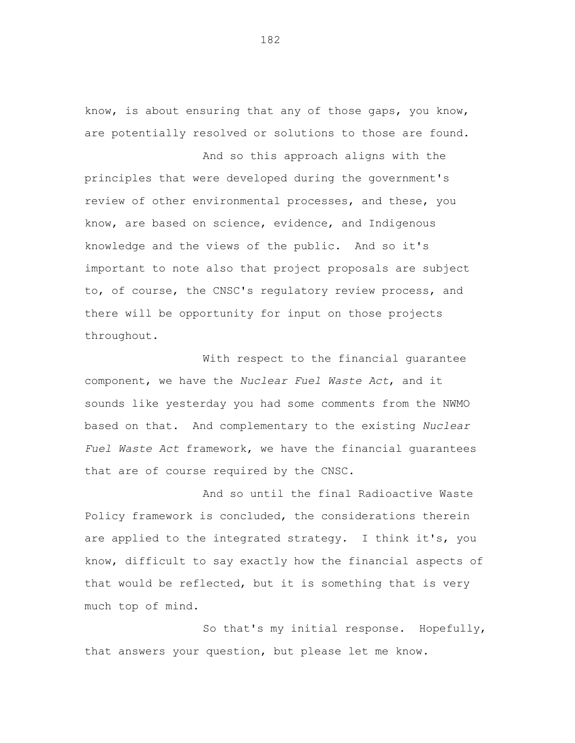know, is about ensuring that any of those gaps, you know, are potentially resolved or solutions to those are found.

And so this approach aligns with the principles that were developed during the government's review of other environmental processes, and these, you know, are based on science, evidence, and Indigenous knowledge and the views of the public. And so it's important to note also that project proposals are subject to, of course, the CNSC's regulatory review process, and there will be opportunity for input on those projects throughout.

With respect to the financial guarantee component, we have the *Nuclear Fuel Waste Act*, and it sounds like yesterday you had some comments from the NWMO based on that. And complementary to the existing *Nuclear Fuel Waste Act* framework, we have the financial guarantees that are of course required by the CNSC.

And so until the final Radioactive Waste Policy framework is concluded, the considerations therein are applied to the integrated strategy. I think it's, you know, difficult to say exactly how the financial aspects of that would be reflected, but it is something that is very much top of mind.

So that's my initial response. Hopefully, that answers your question, but please let me know.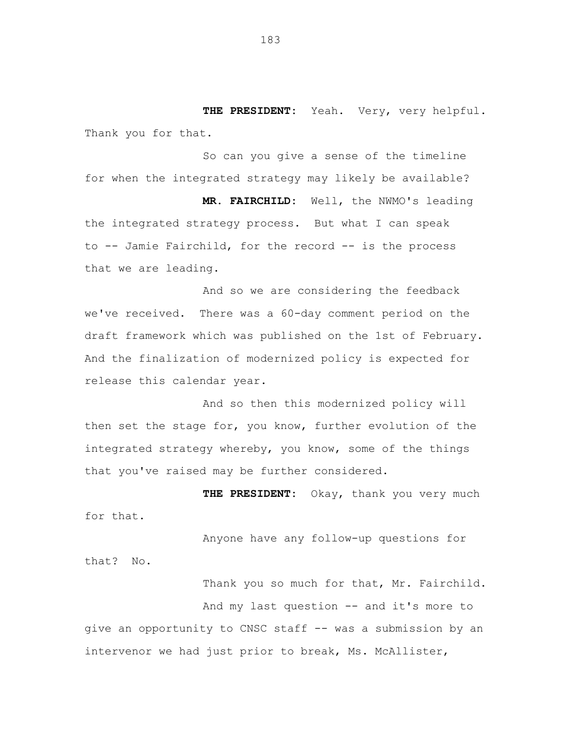**THE PRESIDENT:** Yeah. Very, very helpful. Thank you for that.

So can you give a sense of the timeline for when the integrated strategy may likely be available?

**MR. FAIRCHILD:** Well, the NWMO's leading the integrated strategy process. But what I can speak to -- Jamie Fairchild, for the record -- is the process that we are leading.

And so we are considering the feedback we've received. There was a 60-day comment period on the draft framework which was published on the 1st of February. And the finalization of modernized policy is expected for release this calendar year.

And so then this modernized policy will then set the stage for, you know, further evolution of the integrated strategy whereby, you know, some of the things that you've raised may be further considered.

**THE PRESIDENT:** Okay, thank you very much for that.

Anyone have any follow-up questions for that? No.

Thank you so much for that, Mr. Fairchild. And my last question -- and it's more to give an opportunity to CNSC staff -- was a submission by an intervenor we had just prior to break, Ms. McAllister,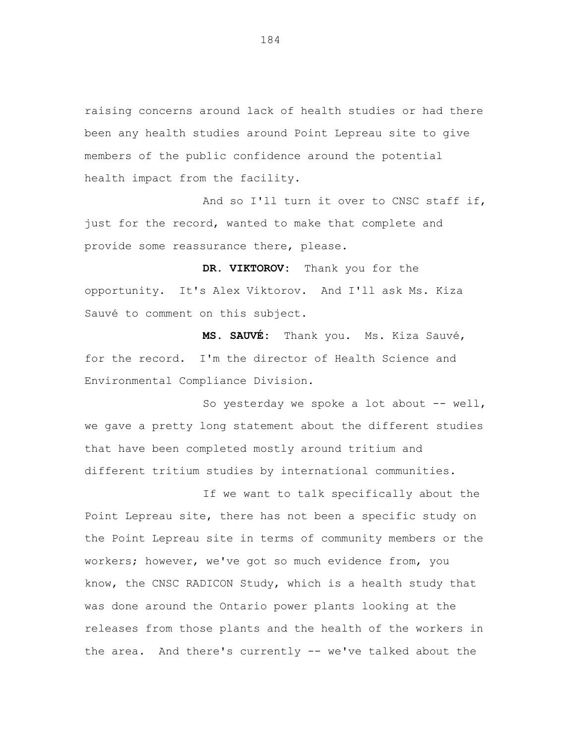raising concerns around lack of health studies or had there been any health studies around Point Lepreau site to give members of the public confidence around the potential health impact from the facility.

And so I'll turn it over to CNSC staff if, just for the record, wanted to make that complete and provide some reassurance there, please.

**DR. VIKTOROV:** Thank you for the opportunity. It's Alex Viktorov. And I'll ask Ms. Kiza Sauvé to comment on this subject.

**MS. SAUVÉ:** Thank you. Ms. Kiza Sauvé, for the record. I'm the director of Health Science and Environmental Compliance Division.

So yesterday we spoke a lot about  $-$ - well, we gave a pretty long statement about the different studies that have been completed mostly around tritium and different tritium studies by international communities.

If we want to talk specifically about the Point Lepreau site, there has not been a specific study on the Point Lepreau site in terms of community members or the workers; however, we've got so much evidence from, you know, the CNSC RADICON Study, which is a health study that was done around the Ontario power plants looking at the releases from those plants and the health of the workers in the area. And there's currently -- we've talked about the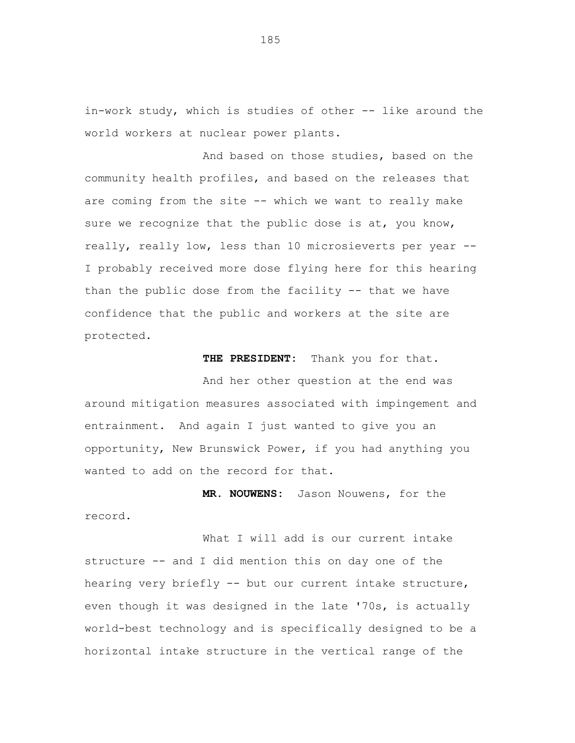in-work study, which is studies of other -- like around the world workers at nuclear power plants.

And based on those studies, based on the community health profiles, and based on the releases that are coming from the site -- which we want to really make sure we recognize that the public dose is at, you know, really, really low, less than 10 microsieverts per year -- I probably received more dose flying here for this hearing than the public dose from the facility -- that we have confidence that the public and workers at the site are protected.

**THE PRESIDENT:** Thank you for that.

And her other question at the end was around mitigation measures associated with impingement and entrainment. And again I just wanted to give you an opportunity, New Brunswick Power, if you had anything you wanted to add on the record for that.

**MR. NOUWENS:** Jason Nouwens, for the record.

What I will add is our current intake structure -- and I did mention this on day one of the hearing very briefly -- but our current intake structure, even though it was designed in the late '70s, is actually world-best technology and is specifically designed to be a horizontal intake structure in the vertical range of the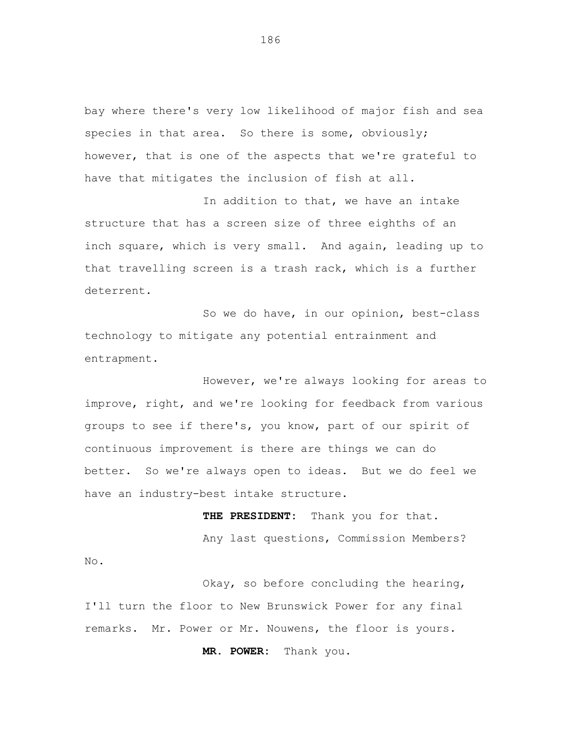bay where there's very low likelihood of major fish and sea species in that area. So there is some, obviously; however, that is one of the aspects that we're grateful to have that mitigates the inclusion of fish at all.

In addition to that, we have an intake structure that has a screen size of three eighths of an inch square, which is very small. And again, leading up to that travelling screen is a trash rack, which is a further deterrent.

So we do have, in our opinion, best-class technology to mitigate any potential entrainment and entrapment.

However, we're always looking for areas to improve, right, and we're looking for feedback from various groups to see if there's, you know, part of our spirit of continuous improvement is there are things we can do better. So we're always open to ideas. But we do feel we have an industry-best intake structure.

**THE PRESIDENT:** Thank you for that. Any last questions, Commission Members? No.

Okay, so before concluding the hearing, I'll turn the floor to New Brunswick Power for any final remarks. Mr. Power or Mr. Nouwens, the floor is yours.

**MR. POWER:** Thank you.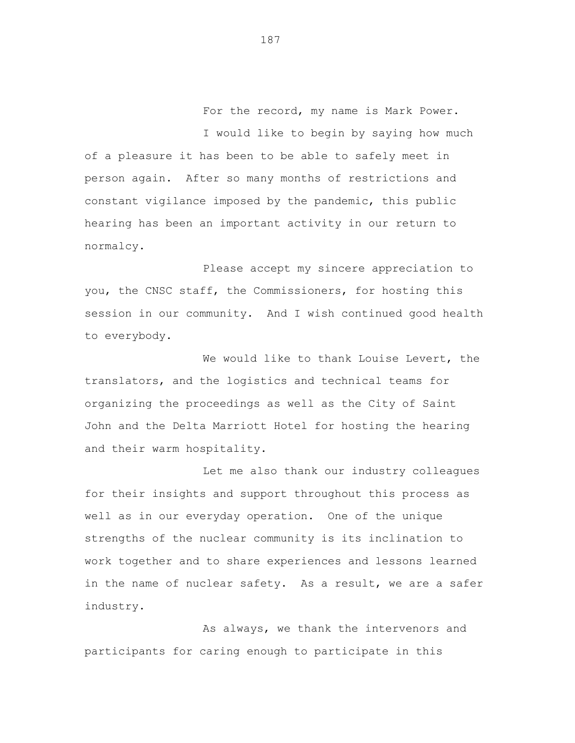For the record, my name is Mark Power. I would like to begin by saying how much

of a pleasure it has been to be able to safely meet in person again. After so many months of restrictions and constant vigilance imposed by the pandemic, this public hearing has been an important activity in our return to normalcy.

Please accept my sincere appreciation to you, the CNSC staff, the Commissioners, for hosting this session in our community. And I wish continued good health to everybody.

We would like to thank Louise Levert, the translators, and the logistics and technical teams for organizing the proceedings as well as the City of Saint John and the Delta Marriott Hotel for hosting the hearing and their warm hospitality.

Let me also thank our industry colleagues for their insights and support throughout this process as well as in our everyday operation. One of the unique strengths of the nuclear community is its inclination to work together and to share experiences and lessons learned in the name of nuclear safety. As a result, we are a safer industry.

As always, we thank the intervenors and participants for caring enough to participate in this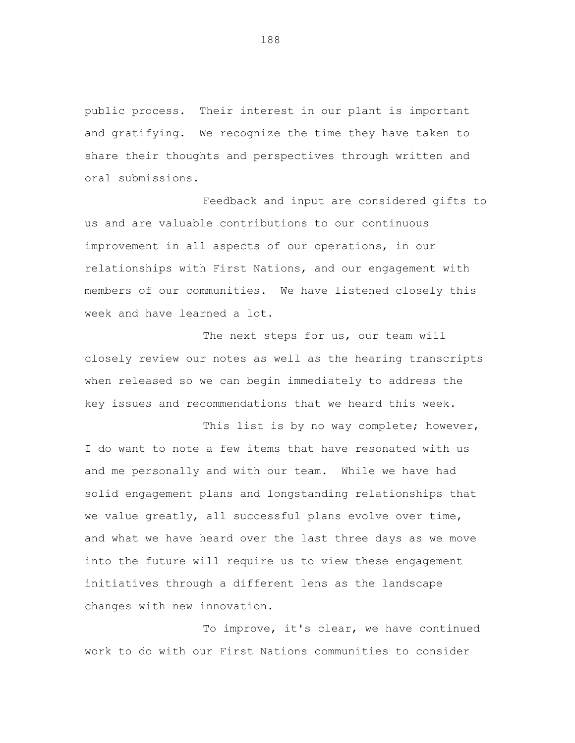public process. Their interest in our plant is important and gratifying. We recognize the time they have taken to share their thoughts and perspectives through written and oral submissions.

Feedback and input are considered gifts to us and are valuable contributions to our continuous improvement in all aspects of our operations, in our relationships with First Nations, and our engagement with members of our communities. We have listened closely this week and have learned a lot.

The next steps for us, our team will closely review our notes as well as the hearing transcripts when released so we can begin immediately to address the key issues and recommendations that we heard this week.

This list is by no way complete; however, I do want to note a few items that have resonated with us and me personally and with our team. While we have had solid engagement plans and longstanding relationships that we value greatly, all successful plans evolve over time, and what we have heard over the last three days as we move into the future will require us to view these engagement initiatives through a different lens as the landscape changes with new innovation.

To improve, it's clear, we have continued work to do with our First Nations communities to consider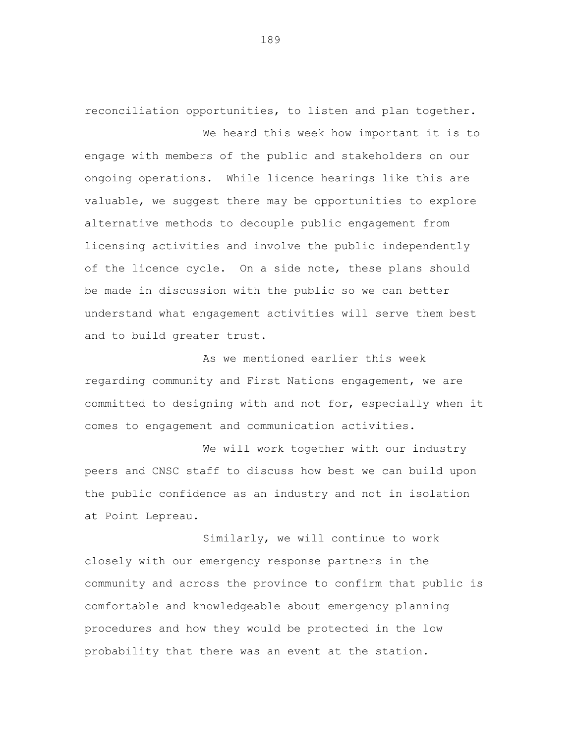reconciliation opportunities, to listen and plan together.

We heard this week how important it is to

engage with members of the public and stakeholders on our ongoing operations. While licence hearings like this are valuable, we suggest there may be opportunities to explore alternative methods to decouple public engagement from licensing activities and involve the public independently of the licence cycle. On a side note, these plans should be made in discussion with the public so we can better understand what engagement activities will serve them best and to build greater trust.

As we mentioned earlier this week regarding community and First Nations engagement, we are committed to designing with and not for, especially when it comes to engagement and communication activities.

We will work together with our industry peers and CNSC staff to discuss how best we can build upon the public confidence as an industry and not in isolation at Point Lepreau.

Similarly, we will continue to work closely with our emergency response partners in the community and across the province to confirm that public is comfortable and knowledgeable about emergency planning procedures and how they would be protected in the low probability that there was an event at the station.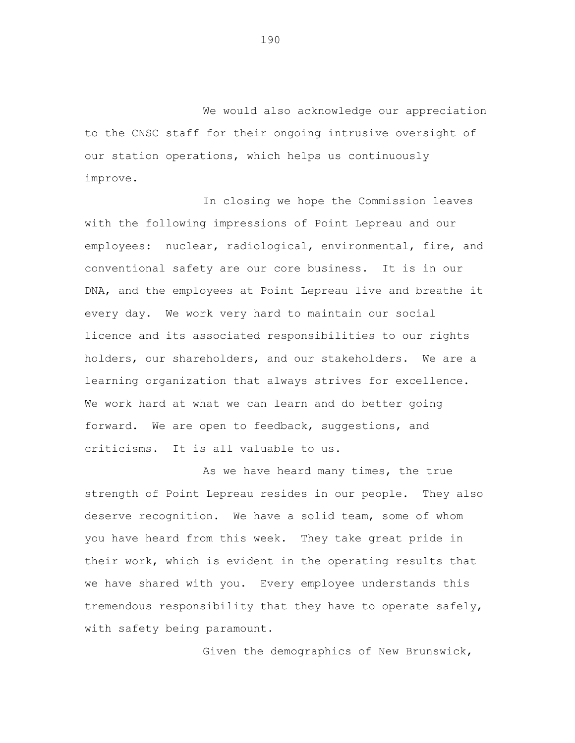We would also acknowledge our appreciation to the CNSC staff for their ongoing intrusive oversight of our station operations, which helps us continuously improve.

In closing we hope the Commission leaves with the following impressions of Point Lepreau and our employees: nuclear, radiological, environmental, fire, and conventional safety are our core business. It is in our DNA, and the employees at Point Lepreau live and breathe it every day. We work very hard to maintain our social licence and its associated responsibilities to our rights holders, our shareholders, and our stakeholders. We are a learning organization that always strives for excellence. We work hard at what we can learn and do better going forward. We are open to feedback, suggestions, and criticisms. It is all valuable to us.

As we have heard many times, the true strength of Point Lepreau resides in our people. They also deserve recognition. We have a solid team, some of whom you have heard from this week. They take great pride in their work, which is evident in the operating results that we have shared with you. Every employee understands this tremendous responsibility that they have to operate safely, with safety being paramount.

Given the demographics of New Brunswick,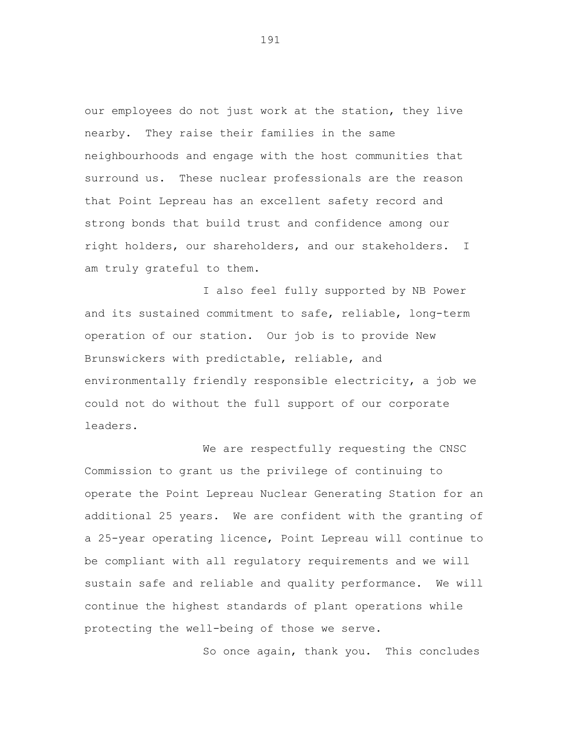our employees do not just work at the station, they live nearby. They raise their families in the same neighbourhoods and engage with the host communities that surround us. These nuclear professionals are the reason that Point Lepreau has an excellent safety record and strong bonds that build trust and confidence among our right holders, our shareholders, and our stakeholders. I am truly grateful to them.

I also feel fully supported by NB Power and its sustained commitment to safe, reliable, long-term operation of our station. Our job is to provide New Brunswickers with predictable, reliable, and environmentally friendly responsible electricity, a job we could not do without the full support of our corporate leaders.

We are respectfully requesting the CNSC Commission to grant us the privilege of continuing to operate the Point Lepreau Nuclear Generating Station for an additional 25 years. We are confident with the granting of a 25-year operating licence, Point Lepreau will continue to be compliant with all regulatory requirements and we will sustain safe and reliable and quality performance. We will continue the highest standards of plant operations while protecting the well-being of those we serve.

So once again, thank you. This concludes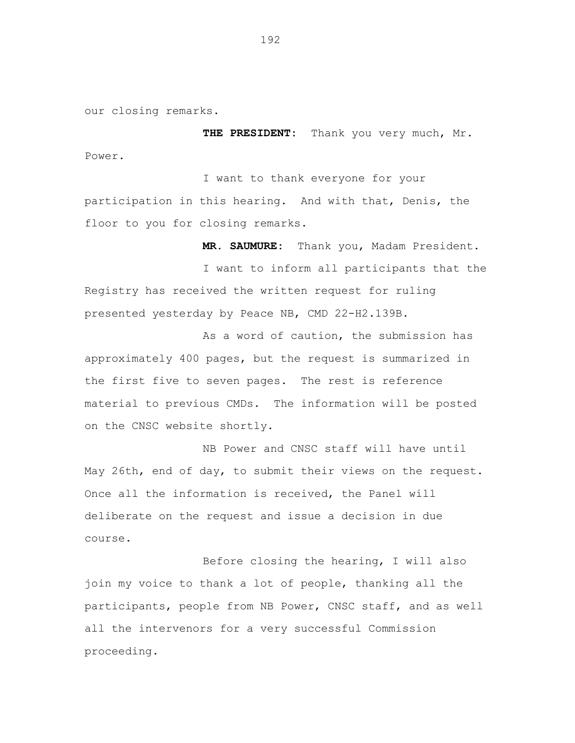our closing remarks.

**THE PRESIDENT:** Thank you very much, Mr. Power.

I want to thank everyone for your participation in this hearing. And with that, Denis, the floor to you for closing remarks.

**MR. SAUMURE:** Thank you, Madam President. I want to inform all participants that the Registry has received the written request for ruling presented yesterday by Peace NB, CMD 22-H2.139B.

As a word of caution, the submission has approximately 400 pages, but the request is summarized in the first five to seven pages. The rest is reference material to previous CMDs. The information will be posted on the CNSC website shortly.

NB Power and CNSC staff will have until May 26th, end of day, to submit their views on the request. Once all the information is received, the Panel will deliberate on the request and issue a decision in due course.

Before closing the hearing, I will also join my voice to thank a lot of people, thanking all the participants, people from NB Power, CNSC staff, and as well all the intervenors for a very successful Commission proceeding.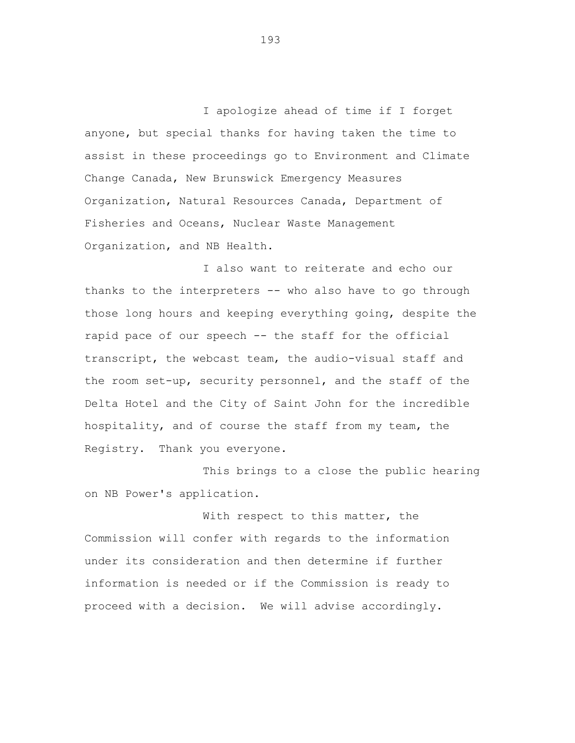I apologize ahead of time if I forget anyone, but special thanks for having taken the time to assist in these proceedings go to Environment and Climate Change Canada, New Brunswick Emergency Measures Organization, Natural Resources Canada, Department of Fisheries and Oceans, Nuclear Waste Management Organization, and NB Health.

I also want to reiterate and echo our thanks to the interpreters -- who also have to go through those long hours and keeping everything going, despite the rapid pace of our speech -- the staff for the official transcript, the webcast team, the audio-visual staff and the room set-up, security personnel, and the staff of the Delta Hotel and the City of Saint John for the incredible hospitality, and of course the staff from my team, the Registry. Thank you everyone.

This brings to a close the public hearing on NB Power's application.

With respect to this matter, the Commission will confer with regards to the information under its consideration and then determine if further information is needed or if the Commission is ready to proceed with a decision. We will advise accordingly.